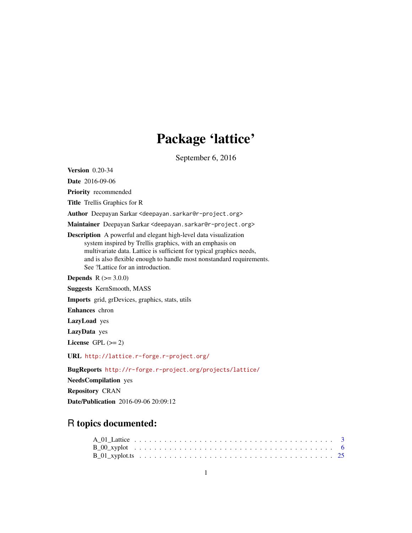# Package 'lattice'

September 6, 2016

<span id="page-0-0"></span>Version 0.20-34

Date 2016-09-06

Priority recommended

Title Trellis Graphics for R

Author Deepayan Sarkar <deepayan.sarkar@r-project.org>

Maintainer Deepayan Sarkar <deepayan.sarkar@r-project.org>

Description A powerful and elegant high-level data visualization system inspired by Trellis graphics, with an emphasis on multivariate data. Lattice is sufficient for typical graphics needs, and is also flexible enough to handle most nonstandard requirements. See ?Lattice for an introduction.

**Depends** R  $(>= 3.0.0)$ 

Suggests KernSmooth, MASS

Imports grid, grDevices, graphics, stats, utils

Enhances chron

LazyLoad yes

LazyData yes

License GPL  $(>= 2)$ 

URL <http://lattice.r-forge.r-project.org/>

BugReports <http://r-forge.r-project.org/projects/lattice/>

NeedsCompilation yes Repository CRAN

Date/Publication 2016-09-06 20:09:12

# R topics documented: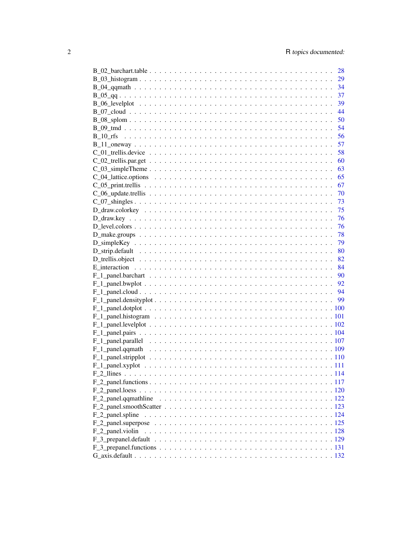|                    | 28   |
|--------------------|------|
|                    | 29   |
|                    |      |
|                    |      |
|                    |      |
|                    |      |
|                    |      |
|                    |      |
|                    |      |
|                    |      |
|                    |      |
|                    |      |
|                    |      |
|                    |      |
|                    |      |
|                    |      |
|                    |      |
|                    |      |
|                    |      |
|                    |      |
|                    |      |
|                    | - 79 |
|                    | 80   |
|                    |      |
|                    |      |
|                    |      |
|                    |      |
|                    |      |
|                    |      |
|                    |      |
|                    |      |
|                    |      |
|                    |      |
|                    |      |
|                    |      |
|                    |      |
|                    |      |
|                    |      |
|                    |      |
|                    |      |
|                    |      |
|                    |      |
|                    |      |
| $F_2$ panel spline |      |
|                    |      |
| F 2 panel.violin   |      |
|                    |      |
|                    |      |
|                    |      |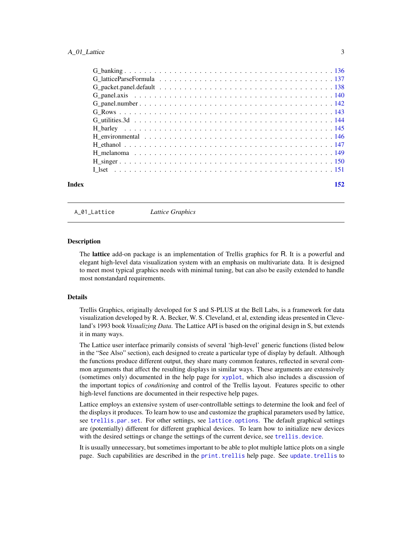<span id="page-2-0"></span>

| Index | 152 |
|-------|-----|

A\_01\_Lattice *Lattice Graphics*

# <span id="page-2-1"></span>Description

The lattice add-on package is an implementation of Trellis graphics for R. It is a powerful and elegant high-level data visualization system with an emphasis on multivariate data. It is designed to meet most typical graphics needs with minimal tuning, but can also be easily extended to handle most nonstandard requirements.

# Details

Trellis Graphics, originally developed for S and S-PLUS at the Bell Labs, is a framework for data visualization developed by R. A. Becker, W. S. Cleveland, et al, extending ideas presented in Cleveland's 1993 book *Visualizing Data*. The Lattice API is based on the original design in S, but extends it in many ways.

The Lattice user interface primarily consists of several 'high-level' generic functions (listed below in the "See Also" section), each designed to create a particular type of display by default. Although the functions produce different output, they share many common features, reflected in several common arguments that affect the resulting displays in similar ways. These arguments are extensively (sometimes only) documented in the help page for [xyplot](#page-5-1), which also includes a discussion of the important topics of *conditioning* and control of the Trellis layout. Features specific to other high-level functions are documented in their respective help pages.

Lattice employs an extensive system of user-controllable settings to determine the look and feel of the displays it produces. To learn how to use and customize the graphical parameters used by lattice, see [trellis.par.set](#page-59-1). For other settings, see [lattice.options](#page-64-1). The default graphical settings are (potentially) different for different graphical devices. To learn how to initialize new devices with the desired settings or change the settings of the current device, see [trellis.device](#page-57-1).

It is usually unnecessary, but sometimes important to be able to plot multiple lattice plots on a single page. Such capabilities are described in the [print.trellis](#page-66-1) help page. See [update.trellis](#page-69-1) to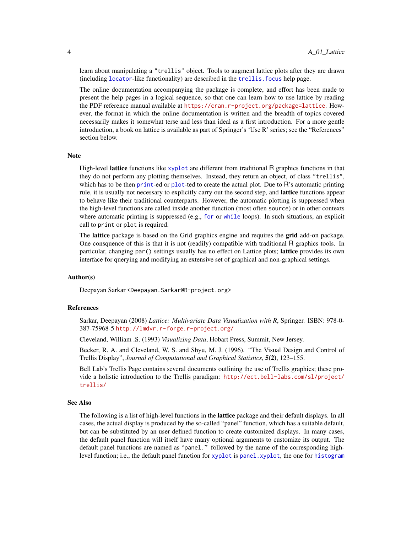learn about manipulating a "trellis" object. Tools to augment lattice plots after they are drawn (including [locator](#page-0-0)-like functionality) are described in the [trellis.focus](#page-83-1) help page.

The online documentation accompanying the package is complete, and effort has been made to present the help pages in a logical sequence, so that one can learn how to use lattice by reading the PDF reference manual available at <https://cran.r-project.org/package=lattice>. However, the format in which the online documentation is written and the breadth of topics covered necessarily makes it somewhat terse and less than ideal as a first introduction. For a more gentle introduction, a book on lattice is available as part of Springer's 'Use R' series; see the "References" section below.

#### Note

High-level **lattice** functions like [xyplot](#page-5-1) are different from traditional R graphics functions in that they do not perform any plotting themselves. Instead, they return an object, of class "trellis", which has to be then [print](#page-0-0)-ed or [plot](#page-0-0)-ted to create the actual plot. Due to R's automatic printing rule, it is usually not necessary to explicitly carry out the second step, and lattice functions appear to behave like their traditional counterparts. However, the automatic plotting is suppressed when the high-level functions are called inside another function (most often source) or in other contexts where automatic printing is suppressed (e.g., [for](#page-0-0) or [while](#page-0-0) loops). In such situations, an explicit call to print or plot is required.

The **lattice** package is based on the Grid graphics engine and requires the **grid** add-on package. One consquence of this is that it is not (readily) compatible with traditional R graphics tools. In particular, changing par() settings usually has no effect on Lattice plots; lattice provides its own interface for querying and modifying an extensive set of graphical and non-graphical settings.

# Author(s)

Deepayan Sarkar <Deepayan.Sarkar@R-project.org>

# References

Sarkar, Deepayan (2008) *Lattice: Multivariate Data Visualization with R*, Springer. ISBN: 978-0- 387-75968-5 <http://lmdvr.r-forge.r-project.org/>

Cleveland, William .S. (1993) *Visualizing Data*, Hobart Press, Summit, New Jersey.

Becker, R. A. and Cleveland, W. S. and Shyu, M. J. (1996). "The Visual Design and Control of Trellis Display", *Journal of Computational and Graphical Statistics*, 5(2), 123–155.

Bell Lab's Trellis Page contains several documents outlining the use of Trellis graphics; these provide a holistic introduction to the Trellis paradigm: [http://ect.bell-labs.com/sl/project/](http://ect.bell-labs.com/sl/project/trellis/) [trellis/](http://ect.bell-labs.com/sl/project/trellis/)

#### See Also

The following is a list of high-level functions in the **lattice** package and their default displays. In all cases, the actual display is produced by the so-called "panel" function, which has a suitable default, but can be substituted by an user defined function to create customized displays. In many cases, the default panel function will itself have many optional arguments to customize its output. The default panel functions are named as "panel." followed by the name of the corresponding highlevel function; i.e., the default panel function for [xyplot](#page-5-1) is [panel.xyplot](#page-110-1), the one for [histogram](#page-28-1)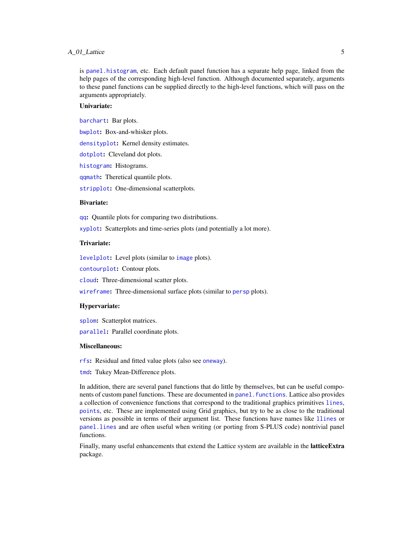# A\_01\_Lattice 5

is [panel.histogram](#page-100-1), etc. Each default panel function has a separate help page, linked from the help pages of the corresponding high-level function. Although documented separately, arguments to these panel functions can be supplied directly to the high-level functions, which will pass on the arguments appropriately.

# Univariate:

[barchart](#page-5-1): Bar plots.

[bwplot](#page-5-1): Box-and-whisker plots.

[densityplot](#page-28-1): Kernel density estimates.

[dotplot](#page-5-1): Cleveland dot plots.

[histogram](#page-28-1): Histograms.

[qqmath](#page-33-1): Theretical quantile plots.

[stripplot](#page-5-1): One-dimensional scatterplots.

# Bivariate:

[qq](#page-36-1): Quantile plots for comparing two distributions.

[xyplot](#page-5-1): Scatterplots and time-series plots (and potentially a lot more).

# Trivariate:

[levelplot](#page-38-1): Level plots (similar to [image](#page-0-0) plots).

[contourplot](#page-38-1): Contour plots.

[cloud](#page-43-1): Three-dimensional scatter plots.

[wireframe](#page-43-1): Three-dimensional surface plots (similar to [persp](#page-0-0) plots).

#### Hypervariate:

[splom](#page-49-1): Scatterplot matrices.

[parallel](#page-49-1): Parallel coordinate plots.

#### Miscellaneous:

[rfs](#page-55-1): Residual and fitted value plots (also see [oneway](#page-56-1)).

[tmd](#page-53-1): Tukey Mean-Difference plots.

In addition, there are several panel functions that do little by themselves, but can be useful components of custom panel functions. These are documented in panel. functions. Lattice also provides a collection of convenience functions that correspond to the traditional graphics primitives [lines](#page-0-0), [points](#page-0-0), etc. These are implemented using Grid graphics, but try to be as close to the traditional versions as possible in terms of their argument list. These functions have names like [llines](#page-113-1) or [panel.lines](#page-113-1) and are often useful when writing (or porting from S-PLUS code) nontrivial panel functions.

Finally, many useful enhancements that extend the Lattice system are available in the **latticeExtra** package.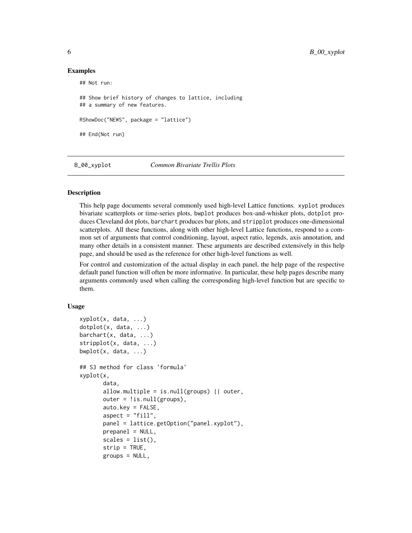# Examples

```
## Not run:
## Show brief history of changes to lattice, including
## a summary of new features.
RShowDoc("NEWS", package = "lattice")
## End(Not run)
```
B\_00\_xyplot *Common Bivariate Trellis Plots*

# <span id="page-5-1"></span>Description

This help page documents several commonly used high-level Lattice functions. xyplot produces bivariate scatterplots or time-series plots, bwplot produces box-and-whisker plots, dotplot produces Cleveland dot plots, barchart produces bar plots, and stripplot produces one-dimensional scatterplots. All these functions, along with other high-level Lattice functions, respond to a common set of arguments that control conditioning, layout, aspect ratio, legends, axis annotation, and many other details in a consistent manner. These arguments are described extensively in this help page, and should be used as the reference for other high-level functions as well.

For control and customization of the actual display in each panel, the help page of the respective default panel function will often be more informative. In particular, these help pages describe many arguments commonly used when calling the corresponding high-level function but are specific to them.

### Usage

```
xyplot(x, data, ...)
dotplot(x, data, ...)
barcht(x, data, ...)stripplot(x, data, ...)
bwplot(x, data, ...)## S3 method for class 'formula'
xyplot(x,
       data,
       allow.multiple = is.null(groups) || outer,
       outer = !is.null(groups),auto.key = FALSE,
       aspect = "fill",panel = lattice.getOption("panel.xyplot"),
       prepanel = NULL,scales = list(),strip = TRUE,
       groups = NULL,
```
<span id="page-5-0"></span>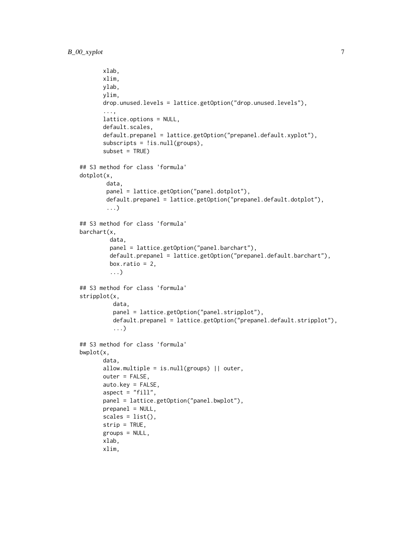```
xlab,
       xlim,
      ylab,
      ylim,
       drop.unused.levels = lattice.getOption("drop.unused.levels"),
       ...,
       lattice.options = NULL,
       default.scales,
       default.prepanel = lattice.getOption("prepanel.default.xyplot"),
       subscripts = !is.null(groups),
       subset = TRUE)
## S3 method for class 'formula'
dotplot(x,
        data,
        panel = lattice.getOption("panel.dotplot"),
        default.prepanel = lattice.getOption("prepanel.default.dotplot"),
        ...)
## S3 method for class 'formula'
barchart(x,
         data,
         panel = lattice.getOption("panel.barchart"),
         default.prepanel = lattice.getOption("prepanel.default.barchart"),
         box.ratio = 2,
         ...)
## S3 method for class 'formula'
stripplot(x,
          data,
          panel = lattice.getOption("panel.stripplot"),
          default.prepanel = lattice.getOption("prepanel.default.stripplot"),
          ...)
## S3 method for class 'formula'
bwplot(x,
      data,
       allow.multiple = is.null(groups) || outer,
       outer = FALSE,
       auto.key = FALSE,
       aspect = "fill",panel = lattice.getOption("panel.bwplot"),
      prepanel = NULL,scales = list(),strip = TRUE,
       groups = NULL,
      xlab,
      xlim,
```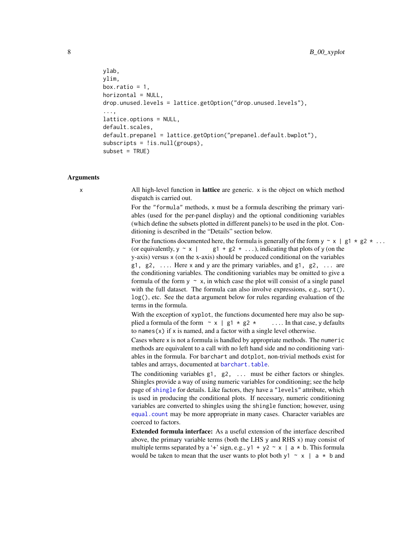```
ylab,
ylim,
box.ratio = 1,
horizontal = NULL,drop.unused.levels = lattice.getOption("drop.unused.levels"),
...,
lattice.options = NULL,
default.scales,
default.prepanel = lattice.getOption("prepanel.default.bwplot"),
subscripts = !is.null(groups),
subset = TRUE)
```
## Arguments

x All high-level function in lattice are generic. x is the object on which method dispatch is carried out.

> For the "formula" methods, x must be a formula describing the primary variables (used for the per-panel display) and the optional conditioning variables (which define the subsets plotted in different panels) to be used in the plot. Conditioning is described in the "Details" section below.

For the functions documented here, the formula is generally of the form  $y \sim x + g1 \times g2 \times ...$ (or equivalently,  $y \sim x \mid$  g1 + g2 + ...), indicating that plots of y (on the y-axis) versus x (on the x-axis) should be produced conditional on the variables g1, g2,  $\ldots$  Here x and y are the primary variables, and g1, g2,  $\ldots$  are the conditioning variables. The conditioning variables may be omitted to give a formula of the form  $y \sim x$ , in which case the plot will consist of a single panel with the full dataset. The formula can also involve expressions, e.g., sqrt(), log(), etc. See the data argument below for rules regarding evaluation of the terms in the formula.

With the exception of xyplot, the functions documented here may also be supplied a formula of the form  $\sim x$  | g1  $\star$  g2  $\star$  .... In that case, y defaults to names $(x)$  if x is named, and a factor with a single level otherwise.

Cases where x is not a formula is handled by appropriate methods. The numeric methods are equivalent to a call with no left hand side and no conditioning variables in the formula. For barchart and dotplot, non-trivial methods exist for tables and arrays, documented at [barchart.table](#page-27-1).

The conditioning variables g1, g2, ... must be either factors or shingles. Shingles provide a way of using numeric variables for conditioning; see the help page of [shingle](#page-72-1) for details. Like factors, they have a "levels" attribute, which is used in producing the conditional plots. If necessary, numeric conditioning variables are converted to shingles using the shingle function; however, using [equal.count](#page-72-1) may be more appropriate in many cases. Character variables are coerced to factors.

Extended formula interface: As a useful extension of the interface described above, the primary variable terms (both the LHS y and RHS x) may consist of multiple terms separated by a '+' sign, e.g., y1 + y2  $\sim x$  | a  $*$  b. This formula would be taken to mean that the user wants to plot both y1  $\sim x$  | a  $\star$  b and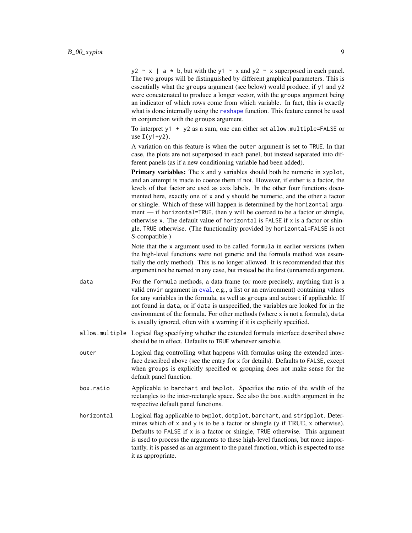$y2 \sim x$  | a  $*$  b, but with the y1  $\sim x$  and y2  $\sim x$  superposed in each panel. The two groups will be distinguished by different graphical parameters. This is essentially what the groups argument (see below) would produce, if y1 and y2 were concatenated to produce a longer vector, with the groups argument being an indicator of which rows come from which variable. In fact, this is exactly what is done internally using the [reshape](#page-0-0) function. This feature cannot be used in conjunction with the groups argument.

To interpret y1 + y2 as a sum, one can either set allow.multiple=FALSE or use  $I(y1+y2)$ .

A variation on this feature is when the outer argument is set to TRUE. In that case, the plots are not superposed in each panel, but instead separated into different panels (as if a new conditioning variable had been added).

**Primary variables:** The  $\times$  and  $\times$  variables should both be numeric in  $\times$  vplot, and an attempt is made to coerce them if not. However, if either is a factor, the levels of that factor are used as axis labels. In the other four functions documented here, exactly one of x and y should be numeric, and the other a factor or shingle. Which of these will happen is determined by the horizontal argument — if horizontal=TRUE, then y will be coerced to be a factor or shingle, otherwise x. The default value of horizontal is FALSE if x is a factor or shingle, TRUE otherwise. (The functionality provided by horizontal=FALSE is not S-compatible.)

Note that the x argument used to be called formula in earlier versions (when the high-level functions were not generic and the formula method was essentially the only method). This is no longer allowed. It is recommended that this argument not be named in any case, but instead be the first (unnamed) argument.

- data For the formula methods, a data frame (or more precisely, anything that is a valid envir argument in [eval](#page-0-0), e.g., a list or an environment) containing values for any variables in the formula, as well as groups and subset if applicable. If not found in data, or if data is unspecified, the variables are looked for in the environment of the formula. For other methods (where x is not a formula), data is usually ignored, often with a warning if it is explicitly specified.
- allow.multiple Logical flag specifying whether the extended formula interface described above should be in effect. Defaults to TRUE whenever sensible.
- outer Logical flag controlling what happens with formulas using the extended interface described above (see the entry for x for details). Defaults to FALSE, except when groups is explicitly specified or grouping does not make sense for the default panel function.
- box.ratio Applicable to barchart and bwplot. Specifies the ratio of the width of the rectangles to the inter-rectangle space. See also the box.width argument in the respective default panel functions.
- horizontal Logical flag applicable to bwplot, dotplot, barchart, and stripplot. Determines which of x and y is to be a factor or shingle (y if TRUE, x otherwise). Defaults to FALSE if x is a factor or shingle, TRUE otherwise. This argument is used to process the arguments to these high-level functions, but more importantly, it is passed as an argument to the panel function, which is expected to use it as appropriate.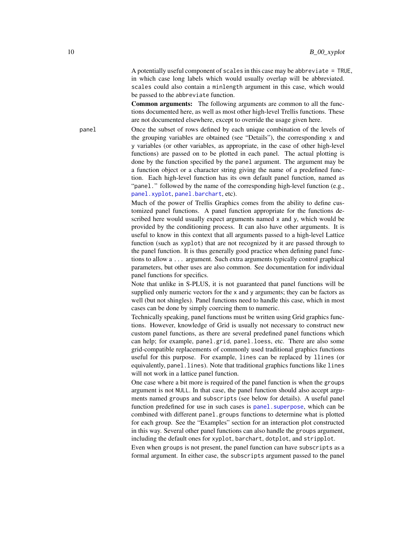A potentially useful component of scales in this case may be abbreviate = TRUE, in which case long labels which would usually overlap will be abbreviated. scales could also contain a minlength argument in this case, which would be passed to the abbreviate function.

Common arguments: The following arguments are common to all the functions documented here, as well as most other high-level Trellis functions. These are not documented elsewhere, except to override the usage given here.

panel Once the subset of rows defined by each unique combination of the levels of the grouping variables are obtained (see "Details"), the corresponding x and y variables (or other variables, as appropriate, in the case of other high-level functions) are passed on to be plotted in each panel. The actual plotting is done by the function specified by the panel argument. The argument may be a function object or a character string giving the name of a predefined function. Each high-level function has its own default panel function, named as "panel." followed by the name of the corresponding high-level function (e.g., [panel.xyplot](#page-110-1), [panel.barchart](#page-89-1), etc).

> Much of the power of Trellis Graphics comes from the ability to define customized panel functions. A panel function appropriate for the functions described here would usually expect arguments named x and y, which would be provided by the conditioning process. It can also have other arguments. It is useful to know in this context that all arguments passed to a high-level Lattice function (such as xyplot) that are not recognized by it are passed through to the panel function. It is thus generally good practice when defining panel functions to allow a ... argument. Such extra arguments typically control graphical parameters, but other uses are also common. See documentation for individual panel functions for specifics.

> Note that unlike in S-PLUS, it is not guaranteed that panel functions will be supplied only numeric vectors for the x and y arguments; they can be factors as well (but not shingles). Panel functions need to handle this case, which in most cases can be done by simply coercing them to numeric.

> Technically speaking, panel functions must be written using Grid graphics functions. However, knowledge of Grid is usually not necessary to construct new custom panel functions, as there are several predefined panel functions which can help; for example, panel.grid, panel.loess, etc. There are also some grid-compatible replacements of commonly used traditional graphics functions useful for this purpose. For example, lines can be replaced by llines (or equivalently, panel.lines). Note that traditional graphics functions like lines will not work in a lattice panel function.

> One case where a bit more is required of the panel function is when the groups argument is not NULL. In that case, the panel function should also accept arguments named groups and subscripts (see below for details). A useful panel function predefined for use in such cases is panel. superpose, which can be combined with different panel.groups functions to determine what is plotted for each group. See the "Examples" section for an interaction plot constructed in this way. Several other panel functions can also handle the groups argument, including the default ones for xyplot, barchart, dotplot, and stripplot.

> Even when groups is not present, the panel function can have subscripts as a formal argument. In either case, the subscripts argument passed to the panel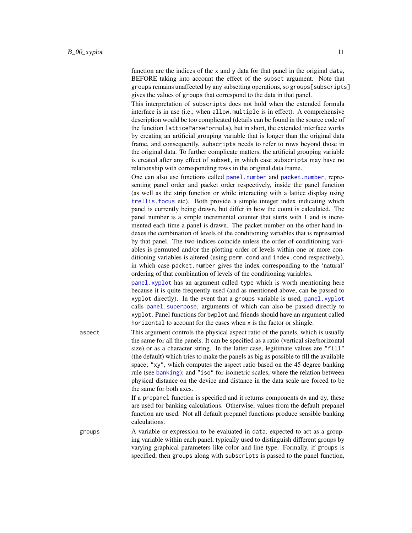function are the indices of the x and y data for that panel in the original data, BEFORE taking into account the effect of the subset argument. Note that groups remains unaffected by any subsetting operations, so groups[subscripts] gives the values of groups that correspond to the data in that panel.

This interpretation of subscripts does not hold when the extended formula interface is in use (i.e., when allow.multiple is in effect). A comprehensive description would be too complicated (details can be found in the source code of the function latticeParseFormula), but in short, the extended interface works by creating an artificial grouping variable that is longer than the original data frame, and consequently, subscripts needs to refer to rows beyond those in the original data. To further complicate matters, the artificial grouping variable is created after any effect of subset, in which case subscripts may have no relationship with corresponding rows in the original data frame.

One can also use functions called [panel.number](#page-141-1) and [packet.number](#page-141-1), representing panel order and packet order respectively, inside the panel function (as well as the strip function or while interacting with a lattice display using [trellis.focus](#page-83-1) etc). Both provide a simple integer index indicating which panel is currently being drawn, but differ in how the count is calculated. The panel number is a simple incremental counter that starts with 1 and is incremented each time a panel is drawn. The packet number on the other hand indexes the combination of levels of the conditioning variables that is represented by that panel. The two indices coincide unless the order of conditioning variables is permuted and/or the plotting order of levels within one or more conditioning variables is altered (using perm.cond and index.cond respectively), in which case packet.number gives the index corresponding to the 'natural' ordering of that combination of levels of the conditioning variables.

[panel.xyplot](#page-110-1) has an argument called type which is worth mentioning here because it is quite frequently used (and as mentioned above, can be passed to xyplot directly). In the event that a groups variable is used, [panel.xyplot](#page-110-1) calls panel. superpose, arguments of which can also be passed directly to xyplot. Panel functions for bwplot and friends should have an argument called horizontal to account for the cases when x is the factor or shingle.

aspect This argument controls the physical aspect ratio of the panels, which is usually the same for all the panels. It can be specified as a ratio (vertical size/horizontal size) or as a character string. In the latter case, legitimate values are "fill" (the default) which tries to make the panels as big as possible to fill the available space; "xy", which computes the aspect ratio based on the 45 degree banking rule (see [banking](#page-135-1)); and "iso" for isometric scales, where the relation between physical distance on the device and distance in the data scale are forced to be the same for both axes.

> If a prepanel function is specified and it returns components dx and dy, these are used for banking calculations. Otherwise, values from the default prepanel function are used. Not all default prepanel functions produce sensible banking calculations.

groups A variable or expression to be evaluated in data, expected to act as a grouping variable within each panel, typically used to distinguish different groups by varying graphical parameters like color and line type. Formally, if groups is specified, then groups along with subscripts is passed to the panel function,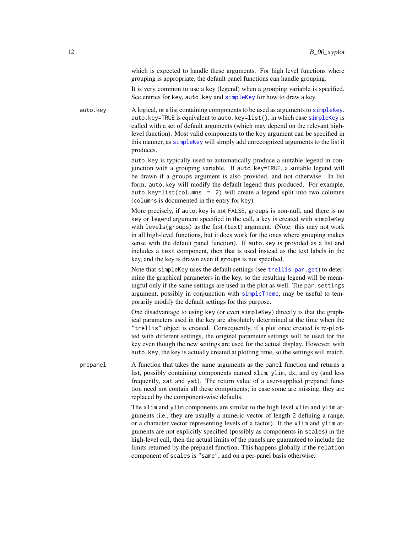which is expected to handle these arguments. For high level functions where grouping is appropriate, the default panel functions can handle grouping.

It is very common to use a key (legend) when a grouping variable is specified. See entries for key, auto.key and [simpleKey](#page-78-1) for how to draw a key.

auto.key A logical, or a list containing components to be used as arguments to [simpleKey](#page-78-1). auto.key=TRUE is equivalent to auto.key=list(), in which case [simpleKey](#page-78-1) is called with a set of default arguments (which may depend on the relevant highlevel function). Most valid components to the key argument can be specified in this manner, as [simpleKey](#page-78-1) will simply add unrecognized arguments to the list it produces.

> auto.key is typically used to automatically produce a suitable legend in conjunction with a grouping variable. If auto.key=TRUE, a suitable legend will be drawn if a groups argument is also provided, and not otherwise. In list form, auto.key will modify the default legend thus produced. For example, auto.key=list(columns = 2) will create a legend split into two columns (columns is documented in the entry for key).

> More precisely, if auto.key is not FALSE, groups is non-null, and there is no key or legend argument specified in the call, a key is created with simpleKey with levels(groups) as the first (text) argument. (Note: this may not work in all high-level functions, but it does work for the ones where grouping makes sense with the default panel function). If auto.key is provided as a list and includes a text component, then that is used instead as the text labels in the key, and the key is drawn even if groups is not specified.

> Note that simpleKey uses the default settings (see [trellis.par.get](#page-59-1)) to determine the graphical parameters in the key, so the resulting legend will be meaningful only if the same settings are used in the plot as well. The par.settings argument, possibly in conjunction with [simpleTheme](#page-62-1), may be useful to temporarily modify the default settings for this purpose.

> One disadvantage to using key (or even simpleKey) directly is that the graphical parameters used in the key are absolutely determined at the time when the "trellis" object is created. Consequently, if a plot once created is re-plotted with different settings, the original parameter settings will be used for the key even though the new settings are used for the actual display. However, with auto.key, the key is actually created at plotting time, so the settings will match.

prepanel A function that takes the same arguments as the panel function and returns a list, possibly containing components named xlim, ylim, dx, and dy (and less frequently, xat and yat). The return value of a user-supplied prepanel function need not contain all these components; in case some are missing, they are replaced by the component-wise defaults.

> The xlim and ylim components are similar to the high level xlim and ylim arguments (i.e., they are usually a numeric vector of length 2 defining a range, or a character vector representing levels of a factor). If the xlim and ylim arguments are not explicitly specified (possibly as components in scales) in the high-level call, then the actual limits of the panels are guaranteed to include the limits returned by the prepanel function. This happens globally if the relation component of scales is "same", and on a per-panel basis otherwise.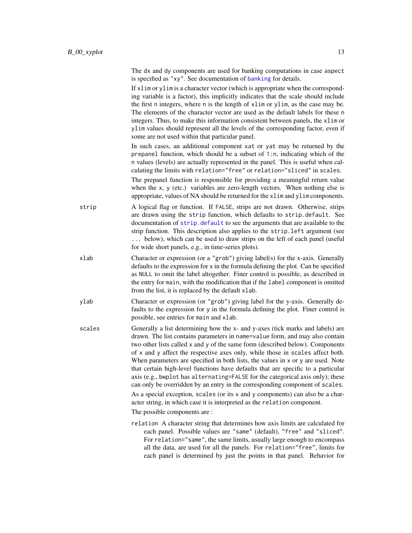|        | The dx and dy components are used for banking computations in case aspect<br>is specified as "xy". See documentation of banking for details.                                                                                                                                                                                                                                                                                                                                                                                                                                                                                                                                                                                                                                                                                                                                |
|--------|-----------------------------------------------------------------------------------------------------------------------------------------------------------------------------------------------------------------------------------------------------------------------------------------------------------------------------------------------------------------------------------------------------------------------------------------------------------------------------------------------------------------------------------------------------------------------------------------------------------------------------------------------------------------------------------------------------------------------------------------------------------------------------------------------------------------------------------------------------------------------------|
|        | If x1im or y1im is a character vector (which is appropriate when the correspond-<br>ing variable is a factor), this implicitly indicates that the scale should include<br>the first n integers, where n is the length of xlim or ylim, as the case may be.<br>The elements of the character vector are used as the default labels for these n<br>integers. Thus, to make this information consistent between panels, the xlim or<br>ylim values should represent all the levels of the corresponding factor, even if<br>some are not used within that particular panel.                                                                                                                                                                                                                                                                                                     |
|        | In such cases, an additional component xat or yat may be returned by the<br>prepanel function, which should be a subset of $1:n$ , indicating which of the<br>n values (levels) are actually represented in the panel. This is useful when cal-<br>culating the limits with relation="free" or relation="sliced" in scales.                                                                                                                                                                                                                                                                                                                                                                                                                                                                                                                                                 |
|        | The prepanel function is responsible for providing a meaningful return value<br>when the x, y (etc.) variables are zero-length vectors. When nothing else is<br>appropriate, values of NA should be returned for the xlim and ylim components.                                                                                                                                                                                                                                                                                                                                                                                                                                                                                                                                                                                                                              |
| strip  | A logical flag or function. If FALSE, strips are not drawn. Otherwise, strips<br>are drawn using the strip function, which defaults to strip.default. See<br>documentation of strip. default to see the arguments that are available to the<br>strip function. This description also applies to the strip. left argument (see<br>below), which can be used to draw strips on the left of each panel (useful<br>for wide short panels, e.g., in time-series plots).                                                                                                                                                                                                                                                                                                                                                                                                          |
| xlab   | Character or expression (or a "grob") giving label(s) for the x-axis. Generally<br>defaults to the expression for x in the formula defining the plot. Can be specified<br>as NULL to omit the label altogether. Finer control is possible, as described in<br>the entry for main, with the modification that if the label component is omitted<br>from the list, it is replaced by the default xlab.                                                                                                                                                                                                                                                                                                                                                                                                                                                                        |
| ylab   | Character or expression (or "grob") giving label for the y-axis. Generally de-<br>faults to the expression for y in the formula defining the plot. Finer control is<br>possible, see entries for main and xlab.                                                                                                                                                                                                                                                                                                                                                                                                                                                                                                                                                                                                                                                             |
| scales | Generally a list determining how the x- and y-axes (tick marks and labels) are<br>drawn. The list contains parameters in name=value form, and may also contain<br>two other lists called x and y of the same form (described below). Components<br>of x and y affect the respective axes only, while those in scales affect both.<br>When parameters are specified in both lists, the values in x or y are used. Note<br>that certain high-level functions have defaults that are specific to a particular<br>axis (e.g., bwplot has alternating=FALSE for the categorical axis only); these<br>can only be overridden by an entry in the corresponding component of scales.<br>As a special exception, scales (or its x and y components) can also be a char-<br>acter string, in which case it is interpreted as the relation component.<br>The possible components are : |
|        | relation A character string that determines how axis limits are calculated for<br>each panel. Possible values are "same" (default), "free" and "sliced".<br>For relation="same", the same limits, usually large enough to encompass<br>all the data, are used for all the panels. For relation="free", limits for<br>each panel is determined by just the points in that panel. Behavior for                                                                                                                                                                                                                                                                                                                                                                                                                                                                                |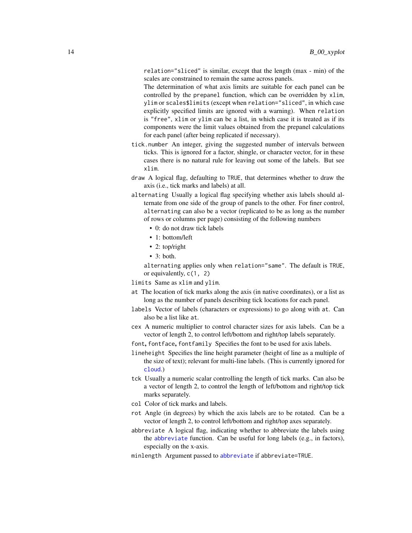relation="sliced" is similar, except that the length (max - min) of the scales are constrained to remain the same across panels.

The determination of what axis limits are suitable for each panel can be controlled by the prepanel function, which can be overridden by xlim, ylim or scales\$limits (except when relation="sliced", in which case explicitly specified limits are ignored with a warning). When relation is "free", xlim or ylim can be a list, in which case it is treated as if its components were the limit values obtained from the prepanel calculations for each panel (after being replicated if necessary).

- tick.number An integer, giving the suggested number of intervals between ticks. This is ignored for a factor, shingle, or character vector, for in these cases there is no natural rule for leaving out some of the labels. But see xlim.
- draw A logical flag, defaulting to TRUE, that determines whether to draw the axis (i.e., tick marks and labels) at all.
- alternating Usually a logical flag specifying whether axis labels should alternate from one side of the group of panels to the other. For finer control, alternating can also be a vector (replicated to be as long as the number of rows or columns per page) consisting of the following numbers
	- 0: do not draw tick labels
	- 1: bottom/left
	- 2: top/right
	- $\bullet$  3: both.

alternating applies only when relation="same". The default is TRUE, or equivalently, c(1, 2)

limits Same as xlim and ylim.

- at The location of tick marks along the axis (in native coordinates), or a list as long as the number of panels describing tick locations for each panel.
- labels Vector of labels (characters or expressions) to go along with at. Can also be a list like at.
- cex A numeric multiplier to control character sizes for axis labels. Can be a vector of length 2, to control left/bottom and right/top labels separately.

font, fontface, fontfamily Specifies the font to be used for axis labels.

- lineheight Specifies the line height parameter (height of line as a multiple of the size of text); relevant for multi-line labels. (This is currently ignored for [cloud](#page-43-1).)
- tck Usually a numeric scalar controlling the length of tick marks. Can also be a vector of length 2, to control the length of left/bottom and right/top tick marks separately.
- col Color of tick marks and labels.
- rot Angle (in degrees) by which the axis labels are to be rotated. Can be a vector of length 2, to control left/bottom and right/top axes separately.
- abbreviate A logical flag, indicating whether to abbreviate the labels using the [abbreviate](#page-0-0) function. Can be useful for long labels (e.g., in factors), especially on the x-axis.
- minlength Argument passed to [abbreviate](#page-0-0) if abbreviate=TRUE.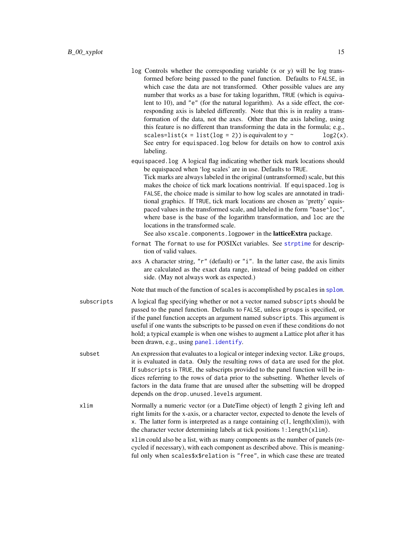- log Controls whether the corresponding variable (x or y) will be log transformed before being passed to the panel function. Defaults to FALSE, in which case the data are not transformed. Other possible values are any number that works as a base for taking logarithm, TRUE (which is equivalent to 10), and "e" (for the natural logarithm). As a side effect, the corresponding axis is labeled differently. Note that this is in reality a transformation of the data, not the axes. Other than the axis labeling, using this feature is no different than transforming the data in the formula; e.g., scales=list(x = list(log = 2)) is equivalent to  $y \sim$  log2(x). See entry for equispaced.log below for details on how to control axis labeling.
- equispaced.log A logical flag indicating whether tick mark locations should be equispaced when 'log scales' are in use. Defaults to TRUE. Tick marks are always labeled in the original (untransformed) scale, but this makes the choice of tick mark locations nontrivial. If equispaced.log is FALSE, the choice made is similar to how log scales are annotated in traditional graphics. If TRUE, tick mark locations are chosen as 'pretty' equispaced values in the transformed scale, and labeled in the form "base^loc", where base is the base of the logarithm transformation, and loc are the locations in the transformed scale.

See also xscale.components.logpower in the latticeExtra package.

- format The format to use for POSIXct variables. See [strptime](#page-0-0) for description of valid values.
- axs A character string, " $r$ " (default) or " $i$ ". In the latter case, the axis limits are calculated as the exact data range, instead of being padded on either side. (May not always work as expected.)

Note that much of the function of scales is accomplished by pscales in [splom](#page-49-1).

- subscripts A logical flag specifying whether or not a vector named subscripts should be passed to the panel function. Defaults to FALSE, unless groups is specified, or if the panel function accepts an argument named subscripts. This argument is useful if one wants the subscripts to be passed on even if these conditions do not hold; a typical example is when one wishes to augment a Lattice plot after it has been drawn, e.g., using [panel.identify](#page-83-1).
- subset An expression that evaluates to a logical or integer indexing vector. Like groups, it is evaluated in data. Only the resulting rows of data are used for the plot. If subscripts is TRUE, the subscripts provided to the panel function will be indices referring to the rows of data prior to the subsetting. Whether levels of factors in the data frame that are unused after the subsetting will be dropped depends on the drop.unused.levels argument.
- xlim Normally a numeric vector (or a DateTime object) of length 2 giving left and right limits for the x-axis, or a character vector, expected to denote the levels of x. The latter form is interpreted as a range containing  $c(1, length(xlim))$ , with the character vector determining labels at tick positions 1:length(xlim).

xlim could also be a list, with as many components as the number of panels (recycled if necessary), with each component as described above. This is meaningful only when scales\$x\$relation is "free", in which case these are treated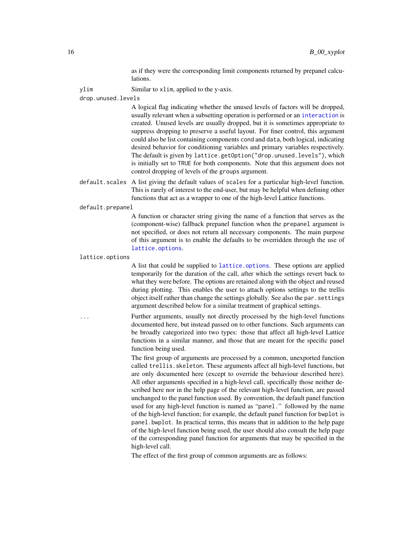as if they were the corresponding limit components returned by prepanel calculations.

ylim Similar to xlim, applied to the y-axis.

drop.unused.levels

A logical flag indicating whether the unused levels of factors will be dropped, usually relevant when a subsetting operation is performed or an [interaction](#page-0-0) is created. Unused levels are usually dropped, but it is sometimes appropriate to suppress dropping to preserve a useful layout. For finer control, this argument could also be list containing components cond and data, both logical, indicating desired behavior for conditioning variables and primary variables respectively. The default is given by lattice.getOption("drop.unused.levels"), which is initially set to TRUE for both components. Note that this argument does not control dropping of levels of the groups argument.

default.scales A list giving the default values of scales for a particular high-level function. This is rarely of interest to the end-user, but may be helpful when defining other functions that act as a wrapper to one of the high-level Lattice functions.

default.prepanel

A function or character string giving the name of a function that serves as the (component-wise) fallback prepanel function when the prepanel argument is not specified, or does not return all necessary components. The main purpose of this argument is to enable the defaults to be overridden through the use of [lattice.options](#page-64-1).

lattice.options

A list that could be supplied to [lattice.options](#page-64-1). These options are applied temporarily for the duration of the call, after which the settings revert back to what they were before. The options are retained along with the object and reused during plotting. This enables the user to attach options settings to the trellis object itself rather than change the settings globally. See also the par.settings argument described below for a similar treatment of graphical settings.

... Further arguments, usually not directly processed by the high-level functions documented here, but instead passed on to other functions. Such arguments can be broadly categorized into two types: those that affect all high-level Lattice functions in a similar manner, and those that are meant for the specific panel function being used.

> The first group of arguments are processed by a common, unexported function called trellis.skeleton. These arguments affect all high-level functions, but are only documented here (except to override the behaviour described here). All other arguments specified in a high-level call, specifically those neither described here nor in the help page of the relevant high-level function, are passed unchanged to the panel function used. By convention, the default panel function used for any high-level function is named as "panel." followed by the name of the high-level function; for example, the default panel function for bwplot is panel.bwplot. In practical terms, this means that in addition to the help page of the high-level function being used, the user should also consult the help page of the corresponding panel function for arguments that may be specified in the high-level call.

The effect of the first group of common arguments are as follows: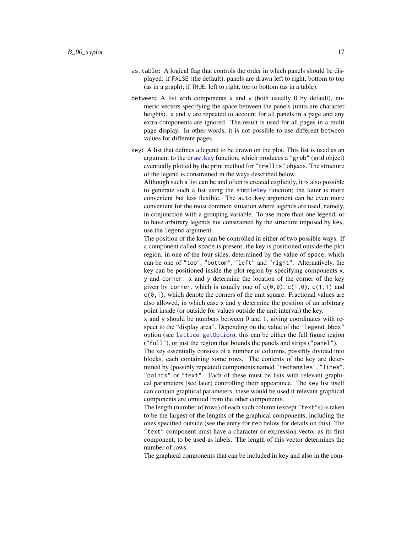- as.table: A logical flag that controls the order in which panels should be displayed: if FALSE (the default), panels are drawn left to right, bottom to top (as in a graph); if TRUE, left to right, top to bottom (as in a table).
- between: A list with components  $x$  and  $y$  (both usually 0 by default), numeric vectors specifying the space between the panels (units are character heights). x and y are repeated to account for all panels in a page and any extra components are ignored. The result is used for all pages in a multi page display. In other words, it is not possible to use different between values for different pages.
- key: A list that defines a legend to be drawn on the plot. This list is used as an argument to the [draw.key](#page-75-1) function, which produces a "grob" (grid object) eventually plotted by the print method for "trellis" objects. The structure of the legend is constrained in the ways described below.

Although such a list can be and often is created explicitly, it is also possible to generate such a list using the [simpleKey](#page-78-1) function; the latter is more convenient but less flexible. The auto.key argument can be even more convenient for the most common situation where legends are used, namely, in conjunction with a grouping variable. To use more than one legend, or to have arbitrary legends not constrained by the structure imposed by key, use the legend argument.

The position of the key can be controlled in either of two possible ways. If a component called space is present, the key is positioned outside the plot region, in one of the four sides, determined by the value of space, which can be one of "top", "bottom", "left" and "right". Alternatively, the key can be positioned inside the plot region by specifying components x, y and corner. x and y determine the location of the corner of the key given by corner, which is usually one of  $c(0,0)$ ,  $c(1,0)$ ,  $c(1,1)$  and  $c(0,1)$ , which denote the corners of the unit square. Fractional values are also allowed, in which case x and y determine the position of an arbitrary point inside (or outside for values outside the unit interval) the key.

x and y should be numbers between 0 and 1, giving coordinates with respect to the "display area". Depending on the value of the "legend.bbox" option (see [lattice.getOption](#page-64-1)), this can be either the full figure region ("full"), or just the region that bounds the panels and strips ("panel").

The key essentially consists of a number of columns, possibly divided into blocks, each containing some rows. The contents of the key are determined by (possibly repeated) components named "rectangles", "lines", "points" or "text". Each of these must be lists with relevant graphical parameters (see later) controlling their appearance. The key list itself can contain graphical parameters, these would be used if relevant graphical components are omitted from the other components.

The length (number of rows) of each such column (except "text"s) is taken to be the largest of the lengths of the graphical components, including the ones specified outside (see the entry for rep below for details on this). The "text" component must have a character or expression vector as its first component, to be used as labels. The length of this vector determines the number of rows.

The graphical components that can be included in key and also in the com-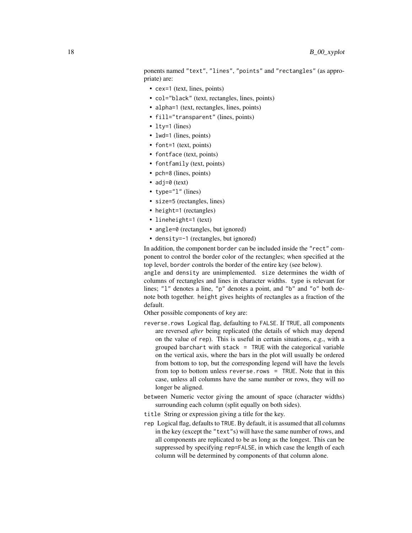ponents named "text", "lines", "points" and "rectangles" (as appropriate) are:

- cex=1 (text, lines, points)
- col="black" (text, rectangles, lines, points)
- alpha=1 (text, rectangles, lines, points)
- fill="transparent" (lines, points)
- lty=1 (lines)
- lwd=1 (lines, points)
- font=1 (text, points)
- fontface (text, points)
- fontfamily (text, points)
- pch=8 (lines, points)
- adj=0 (text)
- type="1" (lines)
- size=5 (rectangles, lines)
- height=1 (rectangles)
- lineheight=1 (text)
- angle=0 (rectangles, but ignored)
- density=-1 (rectangles, but ignored)

In addition, the component border can be included inside the "rect" component to control the border color of the rectangles; when specified at the top level, border controls the border of the entire key (see below).

angle and density are unimplemented. size determines the width of columns of rectangles and lines in character widths. type is relevant for lines; "1" denotes a line, "p" denotes a point, and "b" and "o" both denote both together. height gives heights of rectangles as a fraction of the default.

Other possible components of key are:

- reverse.rows Logical flag, defaulting to FALSE. If TRUE, all components are reversed *after* being replicated (the details of which may depend on the value of rep). This is useful in certain situations, e.g., with a grouped barchart with stack = TRUE with the categorical variable on the vertical axis, where the bars in the plot will usually be ordered from bottom to top, but the corresponding legend will have the levels from top to bottom unless reverse.rows = TRUE. Note that in this case, unless all columns have the same number or rows, they will no longer be aligned.
- between Numeric vector giving the amount of space (character widths) surrounding each column (split equally on both sides).
- title String or expression giving a title for the key.
- rep Logical flag, defaults to TRUE. By default, it is assumed that all columns in the key (except the "text"s) will have the same number of rows, and all components are replicated to be as long as the longest. This can be suppressed by specifying rep=FALSE, in which case the length of each column will be determined by components of that column alone.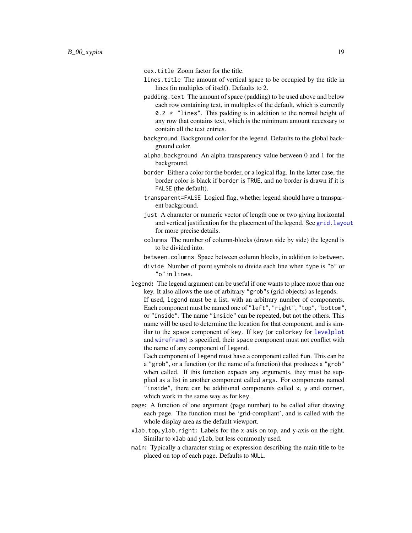cex.title Zoom factor for the title.

- lines.title The amount of vertical space to be occupied by the title in lines (in multiples of itself). Defaults to 2.
- padding.text The amount of space (padding) to be used above and below each row containing text, in multiples of the default, which is currently 0.2  $\star$  "lines". This padding is in addition to the normal height of any row that contains text, which is the minimum amount necessary to contain all the text entries.
- background Background color for the legend. Defaults to the global background color.
- alpha.background An alpha transparency value between 0 and 1 for the background.
- border Either a color for the border, or a logical flag. In the latter case, the border color is black if border is TRUE, and no border is drawn if it is FALSE (the default).
- transparent=FALSE Logical flag, whether legend should have a transparent background.
- just A character or numeric vector of length one or two giving horizontal and vertical justification for the placement of the legend. See [grid.layout](#page-0-0) for more precise details.
- columns The number of column-blocks (drawn side by side) the legend is to be divided into.
- between.columns Space between column blocks, in addition to between.
- divide Number of point symbols to divide each line when type is "b" or "o" in lines.
- legend: The legend argument can be useful if one wants to place more than one key. It also allows the use of arbitrary "grob"s (grid objects) as legends. If used, legend must be a list, with an arbitrary number of components. Each component must be named one of "left", "right", "top", "bottom", or "inside". The name "inside" can be repeated, but not the others. This name will be used to determine the location for that component, and is similar to the space component of key. If key (or colorkey for [levelplot](#page-38-1) and [wireframe](#page-43-1)) is specified, their space component must not conflict with the name of any component of legend.
	- Each component of legend must have a component called fun. This can be a "grob", or a function (or the name of a function) that produces a "grob" when called. If this function expects any arguments, they must be supplied as a list in another component called args. For components named "inside", there can be additional components called x, y and corner, which work in the same way as for key.
- page: A function of one argument (page number) to be called after drawing each page. The function must be 'grid-compliant', and is called with the whole display area as the default viewport.
- xlab.top, ylab.right: Labels for the x-axis on top, and y-axis on the right. Similar to xlab and ylab, but less commonly used.
- main: Typically a character string or expression describing the main title to be placed on top of each page. Defaults to NULL.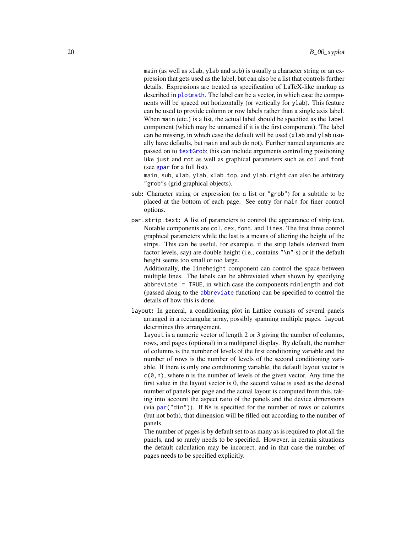main (as well as xlab, ylab and sub) is usually a character string or an expression that gets used as the label, but can also be a list that controls further details. Expressions are treated as specification of LaTeX-like markup as described in [plotmath](#page-0-0). The label can be a vector, in which case the components will be spaced out horizontally (or vertically for ylab). This feature can be used to provide column or row labels rather than a single axis label. When main (etc.) is a list, the actual label should be specified as the label component (which may be unnamed if it is the first component). The label can be missing, in which case the default will be used (xlab and ylab usually have defaults, but main and sub do not). Further named arguments are passed on to [textGrob](#page-0-0); this can include arguments controlling positioning like just and rot as well as graphical parameters such as col and font (see [gpar](#page-0-0) for a full list).

main, sub, xlab, ylab, xlab.top, and ylab.right can also be arbitrary "grob"s (grid graphical objects).

- sub: Character string or expression (or a list or "grob") for a subtitle to be placed at the bottom of each page. See entry for main for finer control options.
- par.strip.text: A list of parameters to control the appearance of strip text. Notable components are col, cex, font, and lines. The first three control graphical parameters while the last is a means of altering the height of the strips. This can be useful, for example, if the strip labels (derived from factor levels, say) are double height (i.e., contains "\n"-s) or if the default height seems too small or too large.

Additionally, the lineheight component can control the space between multiple lines. The labels can be abbreviated when shown by specifying abbreviate = TRUE, in which case the components minlength and dot (passed along to the [abbreviate](#page-0-0) function) can be specified to control the details of how this is done.

layout: In general, a conditioning plot in Lattice consists of several panels arranged in a rectangular array, possibly spanning multiple pages. layout determines this arrangement.

layout is a numeric vector of length 2 or 3 giving the number of columns, rows, and pages (optional) in a multipanel display. By default, the number of columns is the number of levels of the first conditioning variable and the number of rows is the number of levels of the second conditioning variable. If there is only one conditioning variable, the default layout vector is  $c(0, n)$ , where n is the number of levels of the given vector. Any time the first value in the layout vector is 0, the second value is used as the desired number of panels per page and the actual layout is computed from this, taking into account the aspect ratio of the panels and the device dimensions (via [par\(](#page-0-0)"din")). If NA is specified for the number of rows or columns (but not both), that dimension will be filled out according to the number of panels.

The number of pages is by default set to as many as is required to plot all the panels, and so rarely needs to be specified. However, in certain situations the default calculation may be incorrect, and in that case the number of pages needs to be specified explicitly.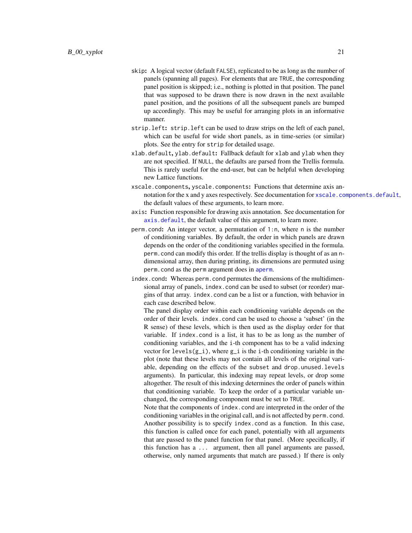- skip: A logical vector (default FALSE), replicated to be as long as the number of panels (spanning all pages). For elements that are TRUE, the corresponding panel position is skipped; i.e., nothing is plotted in that position. The panel that was supposed to be drawn there is now drawn in the next available panel position, and the positions of all the subsequent panels are bumped up accordingly. This may be useful for arranging plots in an informative manner.
- strip.left: strip.left can be used to draw strips on the left of each panel, which can be useful for wide short panels, as in time-series (or similar) plots. See the entry for strip for detailed usage.
- xlab.default, ylab.default: Fallback default for xlab and ylab when they are not specified. If NULL, the defaults are parsed from the Trellis formula. This is rarely useful for the end-user, but can be helpful when developing new Lattice functions.
- xscale.components, yscale.components: Functions that determine axis annotation for the x and y axes respectively. See documentation for [xscale.components.default](#page-131-1), the default values of these arguments, to learn more.
- axis: Function responsible for drawing axis annotation. See documentation for [axis.default](#page-131-1), the default value of this argument, to learn more.
- perm.cond: An integer vector, a permutation of 1:n, where n is the number of conditioning variables. By default, the order in which panels are drawn depends on the order of the conditioning variables specified in the formula. perm.cond can modify this order. If the trellis display is thought of as an ndimensional array, then during printing, its dimensions are permuted using perm.cond as the perm argument does in [aperm](#page-0-0).
- index.cond: Whereas perm.cond permutes the dimensions of the multidimensional array of panels, index.cond can be used to subset (or reorder) margins of that array. index.cond can be a list or a function, with behavior in each case described below.

The panel display order within each conditioning variable depends on the order of their levels. index.cond can be used to choose a 'subset' (in the R sense) of these levels, which is then used as the display order for that variable. If index.cond is a list, it has to be as long as the number of conditioning variables, and the i-th component has to be a valid indexing vector for  $levels(g_i)$ , where  $g_i$  is the i-th conditioning variable in the plot (note that these levels may not contain all levels of the original variable, depending on the effects of the subset and drop.unused.levels arguments). In particular, this indexing may repeat levels, or drop some altogether. The result of this indexing determines the order of panels within that conditioning variable. To keep the order of a particular variable unchanged, the corresponding component must be set to TRUE.

Note that the components of index.cond are interpreted in the order of the conditioning variables in the original call, and is not affected by perm.cond. Another possibility is to specify index.cond as a function. In this case, this function is called once for each panel, potentially with all arguments that are passed to the panel function for that panel. (More specifically, if this function has a ... argument, then all panel arguments are passed, otherwise, only named arguments that match are passed.) If there is only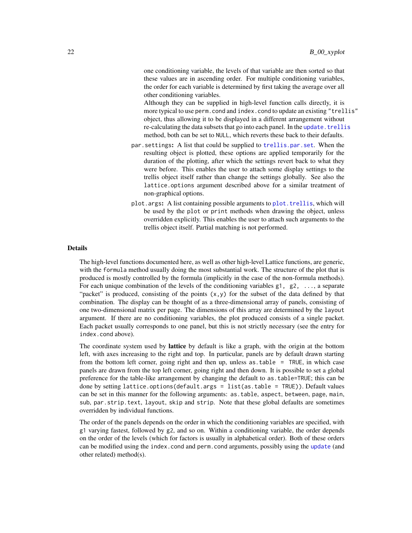one conditioning variable, the levels of that variable are then sorted so that these values are in ascending order. For multiple conditioning variables, the order for each variable is determined by first taking the average over all other conditioning variables.

Although they can be supplied in high-level function calls directly, it is more typical to use perm.cond and index.cond to update an existing "trellis" object, thus allowing it to be displayed in a different arrangement without re-calculating the data subsets that go into each panel. In the [update.trellis](#page-69-1) method, both can be set to NULL, which reverts these back to their defaults.

- par.settings: A list that could be supplied to [trellis.par.set](#page-59-1). When the resulting object is plotted, these options are applied temporarily for the duration of the plotting, after which the settings revert back to what they were before. This enables the user to attach some display settings to the trellis object itself rather than change the settings globally. See also the lattice.options argument described above for a similar treatment of non-graphical options.
- plot.args: A list containing possible arguments to [plot.trellis](#page-66-1), which will be used by the plot or print methods when drawing the object, unless overridden explicitly. This enables the user to attach such arguments to the trellis object itself. Partial matching is not performed.

# Details

The high-level functions documented here, as well as other high-level Lattice functions, are generic, with the formula method usually doing the most substantial work. The structure of the plot that is produced is mostly controlled by the formula (implicitly in the case of the non-formula methods). For each unique combination of the levels of the conditioning variables  $g_1$ ,  $g_2$ , ..., a separate "packet" is produced, consisting of the points  $(x, y)$  for the subset of the data defined by that combination. The display can be thought of as a three-dimensional array of panels, consisting of one two-dimensional matrix per page. The dimensions of this array are determined by the layout argument. If there are no conditioning variables, the plot produced consists of a single packet. Each packet usually corresponds to one panel, but this is not strictly necessary (see the entry for index.cond above).

The coordinate system used by **lattice** by default is like a graph, with the origin at the bottom left, with axes increasing to the right and top. In particular, panels are by default drawn starting from the bottom left corner, going right and then up, unless as.table = TRUE, in which case panels are drawn from the top left corner, going right and then down. It is possible to set a global preference for the table-like arrangement by changing the default to as.table=TRUE; this can be done by setting lattice.options(default.args = list(as.table = TRUE)). Default values can be set in this manner for the following arguments: as.table, aspect, between, page, main, sub, par.strip.text, layout, skip and strip. Note that these global defaults are sometimes overridden by individual functions.

The order of the panels depends on the order in which the conditioning variables are specified, with g1 varying fastest, followed by g2, and so on. Within a conditioning variable, the order depends on the order of the levels (which for factors is usually in alphabetical order). Both of these orders can be modified using the index.cond and perm.cond arguments, possibly using the [update](#page-0-0) (and other related) method(s).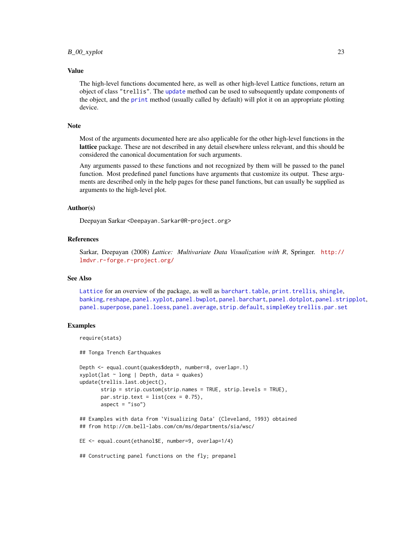#### Value

The high-level functions documented here, as well as other high-level Lattice functions, return an object of class "trellis". The [update](#page-0-0) method can be used to subsequently update components of the object, and the [print](#page-0-0) method (usually called by default) will plot it on an appropriate plotting device.

#### Note

Most of the arguments documented here are also applicable for the other high-level functions in the lattice package. These are not described in any detail elsewhere unless relevant, and this should be considered the canonical documentation for such arguments.

Any arguments passed to these functions and not recognized by them will be passed to the panel function. Most predefined panel functions have arguments that customize its output. These arguments are described only in the help pages for these panel functions, but can usually be supplied as arguments to the high-level plot.

# Author(s)

Deepayan Sarkar <Deepayan.Sarkar@R-project.org>

### References

Sarkar, Deepayan (2008) *Lattice: Multivariate Data Visualization with R*, Springer. [http://](http://lmdvr.r-forge.r-project.org/) [lmdvr.r-forge.r-project.org/](http://lmdvr.r-forge.r-project.org/)

# See Also

[Lattice](#page-2-1) for an overview of the package, as well as [barchart.table](#page-27-1), [print.trellis](#page-66-1), [shingle](#page-72-1), [banking](#page-135-1), [reshape](#page-0-0), [panel.xyplot](#page-110-1), [panel.bwplot](#page-91-1), [panel.barchart](#page-89-1), [panel.dotplot](#page-99-1), [panel.stripplot](#page-109-1), [panel.superpose](#page-124-1), [panel.loess](#page-119-1), [panel.average](#page-116-1), [strip.default](#page-79-1), [simpleKey](#page-78-1) [trellis.par.set](#page-59-1)

# Examples

```
require(stats)
## Tonga Trench Earthquakes
Depth <- equal.count(quakes$depth, number=8, overlap=.1)
xyplot(lat \sim long | Depth, data = quakes)
update(trellis.last.object(),
       strip = strip.custom(strip.names = TRUE, strip.levels = TRUE),
       par.strip.text = list(cex = 0.75),
       aspect = "iso")## Examples with data from `Visualizing Data' (Cleveland, 1993) obtained
## from http://cm.bell-labs.com/cm/ms/departments/sia/wsc/
EE <- equal.count(ethanol$E, number=9, overlap=1/4)
```
## Constructing panel functions on the fly; prepanel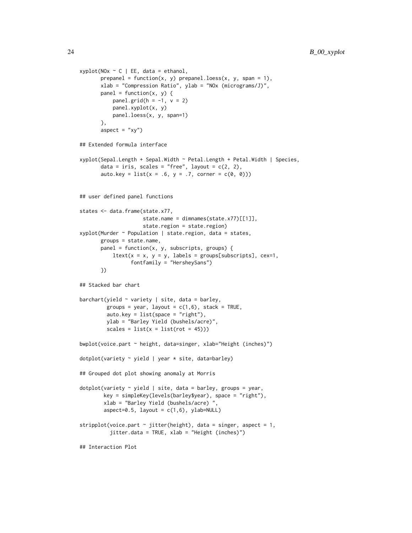```
xyplot(N0x < C | EE, data = ethanol,prepanel = function(x, y) prepanel.loess(x, y, span = 1),
      xlab = "Compression Ratio", ylab = "NOx (micrograms/J)",
      panel = function(x, y) {
          panel.grid(h = -1, v = 2)
          panel.xyplot(x, y)
          panel.loess(x, y, span=1)
      },
      aspect = "xy")
## Extended formula interface
xyplot(Sepal.Length + Sepal.Width ~ Petal.Length + Petal.Width | Species,
      data = iris, scales = "free", layout = c(2, 2),
      auto.key = list(x = .6, y = .7, corner = c(0, 0)))## user defined panel functions
states <- data.frame(state.x77,
                     state.name = dimnames(state.x77)[[1]],
                     state.region = state.region)
xyplot(Murder ~ Population | state.region, data = states,
      groups = state.name,
      panel = function(x, y, subscripts, groups) {
           ltext(x = x, y = y, labels = groups[subscripts], cex=1,fontfamily = "HersheySans")
      })
## Stacked bar chart
barchart(yield \sim variety | site, data = barley,
        groups = year, layout = c(1,6), stack = TRUE,
        auto.key = list(space = "right"),
        ylab = "Barley Yield (bushels/acre)",
        scales = list(x = list(root = 45)))bwplot(voice.part ~ height, data=singer, xlab="Height (inches)")
dotplot(variety \sim yield | year * site, data=barley)
## Grouped dot plot showing anomaly at Morris
dotplot(variety \sim yield | site, data = barley, groups = year,
        key = simpleKey(levels(barley$year), space = "right"),
        xlab = "Barley Yield (bushels/acre) ",
        aspect=0.5, layout = c(1,6), ylab=NULL)
stripplot(voice.part \sim jitter(height), data = singer, aspect = 1,
          jitter.data = TRUE, xlab = "Height (inches)")
## Interaction Plot
```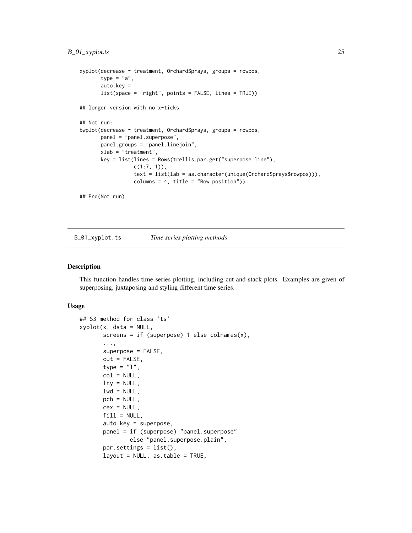```
xyplot(decrease ~ treatment, OrchardSprays, groups = rowpos,
      type = "a",auto.key =
      list(space = "right", points = FALSE, lines = TRUE))
## longer version with no x-ticks
## Not run:
bwplot(decrease ~ treatment, OrchardSprays, groups = rowpos,
      panel = "panel.superpose",
      panel.groups = "panel.linejoin",
      xlab = "treatment",
      key = list(lines = Rows(trellis.par.get("superpose.line"),
                  c(1:7, 1),
                  text = list(lab = as.character(unique(OrchardSprays$rowpos))),
                  columns = 4, title = "Row position"))
## End(Not run)
```
B\_01\_xyplot.ts *Time series plotting methods*

# Description

This function handles time series plotting, including cut-and-stack plots. Examples are given of superposing, juxtaposing and styling different time series.

#### Usage

```
## S3 method for class 'ts'
xyplot(x, data = NULL,screens = if (superpose) 1 else colnames(x),
       ...,
      superpose = FALSE,
      cut = FALSE,type = "l",
      col = NULL,lty = NULL,lwd = NULL,pch = NULL,cex = NULL,fill = NULL,auto.key = superpose,
      panel = if (superpose) "panel.superpose"
               else "panel.superpose.plain",
      par.settings = list(),
      layout = NULL, as.table = TRUE,
```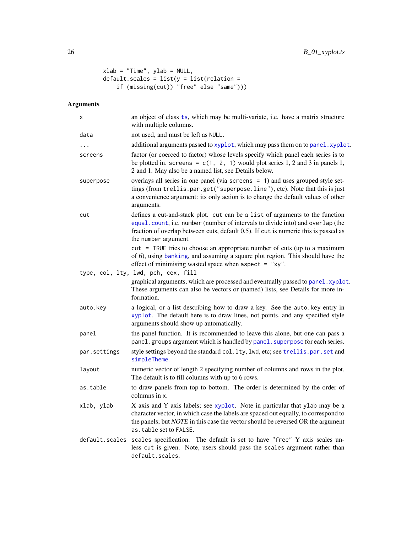```
xlab = "Time", ylab = NULL,
default.scales = list(y = list(relation =if (missing(cut)) "free" else "same")))
```
# Arguments

| х            | an object of class ts, which may be multi-variate, i.e. have a matrix structure<br>with multiple columns.                                                                                                                                                                              |
|--------------|----------------------------------------------------------------------------------------------------------------------------------------------------------------------------------------------------------------------------------------------------------------------------------------|
| data         | not used, and must be left as NULL.                                                                                                                                                                                                                                                    |
| .            | additional arguments passed to xyplot, which may pass them on to panel. xyplot.                                                                                                                                                                                                        |
| screens      | factor (or coerced to factor) whose levels specify which panel each series is to<br>be plotted in. screens = $c(1, 2, 1)$ would plot series 1, 2 and 3 in panels 1,<br>2 and 1. May also be a named list, see Details below.                                                           |
| superpose    | overlays all series in one panel (via screens = 1) and uses grouped style set-<br>tings (from trellis.par.get("superpose.line"), etc). Note that this is just<br>a convenience argument: its only action is to change the default values of other<br>arguments.                        |
| cut          | defines a cut-and-stack plot. cut can be a list of arguments to the function<br>equal.count, i.e. number (number of intervals to divide into) and overlap (the<br>fraction of overlap between cuts, default 0.5). If cut is numeric this is passed as<br>the number argument.          |
|              | cut = TRUE tries to choose an appropriate number of cuts (up to a maximum<br>of 6), using banking, and assuming a square plot region. This should have the<br>effect of minimising wasted space when aspect $=$ "xy".                                                                  |
|              | type, col, lty, lwd, pch, cex, fill                                                                                                                                                                                                                                                    |
|              | graphical arguments, which are processed and eventually passed to panel. xyplot.<br>These arguments can also be vectors or (named) lists, see Details for more in-<br>formation.                                                                                                       |
| auto.key     | a logical, or a list describing how to draw a key. See the auto. key entry in<br>xyplot. The default here is to draw lines, not points, and any specified style<br>arguments should show up automatically.                                                                             |
| panel        | the panel function. It is recommended to leave this alone, but one can pass a<br>panel.groups argument which is handled by panel.superpose for each series.                                                                                                                            |
| par.settings | style settings beyond the standard col, lty, lwd, etc; see trellis.par.set and<br>simpleTheme.                                                                                                                                                                                         |
| layout       | numeric vector of length 2 specifying number of columns and rows in the plot.<br>The default is to fill columns with up to 6 rows.                                                                                                                                                     |
| as.table     | to draw panels from top to bottom. The order is determined by the order of<br>columns in x.                                                                                                                                                                                            |
| xlab, ylab   | X axis and Y axis labels; see xyplot. Note in particular that ylab may be a<br>character vector, in which case the labels are spaced out equally, to correspond to<br>the panels; but <i>NOTE</i> in this case the vector should be reversed OR the argument<br>as.table set to FALSE. |
|              | default.scales scales specification. The default is set to have "free" Y axis scales un-<br>less cut is given. Note, users should pass the scales argument rather than<br>default.scales.                                                                                              |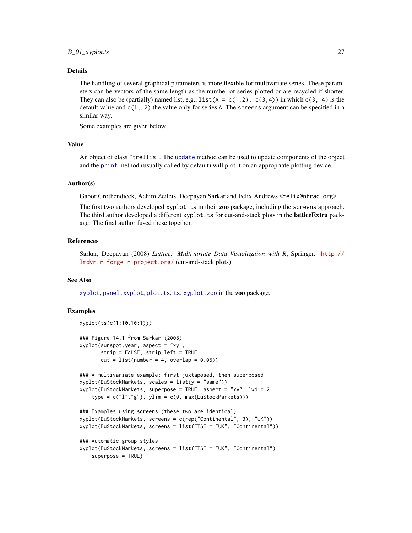# $B_01_x$ yplot.ts 27

# Details

The handling of several graphical parameters is more flexible for multivariate series. These parameters can be vectors of the same length as the number of series plotted or are recycled if shorter. They can also be (partially) named list, e.g.,  $list(A = c(1,2), c(3,4))$  in which  $c(3, 4)$  is the default value and  $c(1, 2)$  the value only for series A. The screens argument can be specified in a similar way.

Some examples are given below.

# Value

An object of class "trellis". The [update](#page-0-0) method can be used to update components of the object and the [print](#page-0-0) method (usually called by default) will plot it on an appropriate plotting device.

# Author(s)

Gabor Grothendieck, Achim Zeileis, Deepayan Sarkar and Felix Andrews <felix@nfrac.org>.

The first two authors developed xyplot.ts in their zoo package, including the screens approach. The third author developed a different xyplot. ts for cut-and-stack plots in the **latticeExtra** package. The final author fused these together.

# References

Sarkar, Deepayan (2008) *Lattice: Multivariate Data Visualization with R*, Springer. [http://](http://lmdvr.r-forge.r-project.org/) [lmdvr.r-forge.r-project.org/](http://lmdvr.r-forge.r-project.org/) (cut-and-stack plots)

#### See Also

[xyplot](#page-5-1), [panel.xyplot](#page-110-1), [plot.ts](#page-0-0), [ts](#page-0-0), [xyplot.zoo](#page-0-0) in the zoo package.

# Examples

```
xyplot(ts(c(1:10,10:1)))
### Figure 14.1 from Sarkar (2008)
xyplot(sunspot.year, aspect = "xy",
       strip = FALSE, strip.left = TRUE,
       cut = list(number = 4, overlap = 0.05)### A multivariate example; first juxtaposed, then superposed
xyplot(EuStockMarkets, scales = list(y = "same"))xyplot(EuStockMarkets, superpose = TRUE, aspect = "xy", lwd = 2,
    type = c("1", "g"), ylim = c(\emptyset, max(EuStockMarkets)))### Examples using screens (these two are identical)
xyplot(EuStockMarkets, screens = c(rep("Continental", 3), "UK"))
xyplot(EuStockMarkets, screens = list(FTSE = "UK", "Continental"))
### Automatic group styles
xyplot(EuStockMarkets, screens = list(FTSE = "UK", "Continental"),
    superpose = TRUE)
```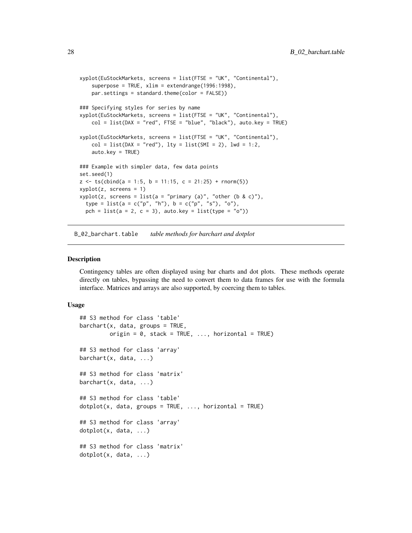```
xyplot(EuStockMarkets, screens = list(FTSE = "UK", "Continental"),
    superpose = TRUE, xlim = extendrange(1996:1998),
    par.settings = standard.theme(color = FALSE))
### Specifying styles for series by name
xyplot(EuStockMarkets, screens = list(FTSE = "UK", "Continental"),
    col = list(DAX = "red", FISE = "blue", "black"), auto-key = TRUE)xyplot(EuStockMarkets, screens = list(FTSE = "UK", "Continental"),
    col = list(DAX = "red"), Ity = list(SMI = 2), lw = 1:2,auto.key = TRUE)
### Example with simpler data, few data points
set.seed(1)
z \leq ts \text{(cbind)}(a = 1:5, b = 11:15, c = 21:25) + r \text{norm}(5)xyplot(z, screens = 1)
xyplot(z, screens = list(a = "primary (a)", "other (b & c)"),type = list(a = c("p", "h"), b = c("p", "s"), "o"),
  pch = list(a = 2, c = 3), auto.key = list(type = "o"))
```
B\_02\_barchart.table *table methods for barchart and dotplot*

# <span id="page-27-1"></span>Description

Contingency tables are often displayed using bar charts and dot plots. These methods operate directly on tables, bypassing the need to convert them to data frames for use with the formula interface. Matrices and arrays are also supported, by coercing them to tables.

#### Usage

```
## S3 method for class 'table'
barct(x, data, groups = TRUE,origin = 0, stack = TRUE, ..., horizontal = TRUE)
## S3 method for class 'array'
barchart(x, data, ...)
## S3 method for class 'matrix'
barchart(x, data, ...)
## S3 method for class 'table'
dot(x, data, groups = TRUE, ..., horizontal = TRUE)## S3 method for class 'array'
dotplot(x, data, ...)
## S3 method for class 'matrix'
dotplot(x, data, ...)
```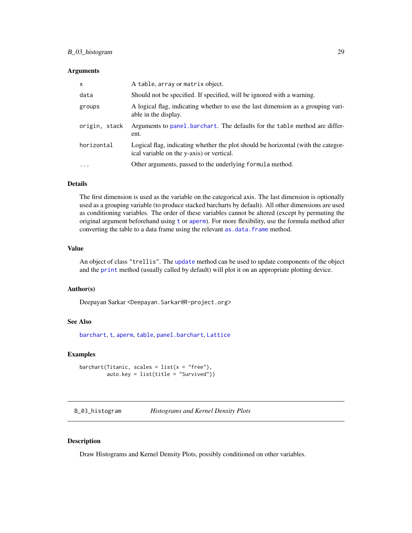# <span id="page-28-0"></span>B\_03\_histogram 29

#### **Arguments**

| X             | A table, array or matrix object.                                                                                               |
|---------------|--------------------------------------------------------------------------------------------------------------------------------|
| data          | Should not be specified. If specified, will be ignored with a warning.                                                         |
| groups        | A logical flag, indicating whether to use the last dimension as a grouping vari-<br>able in the display.                       |
| origin, stack | Arguments to panel barchart. The defaults for the table method are differ-<br>ent.                                             |
| horizontal    | Logical flag, indicating whether the plot should be horizontal (with the categor-<br>ical variable on the y-axis) or vertical. |
| $\cdots$      | Other arguments, passed to the underlying formula method.                                                                      |

# Details

The first dimension is used as the variable on the categorical axis. The last dimension is optionally used as a grouping variable (to produce stacked barcharts by default). All other dimensions are used as conditioning variables. The order of these variables cannot be altered (except by permuting the original argument beforehand using [t](#page-0-0) or [aperm](#page-0-0)). For more flexibility, use the formula method after converting the table to a data frame using the relevant as .data.frame method.

# Value

An object of class "trellis". The [update](#page-0-0) method can be used to update components of the object and the [print](#page-0-0) method (usually called by default) will plot it on an appropriate plotting device.

### Author(s)

Deepayan Sarkar <Deepayan.Sarkar@R-project.org>

# See Also

[barchart](#page-5-1), [t](#page-0-0), [aperm](#page-0-0), [table](#page-0-0), [panel.barchart](#page-89-1), [Lattice](#page-2-1)

# Examples

```
barchart(Titanic, scales = list(x = "free"),auto.key = list(title = "Survived"))
```
B\_03\_histogram *Histograms and Kernel Density Plots*

# <span id="page-28-1"></span>Description

Draw Histograms and Kernel Density Plots, possibly conditioned on other variables.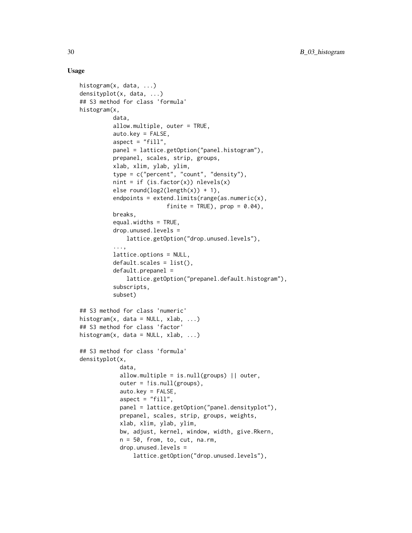# Usage

```
histogram(x, data, ...)
densityplot(x, data, ...)
## S3 method for class 'formula'
histogram(x,
          data,
          allow.multiple, outer = TRUE,
          auto.key = FALSE,
          aspect = "fill",panel = lattice.getOption("panel.histogram"),
          prepanel, scales, strip, groups,
          xlab, xlim, ylab, ylim,
          type = c("percent", "count", "density"),
          nint = if (is.factor(x)) nlevels(x)else round(log2(length(x)) + 1),
          endpoints = ext{extends.inints(range(as.numeric(x))},
                          finite = TRUE), prop = 0.04),
          breaks,
          equal.widths = TRUE,
          drop.unused.levels =
              lattice.getOption("drop.unused.levels"),
          ...,
          lattice.options = NULL,
          default.scales = list(),
          default.prepanel =
              lattice.getOption("prepanel.default.histogram"),
          subscripts,
          subset)
## S3 method for class 'numeric'
histogram(x, data = NULL, xlab, ...)## S3 method for class 'factor'
histogram(x, data = NULL, xlab, ...)## S3 method for class 'formula'
densityplot(x,
            data,
            allow.multiple = is.null(groups) || outer,
            outer = !is.null(grough),
            auto.key = FALSE,
            aspect = "fill",panel = lattice.getOption("panel.densityplot"),
            prepanel, scales, strip, groups, weights,
            xlab, xlim, ylab, ylim,
            bw, adjust, kernel, window, width, give.Rkern,
            n = 50, from, to, cut, na.rm,
            drop.unused.levels =
                lattice.getOption("drop.unused.levels"),
```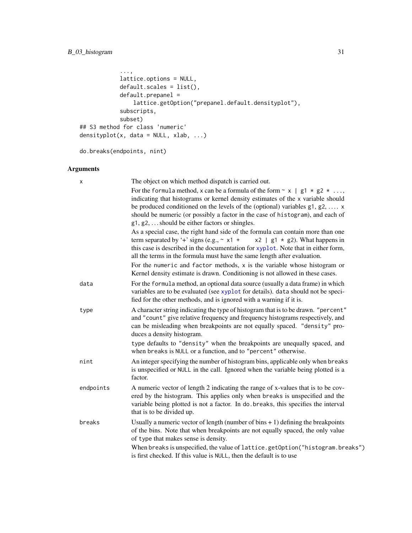```
...,
            lattice.options = NULL,
            default.scales = list(),
            default.prepanel =
                lattice.getOption("prepanel.default.densityplot"),
            subscripts,
            subset)
## S3 method for class 'numeric'
densityplot(x, data = NULL, xlab, ...)
```
do.breaks(endpoints, nint)

# Arguments

| X         | The object on which method dispatch is carried out.                                                                                                                                                                                                                                                                                                                                                            |
|-----------|----------------------------------------------------------------------------------------------------------------------------------------------------------------------------------------------------------------------------------------------------------------------------------------------------------------------------------------------------------------------------------------------------------------|
|           | For the formula method, x can be a formula of the form $\sim x$   g1 $\star$ g2 $\star$<br>indicating that histograms or kernel density estimates of the x variable should<br>be produced conditioned on the levels of the (optional) variables $g1, g2, \ldots$ x<br>should be numeric (or possibly a factor in the case of histogram), and each of<br>$g1, g2, \ldots$ should be either factors or shingles. |
|           | As a special case, the right hand side of the formula can contain more than one<br>term separated by '+' signs (e.g., $\sim x1 +$<br>$x2$   g1 $*$ g2). What happens in<br>this case is described in the documentation for xyplot. Note that in either form,<br>all the terms in the formula must have the same length after evaluation.                                                                       |
|           | For the numeric and factor methods, $x$ is the variable whose histogram or<br>Kernel density estimate is drawn. Conditioning is not allowed in these cases.                                                                                                                                                                                                                                                    |
| data      | For the formula method, an optional data source (usually a data frame) in which<br>variables are to be evaluated (see xyplot for details). data should not be speci-<br>fied for the other methods, and is ignored with a warning if it is.                                                                                                                                                                    |
| type      | A character string indicating the type of histogram that is to be drawn. "percent"<br>and "count" give relative frequency and frequency histograms respectively, and<br>can be misleading when breakpoints are not equally spaced. "density" pro-<br>duces a density histogram.                                                                                                                                |
|           | type defaults to "density" when the breakpoints are unequally spaced, and<br>when breaks is NULL or a function, and to "percent" otherwise.                                                                                                                                                                                                                                                                    |
| nint      | An integer specifying the number of histogram bins, applicable only when breaks<br>is unspecified or NULL in the call. Ignored when the variable being plotted is a<br>factor.                                                                                                                                                                                                                                 |
| endpoints | A numeric vector of length 2 indicating the range of x-values that is to be cov-<br>ered by the histogram. This applies only when breaks is unspecified and the<br>variable being plotted is not a factor. In do breaks, this specifies the interval<br>that is to be divided up.                                                                                                                              |
| breaks    | Usually a numeric vector of length (number of bins $+1$ ) defining the breakpoints<br>of the bins. Note that when breakpoints are not equally spaced, the only value<br>of type that makes sense is density.                                                                                                                                                                                                   |
|           | When breaks is unspecified, the value of lattice.getOption("histogram.breaks")<br>is first checked. If this value is NULL, then the default is to use                                                                                                                                                                                                                                                          |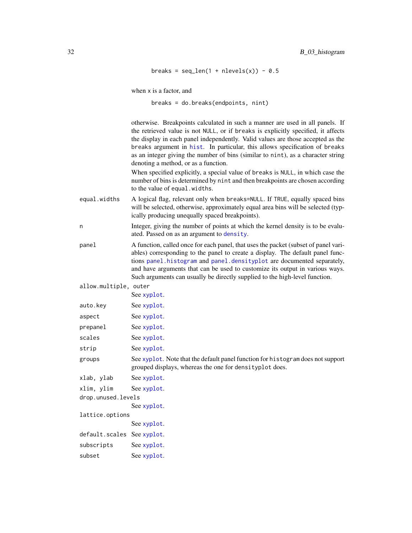```
breaks = seq\_len(1 + nlevels(x)) - 0.5
```
when x is a factor, and

breaks = do.breaks(endpoints, nint)

otherwise. Breakpoints calculated in such a manner are used in all panels. If the retrieved value is not NULL, or if breaks is explicitly specified, it affects the display in each panel independently. Valid values are those accepted as the breaks argument in [hist](#page-0-0). In particular, this allows specification of breaks as an integer giving the number of bins (similar to nint), as a character string denoting a method, or as a function.

When specified explicitly, a special value of breaks is NULL, in which case the number of bins is determined by nint and then breakpoints are chosen according to the value of equal.widths.

equal.widths A logical flag, relevant only when breaks=NULL. If TRUE, equally spaced bins will be selected, otherwise, approximately equal area bins will be selected (typically producing unequally spaced breakpoints).

n Integer, giving the number of points at which the kernel density is to be evaluated. Passed on as an argument to [density](#page-0-0).

panel A function, called once for each panel, that uses the packet (subset of panel variables) corresponding to the panel to create a display. The default panel functions [panel.histogram](#page-100-1) and [panel.densityplot](#page-98-1) are documented separately, and have arguments that can be used to customize its output in various ways. Such arguments can usually be directly supplied to the high-level function.

allow.multiple, outer

|                            | See xyplot.                                                                                                                                 |  |  |  |  |
|----------------------------|---------------------------------------------------------------------------------------------------------------------------------------------|--|--|--|--|
| auto.key                   | See xyplot.                                                                                                                                 |  |  |  |  |
| aspect                     | See xyplot.                                                                                                                                 |  |  |  |  |
| prepanel                   | See xyplot.                                                                                                                                 |  |  |  |  |
| scales                     | See xyplot.                                                                                                                                 |  |  |  |  |
| strip                      | See xyplot.                                                                                                                                 |  |  |  |  |
| groups                     | See xyplot. Note that the default panel function for histogram does not support<br>grouped displays, whereas the one for density plot does. |  |  |  |  |
| xlab, ylab                 | See xyplot.                                                                                                                                 |  |  |  |  |
| xlim, ylim                 | See xyplot.                                                                                                                                 |  |  |  |  |
| drop.unused.levels         |                                                                                                                                             |  |  |  |  |
|                            | See xyplot.                                                                                                                                 |  |  |  |  |
| lattice.options            |                                                                                                                                             |  |  |  |  |
|                            | See xyplot.                                                                                                                                 |  |  |  |  |
| default.scales See xyplot. |                                                                                                                                             |  |  |  |  |
|                            |                                                                                                                                             |  |  |  |  |

subscripts See [xyplot](#page-5-1). subset See [xyplot](#page-5-1).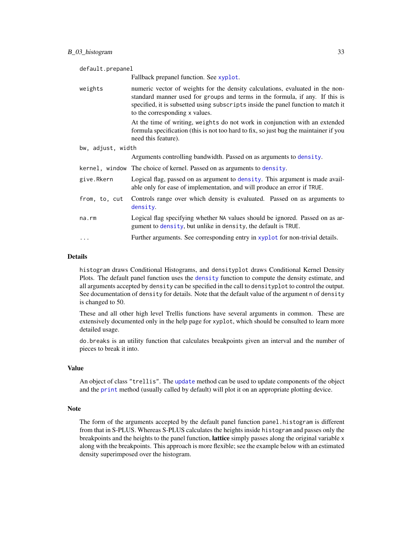| default.prepanel  |                                                                                                                                                                                                                                                                                      |  |  |  |  |  |
|-------------------|--------------------------------------------------------------------------------------------------------------------------------------------------------------------------------------------------------------------------------------------------------------------------------------|--|--|--|--|--|
|                   | Fallback prepanel function. See xyplot.                                                                                                                                                                                                                                              |  |  |  |  |  |
| weights           | numeric vector of weights for the density calculations, evaluated in the non-<br>standard manner used for groups and terms in the formula, if any. If this is<br>specified, it is subsetted using subscripts inside the panel function to match it<br>to the corresponding x values. |  |  |  |  |  |
|                   | At the time of writing, weights do not work in conjunction with an extended<br>formula specification (this is not too hard to fix, so just bug the maintainer if you<br>need this feature).                                                                                          |  |  |  |  |  |
| bw, adjust, width |                                                                                                                                                                                                                                                                                      |  |  |  |  |  |
|                   | Arguments controlling bandwidth. Passed on as arguments to density.                                                                                                                                                                                                                  |  |  |  |  |  |
|                   | kernel, window The choice of kernel. Passed on as arguments to density.                                                                                                                                                                                                              |  |  |  |  |  |
| give.Rkern        | Logical flag, passed on as argument to density. This argument is made avail-<br>able only for ease of implementation, and will produce an error if TRUE.                                                                                                                             |  |  |  |  |  |
| from, to, cut     | Controls range over which density is evaluated. Passed on as arguments to<br>density.                                                                                                                                                                                                |  |  |  |  |  |
| $na$ . $rm$       | Logical flag specifying whether NA values should be ignored. Passed on as ar-<br>gument to density, but unlike in density, the default is TRUE.                                                                                                                                      |  |  |  |  |  |
| .                 | Further arguments. See corresponding entry in xyplot for non-trivial details.                                                                                                                                                                                                        |  |  |  |  |  |

# Details

histogram draws Conditional Histograms, and densityplot draws Conditional Kernel Density Plots. The default panel function uses the [density](#page-0-0) function to compute the density estimate, and all arguments accepted by density can be specified in the call to densityplot to control the output. See documentation of density for details. Note that the default value of the argument n of density is changed to 50.

These and all other high level Trellis functions have several arguments in common. These are extensively documented only in the help page for xyplot, which should be consulted to learn more detailed usage.

do.breaks is an utility function that calculates breakpoints given an interval and the number of pieces to break it into.

# Value

An object of class "trellis". The [update](#page-0-0) method can be used to update components of the object and the [print](#page-0-0) method (usually called by default) will plot it on an appropriate plotting device.

#### **Note**

The form of the arguments accepted by the default panel function panel.histogram is different from that in S-PLUS. Whereas S-PLUS calculates the heights inside histogram and passes only the breakpoints and the heights to the panel function, **lattice** simply passes along the original variable x along with the breakpoints. This approach is more flexible; see the example below with an estimated density superimposed over the histogram.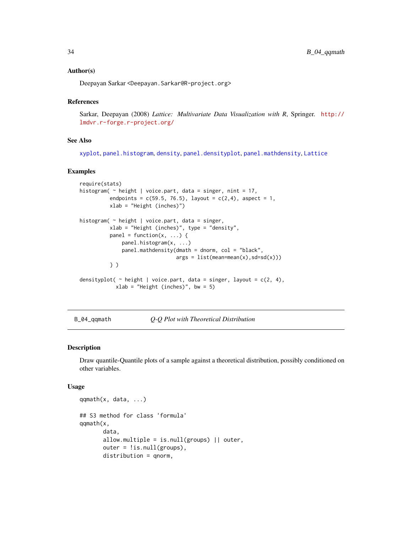# <span id="page-33-0"></span>Author(s)

Deepayan Sarkar <Deepayan.Sarkar@R-project.org>

# References

Sarkar, Deepayan (2008) *Lattice: Multivariate Data Visualization with R*, Springer. [http://](http://lmdvr.r-forge.r-project.org/) [lmdvr.r-forge.r-project.org/](http://lmdvr.r-forge.r-project.org/)

# See Also

[xyplot](#page-5-1), [panel.histogram](#page-100-1), [density](#page-0-0), [panel.densityplot](#page-98-1), [panel.mathdensity](#page-116-1), [Lattice](#page-2-1)

#### Examples

```
require(stats)
histogram(\sim height | voice.part, data = singer, nint = 17,
          endpoints = c(59.5, 76.5), layout = c(2,4), aspect = 1,
          xlab = "Height (inches)")
histogram( ~ height | voice.part, data = singer,
         xlab = "Height (inches)", type = "density",
          panel = function(x, \ldots) {
              panel.histogram(x, ...)
              panel.mathdensity(dmath = dnorm, col = "black",
                                args = list(mean=mean(x), sd=sd(x)))} )
densityplot(\sim height | voice.part, data = singer, layout = c(2, 4),
            xlab = "Height (inches)", bw = 5)
```

```
B_04_qqmath Q-Q Plot with Theoretical Distribution
```
# <span id="page-33-1"></span>Description

Draw quantile-Quantile plots of a sample against a theoretical distribution, possibly conditioned on other variables.

#### Usage

```
qqmath(x, data, ...)
## S3 method for class 'formula'
qqmath(x,
      data,
       allow.multiple = is.null(groups) || outer,
       outer = !is.null(groups),
      distribution = qnorm,
```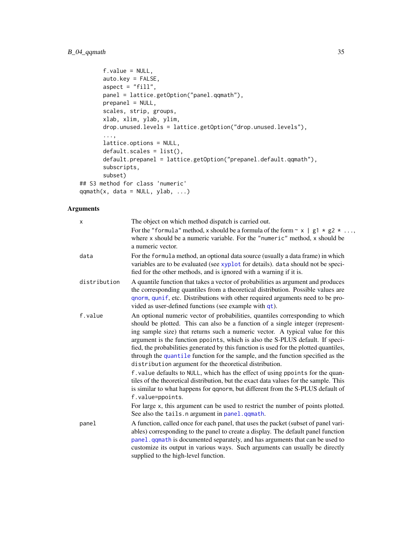```
f.value = NULL,
      auto.key = FALSE,
      aspect = "fill",panel = lattice.getOption("panel.qqmath"),
      prepanel = NULL,
      scales, strip, groups,
      xlab, xlim, ylab, ylim,
      drop.unused.levels = lattice.getOption("drop.unused.levels"),
       ...,
      lattice.options = NULL,
      default.scales = list(),
      default.prepanel = lattice.getOption("prepanel.default.qqmath"),
      subscripts,
      subset)
## S3 method for class 'numeric'
qqmath(t, data = NULL, ylab, ...)
```
# Arguments

| X            | The object on which method dispatch is carried out.                                                                                                                                                                                                                                                                                                                                                                                                                                                                                                                      |
|--------------|--------------------------------------------------------------------------------------------------------------------------------------------------------------------------------------------------------------------------------------------------------------------------------------------------------------------------------------------------------------------------------------------------------------------------------------------------------------------------------------------------------------------------------------------------------------------------|
|              | For the "formula" method, x should be a formula of the form $\sim x$   g1 $\star$ g2 $\star$<br>where x should be a numeric variable. For the "numeric" method, x should be<br>a numeric vector.                                                                                                                                                                                                                                                                                                                                                                         |
| data         | For the formula method, an optional data source (usually a data frame) in which<br>variables are to be evaluated (see xyplot for details). data should not be speci-<br>fied for the other methods, and is ignored with a warning if it is.                                                                                                                                                                                                                                                                                                                              |
| distribution | A quantile function that takes a vector of probabilities as argument and produces<br>the corresponding quantiles from a theoretical distribution. Possible values are<br>qnorm, qunif, etc. Distributions with other required arguments need to be pro-<br>vided as user-defined functions (see example with qt).                                                                                                                                                                                                                                                        |
| f.value      | An optional numeric vector of probabilities, quantiles corresponding to which<br>should be plotted. This can also be a function of a single integer (represent-<br>ing sample size) that returns such a numeric vector. A typical value for this<br>argument is the function ppoints, which is also the S-PLUS default. If speci-<br>fied, the probabilities generated by this function is used for the plotted quantiles,<br>through the quantile function for the sample, and the function specified as the<br>distribution argument for the theoretical distribution. |
|              | f. value defaults to NULL, which has the effect of using ppoints for the quan-<br>tiles of the theoretical distribution, but the exact data values for the sample. This<br>is similar to what happens for qqnorm, but different from the S-PLUS default of<br>f.value=ppoints.                                                                                                                                                                                                                                                                                           |
|              | For large x, this argument can be used to restrict the number of points plotted.<br>See also the tails. n argument in panel. qqmath.                                                                                                                                                                                                                                                                                                                                                                                                                                     |
| panel        | A function, called once for each panel, that uses the packet (subset of panel vari-<br>ables) corresponding to the panel to create a display. The default panel function<br>panel. qqmath is documented separately, and has arguments that can be used to<br>customize its output in various ways. Such arguments can usually be directly<br>supplied to the high-level function.                                                                                                                                                                                        |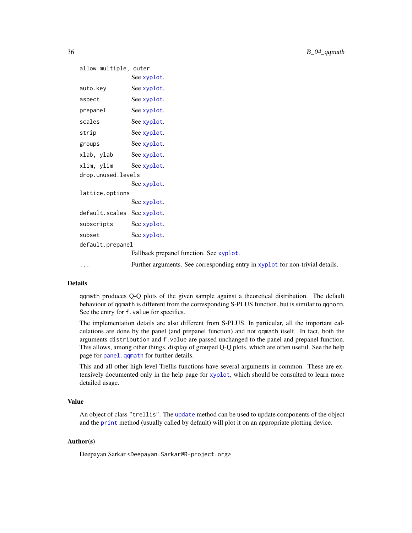```
allow.multiple, outer
           See xyplot.
xyplot.
xyplot.
xyplot.
xyplot.
xyplot.
xyplot.
xlab, ylab See xyplot.
xlim, ylim See xyplot.
drop.unused.levels
           See xyplot.
lattice.options
           See xyplot.
default.scales See xyplot.
xyplot.
xyplot.
default.prepanel
           Fallback prepanel function. See xyplot.
... Further arguments. See corresponding entry in xyplot for non-trivial details.
```
# **Details**

qqmath produces Q-Q plots of the given sample against a theoretical distribution. The default behaviour of qqmath is different from the corresponding S-PLUS function, but is similar to qqnorm. See the entry for f.value for specifics.

The implementation details are also different from S-PLUS. In particular, all the important calculations are done by the panel (and prepanel function) and not qqmath itself. In fact, both the arguments distribution and f.value are passed unchanged to the panel and prepanel function. This allows, among other things, display of grouped Q-Q plots, which are often useful. See the help page for [panel.qqmath](#page-108-1) for further details.

This and all other high level Trellis functions have several arguments in common. These are extensively documented only in the help page for [xyplot](#page-5-1), which should be consulted to learn more detailed usage.

# Value

An object of class "trellis". The [update](#page-0-0) method can be used to update components of the object and the [print](#page-0-0) method (usually called by default) will plot it on an appropriate plotting device.

# Author(s)

Deepayan Sarkar <Deepayan.Sarkar@R-project.org>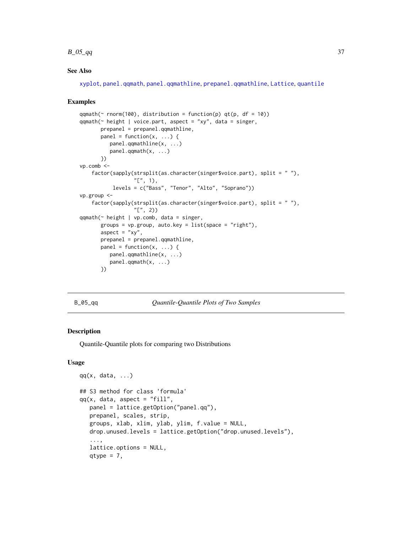#### $B_0 = 5q$

# See Also

[xyplot](#page-5-0), [panel.qqmath](#page-108-0), [panel.qqmathline](#page-121-0), [prepanel.qqmathline](#page-130-0), [Lattice](#page-2-0), [quantile](#page-0-0)

### Examples

```
qqmath(~ rnorm(100), distribution = function(p) qt(p, df = 10))
qqmath(\sim height | voice.part, aspect = "xy", data = singer,
       prepanel = prepanel.qqmathline,
       panel = function(x, ...)panel.qqmathline(x, ...)
         panel.qqmath(x, ...)
       })
vp.comb <-
    factor(sapply(strsplit(as.character(singer$voice.part), split = " "),
                  "[", 1),
           levels = c("Bass", "Tenor", "Alto", "Soprano"))
vp.group <-
    factor(sapply(strsplit(as.character(singer$voice.part), split = " "),
                  "[", 2))
qqmath(~ height | vp.comb, data = singer,
       groups = vp.group, auto.key = list(space = "right"),
       aspect = "xy",
       prepanel = prepanel.qqmathline,
       panel = function(x, \ldots) {
         panel.qqmathline(x, ...)
         panel.qqmath(x, ...)
       })
```
#### B\_05\_qq *Quantile-Quantile Plots of Two Samples*

### <span id="page-36-0"></span>Description

Quantile-Quantile plots for comparing two Distributions

#### Usage

```
qq(x, data, ...)## S3 method for class 'formula'
qq(x, data, aspect = "fill",panel = lattice.getOption("panel.qq"),
   prepanel, scales, strip,
   groups, xlab, xlim, ylab, ylim, f.value = NULL,
   drop.unused.levels = lattice.getOption("drop.unused.levels"),
   ...,
   lattice.options = NULL,
   qtype = 7,
```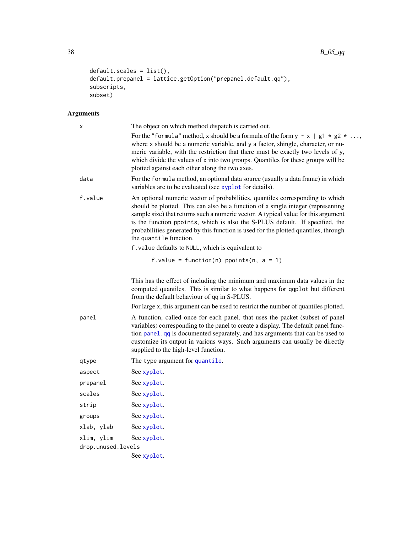```
default.scales = list(),
default.prepanel = lattice.getOption("prepanel.default.qq"),
subscripts,
subset)
```

| x                  | The object on which method dispatch is carried out.                                                                                                                                                                                                                                                                                                                                                                                                      |  |
|--------------------|----------------------------------------------------------------------------------------------------------------------------------------------------------------------------------------------------------------------------------------------------------------------------------------------------------------------------------------------------------------------------------------------------------------------------------------------------------|--|
|                    | For the "formula" method, x should be a formula of the form $y \sim x \mid g_1 \star g_2 \star \ldots$<br>where x should be a numeric variable, and y a factor, shingle, character, or nu-<br>meric variable, with the restriction that there must be exactly two levels of y,<br>which divide the values of x into two groups. Quantiles for these groups will be<br>plotted against each other along the two axes.                                     |  |
| data               | For the formula method, an optional data source (usually a data frame) in which<br>variables are to be evaluated (see xyplot for details).                                                                                                                                                                                                                                                                                                               |  |
| f.value            | An optional numeric vector of probabilities, quantiles corresponding to which<br>should be plotted. This can also be a function of a single integer (representing<br>sample size) that returns such a numeric vector. A typical value for this argument<br>is the function ppoints, which is also the S-PLUS default. If specified, the<br>probabilities generated by this function is used for the plotted quantiles, through<br>the quantile function. |  |
|                    | f. value defaults to NULL, which is equivalent to                                                                                                                                                                                                                                                                                                                                                                                                        |  |
|                    | f.value = function(n) ppoints(n, $a = 1$ )                                                                                                                                                                                                                                                                                                                                                                                                               |  |
|                    | This has the effect of including the minimum and maximum data values in the<br>computed quantiles. This is similar to what happens for qqplot but different<br>from the default behaviour of qq in S-PLUS.                                                                                                                                                                                                                                               |  |
|                    | For large x, this argument can be used to restrict the number of quantiles plotted.                                                                                                                                                                                                                                                                                                                                                                      |  |
| panel              | A function, called once for each panel, that uses the packet (subset of panel<br>variables) corresponding to the panel to create a display. The default panel func-<br>tion panel. qq is documented separately, and has arguments that can be used to<br>customize its output in various ways. Such arguments can usually be directly<br>supplied to the high-level function.                                                                            |  |
| qtype              | The type argument for quantile.                                                                                                                                                                                                                                                                                                                                                                                                                          |  |
| aspect             | See xyplot.                                                                                                                                                                                                                                                                                                                                                                                                                                              |  |
| prepanel           | See xyplot.                                                                                                                                                                                                                                                                                                                                                                                                                                              |  |
| scales             | See xyplot.                                                                                                                                                                                                                                                                                                                                                                                                                                              |  |
| strip              | See xyplot.                                                                                                                                                                                                                                                                                                                                                                                                                                              |  |
| groups             | See xyplot.                                                                                                                                                                                                                                                                                                                                                                                                                                              |  |
| xlab, ylab         | See xyplot.                                                                                                                                                                                                                                                                                                                                                                                                                                              |  |
| xlim, ylim         | See xyplot.                                                                                                                                                                                                                                                                                                                                                                                                                                              |  |
| drop.unused.levels |                                                                                                                                                                                                                                                                                                                                                                                                                                                          |  |
|                    | See xyplot.                                                                                                                                                                                                                                                                                                                                                                                                                                              |  |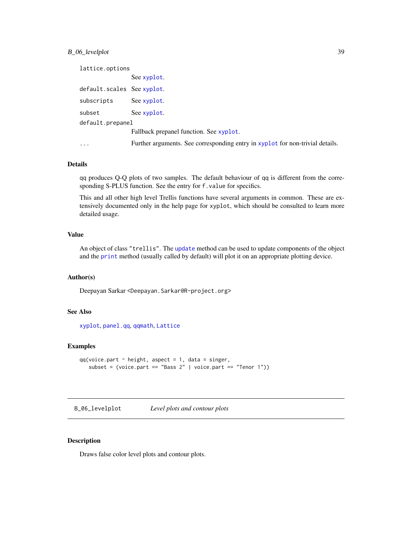# B\_06\_levelplot 39

```
lattice.options
             See xyplot.
default.scales See xyplot.
xyplot.
xyplot.
default.prepanel
             Fallback prepanel function. See xyplot.
... Further arguments. See corresponding entry in xyplot for non-trivial details.
```
# Details

qq produces Q-Q plots of two samples. The default behaviour of qq is different from the corresponding S-PLUS function. See the entry for f.value for specifics.

This and all other high level Trellis functions have several arguments in common. These are extensively documented only in the help page for xyplot, which should be consulted to learn more detailed usage.

### Value

An object of class "trellis". The [update](#page-0-0) method can be used to update components of the object and the [print](#page-0-0) method (usually called by default) will plot it on an appropriate plotting device.

## Author(s)

Deepayan Sarkar <Deepayan.Sarkar@R-project.org>

## See Also

[xyplot](#page-5-0), [panel.qq](#page-110-0), [qqmath](#page-33-0), [Lattice](#page-2-0)

### Examples

```
qq(voice.path \sim height, aspect = 1, data = singer,subset = (voice.path == "Bass 2" | voice.path == "Tenor 1")
```
B\_06\_levelplot *Level plots and contour plots*

# <span id="page-38-0"></span>Description

Draws false color level plots and contour plots.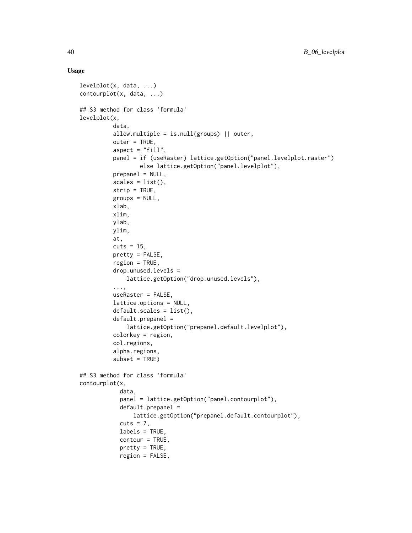### Usage

```
levelplot(x, data, ...)
contourplot(x, data, ...)
## S3 method for class 'formula'
levelplot(x,
          data,
          allow.multiple = is.null(groups) || outer,
          outer = TRUE,
          aspect = "fill",panel = if (useRaster) lattice.getOption("panel.levelplot.raster")
                  else lattice.getOption("panel.levelplot"),
          prepanel = NULL,
          scales = list(),strip = TRUE,
          groups = NULL,
          xlab,
          xlim,
          ylab,
          ylim,
          at,
          cuts = 15,
          pretty = FALSE,
          region = TRUE,
          drop.unused.levels =
              lattice.getOption("drop.unused.levels"),
          ...,
          useRaster = FALSE,
          lattice.options = NULL,
          default.scales = list(),
          default.prepanel =
              lattice.getOption("prepanel.default.levelplot"),
          colorkey = region,
          col.regions,
          alpha.regions,
          subset = TRUE)
## S3 method for class 'formula'
contourplot(x,
            data,
            panel = lattice.getOption("panel.contourplot"),
            default.prepanel =
                lattice.getOption("prepanel.default.contourplot"),
            cuts = 7.
            labels = TRUE,
            contour = TRUE,
            pretty = TRUE,
            region = FALSE,
```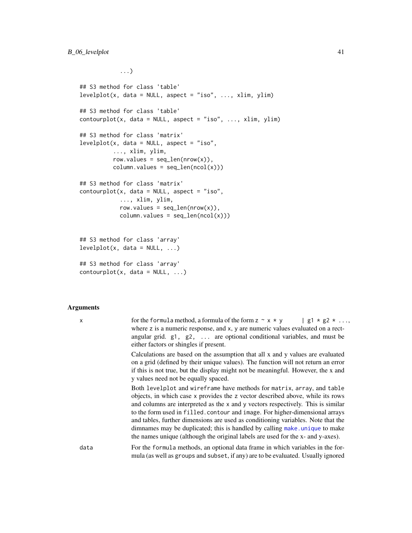...)

```
## S3 method for class 'table'
levelplot(x, data = NULL, aspect = "iso", ..., xlim, ylim)## S3 method for class 'table'
contourplot(x, data = NULL, aspect = "iso", ..., xlim, ylim)
## S3 method for class 'matrix'
levelplot(x, data = NULL, aspect = "iso",..., xlim, ylim,
          row.values = seq\_len(nrow(x)),
          column.values = seq_length(ncol(x)))## S3 method for class 'matrix'
contourplot(x, data = NULL, aspect = "iso",..., xlim, ylim,
            row.values = seq\_len(nrow(x)),
            column.values = seq_length(ncol(x)))## S3 method for class 'array'
levelplot(x, data = NULL, ...)## S3 method for class 'array'
contourplot(x, data = NULL, ...)
```

| X    | for the formula method, a formula of the form $z \sim x * y$   g1 * g2 *<br>where z is a numeric response, and x, y are numeric values evaluated on a rect-<br>angular grid. $g1$ , $g2$ ,  are optional conditional variables, and must be<br>either factors or shingles if present.                                                                                                                                                                                                                                                                                              |
|------|------------------------------------------------------------------------------------------------------------------------------------------------------------------------------------------------------------------------------------------------------------------------------------------------------------------------------------------------------------------------------------------------------------------------------------------------------------------------------------------------------------------------------------------------------------------------------------|
|      | Calculations are based on the assumption that all x and y values are evaluated<br>on a grid (defined by their unique values). The function will not return an error<br>if this is not true, but the display might not be meaningful. However, the x and<br>y values need not be equally spaced.                                                                                                                                                                                                                                                                                    |
|      | Both levelplot and wireframe have methods for matrix, array, and table<br>objects, in which case x provides the z vector described above, while its rows<br>and columns are interpreted as the x and y vectors respectively. This is similar<br>to the form used in filled. contour and image. For higher-dimensional arrays<br>and tables, further dimensions are used as conditioning variables. Note that the<br>dimnames may be duplicated; this is handled by calling make, unique to make<br>the names unique (although the original labels are used for the x- and y-axes). |
| data | For the formula methods, an optional data frame in which variables in the for-<br>mula (as well as groups and subset, if any) are to be evaluated. Usually ignored                                                                                                                                                                                                                                                                                                                                                                                                                 |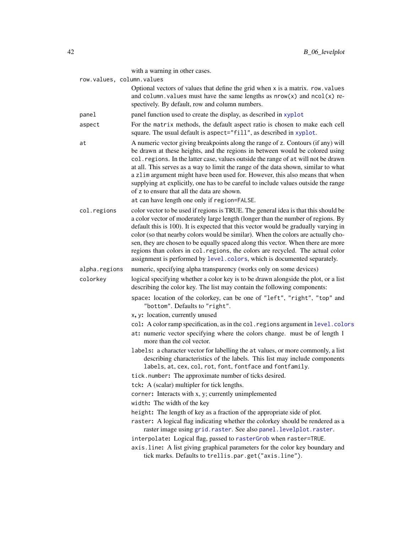|                           | with a warning in other cases.                                                                                                                                                                                                                                                                                                                                                                                                                                                                                                                                                                                    |
|---------------------------|-------------------------------------------------------------------------------------------------------------------------------------------------------------------------------------------------------------------------------------------------------------------------------------------------------------------------------------------------------------------------------------------------------------------------------------------------------------------------------------------------------------------------------------------------------------------------------------------------------------------|
| row.values, column.values |                                                                                                                                                                                                                                                                                                                                                                                                                                                                                                                                                                                                                   |
|                           | Optional vectors of values that define the grid when x is a matrix. row. values<br>and column. values must have the same lengths as $nrow(x)$ and $ncol(x)$ re-<br>spectively. By default, row and column numbers.                                                                                                                                                                                                                                                                                                                                                                                                |
| panel                     | panel function used to create the display, as described in xyplot                                                                                                                                                                                                                                                                                                                                                                                                                                                                                                                                                 |
| aspect                    | For the matrix methods, the default aspect ratio is chosen to make each cell<br>square. The usual default is aspect="fill", as described in xyplot.                                                                                                                                                                                                                                                                                                                                                                                                                                                               |
| at                        | A numeric vector giving breakpoints along the range of z. Contours (if any) will<br>be drawn at these heights, and the regions in between would be colored using<br>col. regions. In the latter case, values outside the range of at will not be drawn<br>at all. This serves as a way to limit the range of the data shown, similar to what<br>a zlim argument might have been used for. However, this also means that when<br>supplying at explicitly, one has to be careful to include values outside the range<br>of z to ensure that all the data are shown.<br>at can have length one only if region=FALSE. |
| col.regions               | color vector to be used if regions is TRUE. The general idea is that this should be<br>a color vector of moderately large length (longer than the number of regions. By<br>default this is 100). It is expected that this vector would be gradually varying in<br>color (so that nearby colors would be similar). When the colors are actually cho-<br>sen, they are chosen to be equally spaced along this vector. When there are more<br>regions than colors in col. regions, the colors are recycled. The actual color<br>assignment is performed by level.colors, which is documented separately.             |
| alpha.regions             | numeric, specifying alpha transparency (works only on some devices)                                                                                                                                                                                                                                                                                                                                                                                                                                                                                                                                               |
| colorkey                  | logical specifying whether a color key is to be drawn alongside the plot, or a list<br>describing the color key. The list may contain the following components:                                                                                                                                                                                                                                                                                                                                                                                                                                                   |
|                           | space: location of the colorkey, can be one of "left", "right", "top" and<br>"bottom". Defaults to "right".                                                                                                                                                                                                                                                                                                                                                                                                                                                                                                       |
|                           | x, y: location, currently unused                                                                                                                                                                                                                                                                                                                                                                                                                                                                                                                                                                                  |
|                           | col: A color ramp specification, as in the col. regions argument in level. colors<br>at: numeric vector specifying where the colors change. must be of length 1<br>more than the col vector.                                                                                                                                                                                                                                                                                                                                                                                                                      |
|                           | labels: a character vector for labelling the at values, or more commonly, a list<br>describing characteristics of the labels. This list may include components<br>labels, at, cex, col, rot, font, fontface and fontfamily.                                                                                                                                                                                                                                                                                                                                                                                       |
|                           | tick.number: The approximate number of ticks desired.                                                                                                                                                                                                                                                                                                                                                                                                                                                                                                                                                             |
|                           | tck: A (scalar) multipler for tick lengths.                                                                                                                                                                                                                                                                                                                                                                                                                                                                                                                                                                       |
|                           | corner: Interacts with x, y; currently unimplemented                                                                                                                                                                                                                                                                                                                                                                                                                                                                                                                                                              |
|                           | width: The width of the key                                                                                                                                                                                                                                                                                                                                                                                                                                                                                                                                                                                       |
|                           | height: The length of key as a fraction of the appropriate side of plot.                                                                                                                                                                                                                                                                                                                                                                                                                                                                                                                                          |
|                           | raster: A logical flag indicating whether the colorkey should be rendered as a<br>raster image using grid. raster. See also panel. levelplot. raster.                                                                                                                                                                                                                                                                                                                                                                                                                                                             |
|                           | interpolate: Logical flag, passed to rasterGrob when raster=TRUE.                                                                                                                                                                                                                                                                                                                                                                                                                                                                                                                                                 |
|                           | axis.line: A list giving graphical parameters for the color key boundary and<br>tick marks. Defaults to trellis.par.get("axis.line").                                                                                                                                                                                                                                                                                                                                                                                                                                                                             |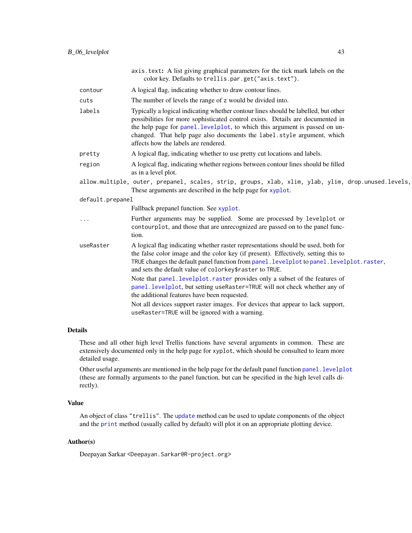|                  | axis.text: A list giving graphical parameters for the tick mark labels on the<br>color key. Defaults to trellis.par.get("axis.text").                                                                                                                                                                                                                                 |
|------------------|-----------------------------------------------------------------------------------------------------------------------------------------------------------------------------------------------------------------------------------------------------------------------------------------------------------------------------------------------------------------------|
| contour          | A logical flag, indicating whether to draw contour lines.                                                                                                                                                                                                                                                                                                             |
| cuts             | The number of levels the range of z would be divided into.                                                                                                                                                                                                                                                                                                            |
| labels           | Typically a logical indicating whether contour lines should be labelled, but other<br>possibilities for more sophisticated control exists. Details are documented in<br>the help page for panel. levelplot, to which this argument is passed on un-<br>changed. That help page also documents the label.style argument, which<br>affects how the labels are rendered. |
| pretty           | A logical flag, indicating whether to use pretty cut locations and labels.                                                                                                                                                                                                                                                                                            |
| region           | A logical flag, indicating whether regions between contour lines should be filled<br>as in a level plot.                                                                                                                                                                                                                                                              |
|                  | allow.multiple, outer, prepanel, scales, strip, groups, xlab, xlim, ylab, ylim, drop.unused.levels,<br>These arguments are described in the help page for xyplot.                                                                                                                                                                                                     |
| default.prepanel |                                                                                                                                                                                                                                                                                                                                                                       |
|                  | Fallback prepanel function. See xyplot.                                                                                                                                                                                                                                                                                                                               |
|                  | Further arguments may be supplied. Some are processed by levelplot or<br>contourplot, and those that are unrecognized are passed on to the panel func-<br>tion.                                                                                                                                                                                                       |
| useRaster        | A logical flag indicating whether raster representations should be used, both for<br>the false color image and the color key (if present). Effectively, setting this to<br>TRUE changes the default panel function from panel.levelplot to panel.levelplot.raster,<br>and sets the default value of colorkey\$raster to TRUE.                                         |
|                  | Note that panel. levelplot. raster provides only a subset of the features of<br>panel.levelplot, but setting useRaster=TRUE will not check whether any of<br>the additional features have been requested.                                                                                                                                                             |
|                  | Not all devices support raster images. For devices that appear to lack support,<br>useRaster=TRUE will be ignored with a warning.                                                                                                                                                                                                                                     |

# Details

These and all other high level Trellis functions have several arguments in common. These are extensively documented only in the help page for xyplot, which should be consulted to learn more detailed usage.

Other useful arguments are mentioned in the help page for the default panel function panel. levelplot (these are formally arguments to the panel function, but can be specified in the high level calls directly).

## Value

An object of class "trellis". The [update](#page-0-0) method can be used to update components of the object and the [print](#page-0-0) method (usually called by default) will plot it on an appropriate plotting device.

# Author(s)

Deepayan Sarkar <Deepayan.Sarkar@R-project.org>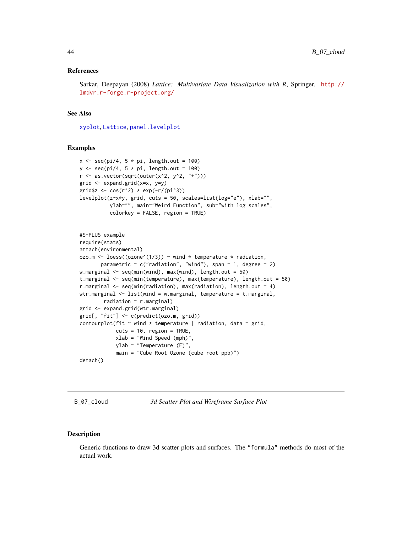### References

Sarkar, Deepayan (2008) *Lattice: Multivariate Data Visualization with R*, Springer. [http://](http://lmdvr.r-forge.r-project.org/) [lmdvr.r-forge.r-project.org/](http://lmdvr.r-forge.r-project.org/)

#### See Also

[xyplot](#page-5-0), [Lattice](#page-2-0), [panel.levelplot](#page-101-0)

# Examples

```
x \leq -\text{seq}(pi/4, 5 * pi, length.out = 100)
y \leq -\text{seq}(pi/4, 5 * pi, length.out = 100)
r \leq - as.vector(sqrt(outer(x^2, y^2, "+")))
grid \leftarrow expand.grid(x=x, y=y)grid$z <- cos(r^2) * exp(-r/(pi^3))levelplot(z~x*y, grid, cuts = 50, scales=list(log="e"), xlab="",
          ylab="", main="Weird Function", sub="with log scales",
          colorkey = FALSE, region = TRUE)
#S-PLUS example
require(stats)
attach(environmental)
ozo.m <- loess((ozone^(1/3)) ~ wind * temperature * radiation,
       parametric = c("radiation", "wind"), span = 1, degree = 2)w.marginal \leq seq(min(wind), max(wind), length.out = 50)
t.marginal <- seq(min(temperature), max(temperature), length.out = 50)
r.marginal \leq seq(min(radiation), max(radiation), length.out = 4)
wtr.marginal \leq list(wind = w.marginal, temperature = t.marginal,
        radiation = r.marginal)
grid <- expand.grid(wtr.marginal)
grid[, "fit"] <- c(predict(ozo.m, grid))
contourplot(fit \sim wind \star temperature | radiation, data = grid,
            cuts = 10, region = TRUE,
            xlab = "Wind Speed (mph)",
            ylab = "Temperature (F)",
            main = "Cube Root Ozone (cube root ppb)")
detach()
```
B\_07\_cloud *3d Scatter Plot and Wireframe Surface Plot*

### **Description**

Generic functions to draw 3d scatter plots and surfaces. The "formula" methods do most of the actual work.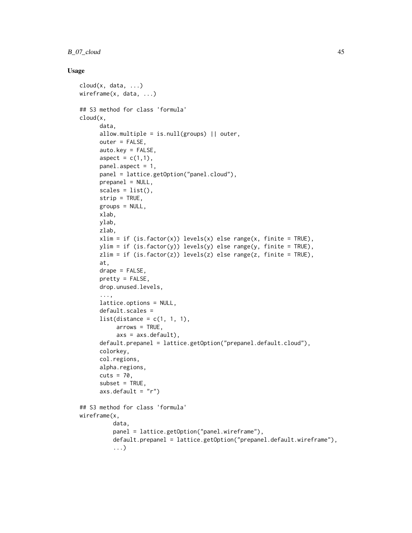# B\_07\_cloud 45

# Usage

```
cloud(x, data, ...)
wireframe(x, data, ...)
## S3 method for class 'formula'
cloud(x,
      data,
      allow.multiple = is.null(groups) || outer,
      outer = FALSE,
      auto.key = FALSE,
      aspect = c(1,1),
      panel.aspect = 1,
      panel = lattice.getOption("panel.cloud"),
      prepanel = NULL,
      scales = list(),strip = TRUE,
      groups = NULL,
      xlab,
      ylab,
      zlab,
      xlim = if (is.factor(x)) levels(x) else range(x, finite = TRUE),ylim = if (is.factor(y)) levels(y) else range(y, finite = TRUE),
      zlim = if (is.factor(z)) levels(z) else range(z, finite = TRUE),
      at,
      drape = FALSE,
      pretty = FALSE,drop.unused.levels,
      ...,
      lattice.options = NULL,
      default.scales =
      list(distance = c(1, 1, 1),
           arrows = TRUE,axs = axs.default),default.prepanel = lattice.getOption("prepanel.default.cloud"),
      colorkey,
      col.regions,
      alpha.regions,
      cuts = 70,
      subset = TRUE,axis.default = "r")## S3 method for class 'formula'
wireframe(x,
          data,
          panel = lattice.getOption("panel.wireframe"),
          default.prepanel = lattice.getOption("prepanel.default.wireframe"),
          ...)
```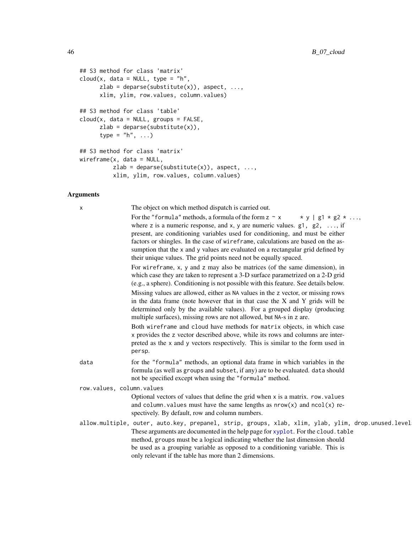```
## S3 method for class 'matrix'
cloud(x, data = NULL, type = "h",
     zlab = deparse(substitute(x)), aspect, \dots,
     xlim, ylim, row.values, column.values)
## S3 method for class 'table'
cloud(x, data = NULL, groups = FALSE,zlab = deparse(substitute(x)),
      type = nh'', ...)
## S3 method for class 'matrix'
wireframe(x, data = NULL,
         zlab = deparse(substitute(x)), aspect, ...,xlim, ylim, row.values, column.values)
```

| The object on which method dispatch is carried out.<br>Х<br>For the "formula" methods, a formula of the form $z \sim x$<br>$\star$ y   g1 $\star$ g2 $\star$<br>where z is a numeric response, and x, y are numeric values. $g1, g2, \ldots$ , if<br>present, are conditioning variables used for conditioning, and must be either<br>factors or shingles. In the case of wireframe, calculations are based on the as-<br>sumption that the x and y values are evaluated on a rectangular grid defined by<br>their unique values. The grid points need not be equally spaced.<br>For wireframe, x, y and z may also be matrices (of the same dimension), in<br>which case they are taken to represent a 3-D surface parametrized on a 2-D grid<br>(e.g., a sphere). Conditioning is not possible with this feature. See details below.<br>Missing values are allowed, either as NA values in the z vector, or missing rows<br>in the data frame (note however that in that case the X and Y grids will be<br>determined only by the available values). For a grouped display (producing<br>multiple surfaces), missing rows are not allowed, but NA-s in z are.<br>Both wireframe and cloud have methods for matrix objects, in which case<br>x provides the z vector described above, while its rows and columns are inter-<br>preted as the x and y vectors respectively. This is similar to the form used in<br>persp.<br>for the "formula" methods, an optional data frame in which variables in the<br>data<br>formula (as well as groups and subset, if any) are to be evaluated. data should<br>not be specified except when using the "formula" method.<br>row.values, column.values<br>Optional vectors of values that define the grid when x is a matrix. row. values<br>and column. values must have the same lengths as $nrow(x)$ and $ncol(x)$ re-<br>spectively. By default, row and column numbers.<br>These arguments are documented in the help page for xyplot. For the cloud. table<br>method, groups must be a logical indicating whether the last dimension should<br>be used as a grouping variable as opposed to a conditioning variable. This is<br>only relevant if the table has more than 2 dimensions. |  |  |
|------------------------------------------------------------------------------------------------------------------------------------------------------------------------------------------------------------------------------------------------------------------------------------------------------------------------------------------------------------------------------------------------------------------------------------------------------------------------------------------------------------------------------------------------------------------------------------------------------------------------------------------------------------------------------------------------------------------------------------------------------------------------------------------------------------------------------------------------------------------------------------------------------------------------------------------------------------------------------------------------------------------------------------------------------------------------------------------------------------------------------------------------------------------------------------------------------------------------------------------------------------------------------------------------------------------------------------------------------------------------------------------------------------------------------------------------------------------------------------------------------------------------------------------------------------------------------------------------------------------------------------------------------------------------------------------------------------------------------------------------------------------------------------------------------------------------------------------------------------------------------------------------------------------------------------------------------------------------------------------------------------------------------------------------------------------------------------------------------------------------------------------------------------------------------------------------------------------------------------|--|--|
| allow.multiple, outer, auto.key, prepanel, strip, groups, xlab, xlim, ylab, ylim, drop.unused.level                                                                                                                                                                                                                                                                                                                                                                                                                                                                                                                                                                                                                                                                                                                                                                                                                                                                                                                                                                                                                                                                                                                                                                                                                                                                                                                                                                                                                                                                                                                                                                                                                                                                                                                                                                                                                                                                                                                                                                                                                                                                                                                                |  |  |
|                                                                                                                                                                                                                                                                                                                                                                                                                                                                                                                                                                                                                                                                                                                                                                                                                                                                                                                                                                                                                                                                                                                                                                                                                                                                                                                                                                                                                                                                                                                                                                                                                                                                                                                                                                                                                                                                                                                                                                                                                                                                                                                                                                                                                                    |  |  |
|                                                                                                                                                                                                                                                                                                                                                                                                                                                                                                                                                                                                                                                                                                                                                                                                                                                                                                                                                                                                                                                                                                                                                                                                                                                                                                                                                                                                                                                                                                                                                                                                                                                                                                                                                                                                                                                                                                                                                                                                                                                                                                                                                                                                                                    |  |  |
|                                                                                                                                                                                                                                                                                                                                                                                                                                                                                                                                                                                                                                                                                                                                                                                                                                                                                                                                                                                                                                                                                                                                                                                                                                                                                                                                                                                                                                                                                                                                                                                                                                                                                                                                                                                                                                                                                                                                                                                                                                                                                                                                                                                                                                    |  |  |
|                                                                                                                                                                                                                                                                                                                                                                                                                                                                                                                                                                                                                                                                                                                                                                                                                                                                                                                                                                                                                                                                                                                                                                                                                                                                                                                                                                                                                                                                                                                                                                                                                                                                                                                                                                                                                                                                                                                                                                                                                                                                                                                                                                                                                                    |  |  |
|                                                                                                                                                                                                                                                                                                                                                                                                                                                                                                                                                                                                                                                                                                                                                                                                                                                                                                                                                                                                                                                                                                                                                                                                                                                                                                                                                                                                                                                                                                                                                                                                                                                                                                                                                                                                                                                                                                                                                                                                                                                                                                                                                                                                                                    |  |  |
|                                                                                                                                                                                                                                                                                                                                                                                                                                                                                                                                                                                                                                                                                                                                                                                                                                                                                                                                                                                                                                                                                                                                                                                                                                                                                                                                                                                                                                                                                                                                                                                                                                                                                                                                                                                                                                                                                                                                                                                                                                                                                                                                                                                                                                    |  |  |
|                                                                                                                                                                                                                                                                                                                                                                                                                                                                                                                                                                                                                                                                                                                                                                                                                                                                                                                                                                                                                                                                                                                                                                                                                                                                                                                                                                                                                                                                                                                                                                                                                                                                                                                                                                                                                                                                                                                                                                                                                                                                                                                                                                                                                                    |  |  |
|                                                                                                                                                                                                                                                                                                                                                                                                                                                                                                                                                                                                                                                                                                                                                                                                                                                                                                                                                                                                                                                                                                                                                                                                                                                                                                                                                                                                                                                                                                                                                                                                                                                                                                                                                                                                                                                                                                                                                                                                                                                                                                                                                                                                                                    |  |  |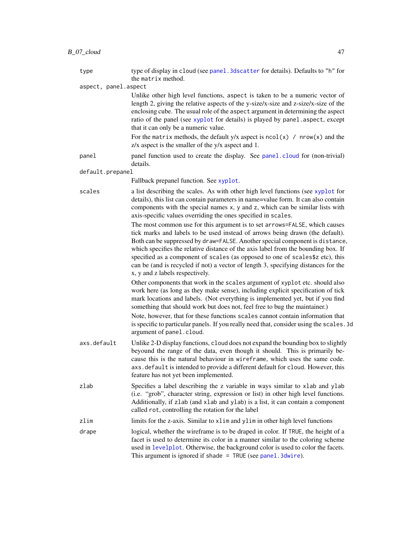aspect, panel.aspect

the matrix method.

Unlike other high level functions, aspect is taken to be a numeric vector of length 2, giving the relative aspects of the y-size/x-size and z-size/x-size of the enclosing cube. The usual role of the aspect argument in determining the aspect ratio of the panel (see [xyplot](#page-5-0) for details) is played by panel.aspect, except that it can only be a numeric value.

For the matrix methods, the default  $y/x$  aspect is  $ncol(x)$  /  $nrow(x)$  and the z/x aspect is the smaller of the y/x aspect and 1.

panel panel function used to create the display. See [panel.cloud](#page-93-0) for (non-trivial) details.

default.prepanel

Fallback prepanel function. See [xyplot](#page-5-0).

scales a list describing the scales. As with other high level functions (see [xyplot](#page-5-0) for details), this list can contain parameters in name=value form. It can also contain components with the special names x, y and z, which can be similar lists with axis-specific values overriding the ones specified in scales.

> The most common use for this argument is to set arrows=FALSE, which causes tick marks and labels to be used instead of arrows being drawn (the default). Both can be suppressed by draw=FALSE. Another special component is distance, which specifies the relative distance of the axis label from the bounding box. If specified as a component of scales (as opposed to one of scales\$z etc), this can be (and is recycled if not) a vector of length 3, specifying distances for the x, y and z labels respectively.

> Other components that work in the scales argument of xyplot etc. should also work here (as long as they make sense), including explicit specification of tick mark locations and labels. (Not everything is implemented yet, but if you find something that should work but does not, feel free to bug the maintainer.)

Note, however, that for these functions scales cannot contain information that is specific to particular panels. If you really need that, consider using the scales.3d argument of panel.cloud.

- axs.default Unlike 2-D display functions, cloud does not expand the bounding box to slightly beyound the range of the data, even though it should. This is primarily because this is the natural behaviour in wireframe, which uses the same code. axs.default is intended to provide a different default for cloud. However, this feature has not yet been implemented.
- zlab Specifies a label describing the z variable in ways similar to xlab and ylab (i.e. "grob", character string, expression or list) in other high level functions. Additionally, if zlab (and xlab and ylab) is a list, it can contain a component called rot, controlling the rotation for the label
- zlim limits for the z-axis. Similar to xlim and ylim in other high level functions
- drape logical, whether the wireframe is to be draped in color. If TRUE, the height of a facet is used to determine its color in a manner similar to the coloring scheme used in [levelplot](#page-38-0). Otherwise, the background color is used to color the facets. This argument is ignored if shade =  $TRUE$  (see [panel.3dwire](#page-93-0)).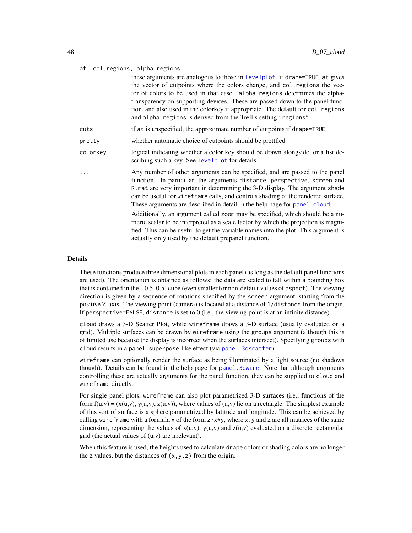#### at, col.regions, alpha.regions

|          | these arguments are analogous to those in levelplot. if drape=TRUE, at gives<br>the vector of cutpoints where the colors change, and col. regions the vec-<br>tor of colors to be used in that case. alpha.regions determines the alpha-<br>transparency on supporting devices. These are passed down to the panel func-<br>tion, and also used in the colorkey if appropriate. The default for col. regions<br>and alpha. regions is derived from the Trellis setting "regions"                                                                                                                                                                                                                                             |
|----------|------------------------------------------------------------------------------------------------------------------------------------------------------------------------------------------------------------------------------------------------------------------------------------------------------------------------------------------------------------------------------------------------------------------------------------------------------------------------------------------------------------------------------------------------------------------------------------------------------------------------------------------------------------------------------------------------------------------------------|
| cuts     | if at is unspecified, the approximate number of cutpoints if drape=TRUE                                                                                                                                                                                                                                                                                                                                                                                                                                                                                                                                                                                                                                                      |
| pretty   | whether automatic choice of cutpoints should be prettfied                                                                                                                                                                                                                                                                                                                                                                                                                                                                                                                                                                                                                                                                    |
| colorkey | logical indicating whether a color key should be drawn alongside, or a list de-<br>scribing such a key. See levelplot for details.                                                                                                                                                                                                                                                                                                                                                                                                                                                                                                                                                                                           |
|          | Any number of other arguments can be specified, and are passed to the panel<br>function. In particular, the arguments distance, perspective, screen and<br>R mat are very important in determining the 3-D display. The argument shade<br>can be useful for wireframe calls, and controls shading of the rendered surface.<br>These arguments are described in detail in the help page for panel.cloud.<br>Additionally, an argument called zoom may be specified, which should be a nu-<br>meric scalar to be interpreted as a scale factor by which the projection is magni-<br>fied. This can be useful to get the variable names into the plot. This argument is<br>actually only used by the default prepanel function. |

### Details

These functions produce three dimensional plots in each panel (as long as the default panel functions are used). The orientation is obtained as follows: the data are scaled to fall within a bounding box that is contained in the [-0.5, 0.5] cube (even smaller for non-default values of aspect). The viewing direction is given by a sequence of rotations specified by the screen argument, starting from the positive Z-axis. The viewing point (camera) is located at a distance of 1/distance from the origin. If perspective=FALSE, distance is set to  $0$  (i.e., the viewing point is at an infinite distance).

cloud draws a 3-D Scatter Plot, while wireframe draws a 3-D surface (usually evaluated on a grid). Multiple surfaces can be drawn by wireframe using the groups argument (although this is of limited use because the display is incorrect when the surfaces intersect). Specifying groups with cloud results in a panel. superpose-like effect (via panel. 3dscatter).

wireframe can optionally render the surface as being illuminated by a light source (no shadows though). Details can be found in the help page for [panel.3dwire](#page-93-0). Note that although arguments controlling these are actually arguments for the panel function, they can be supplied to cloud and wireframe directly.

For single panel plots, wireframe can also plot parametrized 3-D surfaces (i.e., functions of the form  $f(u, v) = (x(u, v), y(u, v), z(u, v))$ , where values of  $(u, v)$  lie on a rectangle. The simplest example of this sort of surface is a sphere parametrized by latitude and longitude. This can be achieved by calling wireframe with a formula x of the form  $z \rightarrow x \rightarrow y$ , where x, y and z are all matrices of the same dimension, representing the values of  $x(u,v)$ ,  $y(u,v)$  and  $z(u,v)$  evaluated on a discrete rectangular grid (the actual values of (u,v) are irrelevant).

When this feature is used, the heights used to calculate drape colors or shading colors are no longer the z values, but the distances of  $(x, y, z)$  from the origin.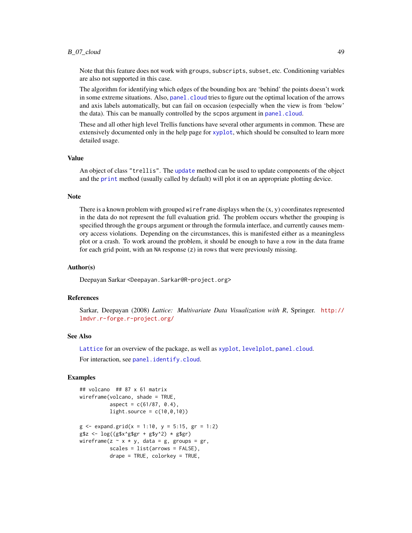# $B_0$ 7\_cloud  $49$

Note that this feature does not work with groups, subscripts, subset, etc. Conditioning variables are also not supported in this case.

The algorithm for identifying which edges of the bounding box are 'behind' the points doesn't work in some extreme situations. Also, panel. cloud tries to figure out the optimal location of the arrows and axis labels automatically, but can fail on occasion (especially when the view is from 'below' the data). This can be manually controlled by the scpos argument in [panel.cloud](#page-93-0).

These and all other high level Trellis functions have several other arguments in common. These are extensively documented only in the help page for [xyplot](#page-5-0), which should be consulted to learn more detailed usage.

### Value

An object of class "trellis". The [update](#page-0-0) method can be used to update components of the object and the [print](#page-0-0) method (usually called by default) will plot it on an appropriate plotting device.

### Note

There is a known problem with grouped wireframe displays when the  $(x, y)$  coordinates represented in the data do not represent the full evaluation grid. The problem occurs whether the grouping is specified through the groups argument or through the formula interface, and currently causes memory access violations. Depending on the circumstances, this is manifested either as a meaningless plot or a crash. To work around the problem, it should be enough to have a row in the data frame for each grid point, with an NA response (z) in rows that were previously missing.

### Author(s)

Deepayan Sarkar <Deepayan.Sarkar@R-project.org>

### References

Sarkar, Deepayan (2008) *Lattice: Multivariate Data Visualization with R*, Springer. [http://](http://lmdvr.r-forge.r-project.org/) [lmdvr.r-forge.r-project.org/](http://lmdvr.r-forge.r-project.org/)

### See Also

[Lattice](#page-2-0) for an overview of the package, as well as [xyplot](#page-5-0), [levelplot](#page-38-0), [panel.cloud](#page-93-0).

For interaction, see [panel.identify.cloud](#page-83-0).

```
## volcano ## 87 x 61 matrix
wireframe(volcano, shade = TRUE,
          aspect = c(61/87, 0.4),
          lightharrow . source = c(10, 0, 10)g \le - expand.grid(x = 1:10, y = 5:15, gr = 1:2)
g$z <- \log((g$x^g$gr + g$y^2) * g$gr)
wireframe(z \sim x * y, data = g, groups = gr,
          scales = list(arrows = FALSE),
          drape = TRUE, colorkey = TRUE,
```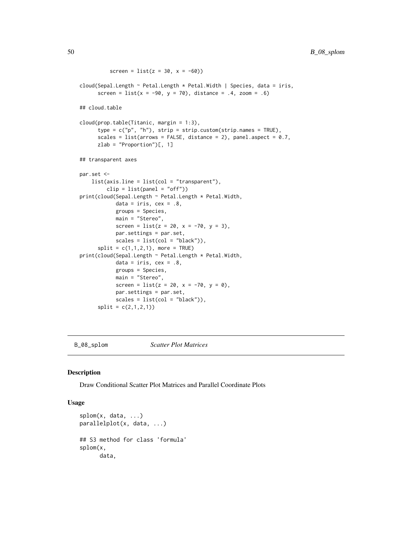```
screen = list(z = 30, x = -60)cloud(Sepal.Length ~ Petal.Length * Petal.Width | Species, data = iris,
     screen = list(x = -90, y = 70), distance = .4, zoom = .6)
## cloud.table
cloud(prop.table(Titanic, margin = 1:3),
     type = c("p", "h"), strip = strip.custom(strip.names = TRUE),
     scales = list(arrows = FALSE, distance = 2), panel.aspect = 0.7,
     zlab = "Proportion")[, 1]
## transparent axes
par.set <-
   list(axis.line = list(col = "transparent"),
         clip = list(panel = "off"))
print(cloud(Sepal.Length ~ Petal.Length * Petal.Width,
            data = iris, cex = .8,groups = Species,
           main = "Stereo",
            screen = list(z = 20, x = -70, y = 3),
            par.settings = par.set,
            scales = list(col = "black")),
     split = c(1, 1, 2, 1), more = TRUE)
print(cloud(Sepal.Length ~ Petal.Length * Petal.Width,
            data = iris, cex = .8,
            groups = Species,
           main = "Stereo",
            screen = list(z = 20, x = -70, y = 0),
            par.settings = par.set,
            scales = list(col = "black")),
      split = c(2,1,2,1))
```
B\_08\_splom *Scatter Plot Matrices*

### <span id="page-49-0"></span>Description

Draw Conditional Scatter Plot Matrices and Parallel Coordinate Plots

### Usage

```
splom(x, data, ...)
parallelplot(x, data, ...)
## S3 method for class 'formula'
splom(x,
      data,
```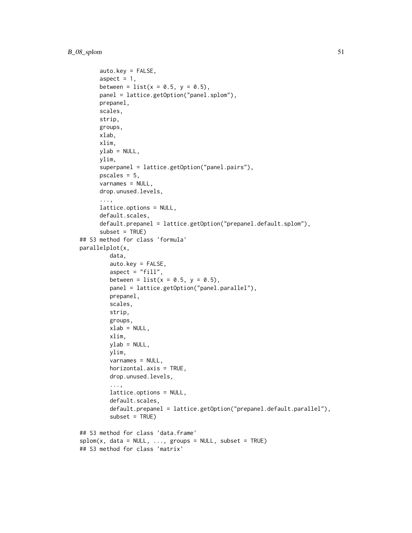```
auto.key = FALSE,
      aspect = 1,
      between = list(x = 0.5, y = 0.5),
      panel = lattice.getOption("panel.splom"),
      prepanel,
      scales,
      strip,
      groups,
      xlab,
      xlim,
     ylab = NULL,
      ylim,
      superpanel = lattice.getOption("panel.pairs"),
      pscales = 5,
      varnames = NULL,
      drop.unused.levels,
      ...,
      lattice.options = NULL,
      default.scales,
      default.prepanel = lattice.getOption("prepanel.default.splom"),
      subset = TRUE)
## S3 method for class 'formula'
parallelplot(x,
         data,
         auto.key = FALSE,
         aspect = "fill",between = list(x = 0.5, y = 0.5),
         panel = lattice.getOption("panel.parallel"),
         prepanel,
        scales,
         strip,
        groups,
        xlab = NULL,
        xlim,
        ylab = NULL,
        ylim,
        varnames = NULL,
        horizontal.axis = TRUE,
        drop.unused.levels,
         ...,
        lattice.options = NULL,
         default.scales,
         default.prepanel = lattice.getOption("prepanel.default.parallel"),
         subset = TRUE)
## S3 method for class 'data.frame'
splom(x, data = NULL, ..., groups = NULL, subset = TRUE)## S3 method for class 'matrix'
```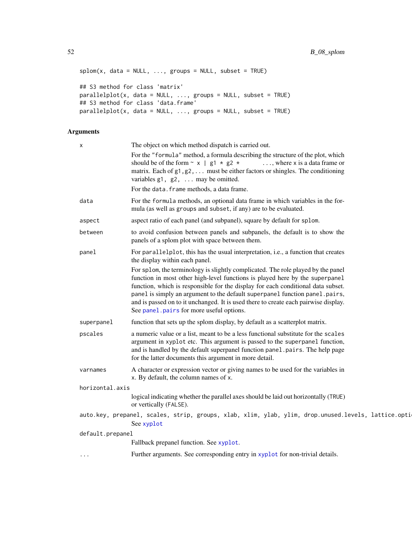```
splom(x, data = NULL, ..., groups = NULL, subset = TRUE)## S3 method for class 'matrix'
parallelplot(x, data = NULL, ..., groups = NULL, subset = TRUE)
## S3 method for class 'data.frame'
parallelplot(x, data = NULL, ..., groups = NULL, subset = TRUE)
```

|                 | X                | The object on which method dispatch is carried out.                                                                                                                                                                                                                                                                                                                                                                                                                     |
|-----------------|------------------|-------------------------------------------------------------------------------------------------------------------------------------------------------------------------------------------------------------------------------------------------------------------------------------------------------------------------------------------------------------------------------------------------------------------------------------------------------------------------|
|                 |                  | For the "formula" method, a formula describing the structure of the plot, which<br>should be of the form $\sim x$   g1 $\star$ g2 $\star$<br>$\ldots$ , where x is a data frame or<br>matrix. Each of $g1, g2, \ldots$ must be either factors or shingles. The conditioning<br>variables $g1$ , $g2$ ,  may be omitted.                                                                                                                                                 |
|                 |                  | For the data. frame methods, a data frame.                                                                                                                                                                                                                                                                                                                                                                                                                              |
|                 | data             | For the formula methods, an optional data frame in which variables in the for-<br>mula (as well as groups and subset, if any) are to be evaluated.                                                                                                                                                                                                                                                                                                                      |
|                 | aspect           | aspect ratio of each panel (and subpanel), square by default for splom.                                                                                                                                                                                                                                                                                                                                                                                                 |
|                 | between          | to avoid confusion between panels and subpanels, the default is to show the<br>panels of a splom plot with space between them.                                                                                                                                                                                                                                                                                                                                          |
|                 | panel            | For parallelplot, this has the usual interpretation, i.e., a function that creates<br>the display within each panel.                                                                                                                                                                                                                                                                                                                                                    |
|                 |                  | For splom, the terminology is slightly complicated. The role played by the panel<br>function in most other high-level functions is played here by the superpanel<br>function, which is responsible for the display for each conditional data subset.<br>panel is simply an argument to the default superpanel function panel.pairs,<br>and is passed on to it unchanged. It is used there to create each pairwise display.<br>See panel. pairs for more useful options. |
|                 | superpanel       | function that sets up the splom display, by default as a scatterplot matrix.                                                                                                                                                                                                                                                                                                                                                                                            |
|                 | pscales          | a numeric value or a list, meant to be a less functional substitute for the scales<br>argument in xyplot etc. This argument is passed to the superpanel function,<br>and is handled by the default superpanel function panel.pairs. The help page<br>for the latter documents this argument in more detail.                                                                                                                                                             |
|                 | varnames         | A character or expression vector or giving names to be used for the variables in<br>x. By default, the column names of x.                                                                                                                                                                                                                                                                                                                                               |
| horizontal.axis |                  |                                                                                                                                                                                                                                                                                                                                                                                                                                                                         |
|                 |                  | logical indicating whether the parallel axes should be laid out horizontally (TRUE)<br>or vertically (FALSE).                                                                                                                                                                                                                                                                                                                                                           |
|                 |                  | auto.key, prepanel, scales, strip, groups, xlab, xlim, ylab, ylim, drop.unused.levels, lattice.opti<br>See xyplot                                                                                                                                                                                                                                                                                                                                                       |
|                 | default.prepanel |                                                                                                                                                                                                                                                                                                                                                                                                                                                                         |
|                 |                  | Fallback prepanel function. See xyplot.                                                                                                                                                                                                                                                                                                                                                                                                                                 |
|                 | .                | Further arguments. See corresponding entry in xyplot for non-trivial details.                                                                                                                                                                                                                                                                                                                                                                                           |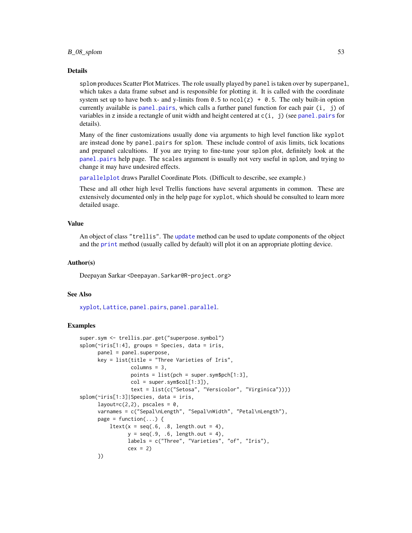#### $B_0 \times Sp$  both  $53$

#### Details

splom produces Scatter Plot Matrices. The role usually played by panel is taken over by superpanel, which takes a data frame subset and is responsible for plotting it. It is called with the coordinate system set up to have both x- and y-limits from  $0.5$  to ncol(z) + 0.5. The only built-in option currently available is [panel.pairs](#page-103-0), which calls a further panel function for each pair (i, j) of variables in z inside a rectangle of unit width and height centered at  $c(i, j)$  (see [panel.pairs](#page-103-0) for details).

Many of the finer customizations usually done via arguments to high level function like xyplot are instead done by panel.pairs for splom. These include control of axis limits, tick locations and prepanel calcultions. If you are trying to fine-tune your splom plot, definitely look at the [panel.pairs](#page-103-0) help page. The scales argument is usually not very useful in splom, and trying to change it may have undesired effects.

[parallelplot](#page-49-0) draws Parallel Coordinate Plots. (Difficult to describe, see example.)

These and all other high level Trellis functions have several arguments in common. These are extensively documented only in the help page for xyplot, which should be consulted to learn more detailed usage.

#### Value

An object of class "trellis". The [update](#page-0-0) method can be used to update components of the object and the [print](#page-0-0) method (usually called by default) will plot it on an appropriate plotting device.

### Author(s)

Deepayan Sarkar <Deepayan.Sarkar@R-project.org>

#### See Also

[xyplot](#page-5-0), [Lattice](#page-2-0), [panel.pairs](#page-103-0), [panel.parallel](#page-106-0).

```
super.sym <- trellis.par.get("superpose.symbol")
splom(~iris[1:4], groups = Species, data = iris,
     panel = panel.superpose,
     key = list(title = "Three Varieties of Iris",
                columns = 3,
                points = list(pch = super.sym$pch[1:3],
                col = super.sym$col[1:3]),text = list(c("Setosa", "Versicolor", "Virginica"))))
splom(~iris[1:3]|Species, data = iris,
     layout=c(2,2), pscales = 0,
     varnames = c("Sepal\nLength", "Sepal\nWidth", "Petal\nLength"),
     page = function(...) {
         ltext(x = seq(.6, .8, length.out = 4),y = seq(.9, .6, length.out = 4),labels = c("Three", "Varieties", "of", "Iris"),
               cex = 2})
```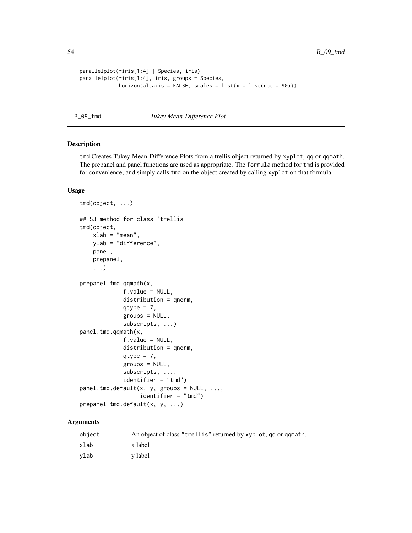```
parallelplot(~iris[1:4] | Species, iris)
parallelplot(~iris[1:4], iris, groups = Species,
            horizontal.axis = FALSE, scales = list(x = list(root = 90)))
```
B\_09\_tmd *Tukey Mean-Difference Plot*

# Description

tmd Creates Tukey Mean-Difference Plots from a trellis object returned by xyplot, qq or qqmath. The prepanel and panel functions are used as appropriate. The formula method for tmd is provided for convenience, and simply calls tmd on the object created by calling xyplot on that formula.

# Usage

```
tmd(object, ...)
## S3 method for class 'trellis'
tmd(object,
   xlab = "mean",
   ylab = "difference",
   panel,
    prepanel,
    ...)
prepanel.tmd.qqmath(x,
             f.value = NULL,distribution = qnorm,
             qtype = 7,
             groups = NULL,
             subscripts, ...)
panel.tmd.qqmath(x,
             f.value = NULL,
             distribution = qnorm,
             qtype = 7,
             groups = NULL,subscripts, ...,
             identifier = "tmd")
panel.tmd.default(x, y, groups = NULL, ...,
                  identifier = "tmd")
prepanel.tmd.default(x, y, ...)
```

| object | An object of class "trellis" returned by xyplot, qq or qqmath. |
|--------|----------------------------------------------------------------|
| xlab   | x label                                                        |
| vlab   | y label                                                        |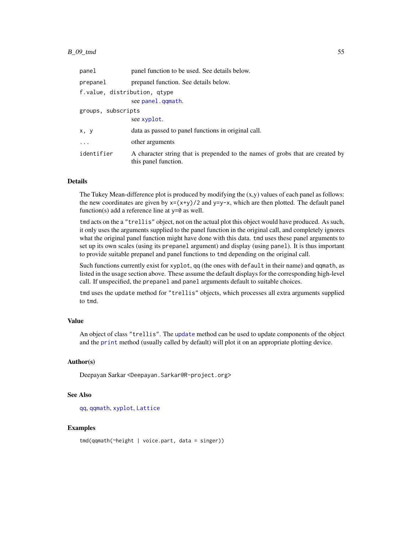| panel                        | panel function to be used. See details below.                                                          |  |
|------------------------------|--------------------------------------------------------------------------------------------------------|--|
| prepanel                     | prepanel function. See details below.                                                                  |  |
| f.value, distribution, qtype |                                                                                                        |  |
|                              | see panel.gqmath.                                                                                      |  |
| groups, subscripts           |                                                                                                        |  |
|                              | see xyplot.                                                                                            |  |
| x, y                         | data as passed to panel functions in original call.                                                    |  |
|                              | other arguments                                                                                        |  |
| identifier                   | A character string that is prepended to the names of grobs that are created by<br>this panel function. |  |

### Details

The Tukey Mean-difference plot is produced by modifying the (x,y) values of each panel as follows: the new coordinates are given by  $x=(x+y)/2$  and  $y=y-x$ , which are then plotted. The default panel function(s) add a reference line at  $y=0$  as well.

tmd acts on the a "trellis" object, not on the actual plot this object would have produced. As such, it only uses the arguments supplied to the panel function in the original call, and completely ignores what the original panel function might have done with this data. tmd uses these panel arguments to set up its own scales (using its prepanel argument) and display (using panel). It is thus important to provide suitable prepanel and panel functions to tmd depending on the original call.

Such functions currently exist for xyplot, qq (the ones with default in their name) and qqmath, as listed in the usage section above. These assume the default displays for the corresponding high-level call. If unspecified, the prepanel and panel arguments default to suitable choices.

tmd uses the update method for "trellis" objects, which processes all extra arguments supplied to tmd.

### Value

An object of class "trellis". The [update](#page-0-0) method can be used to update components of the object and the [print](#page-0-0) method (usually called by default) will plot it on an appropriate plotting device.

### Author(s)

Deepayan Sarkar <Deepayan.Sarkar@R-project.org>

### See Also

[qq](#page-36-0), [qqmath](#page-33-0), [xyplot](#page-5-0), [Lattice](#page-2-0)

### Examples

tmd(qqmath(~height | voice.part, data = singer))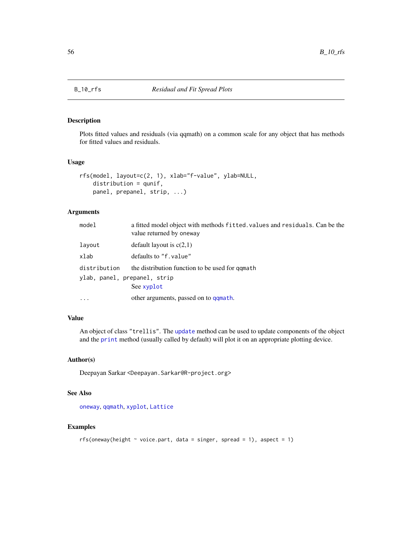### <span id="page-55-0"></span>Description

Plots fitted values and residuals (via qqmath) on a common scale for any object that has methods for fitted values and residuals.

### Usage

```
rfs(model, layout=c(2, 1), xlab="f-value", ylab=NULL,
   distribution = qunif,
   panel, prepanel, strip, ...)
```
# Arguments

| model                        | a fitted model object with methods fitted, values and residuals. Can be the<br>value returned by oneway |  |
|------------------------------|---------------------------------------------------------------------------------------------------------|--|
| layout                       | default layout is $c(2,1)$                                                                              |  |
| xlab                         | defaults to "f, value"                                                                                  |  |
| distribution                 | the distribution function to be used for qqmath                                                         |  |
| ylab, panel, prepanel, strip |                                                                                                         |  |
|                              | See xyplot                                                                                              |  |
|                              | other arguments, passed on to qqmath.                                                                   |  |

# Value

An object of class "trellis". The [update](#page-0-0) method can be used to update components of the object and the [print](#page-0-0) method (usually called by default) will plot it on an appropriate plotting device.

# Author(s)

Deepayan Sarkar <Deepayan.Sarkar@R-project.org>

# See Also

[oneway](#page-56-0), [qqmath](#page-33-0), [xyplot](#page-5-0), [Lattice](#page-2-0)

```
rfs(oneway(height \sim voice.part, data = singer, spread = 1), aspect = 1)
```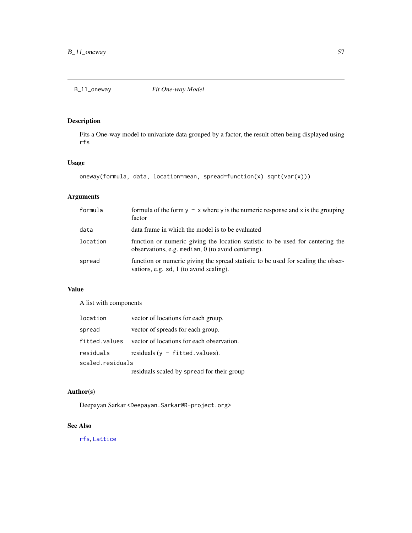# <span id="page-56-0"></span>Description

Fits a One-way model to univariate data grouped by a factor, the result often being displayed using rfs

# Usage

```
oneway(formula, data, location=mean, spread=function(x) sqrt(var(x)))
```
# Arguments

| formula  | formula of the form $y \sim x$ where y is the numeric response and x is the grouping<br>factor                                         |
|----------|----------------------------------------------------------------------------------------------------------------------------------------|
| data     | data frame in which the model is to be evaluated                                                                                       |
| location | function or numeric giving the location statistic to be used for centering the<br>observations, e.g. median, $0$ (to avoid centering). |
| spread   | function or numeric giving the spread statistic to be used for scaling the obser-<br>vations, e.g. sd, 1 (to avoid scaling).           |

# Value

A list with components

| location         | vector of locations for each group.       |  |
|------------------|-------------------------------------------|--|
| spread           | vector of spreads for each group.         |  |
| fitted.values    | vector of locations for each observation. |  |
| residuals        | residuals $(v - fitted.values)$ .         |  |
| scaled.residuals |                                           |  |
|                  |                                           |  |

residuals scaled by spread for their group

# Author(s)

Deepayan Sarkar <Deepayan.Sarkar@R-project.org>

# See Also

[rfs](#page-55-0), [Lattice](#page-2-0)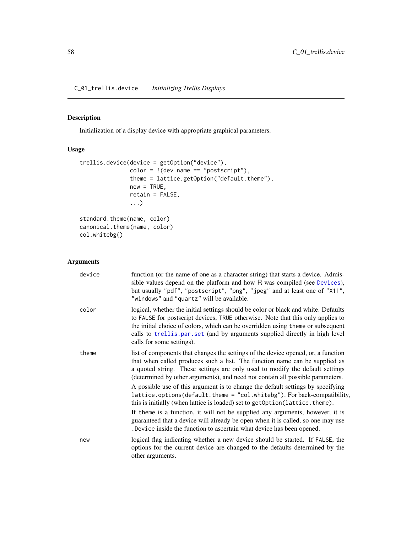C\_01\_trellis.device *Initializing Trellis Displays*

# <span id="page-57-0"></span>Description

Initialization of a display device with appropriate graphical parameters.

# Usage

```
trellis.device(device = getOption("device"),
               color = !(dev.name == "postscript"),theme = lattice.getOption("default.theme"),
               new = TRUE,retain = FALSE,
               ...)
standard.theme(name, color)
canonical.theme(name, color)
```

```
col.whitebg()
```

| device | function (or the name of one as a character string) that starts a device. Admis-<br>sible values depend on the platform and how R was compiled (see Devices),<br>but usually "pdf", "postscript", "png", "jpeg" and at least one of "X11",<br>"windows" and "quartz" will be available.                                                                                                                                                                                                          |
|--------|--------------------------------------------------------------------------------------------------------------------------------------------------------------------------------------------------------------------------------------------------------------------------------------------------------------------------------------------------------------------------------------------------------------------------------------------------------------------------------------------------|
| color  | logical, whether the initial settings should be color or black and white. Defaults<br>to FALSE for postscript devices, TRUE otherwise. Note that this only applies to<br>the initial choice of colors, which can be overridden using theme or subsequent<br>calls to trellis.par.set (and by arguments supplied directly in high level<br>calls for some settings).                                                                                                                              |
| theme  | list of components that changes the settings of the device opened, or, a function<br>that when called produces such a list. The function name can be supplied as<br>a quoted string. These settings are only used to modify the default settings<br>(determined by other arguments), and need not contain all possible parameters.<br>A possible use of this argument is to change the default settings by specifying<br>lattice.options(default.theme = "col.whitebg"). For back-compatibility, |
|        | this is initially (when lattice is loaded) set to getOption(lattice.theme).<br>If theme is a function, it will not be supplied any arguments, however, it is<br>guaranteed that a device will already be open when it is called, so one may use<br>. Device inside the function to ascertain what device has been opened.                                                                                                                                                                        |
| new    | logical flag indicating whether a new device should be started. If FALSE, the<br>options for the current device are changed to the defaults determined by the<br>other arguments.                                                                                                                                                                                                                                                                                                                |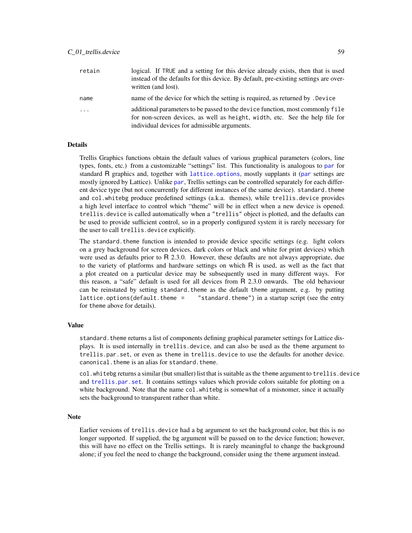| retain  | logical. If TRUE and a setting for this device already exists, then that is used<br>instead of the defaults for this device. By default, pre-existing settings are over-<br>written (and lost).               |
|---------|---------------------------------------------------------------------------------------------------------------------------------------------------------------------------------------------------------------|
| name    | name of the device for which the setting is required, as returned by . Device                                                                                                                                 |
| $\cdot$ | additional parameters to be passed to the device function, most commonly file<br>for non-screen devices, as well as height, width, etc. See the help file for<br>individual devices for admissible arguments. |

## Details

Trellis Graphics functions obtain the default values of various graphical parameters (colors, line types, fonts, etc.) from a customizable "settings" list. This functionality is analogous to [par](#page-0-0) for standard R graphics and, together with [lattice.options](#page-64-0), mostly supplants it ([par](#page-0-0) settings are mostly ignored by Lattice). Unlike [par](#page-0-0), Trellis settings can be controlled separately for each different device type (but not concurrently for different instances of the same device). standard.theme and col.whitebg produce predefined settings (a.k.a. themes), while trellis.device provides a high level interface to control which "theme" will be in effect when a new device is opened. trellis.device is called automatically when a "trellis" object is plotted, and the defaults can be used to provide sufficient control, so in a properly configured system it is rarely necessary for the user to call trellis.device explicitly.

The standard. theme function is intended to provide device specific settings  $(e.g.$  light colors on a grey background for screen devices, dark colors or black and white for print devices) which were used as defaults prior to R 2.3.0. However, these defaults are not always appropriate, due to the variety of platforms and hardware settings on which R is used, as well as the fact that a plot created on a particular device may be subsequently used in many different ways. For this reason, a "safe" default is used for all devices from R 2.3.0 onwards. The old behaviour can be reinstated by setting standard.theme as the default theme argument, e.g. by putting lattice.options(default.theme =  $"$ standard.theme") in a startup script (see the entry for theme above for details).

### Value

standard. theme returns a list of components defining graphical parameter settings for Lattice displays. It is used internally in trellis.device, and can also be used as the theme argument to trellis.par.set, or even as theme in trellis.device to use the defaults for another device. canonical.theme is an alias for standard.theme.

col.whitebg returns a similar (but smaller) list that is suitable as the theme argument to trellis.device and [trellis.par.set](#page-59-0). It contains settings values which provide colors suitable for plotting on a white background. Note that the name col.whitebg is somewhat of a misnomer, since it actually sets the background to transparent rather than white.

#### Note

Earlier versions of trellis.device had a bg argument to set the background color, but this is no longer supported. If supplied, the bg argument will be passed on to the device function; however, this will have no effect on the Trellis settings. It is rarely meaningful to change the background alone; if you feel the need to change the background, consider using the theme argument instead.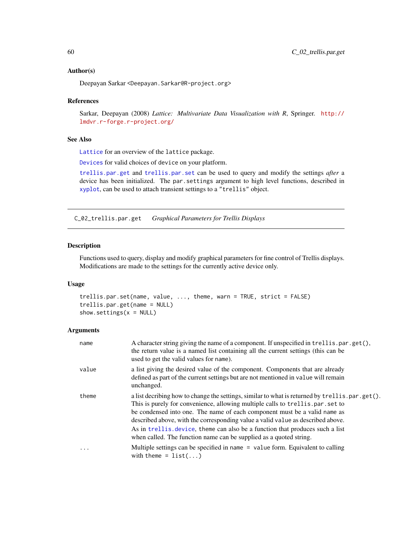### Author(s)

Deepayan Sarkar <Deepayan.Sarkar@R-project.org>

### References

Sarkar, Deepayan (2008) *Lattice: Multivariate Data Visualization with R*, Springer. [http://](http://lmdvr.r-forge.r-project.org/) [lmdvr.r-forge.r-project.org/](http://lmdvr.r-forge.r-project.org/)

### See Also

[Lattice](#page-2-0) for an overview of the lattice package.

[Devices](#page-0-0) for valid choices of device on your platform.

[trellis.par.get](#page-59-0) and [trellis.par.set](#page-59-0) can be used to query and modify the settings *after* a device has been initialized. The par.settings argument to high level functions, described in [xyplot](#page-5-0), can be used to attach transient settings to a "trellis" object.

C\_02\_trellis.par.get *Graphical Parameters for Trellis Displays*

# <span id="page-59-0"></span>Description

Functions used to query, display and modify graphical parameters for fine control of Trellis displays. Modifications are made to the settings for the currently active device only.

### Usage

```
trellis.par.set(name, value, ..., theme, warn = TRUE, strict = FALSE)
trellis.par.get(name = NULL)
show.settings(x = NULL)
```

| name     | A character string giving the name of a component. If unspecified in trellis.par.get(),<br>the return value is a named list containing all the current settings (this can be<br>used to get the valid values for name).                                                                                                                                                                                                                                                                                |
|----------|--------------------------------------------------------------------------------------------------------------------------------------------------------------------------------------------------------------------------------------------------------------------------------------------------------------------------------------------------------------------------------------------------------------------------------------------------------------------------------------------------------|
| value    | a list giving the desired value of the component. Components that are already<br>defined as part of the current settings but are not mentioned in value will remain<br>unchanged.                                                                                                                                                                                                                                                                                                                      |
| theme    | a list decribing how to change the settings, similar to what is returned by trellis.par.get().<br>This is purely for convenience, allowing multiple calls to trellis.par.set to<br>be condensed into one. The name of each component must be a valid name as<br>described above, with the corresponding value a valid value as described above.<br>As in trellis, device, theme can also be a function that produces such a list<br>when called. The function name can be supplied as a quoted string. |
| $\ddots$ | Multiple settings can be specified in name = value form. Equivalent to calling<br>with theme = $list()$                                                                                                                                                                                                                                                                                                                                                                                                |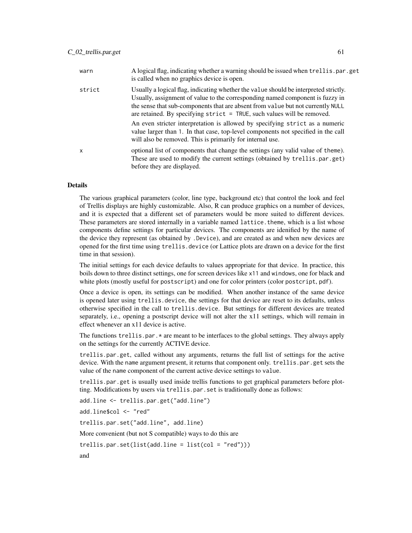| warn         | A logical flag, indicating whether a warning should be issued when trell is .par.get<br>is called when no graphics device is open.                                                                                                                                                                                                     |
|--------------|----------------------------------------------------------------------------------------------------------------------------------------------------------------------------------------------------------------------------------------------------------------------------------------------------------------------------------------|
| strict       | Usually a logical flag, indicating whether the value should be interpreted strictly.<br>Usually, assignment of value to the corresponding named component is fuzzy in<br>the sense that sub-components that are absent from value but not currently NULL<br>are retained. By specifying $strict = TRUE$ , such values will be removed. |
|              | An even stricter interpretation is allowed by specifying strict as a numeric<br>value larger than 1. In that case, top-level components not specified in the call<br>will also be removed. This is primarily for internal use.                                                                                                         |
| $\mathsf{x}$ | optional list of components that change the settings (any valid value of theme).<br>These are used to modify the current settings (obtained by trellis.par.get)<br>before they are displayed.                                                                                                                                          |

# Details

The various graphical parameters (color, line type, background etc) that control the look and feel of Trellis displays are highly customizable. Also, R can produce graphics on a number of devices, and it is expected that a different set of parameters would be more suited to different devices. These parameters are stored internally in a variable named lattice.theme, which is a list whose components define settings for particular devices. The components are idenified by the name of the device they represent (as obtained by .Device), and are created as and when new devices are opened for the first time using trellis.device (or Lattice plots are drawn on a device for the first time in that session).

The initial settings for each device defaults to values appropriate for that device. In practice, this boils down to three distinct settings, one for screen devices like x11 and windows, one for black and white plots (mostly useful for postscript) and one for color printers (color postcript, pdf).

Once a device is open, its settings can be modified. When another instance of the same device is opened later using trellis.device, the settings for that device are reset to its defaults, unless otherwise specified in the call to trellis.device. But settings for different devices are treated separately, i.e., opening a postscript device will not alter the x11 settings, which will remain in effect whenever an x11 device is active.

The functions trellis.par. $\star$  are meant to be interfaces to the global settings. They always apply on the settings for the currently ACTIVE device.

trellis.par.get, called without any arguments, returns the full list of settings for the active device. With the name argument present, it returns that component only. trellis.par.get sets the value of the name component of the current active device settings to value.

trellis.par.get is usually used inside trellis functions to get graphical parameters before plotting. Modifications by users via trellis.par.set is traditionally done as follows:

```
add.line <- trellis.par.get("add.line")
add.line$col <- "red"
trellis.par.set("add.line", add.line)
More convenient (but not S compatible) ways to do this are
trellis.par.set(list(add.line = list(col = "red")))and
```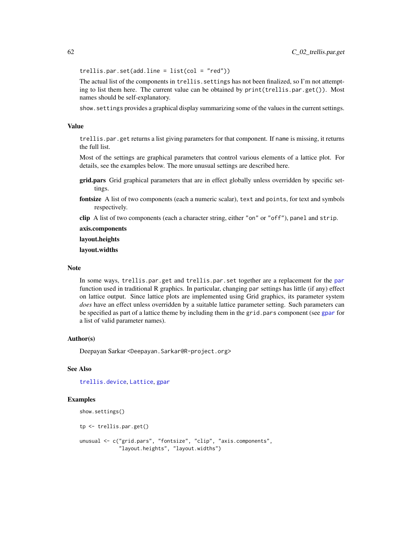$trellis.par.set(add.line = list(col = "red"))$ 

The actual list of the components in trellis. settings has not been finalized, so I'm not attempting to list them here. The current value can be obtained by print(trellis.par.get()). Most names should be self-explanatory.

show.settings provides a graphical display summarizing some of the values in the current settings.

### Value

trellis.par.get returns a list giving parameters for that component. If name is missing, it returns the full list.

Most of the settings are graphical parameters that control various elements of a lattice plot. For details, see the examples below. The more unusual settings are described here.

- grid.pars Grid graphical parameters that are in effect globally unless overridden by specific settings.
- fontsize A list of two components (each a numeric scalar), text and points, for text and symbols respectively.
- clip A list of two components (each a character string, either "on" or "off"), panel and strip.

axis.components

layout.heights

layout.widths

#### Note

In some ways, trellis.par.get and trellis.par.set together are a replacement for the [par](#page-0-0) function used in traditional R graphics. In particular, changing par settings has little (if any) effect on lattice output. Since lattice plots are implemented using Grid graphics, its parameter system *does* have an effect unless overridden by a suitable lattice parameter setting. Such parameters can be specified as part of a lattice theme by including them in the grid.pars component (see [gpar](#page-0-0) for a list of valid parameter names).

### Author(s)

Deepayan Sarkar <Deepayan.Sarkar@R-project.org>

## See Also

[trellis.device](#page-57-0), [Lattice](#page-2-0), [gpar](#page-0-0)

```
show.settings()
```

```
tp <- trellis.par.get()
```

```
unusual <- c("grid.pars", "fontsize", "clip", "axis.components",
             "layout.heights", "layout.widths")
```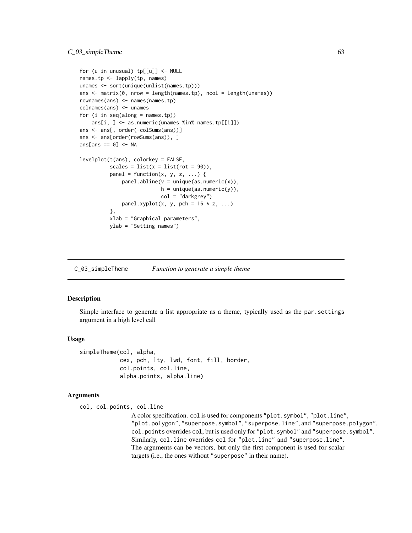```
for (u in unusual) tp[[u]] <- NULL
names.tp <- lapply(tp, names)
unames <- sort(unique(unlist(names.tp)))
ans \leq matrix(0, nrow = length(names.tp), ncol = length(unames))
rownames(ans) <- names(names.tp)
colnames(ans) <- unames
for (i in seq(along = names.tp))
    ans[i, ] <- as.numeric(unames %in% names.tp[[i]])
ans <- ans[, order(-colSums(ans))]
ans <- ans[order(rowSums(ans)), ]
ans[ans == 0] <- NA
levelplot(t(ans), colorkey = FALSE,
          scales = list(x = list(root = 90)),panel = function(x, y, z, ...) {
              panel.abline(v = unique(as.numeric(x)),h = unique(as.numeric(y)),col = "darkgrey")
              panel.xyplot(x, y, pch = 16 * z, ...)
          },
         xlab = "Graphical parameters",
         ylab = "Setting names")
```
C\_03\_simpleTheme *Function to generate a simple theme*

### Description

Simple interface to generate a list appropriate as a theme, typically used as the par.settings argument in a high level call

#### Usage

```
simpleTheme(col, alpha,
            cex, pch, lty, lwd, font, fill, border,
            col.points, col.line,
            alpha.points, alpha.line)
```
#### Arguments

col, col.points, col.line

A color specification. col is used for components "plot.symbol", "plot.line", "plot.polygon", "superpose.symbol", "superpose.line", and "superpose.polygon". col.points overrides col, but is used only for "plot.symbol" and "superpose.symbol". Similarly, col.line overrides col for "plot.line" and "superpose.line". The arguments can be vectors, but only the first component is used for scalar targets (i.e., the ones without "superpose" in their name).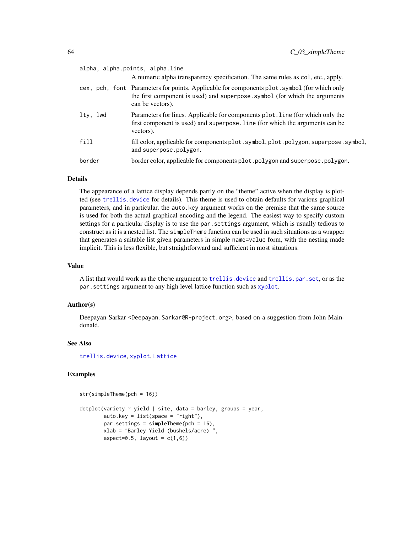|          | alpha, alpha.points, alpha.line<br>A numeric alpha transparency specification. The same rules as col, etc., apply.                                                                             |
|----------|------------------------------------------------------------------------------------------------------------------------------------------------------------------------------------------------|
|          | cex, pch, font Parameters for points. Applicable for components plot symbol (for which only<br>the first component is used) and superpose. symbol (for which the arguments<br>can be vectors). |
| lty, lwd | Parameters for lines. Applicable for components plot. line (for which only the<br>first component is used) and superpose. line (for which the arguments can be<br>vectors).                    |
| fill     | fill color, applicable for components plot. symbol, plot. polygon, superpose. symbol,<br>and superpose.polygon.                                                                                |
| border   | border color, applicable for components plot. polygon and superpose. polygon.                                                                                                                  |
|          |                                                                                                                                                                                                |

### Details

The appearance of a lattice display depends partly on the "theme" active when the display is plotted (see [trellis.device](#page-57-0) for details). This theme is used to obtain defaults for various graphical parameters, and in particular, the auto.key argument works on the premise that the same source is used for both the actual graphical encoding and the legend. The easiest way to specify custom settings for a particular display is to use the par.settings argument, which is usually tedious to construct as it is a nested list. The simpleTheme function can be used in such situations as a wrapper that generates a suitable list given parameters in simple name=value form, with the nesting made implicit. This is less flexible, but straightforward and sufficient in most situations.

### Value

A list that would work as the theme argument to trell is.device and trell is.par.set, or as the par.settings argument to any high level lattice function such as [xyplot](#page-5-0).

# Author(s)

Deepayan Sarkar <Deepayan.Sarkar@R-project.org>, based on a suggestion from John Maindonald.

## See Also

[trellis.device](#page-57-0), [xyplot](#page-5-0), [Lattice](#page-2-0)

```
str(simpleTheme(pch = 16))
```

```
dotplot(variety ~ yield | site, data = barley, groups = year,
       auto.key = list(space = "right"),
       par.settings = simpleTheme(pch = 16),
       xlab = "Barley Yield (bushels/acre) ",
       aspect=0.5, layout = c(1,6))
```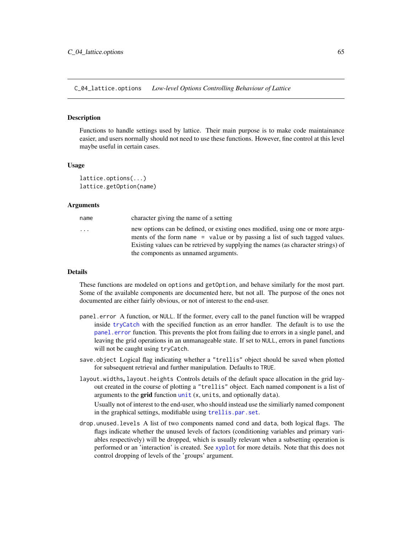C\_04\_lattice.options *Low-level Options Controlling Behaviour of Lattice*

### <span id="page-64-0"></span>Description

Functions to handle settings used by lattice. Their main purpose is to make code maintainance easier, and users normally should not need to use these functions. However, fine control at this level maybe useful in certain cases.

### Usage

```
lattice.options(...)
lattice.getOption(name)
```
#### Arguments

| name     | character giving the name of a setting                                                                                                                                                                                                            |
|----------|---------------------------------------------------------------------------------------------------------------------------------------------------------------------------------------------------------------------------------------------------|
| $\cdots$ | new options can be defined, or existing ones modified, using one or more argu-<br>ments of the form name = value or by passing a list of such tagged values.<br>Existing values can be retrieved by supplying the names (as character strings) of |
|          | the components as unnamed arguments.                                                                                                                                                                                                              |

### Details

These functions are modeled on options and getOption, and behave similarly for the most part. Some of the available components are documented here, but not all. The purpose of the ones not documented are either fairly obvious, or not of interest to the end-user.

- panel.error A function, or NULL. If the former, every call to the panel function will be wrapped inside [tryCatch](#page-0-0) with the specified function as an error handler. The default is to use the [panel.error](#page-66-0) function. This prevents the plot from failing due to errors in a single panel, and leaving the grid operations in an unmanageable state. If set to NULL, errors in panel functions will not be caught using tryCatch.
- save.object Logical flag indicating whether a "trellis" object should be saved when plotted for subsequent retrieval and further manipulation. Defaults to TRUE.
- layout.widths, layout.heights Controls details of the default space allocation in the grid layout created in the course of plotting a "trellis" object. Each named component is a list of arguments to the grid function  $unit(x, units, and optionally data).$  $unit(x, units, and optionally data).$

Usually not of interest to the end-user, who should instead use the similiarly named component in the graphical settings, modifiable using [trellis.par.set](#page-59-0).

drop.unused.levels A list of two components named cond and data, both logical flags. The flags indicate whether the unused levels of factors (conditioning variables and primary variables respectively) will be dropped, which is usually relevant when a subsetting operation is performed or an 'interaction' is created. See [xyplot](#page-5-0) for more details. Note that this does not control dropping of levels of the 'groups' argument.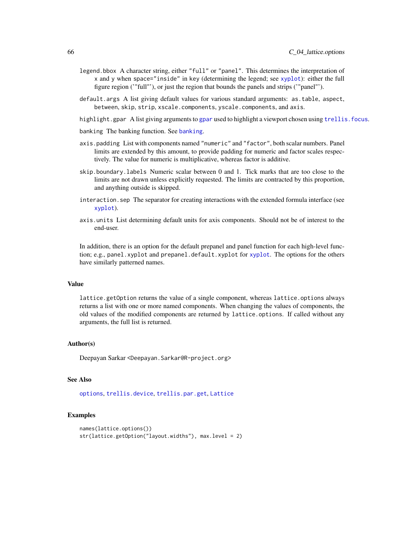- legend.bbox A character string, either "full" or "panel". This determines the interpretation of x and y when space="inside" in key (determining the legend; see [xyplot](#page-5-0)): either the full figure region ('"full"'), or just the region that bounds the panels and strips ('"panel"').
- default.args A list giving default values for various standard arguments: as.table, aspect, between, skip, strip, xscale.components, yscale.components, and axis.
- highlight.[gpar](#page-0-0) A list giving arguments to gpar used to highlight a viewport chosen using trellis, focus.
- [banking](#page-135-0) The banking function. See banking.
- axis.padding List with components named "numeric" and "factor", both scalar numbers. Panel limits are extended by this amount, to provide padding for numeric and factor scales respectively. The value for numeric is multiplicative, whereas factor is additive.
- skip.boundary.labels Numeric scalar between 0 and 1. Tick marks that are too close to the limits are not drawn unless explicitly requested. The limits are contracted by this proportion, and anything outside is skipped.
- interaction.sep The separator for creating interactions with the extended formula interface (see [xyplot](#page-5-0)).
- axis.units List determining default units for axis components. Should not be of interest to the end-user.

In addition, there is an option for the default prepanel and panel function for each high-level function; e.g., panel.xyplot and prepanel.default.xyplot for [xyplot](#page-5-0). The options for the others have similarly patterned names.

#### Value

lattice.getOption returns the value of a single component, whereas lattice.options always returns a list with one or more named components. When changing the values of components, the old values of the modified components are returned by lattice.options. If called without any arguments, the full list is returned.

### Author(s)

Deepayan Sarkar <Deepayan.Sarkar@R-project.org>

#### See Also

[options](#page-0-0), [trellis.device](#page-57-0), [trellis.par.get](#page-59-0), [Lattice](#page-2-0)

```
names(lattice.options())
str(lattice.getOption("layout.widths"), max.level = 2)
```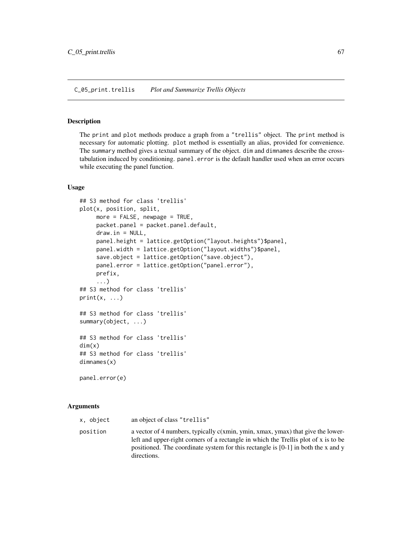### <span id="page-66-0"></span>Description

The print and plot methods produce a graph from a "trellis" object. The print method is necessary for automatic plotting. plot method is essentially an alias, provided for convenience. The summary method gives a textual summary of the object. dim and dimnames describe the crosstabulation induced by conditioning. panel.error is the default handler used when an error occurs while executing the panel function.

#### Usage

```
## S3 method for class 'trellis'
plot(x, position, split,
     more = FALSE, newpage = TRUE,
     packet.panel = packet.panel.default,
     draw.in = NULL,panel.height = lattice.getOption("layout.heights")$panel,
     panel.width = lattice.getOption("layout.widths")$panel,
     save.object = lattice.getOption("save.object"),
     panel.error = lattice.getOption("panel.error"),
     prefix,
     ...)
## S3 method for class 'trellis'
print(x, \ldots)## S3 method for class 'trellis'
summary(object, ...)
## S3 method for class 'trellis'
dim(x)
## S3 method for class 'trellis'
dimnames(x)
panel.error(e)
```

| x, object | an object of class "trellis"                                                                                                                                                                                                                                                   |
|-----------|--------------------------------------------------------------------------------------------------------------------------------------------------------------------------------------------------------------------------------------------------------------------------------|
| position  | a vector of 4 numbers, typically $c(xmin, ymin, xmax, ymax)$ that give the lower-<br>left and upper-right corners of a rectangle in which the Trellis plot of x is to be<br>positioned. The coordinate system for this rectangle is $[0-1]$ in both the x and y<br>directions. |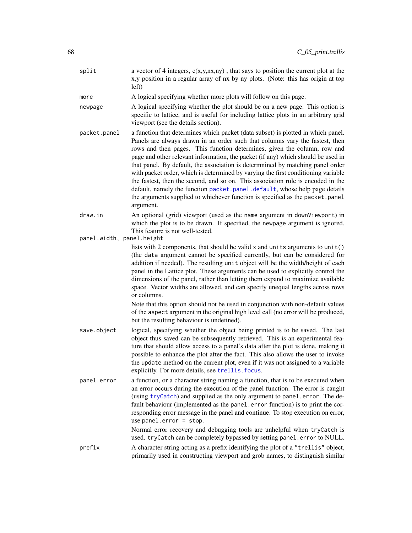split a vector of 4 integers,  $c(x,y,nx,ny)$ , that says to position the current plot at the x,y position in a regular array of nx by ny plots. (Note: this has origin at top left)

more A logical specifying whether more plots will follow on this page.

- newpage A logical specifying whether the plot should be on a new page. This option is specific to lattice, and is useful for including lattice plots in an arbitrary grid viewport (see the details section).
- packet.panel a function that determines which packet (data subset) is plotted in which panel. Panels are always drawn in an order such that columns vary the fastest, then rows and then pages. This function determines, given the column, row and page and other relevant information, the packet (if any) which should be used in that panel. By default, the association is determnined by matching panel order with packet order, which is determined by varying the first conditioning variable the fastest, then the second, and so on. This association rule is encoded in the default, namely the function [packet.panel.default](#page-137-0), whose help page details the arguments supplied to whichever function is specified as the packet.panel argument.
- draw.in An optional (grid) viewport (used as the name argument in downViewport) in which the plot is to be drawn. If specified, the newpage argument is ignored. This feature is not well-tested.

panel.width, panel.height

lists with 2 components, that should be valid x and units arguments to unit() (the data argument cannot be specified currently, but can be considered for addition if needed). The resulting unit object will be the width/height of each panel in the Lattice plot. These arguments can be used to explicitly control the dimensions of the panel, rather than letting them expand to maximize available space. Vector widths are allowed, and can specify unequal lengths across rows or columns.

Note that this option should not be used in conjunction with non-default values of the aspect argument in the original high level call (no error will be produced, but the resulting behaviour is undefined).

- save.object logical, specifying whether the object being printed is to be saved. The last object thus saved can be subsequently retrieved. This is an experimental feature that should allow access to a panel's data after the plot is done, making it possible to enhance the plot after the fact. This also allows the user to invoke the update method on the current plot, even if it was not assigned to a variable explicitly. For more details, see [trellis.focus](#page-83-0).
- panel.error a function, or a character string naming a function, that is to be executed when an error occurs during the execution of the panel function. The error is caught (using [tryCatch](#page-0-0)) and supplied as the only argument to panel.error. The default behaviour (implemented as the panel.error function) is to print the corresponding error message in the panel and continue. To stop execution on error, use panel.error = stop.

Normal error recovery and debugging tools are unhelpful when tryCatch is used. tryCatch can be completely bypassed by setting panel.error to NULL.

prefix A character string acting as a prefix identifying the plot of a "trellis" object, primarily used in constructing viewport and grob names, to distinguish similar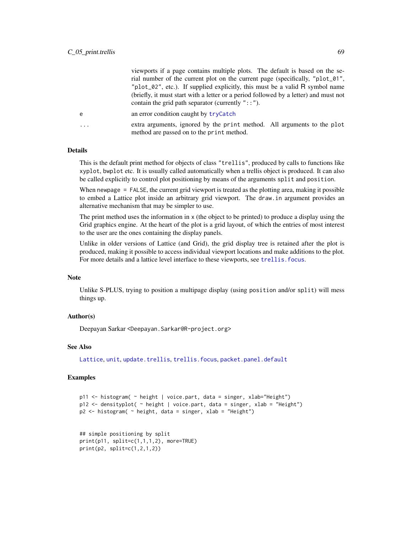viewports if a page contains multiple plots. The default is based on the serial number of the current plot on the current page (specifically, "plot\_01", "plot\_02", etc.). If supplied explicitly, this must be a valid R symbol name (briefly, it must start with a letter or a period followed by a letter) and must not contain the grid path separator (currently  $"$ : ").

- e an error condition caught by [tryCatch](#page-0-0)
- ... extra arguments, ignored by the print method. All arguments to the plot method are passed on to the print method.

### Details

This is the default print method for objects of class "trellis", produced by calls to functions like xyplot, bwplot etc. It is usually called automatically when a trellis object is produced. It can also be called explicitly to control plot positioning by means of the arguments split and position.

When newpage = FALSE, the current grid viewport is treated as the plotting area, making it possible to embed a Lattice plot inside an arbitrary grid viewport. The draw.in argument provides an alternative mechanism that may be simpler to use.

The print method uses the information in x (the object to be printed) to produce a display using the Grid graphics engine. At the heart of the plot is a grid layout, of which the entries of most interest to the user are the ones containing the display panels.

Unlike in older versions of Lattice (and Grid), the grid display tree is retained after the plot is produced, making it possible to access individual viewport locations and make additions to the plot. For more details and a lattice level interface to these viewports, see [trellis.focus](#page-83-0).

## Note

Unlike S-PLUS, trying to position a multipage display (using position and/or split) will mess things up.

### Author(s)

Deepayan Sarkar <Deepayan.Sarkar@R-project.org>

### See Also

[Lattice](#page-2-0), [unit](#page-0-0), [update.trellis](#page-69-0), [trellis.focus](#page-83-0), [packet.panel.default](#page-137-0)

```
p11 <- histogram( ~ height | voice.part, data = singer, xlab="Height")
p12 <- densityplot( ~ height | voice.part, data = singer, xlab = "Height")
p2 <- histogram( ~ height, data = singer, xlab = "Height")
```

```
## simple positioning by split
print(p11, split=c(1,1,1,2), more=TRUE)
print(p2, split=c(1,2,1,2))
```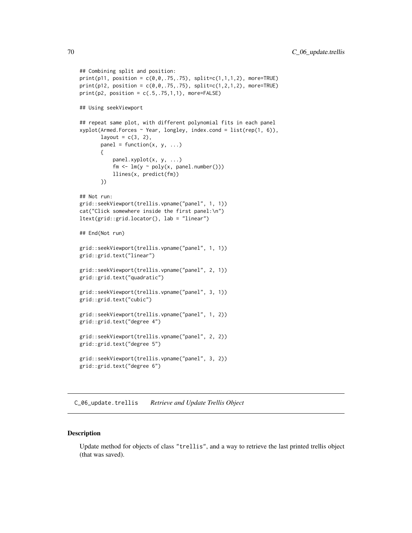```
## Combining split and position:
print(p11, position = c(0, 0, .75, .75), split=c(1, 1, 1, 2), more-TRUE)print(p12, position = c(0, 0, .75, .75), split=c(1, 2, 1, 2), more-TRUE)print(p2, position = c(.5,.75,1,1), more-FALSE)## Using seekViewport
## repeat same plot, with different polynomial fits in each panel
xyplot(Armed.Forces ~ Year, longley, indexcond = list(rep(1, 6)),layout = c(3, 2),
       panel = function(x, y, ...){
           panel.xyplot(x, y, ...)
           fm \leq \ln(y \sim poly(x, panel.number)))llines(x, predict(fm))
       })
## Not run:
grid::seekViewport(trellis.vpname("panel", 1, 1))
cat("Click somewhere inside the first panel:\n")
ltext(grid::grid.locator(), lab = "linear")
## End(Not run)
grid::seekViewport(trellis.vpname("panel", 1, 1))
grid::grid.text("linear")
grid::seekViewport(trellis.vpname("panel", 2, 1))
grid::grid.text("quadratic")
grid::seekViewport(trellis.vpname("panel", 3, 1))
grid::grid.text("cubic")
grid::seekViewport(trellis.vpname("panel", 1, 2))
grid::grid.text("degree 4")
grid::seekViewport(trellis.vpname("panel", 2, 2))
grid::grid.text("degree 5")
grid::seekViewport(trellis.vpname("panel", 3, 2))
grid::grid.text("degree 6")
```
C\_06\_update.trellis *Retrieve and Update Trellis Object*

### <span id="page-69-0"></span>Description

Update method for objects of class "trellis", and a way to retrieve the last printed trellis object (that was saved).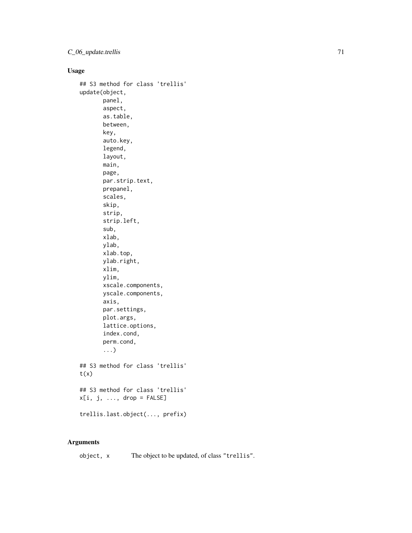# Usage

```
## S3 method for class 'trellis'
update(object,
       panel,
       aspect,
       as.table,
       between,
       key,
       auto.key,
       legend,
       layout,
       main,
       page,
       par.strip.text,
       prepanel,
       scales,
       skip,
       strip,
       strip.left,
       sub,
       xlab,
       ylab,
       xlab.top,
       ylab.right,
       xlim,
       ylim,
       xscale.components,
       yscale.components,
       axis,
       par.settings,
       plot.args,
       lattice.options,
       index.cond,
       perm.cond,
       ...)
## S3 method for class 'trellis'
t(x)## S3 method for class 'trellis'
x[i, j, ..., drop = FALSE]trellis.last.object(..., prefix)
```
# Arguments

object, x The object to be updated, of class "trellis".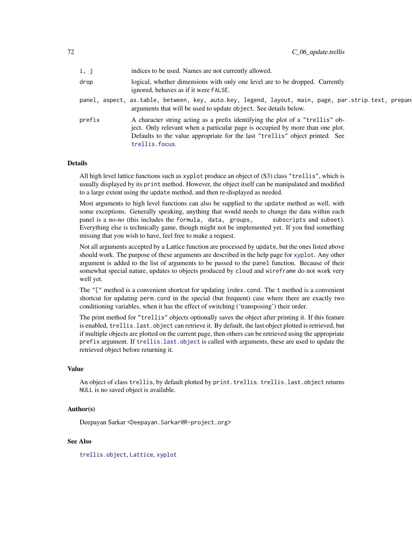| i, j   | indices to be used. Names are not currently allowed.                                                                                                                                                                                                             |
|--------|------------------------------------------------------------------------------------------------------------------------------------------------------------------------------------------------------------------------------------------------------------------|
| drop   | logical, whether dimensions with only one level are to be dropped. Currently<br>ignored, behaves as if it were FALSE.                                                                                                                                            |
|        | panel, aspect, as.table, between, key, auto.key, legend, layout, main, page, par.strip.text, prepan<br>arguments that will be used to update object. See details below.                                                                                          |
| prefix | A character string acting as a prefix identifying the plot of a "trellis" ob-<br>ject. Only relevant when a particular page is occupied by more than one plot.<br>Defaults to the value appropriate for the last "trellis" object printed. See<br>trellis.focus. |

# Details

All high level lattice functions such as xyplot produce an object of (S3) class "trellis", which is usually displayed by its print method. However, the object itself can be manipulated and modified to a large extent using the update method, and then re-displayed as needed.

Most arguments to high level functions can also be supplied to the update method as well, with some exceptions. Generally speaking, anything that would needs to change the data within each panel is a no-no (this includes the formula, data, groups, subscripts and subset). Everything else is technically game, though might not be implemented yet. If you find something missing that you wish to have, feel free to make a request.

Not all arguments accepted by a Lattice function are processed by update, but the ones listed above should work. The purpose of these arguments are described in the help page for [xyplot](#page-5-0). Any other argument is added to the list of arguments to be passed to the panel function. Because of their somewhat special nature, updates to objects produced by cloud and wireframe do not work very well yet.

The "[" method is a convenient shortcut for updating index.cond. The t method is a convenient shortcut for updating perm.cond in the special (but frequent) case where there are exactly two conditioning variables, when it has the effect of switching ('transposing') their order.

The print method for "trellis" objects optionally saves the object after printing it. If this feature is enabled, trellis.last.object can retrieve it. By default, the last object plotted is retrieved, but if multiple objects are plotted on the current page, then others can be retrieved using the appropriate prefix argument. If [trellis.last.object](#page-69-0) is called with arguments, these are used to update the retrieved object before returning it.

### Value

An object of class trellis, by default plotted by print.trellis. trellis.last.object returns NULL is no saved object is available.

### Author(s)

Deepayan Sarkar <Deepayan.Sarkar@R-project.org>

# See Also

[trellis.object](#page-81-0), [Lattice](#page-2-0), [xyplot](#page-5-0)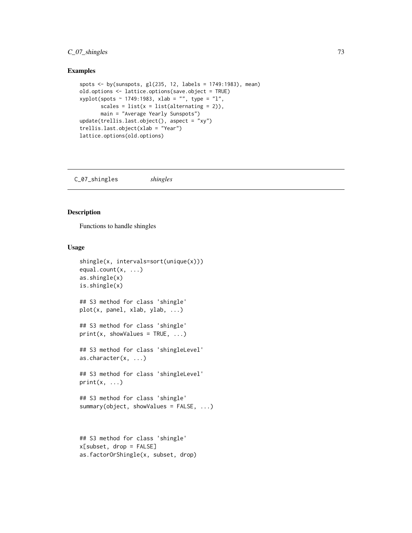# C\_07\_shingles 73

### Examples

```
spots <- by(sunspots, gl(235, 12, labels = 1749:1983), mean)
old.options <- lattice.options(save.object = TRUE)
xyplot(spots ~ 1749:1983, xlab = "", type = "l",
       scales = list(x = list(alternating = 2)),main = "Average Yearly Sunspots")
update(trellis.last.object(), aspect = "xy")
trellis.last.object(xlab = "Year")
lattice.options(old.options)
```
C\_07\_shingles *shingles*

#### Description

Functions to handle shingles

# Usage

```
shingle(x, intervals=sort(unique(x)))
equal.count(x, ...)
as.shingle(x)
is.shingle(x)
## S3 method for class 'shingle'
plot(x, panel, xlab, ylab, ...)
## S3 method for class 'shingle'
print(x, showValues = TRUE, ...)## S3 method for class 'shingleLevel'
as.character(x, ...)
## S3 method for class 'shingleLevel'
print(x, \ldots)## S3 method for class 'shingle'
summary(object, showValues = FALSE, ...)
x[subset, drop = FALSE]
```
as.factorOrShingle(x, subset, drop)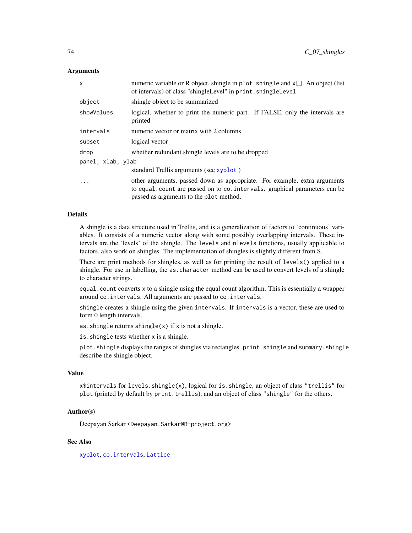### Arguments

| x                 | numeric variable or R object, shingle in $plot \cdot$ shingle and $x[]$ . An object (list<br>of intervals) of class "shingleLevel" in print. shingleLevel                                          |  |
|-------------------|----------------------------------------------------------------------------------------------------------------------------------------------------------------------------------------------------|--|
| object            | shingle object to be summarized                                                                                                                                                                    |  |
| showValues        | logical, whether to print the numeric part. If FALSE, only the intervals are<br>printed                                                                                                            |  |
| intervals         | numeric vector or matrix with 2 columns                                                                                                                                                            |  |
| subset            | logical vector                                                                                                                                                                                     |  |
| drop              | whether redundant shingle levels are to be dropped                                                                                                                                                 |  |
| panel, xlab, ylab |                                                                                                                                                                                                    |  |
|                   | standard Trellis arguments (see xyplot)                                                                                                                                                            |  |
| .                 | other arguments, passed down as appropriate. For example, extra arguments<br>to equal count are passed on to co. intervals. graphical parameters can be<br>passed as arguments to the plot method. |  |

#### Details

A shingle is a data structure used in Trellis, and is a generalization of factors to 'continuous' variables. It consists of a numeric vector along with some possibly overlapping intervals. These intervals are the 'levels' of the shingle. The levels and nlevels functions, usually applicable to factors, also work on shingles. The implementation of shingles is slightly different from S.

There are print methods for shingles, as well as for printing the result of levels() applied to a shingle. For use in labelling, the as.character method can be used to convert levels of a shingle to character strings.

equal.count converts x to a shingle using the equal count algorithm. This is essentially a wrapper around co.intervals. All arguments are passed to co.intervals.

shingle creates a shingle using the given intervals. If intervals is a vector, these are used to form 0 length intervals.

as. shingle returns shingle $(x)$  if x is not a shingle.

is.shingle tests whether x is a shingle.

plot.shingle displays the ranges of shingles via rectangles. print.shingle and summary.shingle describe the shingle object.

### Value

x\$intervals for levels.shingle(x), logical for is.shingle, an object of class "trellis" for plot (printed by default by print.trellis), and an object of class "shingle" for the others.

## Author(s)

Deepayan Sarkar <Deepayan.Sarkar@R-project.org>

## See Also

[xyplot](#page-5-0), [co.intervals](#page-0-0), [Lattice](#page-2-0)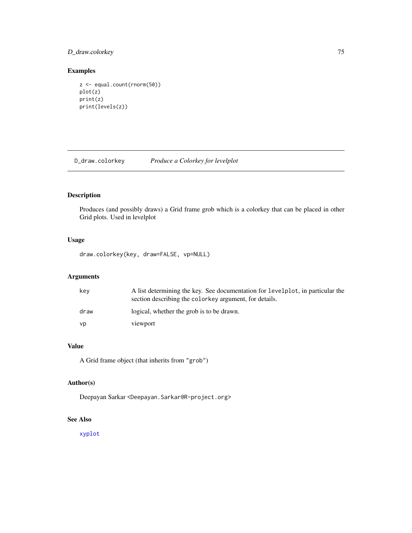# D\_draw.colorkey 75

# Examples

```
z <- equal.count(rnorm(50))
plot(z)
print(z)
print(levels(z))
```
D\_draw.colorkey *Produce a Colorkey for levelplot*

# Description

Produces (and possibly draws) a Grid frame grob which is a colorkey that can be placed in other Grid plots. Used in levelplot

# Usage

draw.colorkey(key, draw=FALSE, vp=NULL)

# Arguments

| key  | A list determining the key. See documentation for levelplot, in particular the<br>section describing the colorkey argument, for details. |
|------|------------------------------------------------------------------------------------------------------------------------------------------|
| draw | logical, whether the grob is to be drawn.                                                                                                |
| vp   | viewport                                                                                                                                 |

# Value

A Grid frame object (that inherits from "grob")

## Author(s)

Deepayan Sarkar <Deepayan.Sarkar@R-project.org>

# See Also

[xyplot](#page-5-0)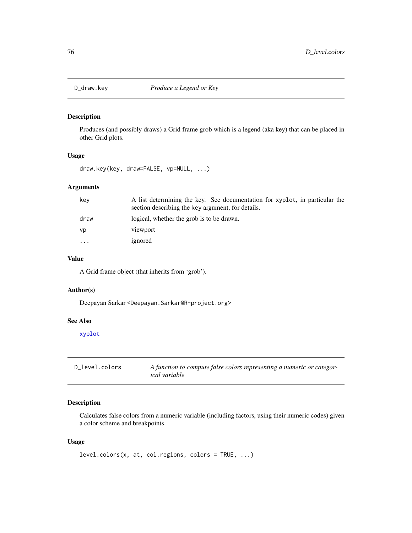### <span id="page-75-0"></span>Description

Produces (and possibly draws) a Grid frame grob which is a legend (aka key) that can be placed in other Grid plots.

# Usage

draw.key(key, draw=FALSE, vp=NULL, ...)

# Arguments

| key      | A list determining the key. See documentation for xyplot, in particular the<br>section describing the key argument, for details. |
|----------|----------------------------------------------------------------------------------------------------------------------------------|
| draw     | logical, whether the grob is to be drawn.                                                                                        |
| vp       | viewport                                                                                                                         |
| $\cdots$ | ignored                                                                                                                          |

# Value

A Grid frame object (that inherits from 'grob').

# Author(s)

Deepayan Sarkar <Deepayan.Sarkar@R-project.org>

### See Also

[xyplot](#page-5-0)

| D level.colors | A function to compute false colors representing a numeric or categor- |
|----------------|-----------------------------------------------------------------------|
|                | <i>ical</i> variable                                                  |

# <span id="page-75-1"></span>Description

Calculates false colors from a numeric variable (including factors, using their numeric codes) given a color scheme and breakpoints.

#### Usage

```
level.colors(x, at, col.regions, colors = TRUE, ...)
```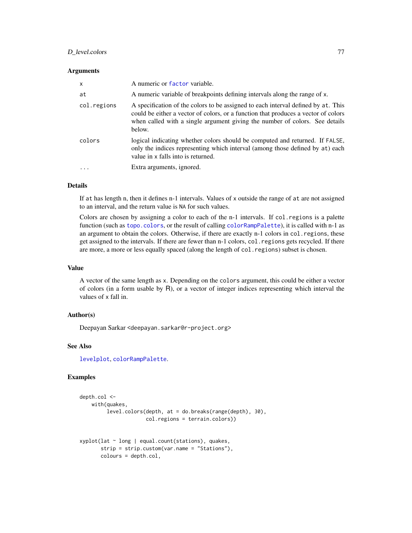## D\_level.colors 77

#### **Arguments**

| $\mathsf{x}$ | A numeric or factor variable.                                                                                                                                                                                                                                    |
|--------------|------------------------------------------------------------------------------------------------------------------------------------------------------------------------------------------------------------------------------------------------------------------|
| at           | A numeric variable of breakpoints defining intervals along the range of x.                                                                                                                                                                                       |
| col.regions  | A specification of the colors to be assigned to each interval defined by at. This<br>could be either a vector of colors, or a function that produces a vector of colors<br>when called with a single argument giving the number of colors. See details<br>below. |
| colors       | logical indicating whether colors should be computed and returned. If FALSE,<br>only the indices representing which interval (among those defined by at) each<br>value in x falls into is returned.                                                              |
|              | Extra arguments, ignored.                                                                                                                                                                                                                                        |

# Details

If at has length n, then it defines n-1 intervals. Values of x outside the range of at are not assigned to an interval, and the return value is NA for such values.

Colors are chosen by assigning a color to each of the n-1 intervals. If col.regions is a palette function (such as [topo.colors](#page-0-0), or the result of calling [colorRampPalette](#page-0-0)), it is called with n-1 as an argument to obtain the colors. Otherwise, if there are exactly n-1 colors in col. regions, these get assigned to the intervals. If there are fewer than n-1 colors, col.regions gets recycled. If there are more, a more or less equally spaced (along the length of col.regions) subset is chosen.

#### Value

A vector of the same length as x. Depending on the colors argument, this could be either a vector of colors (in a form usable by R), or a vector of integer indices representing which interval the values of x fall in.

# Author(s)

Deepayan Sarkar <deepayan.sarkar@r-project.org>

## See Also

[levelplot](#page-38-0), [colorRampPalette](#page-0-0).

## Examples

```
depth.col <-
   with(quakes,
         level.colors(depth, at = do.breaks(range(depth), 30),
                      col.regions = terrain.colors))
xyplot(lat ~ long | equal.count(stations), quakes,
      strip = strip.custom(var.name = "Stations"),
```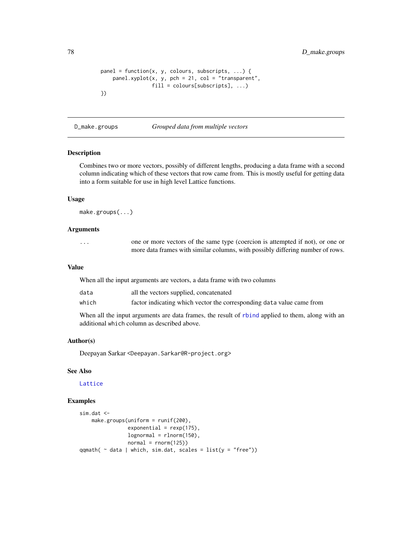```
panel = function(x, y, colours, subscripts, ...) {
    panelxyplot(x, y, pch = 21, col = "transparent",fill = colours[subscripts], ...)
})
```
D\_make.groups *Grouped data from multiple vectors*

# Description

Combines two or more vectors, possibly of different lengths, producing a data frame with a second column indicating which of these vectors that row came from. This is mostly useful for getting data into a form suitable for use in high level Lattice functions.

## Usage

```
make.groups(...)
```
# Arguments

| . | one or more vectors of the same type (coercion is attempted if not), or one or |
|---|--------------------------------------------------------------------------------|
|   | more data frames with similar columns, with possibly differing number of rows. |

#### Value

When all the input arguments are vectors, a data frame with two columns

| data  | all the vectors supplied, concatenated                                |
|-------|-----------------------------------------------------------------------|
| which | factor indicating which vector the corresponding data value came from |

When all the input arguments are data frames, the result of [rbind](#page-0-0) applied to them, along with an additional which column as described above.

#### Author(s)

Deepayan Sarkar <Deepayan.Sarkar@R-project.org>

### See Also

### [Lattice](#page-2-0)

#### Examples

```
sim.dat <-
   make.groups(uniform = runif(200),
                exponential = resp(175),
                lognormal = rlnorm(150),
                normal = rnorm(125)qqmath( \sim data | which, sim.dat, scales = list(y = "free"))
```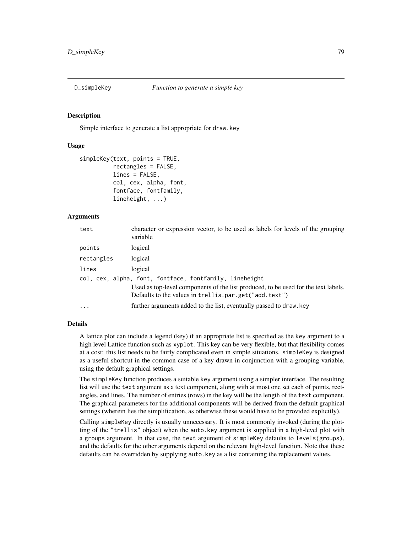### **Description**

Simple interface to generate a list appropriate for draw.key

## Usage

```
simpleKey(text, points = TRUE,
          rectangles = FALSE,
          lines = FALSE,
          col, cex, alpha, font,
          fontface, fontfamily,
          lineheight, ...)
```
#### Arguments

| text       | character or expression vector, to be used as labels for levels of the grouping<br>variable                                                 |
|------------|---------------------------------------------------------------------------------------------------------------------------------------------|
| points     | logical                                                                                                                                     |
| rectangles | logical                                                                                                                                     |
| lines      | logical                                                                                                                                     |
|            | col, cex, alpha, font, fontface, fontfamily, lineheight                                                                                     |
|            | Used as top-level components of the list produced, to be used for the text labels.<br>Defaults to the values in trellis.par.get("add.text") |
| $\cdots$   | further arguments added to the list, eventually passed to draw. key                                                                         |

#### Details

A lattice plot can include a legend (key) if an appropriate list is specified as the key argument to a high level Lattice function such as xyplot. This key can be very flexible, but that flexibility comes at a cost: this list needs to be fairly complicated even in simple situations. simpleKey is designed as a useful shortcut in the common case of a key drawn in conjunction with a grouping variable, using the default graphical settings.

The simpleKey function produces a suitable key argument using a simpler interface. The resulting list will use the text argument as a text component, along with at most one set each of points, rectangles, and lines. The number of entries (rows) in the key will be the length of the text component. The graphical parameters for the additional components will be derived from the default graphical settings (wherein lies the simplification, as otherwise these would have to be provided explicitly).

Calling simpleKey directly is usually unnecessary. It is most commonly invoked (during the plotting of the "trellis" object) when the auto.key argument is supplied in a high-level plot with a groups argument. In that case, the text argument of simpleKey defaults to levels(groups), and the defaults for the other arguments depend on the relevant high-level function. Note that these defaults can be overridden by supplying auto.key as a list containing the replacement values.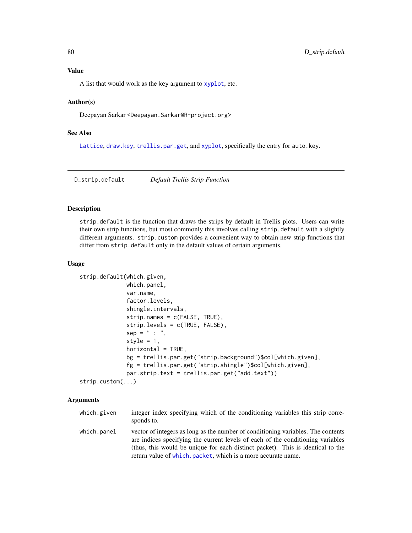# Value

A list that would work as the key argument to [xyplot](#page-5-0), etc.

## Author(s)

Deepayan Sarkar <Deepayan.Sarkar@R-project.org>

# See Also

[Lattice](#page-2-0), [draw.key](#page-75-0), [trellis.par.get](#page-59-0), and [xyplot](#page-5-0), specifically the entry for auto.key.

D\_strip.default *Default Trellis Strip Function*

#### Description

strip.default is the function that draws the strips by default in Trellis plots. Users can write their own strip functions, but most commonly this involves calling strip.default with a slightly different arguments. strip.custom provides a convenient way to obtain new strip functions that differ from strip.default only in the default values of certain arguments.

#### Usage

```
strip.default(which.given,
             which.panel,
             var.name,
              factor.levels,
              shingle.intervals,
              strip.names = c(FALSE, TRUE),
              strip.levels = c(TRUE, FALSE),
              sep = " : "style = 1,
             horizontal = TRUE,bg = trellis.par.get("strip.background")$col[which.given],
              fg = trellis.par.get("strip.shingle")$col[which.given],
              par.strip.text = trellis.par.get("add.text"))
strip.custom(...)
```
#### Arguments

which.given integer index specifying which of the conditioning variables this strip corresponds to. which.panel vector of integers as long as the number of conditioning variables. The contents are indices specifying the current levels of each of the conditioning variables (thus, this would be unique for each distinct packet). This is identical to the return value of [which.packet](#page-141-0), which is a more accurate name.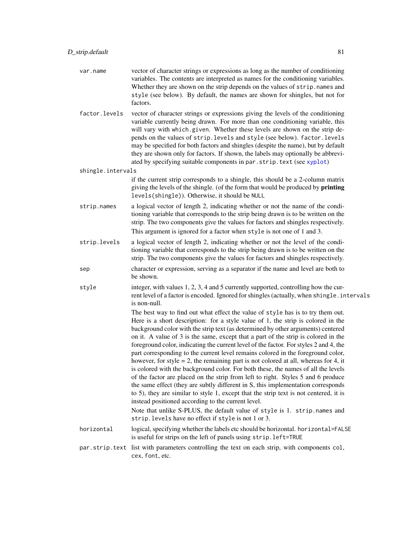- var.name vector of character strings or expressions as long as the number of conditioning variables. The contents are interpreted as names for the conditioning variables. Whether they are shown on the strip depends on the values of strip.names and style (see below). By default, the names are shown for shingles, but not for factors.
- factor.levels vector of character strings or expressions giving the levels of the conditioning variable currently being drawn. For more than one conditioning variable, this will vary with which.given. Whether these levels are shown on the strip depends on the values of strip.levels and style (see below). factor.levels may be specified for both factors and shingles (despite the name), but by default they are shown only for factors. If shown, the labels may optionally be abbreviated by specifying suitable components in par.strip.text (see [xyplot](#page-5-0))

shingle.intervals

if the current strip corresponds to a shingle, this should be a 2-column matrix giving the levels of the shingle. (of the form that would be produced by **printing** levels(shingle)). Otherwise, it should be NULL

- strip.names a logical vector of length 2, indicating whether or not the name of the conditioning variable that corresponds to the strip being drawn is to be written on the strip. The two components give the values for factors and shingles respectively. This argument is ignored for a factor when style is not one of 1 and 3.
- strip.levels a logical vector of length 2, indicating whether or not the level of the conditioning variable that corresponds to the strip being drawn is to be written on the strip. The two components give the values for factors and shingles respectively.
- sep character or expression, serving as a separator if the name and level are both to be shown.
- style integer, with values 1, 2, 3, 4 and 5 currently supported, controlling how the current level of a factor is encoded. Ignored for shingles (actually, when shingle.intervals is non-null.

The best way to find out what effect the value of style has is to try them out. Here is a short description: for a style value of 1, the strip is colored in the background color with the strip text (as determined by other arguments) centered on it. A value of 3 is the same, except that a part of the strip is colored in the foreground color, indicating the current level of the factor. For styles 2 and 4, the part corresponding to the current level remains colored in the foreground color, however, for style = 2, the remaining part is not colored at all, whereas for 4, it is colored with the background color. For both these, the names of all the levels of the factor are placed on the strip from left to right. Styles 5 and 6 produce the same effect (they are subtly different in S, this implementation corresponds to 5), they are similar to style 1, except that the strip text is not centered, it is instead positioned according to the current level.

Note that unlike S-PLUS, the default value of style is 1. strip.names and strip.levels have no effect if style is not 1 or 3.

- horizontal logical, specifying whether the labels etc should be horizontal. horizontal=FALSE is useful for strips on the left of panels using strip.left=TRUE
- par.strip.text list with parameters controlling the text on each strip, with components col, cex, font, etc.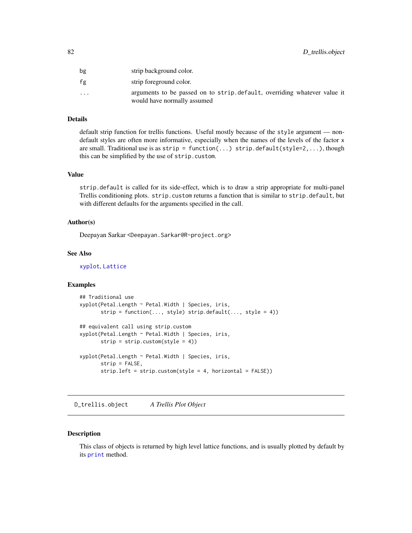| bg                      | strip background color.                                                                                 |
|-------------------------|---------------------------------------------------------------------------------------------------------|
| fg                      | strip foreground color.                                                                                 |
| $\cdot$ $\cdot$ $\cdot$ | arguments to be passed on to strip.default, overriding whatever value it<br>would have normally assumed |

## Details

default strip function for trellis functions. Useful mostly because of the style argument — nondefault styles are often more informative, especially when the names of the levels of the factor x are small. Traditional use is as  $strip = function(...) strip$ . default(style=2,...), though this can be simplified by the use of strip.custom.

## Value

strip.default is called for its side-effect, which is to draw a strip appropriate for multi-panel Trellis conditioning plots. strip.custom returns a function that is similar to strip.default, but with different defaults for the arguments specified in the call.

### Author(s)

Deepayan Sarkar <Deepayan.Sarkar@R-project.org>

### See Also

[xyplot](#page-5-0), [Lattice](#page-2-0)

# Examples

```
## Traditional use
xyplot(Petal.Length ~ Petal.Width | Species, iris,
      strip = function(..., style) strip.default(..., style = 4))## equivalent call using strip.custom
xyplot(Petal.Length ~ Petal.Width | Species, iris,
      strip = strip.custom(style = 4))
xyplot(Petal.Length ~ Petal.Width | Species, iris,
      strip = FALSE,
      strip.left = strip.custom(style = 4, horizontal = FALSE))
```
D\_trellis.object *A Trellis Plot Object*

## Description

This class of objects is returned by high level lattice functions, and is usually plotted by default by its [print](#page-0-0) method.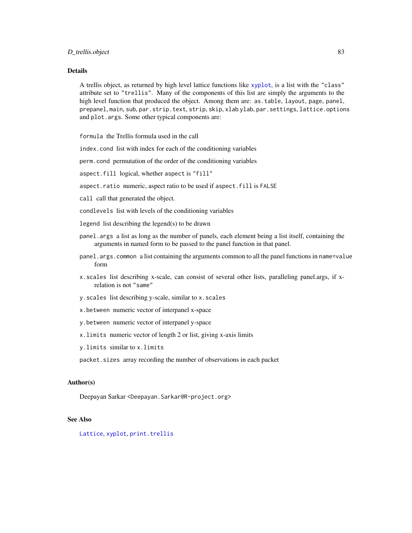## Details

A trellis object, as returned by high level lattice functions like [xyplot](#page-5-0), is a list with the "class" attribute set to "trellis". Many of the components of this list are simply the arguments to the high level function that produced the object. Among them are: as.table, layout, page, panel, prepanel, main, sub, par.strip.text, strip, skip, xlab ylab, par.settings, lattice.options and plot.args. Some other typical components are:

formula the Trellis formula used in the call

index.cond list with index for each of the conditioning variables

perm.cond permutation of the order of the conditioning variables

aspect.fill logical, whether aspect is "fill"

- aspect.ratio numeric, aspect ratio to be used if aspect.fill is FALSE
- call call that generated the object.
- condlevels list with levels of the conditioning variables
- legend list describing the legend(s) to be drawn
- panel.args a list as long as the number of panels, each element being a list itself, containing the arguments in named form to be passed to the panel function in that panel.
- panel.args.common a list containing the arguments common to all the panel functions in name=value form
- x.scales list describing x-scale, can consist of several other lists, paralleling panel.args, if xrelation is not "same"
- y.scales list describing y-scale, similar to x.scales
- x.between numeric vector of interpanel x-space
- y.between numeric vector of interpanel y-space
- x.limits numeric vector of length 2 or list, giving x-axis limits
- y.limits similar to x.limits
- packet.sizes array recording the number of observations in each packet

#### Author(s)

Deepayan Sarkar <Deepayan.Sarkar@R-project.org>

### See Also

[Lattice](#page-2-0), [xyplot](#page-5-0), [print.trellis](#page-66-0)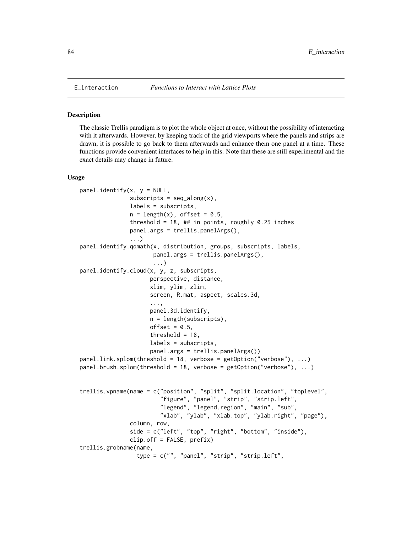#### Description

The classic Trellis paradigm is to plot the whole object at once, without the possibility of interacting with it afterwards. However, by keeping track of the grid viewports where the panels and strips are drawn, it is possible to go back to them afterwards and enhance them one panel at a time. These functions provide convenient interfaces to help in this. Note that these are still experimental and the exact details may change in future.

#### Usage

```
panel.identity(x, y = NULL,subscripts = seq_along(x),
               labels = subscripts,
               n = length(x), offset = 0.5,
               threshold = 18, ## in points, roughly 0.25 inches
               panel.args = trellis.panelArgs(),
               ...)
panel.identify.qqmath(x, distribution, groups, subscripts, labels,
                      panel.args = trellis.panelArgs(),
                      ...)
panel.identify.cloud(x, y, z, subscripts,
                     perspective, distance,
                     xlim, ylim, zlim,
                     screen, R.mat, aspect, scales.3d,
                     ...,
                     panel.3d.identify,
                     n = length(subscripts),
                     offset = 0.5,
                     threshold = 18,
                     labels = subscripts,
                     panel.args = trellis.panelArgs())
panel.link.splom(threshold = 18, verbose = getOption("verbose"), ...)panel.brush.splom(threshold = 18, verbose = getOption("verbose"), ...)
trellis.vpname(name = c("position", "split", "split.location", "toplevel",
                        "figure", "panel", "strip", "strip.left",
                        "legend", "legend.region", "main", "sub",
                        "xlab", "ylab", "xlab.top", "ylab.right", "page"),
               column, row,
               side = c("left", "top", "right", "bottom", "inside"),
               clip.off = FALSE, prefix)
trellis.grobname(name,
                 type = c("", "panel", "strip", "strip.left",
```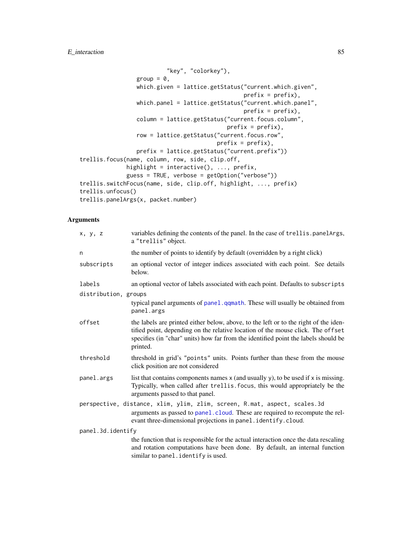# E\_interaction 85

```
"key", "colorkey"),
                 group = 0,
                 which.given = lattice.getStatus("current.which.given",
                                                 prefix = prefix),
                 which.panel = lattice.getStatus("current.which.panel",
                                                 prefix = prefix),
                 column = lattice.getStatus("current.focus.column",
                                            prefix = prefix),
                 row = lattice.getStatus("current.focus.row",
                                         prefix = prefix),
                prefix = lattice.getStatus("current.prefix"))
trellis.focus(name, column, row, side, clip.off,
              highlight = interactive(), ..., prefix,
              guess = TRUE, verbose = getOption("verbose"))
trellis.switchFocus(name, side, clip.off, highlight, ..., prefix)
trellis.unfocus()
trellis.panelArgs(x, packet.number)
```
# Arguments

| x, y, z              | variables defining the contents of the panel. In the case of trellis.panelArgs,<br>a "trellis" object.                                                                                                                                                                    |
|----------------------|---------------------------------------------------------------------------------------------------------------------------------------------------------------------------------------------------------------------------------------------------------------------------|
| n                    | the number of points to identify by default (overridden by a right click)                                                                                                                                                                                                 |
| subscripts           | an optional vector of integer indices associated with each point. See details<br>below.                                                                                                                                                                                   |
| labels               | an optional vector of labels associated with each point. Defaults to subscripts                                                                                                                                                                                           |
| distribution, groups |                                                                                                                                                                                                                                                                           |
|                      | typical panel arguments of panel. qqmath. These will usually be obtained from<br>panel.args                                                                                                                                                                               |
| offset               | the labels are printed either below, above, to the left or to the right of the iden-<br>tified point, depending on the relative location of the mouse click. The offset<br>specifies (in "char" units) how far from the identified point the labels should be<br>printed. |
| threshold            | threshold in grid's "points" units. Points further than these from the mouse<br>click position are not considered                                                                                                                                                         |
| panel.args           | list that contains components names $x$ (and usually $y$ ), to be used if $x$ is missing.<br>Typically, when called after trellis. focus, this would appropriately be the<br>arguments passed to that panel.                                                              |
|                      | perspective, distance, xlim, ylim, zlim, screen, R.mat, aspect, scales.3d<br>arguments as passed to panel.cloud. These are required to recompute the rel-<br>evant three-dimensional projections in panel.identify.cloud.                                                 |
| panel.3d.identify    |                                                                                                                                                                                                                                                                           |
|                      | the function that is responsible for the actual interaction once the data rescaling<br>and rotation computations have been done. By default, an internal function<br>similar to panel.identify is used.                                                                   |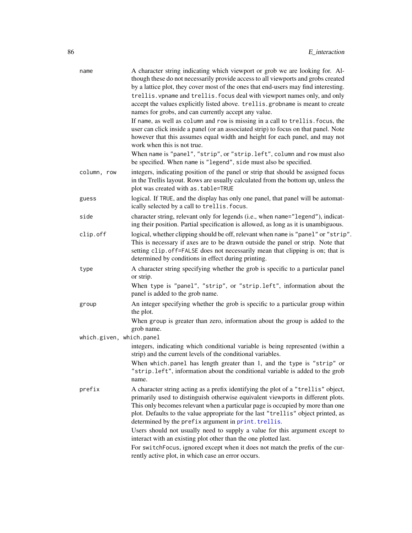| name                     | A character string indicating which viewport or grob we are looking for. Al-<br>though these do not necessarily provide access to all viewports and grobs created<br>by a lattice plot, they cover most of the ones that end-users may find interesting.<br>trellis. vpname and trellis. focus deal with viewport names only, and only<br>accept the values explicitly listed above. trellis.grobname is meant to create<br>names for grobs, and can currently accept any value.                                                                       |
|--------------------------|--------------------------------------------------------------------------------------------------------------------------------------------------------------------------------------------------------------------------------------------------------------------------------------------------------------------------------------------------------------------------------------------------------------------------------------------------------------------------------------------------------------------------------------------------------|
|                          | If name, as well as column and row is missing in a call to trellis. focus, the<br>user can click inside a panel (or an associated strip) to focus on that panel. Note<br>however that this assumes equal width and height for each panel, and may not<br>work when this is not true.                                                                                                                                                                                                                                                                   |
|                          | When name is "panel", "strip", or "strip. left", column and row must also<br>be specified. When name is "legend", side must also be specified.                                                                                                                                                                                                                                                                                                                                                                                                         |
| column, row              | integers, indicating position of the panel or strip that should be assigned focus<br>in the Trellis layout. Rows are usually calculated from the bottom up, unless the<br>plot was created with as . table=TRUE                                                                                                                                                                                                                                                                                                                                        |
| guess                    | logical. If TRUE, and the display has only one panel, that panel will be automat-<br>ically selected by a call to trellis. focus.                                                                                                                                                                                                                                                                                                                                                                                                                      |
| side                     | character string, relevant only for legends (i.e., when name="legend"), indicat-<br>ing their position. Partial specification is allowed, as long as it is unambiguous.                                                                                                                                                                                                                                                                                                                                                                                |
| clip.off                 | logical, whether clipping should be off, relevant when name is "panel" or "strip".<br>This is necessary if axes are to be drawn outside the panel or strip. Note that<br>setting clip.off=FALSE does not necessarily mean that clipping is on; that is<br>determined by conditions in effect during printing.                                                                                                                                                                                                                                          |
| type                     | A character string specifying whether the grob is specific to a particular panel<br>or strip.                                                                                                                                                                                                                                                                                                                                                                                                                                                          |
|                          | When type is "panel", "strip", or "strip.left", information about the<br>panel is added to the grob name.                                                                                                                                                                                                                                                                                                                                                                                                                                              |
| group                    | An integer specifying whether the grob is specific to a particular group within<br>the plot.                                                                                                                                                                                                                                                                                                                                                                                                                                                           |
|                          | When group is greater than zero, information about the group is added to the<br>grob name.                                                                                                                                                                                                                                                                                                                                                                                                                                                             |
| which.given, which.panel | integers, indicating which conditional variable is being represented (within a<br>strip) and the current levels of the conditional variables.                                                                                                                                                                                                                                                                                                                                                                                                          |
|                          | When which panel has length greater than 1, and the type is "strip" or<br>"strip.left", information about the conditional variable is added to the grob<br>name.                                                                                                                                                                                                                                                                                                                                                                                       |
| prefix                   | A character string acting as a prefix identifying the plot of a "trellis" object,<br>primarily used to distinguish otherwise equivalent viewports in different plots.<br>This only becomes relevant when a particular page is occupied by more than one<br>plot. Defaults to the value appropriate for the last "trellis" object printed, as<br>determined by the prefix argument in print. trellis.<br>Users should not usually need to supply a value for this argument except to<br>interact with an existing plot other than the one plotted last. |
|                          | For switchFocus, ignored except when it does not match the prefix of the cur-<br>rently active plot, in which case an error occurs.                                                                                                                                                                                                                                                                                                                                                                                                                    |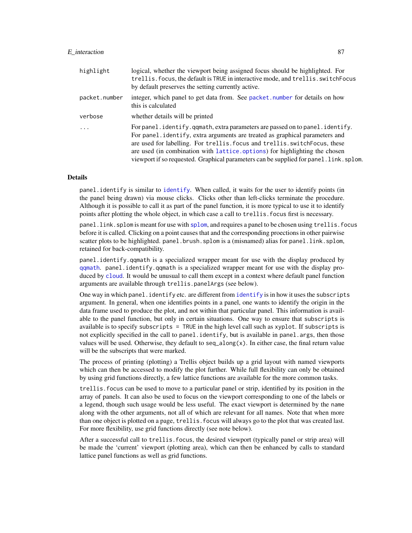| highlight     | logical, whether the viewport being assigned focus should be highlighted. For<br>trellis. focus, the default is TRUE in interactive mode, and trellis. switchFocus<br>by default preserves the setting currently active.                                                                                                                                                                                           |
|---------------|--------------------------------------------------------------------------------------------------------------------------------------------------------------------------------------------------------------------------------------------------------------------------------------------------------------------------------------------------------------------------------------------------------------------|
| packet.number | integer, which panel to get data from. See packet, number for details on how<br>this is calculated                                                                                                                                                                                                                                                                                                                 |
| verbose       | whether details will be printed                                                                                                                                                                                                                                                                                                                                                                                    |
| .             | For panel.identify.qqmath, extra parameters are passed on to panel.identify.<br>For panel identify, extra arguments are treated as graphical parameters and<br>are used for labelling. For trellis, focus and trellis, switch Focus, these<br>are used (in combination with lattice options) for highlighting the chosen<br>viewport if so requested. Graphical parameters can be supplied for panel. link. splom. |

#### Details

panel.identify is similar to [identify](#page-0-0). When called, it waits for the user to identify points (in the panel being drawn) via mouse clicks. Clicks other than left-clicks terminate the procedure. Although it is possible to call it as part of the panel function, it is more typical to use it to identify points after plotting the whole object, in which case a call to trellis.focus first is necessary.

panel.link.splom is meant for use with [splom](#page-49-0), and requires a panel to be chosen using trellis.focus before it is called. Clicking on a point causes that and the corresponding proections in other pairwise scatter plots to be highlighted. panel.brush.splom is a (misnamed) alias for panel.link.splom, retained for back-compatibility.

panel.identify.qqmath is a specialized wrapper meant for use with the display produced by [qqmath](#page-33-0). panel.identify.qqmath is a specialized wrapper meant for use with the display produced by [cloud](#page-43-0). It would be unusual to call them except in a context where default panel function arguments are available through trellis.panelArgs (see below).

One way in which panel. [identify](#page-0-0) etc. are different from identify is in how it uses the subscripts argument. In general, when one identifies points in a panel, one wants to identify the origin in the data frame used to produce the plot, and not within that particular panel. This information is available to the panel function, but only in certain situations. One way to ensure that subscripts is available is to specify subscripts = TRUE in the high level call such as xyplot. If subscripts is not explicitly specified in the call to panel.identify, but is available in panel.args, then those values will be used. Otherwise, they default to  $seq\_along(x)$ . In either case, the final return value will be the subscripts that were marked.

The process of printing (plotting) a Trellis object builds up a grid layout with named viewports which can then be accessed to modify the plot further. While full flexibility can only be obtained by using grid functions directly, a few lattice functions are available for the more common tasks.

trellis.focus can be used to move to a particular panel or strip, identified by its position in the array of panels. It can also be used to focus on the viewport corresponding to one of the labels or a legend, though such usage would be less useful. The exact viewport is determined by the name along with the other arguments, not all of which are relevant for all names. Note that when more than one object is plotted on a page, trellis.focus will always go to the plot that was created last. For more flexibility, use grid functions directly (see note below).

After a successful call to trellis.focus, the desired viewport (typically panel or strip area) will be made the 'current' viewport (plotting area), which can then be enhanced by calls to standard lattice panel functions as well as grid functions.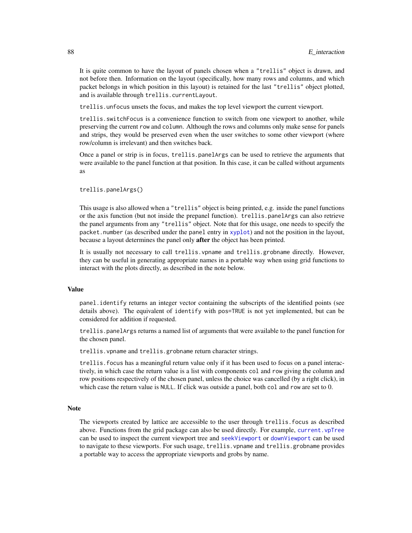It is quite common to have the layout of panels chosen when a "trellis" object is drawn, and not before then. Information on the layout (specifically, how many rows and columns, and which packet belongs in which position in this layout) is retained for the last "trellis" object plotted, and is available through trellis.currentLayout.

trellis.unfocus unsets the focus, and makes the top level viewport the current viewport.

trellis.switchFocus is a convenience function to switch from one viewport to another, while preserving the current row and column. Although the rows and columns only make sense for panels and strips, they would be preserved even when the user switches to some other viewport (where row/column is irrelevant) and then switches back.

Once a panel or strip is in focus, trellis.panelArgs can be used to retrieve the arguments that were available to the panel function at that position. In this case, it can be called without arguments as

trellis.panelArgs()

This usage is also allowed when a "trellis" object is being printed, e.g. inside the panel functions or the axis function (but not inside the prepanel function). trellis.panelArgs can also retrieve the panel arguments from any "trellis" object. Note that for this usage, one needs to specify the packet.number (as described under the panel entry in [xyplot](#page-5-0)) and not the position in the layout, because a layout determines the panel only after the object has been printed.

It is usually not necessary to call trellis.vpname and trellis.grobname directly. However, they can be useful in generating appropriate names in a portable way when using grid functions to interact with the plots directly, as described in the note below.

#### Value

panel.identify returns an integer vector containing the subscripts of the identified points (see details above). The equivalent of identify with pos=TRUE is not yet implemented, but can be considered for addition if requested.

trellis.panelArgs returns a named list of arguments that were available to the panel function for the chosen panel.

trellis.vpname and trellis.grobname return character strings.

trellis.focus has a meaningful return value only if it has been used to focus on a panel interactively, in which case the return value is a list with components col and row giving the column and row positions respectively of the chosen panel, unless the choice was cancelled (by a right click), in which case the return value is NULL. If click was outside a panel, both col and row are set to 0.

#### **Note**

The viewports created by lattice are accessible to the user through trellis.focus as described above. Functions from the grid package can also be used directly. For example, [current.vpTree](#page-0-0) can be used to inspect the current viewport tree and [seekViewport](#page-0-0) or [downViewport](#page-0-0) can be used to navigate to these viewports. For such usage, trellis.vpname and trellis.grobname provides a portable way to access the appropriate viewports and grobs by name.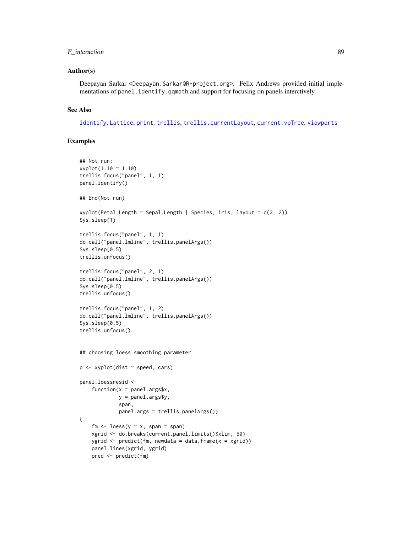## E\_interaction 89

### Author(s)

Deepayan Sarkar <Deepayan.Sarkar@R-project.org>. Felix Andrews provided initial implementations of panel.identify.qqmath and support for focusing on panels interctively.

### See Also

[identify](#page-0-0), [Lattice](#page-2-0), [print.trellis](#page-66-0), [trellis.currentLayout](#page-141-0), [current.vpTree](#page-0-0), [viewports](#page-0-0)

## Examples

```
## Not run:
xyplot(1:10 ~ 1:10)
trellis.focus("panel", 1, 1)
panel.identify()
## End(Not run)
xyplot(Petal.length ~ Sepal.length | Species, iris, layout = c(2, 2))Sys.sleep(1)
trellis.focus("panel", 1, 1)
do.call("panel.lmline", trellis.panelArgs())
Sys.sleep(0.5)
trellis.unfocus()
trellis.focus("panel", 2, 1)
do.call("panel.lmline", trellis.panelArgs())
Sys.sleep(0.5)
trellis.unfocus()
trellis.focus("panel", 1, 2)
do.call("panel.lmline", trellis.panelArgs())
Sys.sleep(0.5)
trellis.unfocus()
## choosing loess smoothing parameter
p \leftarrow xyplot(dist \sim speed, cars)panel.loessresid <-
    function(x = panel.args$x,
             y = panel.args$y,
             span,
             panel.args = trellis.panelArgs())
{
    fm \le loess(y \sim x, span = span)
    xgrid <- do.breaks(current.panel.limits()$xlim, 50)
   ygrid \leq predict(fm, newdata = data.frame(x = xgrid))
   panel.lines(xgrid, ygrid)
   pred <- predict(fm)
```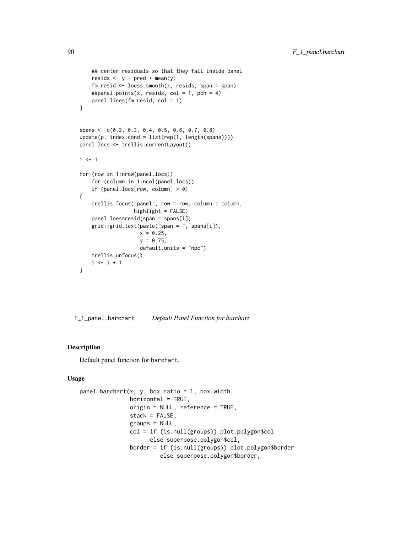```
## center residuals so that they fall inside panel
    resids \leftarrow y - pred + mean(y)
    fm.resid \leq loess.smooth(x, resids, span = span)
    ##panel.points(x, resids, col = 1, pch = 4)
    panel.lines(fm.resid, col = 1)
}
spans <- c(0.2, 0.3, 0.4, 0.5, 0.6, 0.7, 0.8)
update(p, index.cond = list(rep(1, length(spans))))
panel.locs <- trellis.currentLayout()
i \leq 1for (row in 1:nrow(panel.locs))
    for (column in 1:ncol(panel.locs))
    if (panel.locs[row, column] > 0)
{
    trellis.focus("panel", row = row, column = column,
                  highlight = FALSE)
    panel.loessresid(span = spans[i])
    grid::grid.text(paste("span = ", spans[i]),
                    x = 0.25,
                    y = 0.75,
                    default.units = "npc")
    trellis.unfocus()
    i \leftarrow i + 1}
```
F\_1\_panel.barchart *Default Panel Function for barchart*

### Description

Default panel function for barchart.

### Usage

```
panel.barchart(x, y, box.ratio = 1, box.width,
               horizontal = TRUE,origin = NULL, reference = TRUE,
               stack = FALSE,
               groups = NULL,
               col = if (is.null(groups)) plot.polygon$col
                     else superpose.polygon$col,
               border = if (is.null(groups)) plot.polygon$border
                        else superpose.polygon$border,
```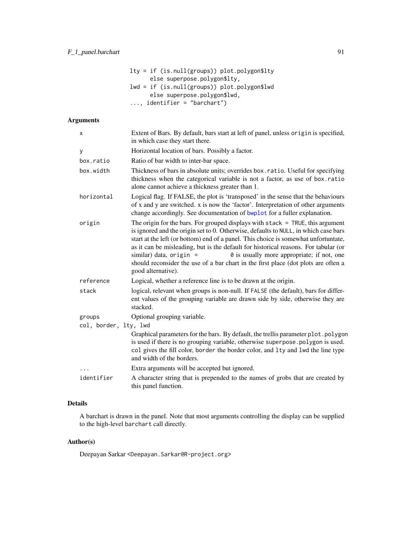| $lty = if (is.null(groups)) plot.polygon$lty$ |
|-----------------------------------------------|
| else superpose.polygon\$lty,                  |
| $lwd = if (is.null(groups)) plot.polygon$lwd$ |
| else superpose.polygon\$lwd,                  |
| $\ldots$ , identifier = "barchart")           |

# Arguments

| X                     | Extent of Bars. By default, bars start at left of panel, unless origin is specified,<br>in which case they start there.                                                                                                                                                                                                                                                                                                                                                                                                                       |
|-----------------------|-----------------------------------------------------------------------------------------------------------------------------------------------------------------------------------------------------------------------------------------------------------------------------------------------------------------------------------------------------------------------------------------------------------------------------------------------------------------------------------------------------------------------------------------------|
| у                     | Horizontal location of bars. Possibly a factor.                                                                                                                                                                                                                                                                                                                                                                                                                                                                                               |
| box.ratio             | Ratio of bar width to inter-bar space.                                                                                                                                                                                                                                                                                                                                                                                                                                                                                                        |
| box.width             | Thickness of bars in absolute units; overrides box.ratio. Useful for specifying<br>thickness when the categorical variable is not a factor, as use of box.ratio<br>alone cannot achieve a thickness greater than 1.                                                                                                                                                                                                                                                                                                                           |
| horizontal            | Logical flag. If FALSE, the plot is 'transposed' in the sense that the behaviours<br>of x and y are switched. x is now the 'factor'. Interpretation of other arguments<br>change accordingly. See documentation of bwplot for a fuller explanation.                                                                                                                                                                                                                                                                                           |
| origin                | The origin for the bars. For grouped displays with $stack = TRUE$ , this argument<br>is ignored and the origin set to 0. Otherwise, defaults to NULL, in which case bars<br>start at the left (or bottom) end of a panel. This choice is somewhat unfortuntate,<br>as it can be misleading, but is the default for historical reasons. For tabular (or<br>0 is usually more appropriate; if not, one<br>similar) data, origin $=$<br>should reconsider the use of a bar chart in the first place (dot plots are often a<br>good alternative). |
| reference             | Logical, whether a reference line is to be drawn at the origin.                                                                                                                                                                                                                                                                                                                                                                                                                                                                               |
| stack                 | logical, relevant when groups is non-null. If FALSE (the default), bars for differ-<br>ent values of the grouping variable are drawn side by side, otherwise they are<br>stacked.                                                                                                                                                                                                                                                                                                                                                             |
| groups                | Optional grouping variable.                                                                                                                                                                                                                                                                                                                                                                                                                                                                                                                   |
| col, border, lty, lwd |                                                                                                                                                                                                                                                                                                                                                                                                                                                                                                                                               |
|                       | Graphical parameters for the bars. By default, the trellis parameter plot.polygon<br>is used if there is no grouping variable, otherwise superpose.polygon is used.<br>col gives the fill color, border the border color, and lty and lwd the line type<br>and width of the borders.                                                                                                                                                                                                                                                          |
|                       | Extra arguments will be accepted but ignored.                                                                                                                                                                                                                                                                                                                                                                                                                                                                                                 |
| identifier            | A character string that is prepended to the names of grobs that are created by<br>this panel function.                                                                                                                                                                                                                                                                                                                                                                                                                                        |
|                       |                                                                                                                                                                                                                                                                                                                                                                                                                                                                                                                                               |

# Details

A barchart is drawn in the panel. Note that most arguments controlling the display can be supplied to the high-level barchart call directly.

# Author(s)

Deepayan Sarkar <Deepayan.Sarkar@R-project.org>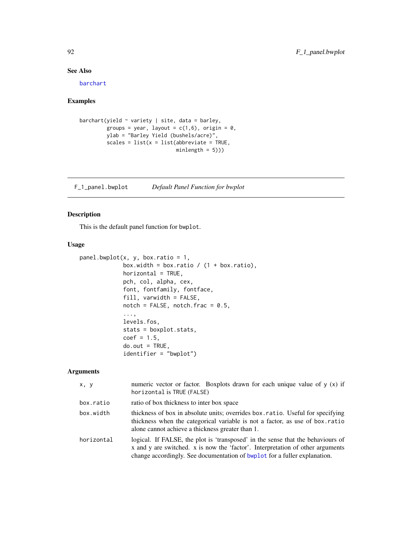## See Also

[barchart](#page-5-0)

# Examples

```
barchart(yield \sim variety | site, data = barley,
        groups = year, layout = c(1,6), origin = 0,
        ylab = "Barley Yield (bushels/acre)",
        scales = list(x = list(abbreviate = TRUE,minlength = 5)))
```
F\_1\_panel.bwplot *Default Panel Function for bwplot*

# Description

This is the default panel function for bwplot.

# Usage

```
panel.bwplot(x, y, box.ratio = 1,box.width = box.ratio / (1 + box.ratio),
             horizontal = TRUE,
             pch, col, alpha, cex,
             font, fontfamily, fontface,
             fill, varwidth = FALSE,
             notch = FALSE, notch.frac = 0.5,
             ...,
             levels.fos,
             stats = boxplot.stats,
             coef = 1.5,
             do.out = TRUE,identifier = "bwplot")
```
## Arguments

| x, y       | numeric vector or factor. Boxplots drawn for each unique value of $y(x)$ if<br>horizontal is TRUE (FALSE)                                                                                                                                      |
|------------|------------------------------------------------------------------------------------------------------------------------------------------------------------------------------------------------------------------------------------------------|
| box.ratio  | ratio of box thickness to inter box space                                                                                                                                                                                                      |
| box.width  | thickness of box in absolute units; overrides box.ratio. Useful for specifying<br>thickness when the categorical variable is not a factor, as use of box.ratio<br>alone cannot achieve a thickness greater than 1.                             |
| horizontal | logical. If FALSE, the plot is 'transposed' in the sense that the behaviours of<br>x and y are switched. x is now the 'factor'. Interpretation of other arguments<br>change accordingly. See documentation of bwplot for a fuller explanation. |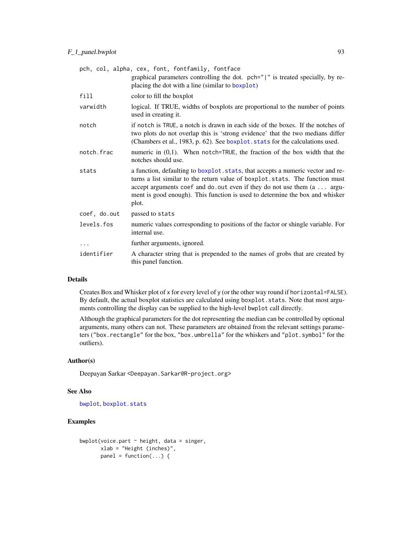|              | pch, col, alpha, cex, font, fontfamily, fontface                                                                                                                                                                                                                                                                                              |
|--------------|-----------------------------------------------------------------------------------------------------------------------------------------------------------------------------------------------------------------------------------------------------------------------------------------------------------------------------------------------|
|              | graphical parameters controlling the dot. pch=" " is treated specially, by re-<br>placing the dot with a line (similar to boxplot)                                                                                                                                                                                                            |
| fill         | color to fill the boxplot                                                                                                                                                                                                                                                                                                                     |
| varwidth     | logical. If TRUE, widths of boxplots are proportional to the number of points<br>used in creating it.                                                                                                                                                                                                                                         |
| notch        | if notch is TRUE, a notch is drawn in each side of the boxes. If the notches of<br>two plots do not overlap this is 'strong evidence' that the two medians differ<br>(Chambers et al., 1983, p. 62). See boxplot. stats for the calculations used.                                                                                            |
| notch.frac   | numeric in $(0,1)$ . When notch=TRUE, the fraction of the box width that the<br>notches should use.                                                                                                                                                                                                                                           |
| stats        | a function, defaulting to boxplot. stats, that accepts a numeric vector and re-<br>turns a list similar to the return value of boxplot.stats. The function must<br>accept arguments coef and do. out even if they do not use them $(a \dots a$ argu-<br>ment is good enough). This function is used to determine the box and whisker<br>plot. |
| coef, do.out | passed to stats                                                                                                                                                                                                                                                                                                                               |
| levels.fos   | numeric values corresponding to positions of the factor or shingle variable. For<br>internal use.                                                                                                                                                                                                                                             |
|              | further arguments, ignored.                                                                                                                                                                                                                                                                                                                   |
| identifier   | A character string that is prepended to the names of grobs that are created by<br>this panel function.                                                                                                                                                                                                                                        |

## Details

Creates Box and Whisker plot of x for every level of y (or the other way round if horizontal=FALSE). By default, the actual boxplot statistics are calculated using boxplot.stats. Note that most arguments controlling the display can be supplied to the high-level bwplot call directly.

Although the graphical parameters for the dot representing the median can be controlled by optional arguments, many others can not. These parameters are obtained from the relevant settings parameters ("box.rectangle" for the box, "box.umbrella" for the whiskers and "plot.symbol" for the outliers).

### Author(s)

Deepayan Sarkar <Deepayan.Sarkar@R-project.org>

## See Also

[bwplot](#page-5-0), [boxplot.stats](#page-0-0)

# Examples

```
bwplot(voice.part \sim height, data = singer,
       xlab = "Height (inches)",
       panel = function(...) {
```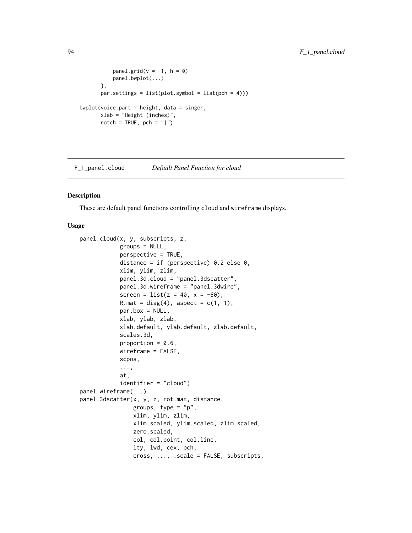```
panel.grid(v = -1, h = 0)
           panel.bwplot(...)
       },
       par.settings = list(plot.symbol = list(pch = 4)))bwplot(voice.part \sim height, data = singer,
       xlab = "Height (inches)",
       notch = TRUE, pch = " |")
```
F\_1\_panel.cloud *Default Panel Function for cloud*

## <span id="page-93-0"></span>Description

These are default panel functions controlling cloud and wireframe displays.

## Usage

```
panel.cloud(x, y, subscripts, z,
            groups = NULL,
            perspective = TRUE,
            distance = if (perspective) 0.2 else 0,
            xlim, ylim, zlim,
            panel.3d.cloud = "panel.3dscatter",
            panel.3d.wireframe = "panel.3dwire",
            screen = list(z = 40, x = -60),
            R.mat = diag(4), aspect = c(1, 1),
            par.box = NULL,xlab, ylab, zlab,
            xlab.default, ylab.default, zlab.default,
            scales.3d,
            proportion = 0.6,
            wireframe = FALSE,
            scpos,
            ...,
            at,
            identifier = "cloud")
panel.wireframe(...)
panel.3dscatter(x, y, z, rot.mat, distance,
                groups, type = "p",
                xlim, ylim, zlim,
                xlim.scaled, ylim.scaled, zlim.scaled,
                zero.scaled,
                col, col.point, col.line,
                lty, lwd, cex, pch,
                cross, ..., .scale = FALSE, subscripts,
```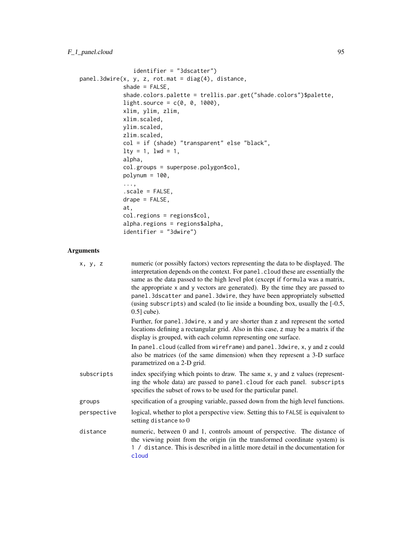```
identifier = "3dscatter")
panel.3dwire(x, y, z, rot.mat = diag(4), distance,
             shade = FALSE,shade.colors.palette = trellis.par.get("shade.colors")$palette,
             light-source = c(0, 0, 1000),
             xlim, ylim, zlim,
             xlim.scaled,
            ylim.scaled,
             zlim.scaled,
            col = if (shade) "transparent" else "black",
             lty = 1, lwd = 1,alpha,
             col.groups = superpose.polygon$col,
             polymum = 100,...,
             .scale = FALSE,
            drape = FALSE,
             at,
             col.regions = regions$col,
             alpha.regions = regions$alpha,
             identifier = "3dwire")
```
# Arguments

| x, y, z     | numeric (or possibly factors) vectors representing the data to be displayed. The<br>interpretation depends on the context. For panel . cloud these are essentially the<br>same as the data passed to the high level plot (except if formula was a matrix,<br>the appropriate x and y vectors are generated). By the time they are passed to<br>panel. 3dscatter and panel. 3dwire, they have been appropriately subsetted<br>(using subscripts) and scaled (to lie inside a bounding box, usually the $[-0.5, 0.5]$<br>$0.5$ ] cube). |
|-------------|---------------------------------------------------------------------------------------------------------------------------------------------------------------------------------------------------------------------------------------------------------------------------------------------------------------------------------------------------------------------------------------------------------------------------------------------------------------------------------------------------------------------------------------|
|             | Further, for panel. 3 dwire, x and y are shorter than z and represent the sorted<br>locations defining a rectangular grid. Also in this case, z may be a matrix if the<br>display is grouped, with each column representing one surface.                                                                                                                                                                                                                                                                                              |
|             | In panel.cloud (called from wireframe) and panel.3dwire, x, y and z could<br>also be matrices (of the same dimension) when they represent a 3-D surface<br>parametrized on a 2-D grid.                                                                                                                                                                                                                                                                                                                                                |
| subscripts  | index specifying which points to draw. The same x, y and z values (represent-<br>ing the whole data) are passed to panel.cloud for each panel. subscripts<br>specifies the subset of rows to be used for the particular panel.                                                                                                                                                                                                                                                                                                        |
| groups      | specification of a grouping variable, passed down from the high level functions.                                                                                                                                                                                                                                                                                                                                                                                                                                                      |
| perspective | logical, whether to plot a perspective view. Setting this to FALSE is equivalent to<br>setting distance to 0                                                                                                                                                                                                                                                                                                                                                                                                                          |
| distance    | numeric, between 0 and 1, controls amount of perspective. The distance of<br>the viewing point from the origin (in the transformed coordinate system) is<br>1 / distance. This is described in a little more detail in the documentation for<br>cloud                                                                                                                                                                                                                                                                                 |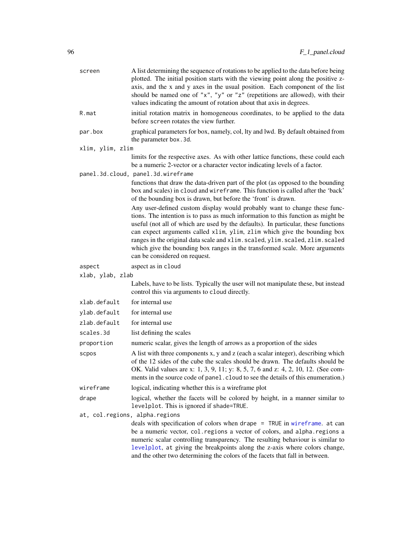| screen                         | A list determining the sequence of rotations to be applied to the data before being<br>plotted. The initial position starts with the viewing point along the positive z-<br>axis, and the x and y axes in the usual position. Each component of the list<br>should be named one of "x", "y" or "z" (repetitions are allowed), with their<br>values indicating the amount of rotation about that axis in degrees.                                                                                                                  |  |
|--------------------------------|-----------------------------------------------------------------------------------------------------------------------------------------------------------------------------------------------------------------------------------------------------------------------------------------------------------------------------------------------------------------------------------------------------------------------------------------------------------------------------------------------------------------------------------|--|
| R.mat                          | initial rotation matrix in homogeneous coordinates, to be applied to the data<br>before screen rotates the view further.                                                                                                                                                                                                                                                                                                                                                                                                          |  |
| par.box                        | graphical parameters for box, namely, col, lty and lwd. By default obtained from<br>the parameter box.3d.                                                                                                                                                                                                                                                                                                                                                                                                                         |  |
| xlim, ylim, zlim               |                                                                                                                                                                                                                                                                                                                                                                                                                                                                                                                                   |  |
|                                | limits for the respective axes. As with other lattice functions, these could each<br>be a numeric 2-vector or a character vector indicating levels of a factor.                                                                                                                                                                                                                                                                                                                                                                   |  |
|                                | panel.3d.cloud, panel.3d.wireframe<br>functions that draw the data-driven part of the plot (as opposed to the bounding<br>box and scales) in cloud and wireframe. This function is called after the 'back'<br>of the bounding box is drawn, but before the 'front' is drawn.                                                                                                                                                                                                                                                      |  |
|                                | Any user-defined custom display would probably want to change these func-<br>tions. The intention is to pass as much information to this function as might be<br>useful (not all of which are used by the defaults). In particular, these functions<br>can expect arguments called xlim, ylim, zlim which give the bounding box<br>ranges in the original data scale and xlim. scaled, ylim. scaled, zlim. scaled<br>which give the bounding box ranges in the transformed scale. More arguments<br>can be considered on request. |  |
| aspect                         | aspect as in cloud                                                                                                                                                                                                                                                                                                                                                                                                                                                                                                                |  |
| xlab, ylab, zlab               |                                                                                                                                                                                                                                                                                                                                                                                                                                                                                                                                   |  |
|                                | Labels, have to be lists. Typically the user will not manipulate these, but instead<br>control this via arguments to cloud directly.                                                                                                                                                                                                                                                                                                                                                                                              |  |
| xlab.default                   | for internal use                                                                                                                                                                                                                                                                                                                                                                                                                                                                                                                  |  |
| ylab.default                   | for internal use                                                                                                                                                                                                                                                                                                                                                                                                                                                                                                                  |  |
| zlab.default                   | for internal use                                                                                                                                                                                                                                                                                                                                                                                                                                                                                                                  |  |
| scales.3d                      | list defining the scales                                                                                                                                                                                                                                                                                                                                                                                                                                                                                                          |  |
| proportion                     | numeric scalar, gives the length of arrows as a proportion of the sides                                                                                                                                                                                                                                                                                                                                                                                                                                                           |  |
| scpos                          | A list with three components x, y and z (each a scalar integer), describing which<br>of the 12 sides of the cube the scales should be drawn. The defaults should be<br>OK. Valid values are x: 1, 3, 9, 11; y: 8, 5, 7, 6 and z: 4, 2, 10, 12. (See com-<br>ments in the source code of panel. cloud to see the details of this enumeration.)                                                                                                                                                                                     |  |
| wireframe                      | logical, indicating whether this is a wireframe plot                                                                                                                                                                                                                                                                                                                                                                                                                                                                              |  |
| drape                          | logical, whether the facets will be colored by height, in a manner similar to<br>levelplot. This is ignored if shade=TRUE.                                                                                                                                                                                                                                                                                                                                                                                                        |  |
| at, col.regions, alpha.regions |                                                                                                                                                                                                                                                                                                                                                                                                                                                                                                                                   |  |
|                                | deals with specification of colors when drape = TRUE in wireframe. at can<br>be a numeric vector, col. regions a vector of colors, and alpha. regions a<br>numeric scalar controlling transparency. The resulting behaviour is similar to<br>levelplot, at giving the breakpoints along the z-axis where colors change,<br>and the other two determining the colors of the facets that fall in between.                                                                                                                           |  |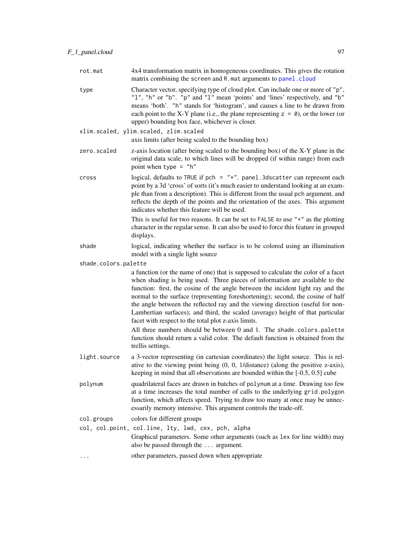| rot.mat              | 4x4 transformation matrix in homogeneous coordinates. This gives the rotation<br>matrix combining the screen and R. mat arguments to panel.cloud                                                                                                                                                                                                                                                                                                                                                                                                                     |
|----------------------|----------------------------------------------------------------------------------------------------------------------------------------------------------------------------------------------------------------------------------------------------------------------------------------------------------------------------------------------------------------------------------------------------------------------------------------------------------------------------------------------------------------------------------------------------------------------|
| type                 | Character vector, specifying type of cloud plot. Can include one or more of "p",<br>"1", "h" or "b". "p" and "1" mean 'points' and 'lines' respectively, and "b"<br>means 'both'. "h" stands for 'histogram', and causes a line to be drawn from<br>each point to the X-Y plane (i.e., the plane representing $z = 0$ ), or the lower (or<br>upper) bounding box face, whichever is closer.                                                                                                                                                                          |
|                      | xlim.scaled, ylim.scaled, zlim.scaled                                                                                                                                                                                                                                                                                                                                                                                                                                                                                                                                |
|                      | axis limits (after being scaled to the bounding box)                                                                                                                                                                                                                                                                                                                                                                                                                                                                                                                 |
| zero.scaled          | z-axis location (after being scaled to the bounding box) of the X-Y plane in the<br>original data scale, to which lines will be dropped (if within range) from each<br>point when type $=$ "h"                                                                                                                                                                                                                                                                                                                                                                       |
| cross                | logical, defaults to TRUE if pch = $"+".$ panel. 3dscatter can represent each<br>point by a 3d 'cross' of sorts (it's much easier to understand looking at an exam-<br>ple than from a description). This is different from the usual pch argument, and<br>reflects the depth of the points and the orientation of the axes. This argument<br>indicates whether this feature will be used.                                                                                                                                                                           |
|                      | This is useful for two reasons. It can be set to FALSE to use $" +"$ as the plotting<br>character in the regular sense. It can also be used to force this feature in grouped<br>displays.                                                                                                                                                                                                                                                                                                                                                                            |
| shade                | logical, indicating whether the surface is to be colored using an illumination<br>model with a single light source                                                                                                                                                                                                                                                                                                                                                                                                                                                   |
| shade.colors.palette |                                                                                                                                                                                                                                                                                                                                                                                                                                                                                                                                                                      |
|                      | a function (or the name of one) that is supposed to calculate the color of a facet<br>when shading is being used. Three pieces of information are available to the<br>function: first, the cosine of the angle between the incident light ray and the<br>normal to the surface (representing foreshortening); second, the cosine of half<br>the angle between the reflected ray and the viewing direction (useful for non-<br>Lambertian surfaces); and third, the scaled (average) height of that particular<br>facet with respect to the total plot z-axis limits. |
|                      | All three numbers should be between 0 and 1. The shade.colors.palette<br>function should return a valid color. The default function is obtained from the<br>trellis settings.                                                                                                                                                                                                                                                                                                                                                                                        |
| light.source         | a 3-vector representing (in cartesian coordinates) the light source. This is rel-<br>ative to the viewing point being $(0, 0, 1/d$ istance) (along the positive z-axis),<br>keeping in mind that all observations are bounded within the $[-0.5, 0.5]$ cube                                                                                                                                                                                                                                                                                                          |
| polynum              | quadrilateral faces are drawn in batches of polynum at a time. Drawing too few<br>at a time increases the total number of calls to the underlying grid.polygon<br>function, which affects speed. Trying to draw too many at once may be unnec-<br>essarily memory intensive. This argument controls the trade-off.                                                                                                                                                                                                                                                   |
| col.groups           | colors for different groups                                                                                                                                                                                                                                                                                                                                                                                                                                                                                                                                          |
|                      | col, col.point, col.line, lty, lwd, cex, pch, alpha<br>Graphical parameters. Some other arguments (such as lex for line width) may<br>also be passed through the  argument.                                                                                                                                                                                                                                                                                                                                                                                          |
|                      | other parameters, passed down when appropriate                                                                                                                                                                                                                                                                                                                                                                                                                                                                                                                       |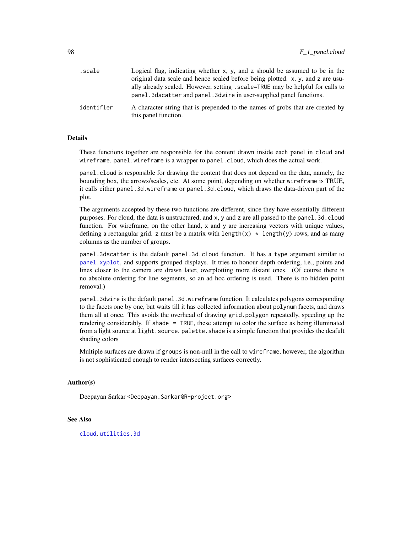| .scale     | Logical flag, indicating whether $x$ , $y$ , and z should be assumed to be in the                                                                      |
|------------|--------------------------------------------------------------------------------------------------------------------------------------------------------|
|            | original data scale and hence scaled before being plotted. x, y, and z are usu-                                                                        |
|            | ally already scaled. However, setting . scale=TRUE may be helpful for calls to<br>panel. 3dscatter and panel. 3dwire in user-supplied panel functions. |
| identifier | A character string that is prepended to the names of grobs that are created by<br>this panel function.                                                 |

#### Details

These functions together are responsible for the content drawn inside each panel in cloud and wireframe. panel.wireframe is a wrapper to panel.cloud, which does the actual work.

panel.cloud is responsible for drawing the content that does not depend on the data, namely, the bounding box, the arrows/scales, etc. At some point, depending on whether wireframe is TRUE, it calls either panel.3d.wireframe or panel.3d.cloud, which draws the data-driven part of the plot.

The arguments accepted by these two functions are different, since they have essentially different purposes. For cloud, the data is unstructured, and x, y and z are all passed to the panel.3d.cloud function. For wireframe, on the other hand, x and y are increasing vectors with unique values, defining a rectangular grid. z must be a matrix with length(x)  $\star$  length(y) rows, and as many columns as the number of groups.

panel.3dscatter is the default panel.3d.cloud function. It has a type argument similar to [panel.xyplot](#page-110-0), and supports grouped displays. It tries to honour depth ordering, i.e., points and lines closer to the camera are drawn later, overplotting more distant ones. (Of course there is no absolute ordering for line segments, so an ad hoc ordering is used. There is no hidden point removal.)

panel.3dwire is the default panel.3d.wireframe function. It calculates polygons corresponding to the facets one by one, but waits till it has collected information about polynum facets, and draws them all at once. This avoids the overhead of drawing grid.polygon repeatedly, speeding up the rendering considerably. If shade = TRUE, these attempt to color the surface as being illuminated from a light source at light. source. palette. shade is a simple function that provides the deafult shading colors

Multiple surfaces are drawn if groups is non-null in the call to wireframe, however, the algorithm is not sophisticated enough to render intersecting surfaces correctly.

#### Author(s)

Deepayan Sarkar <Deepayan.Sarkar@R-project.org>

### See Also

[cloud](#page-43-0), [utilities.3d](#page-143-0)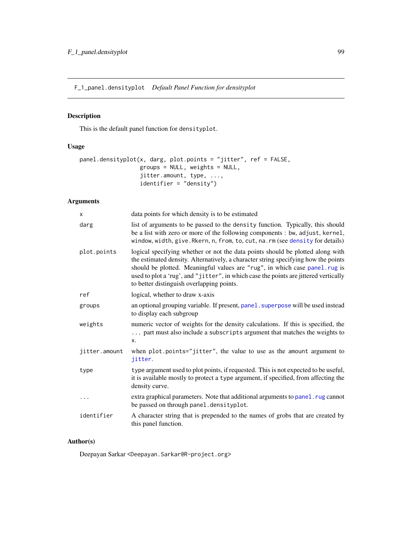F\_1\_panel.densityplot *Default Panel Function for densityplot*

# Description

This is the default panel function for densityplot.

## Usage

```
panel.densityplot(x, darg, plot.points = "jitter", ref = FALSE,
                  groups = NULL, weights = NULL,
                  jitter.amount, type, ...,
                  identifier = "density")
```
# Arguments

| X             | data points for which density is to be estimated                                                                                                                                                                                                                                                                                                                                        |
|---------------|-----------------------------------------------------------------------------------------------------------------------------------------------------------------------------------------------------------------------------------------------------------------------------------------------------------------------------------------------------------------------------------------|
| darg          | list of arguments to be passed to the density function. Typically, this should<br>be a list with zero or more of the following components : bw, adjust, kernel,<br>window, width, give. Rkern, n, from, to, cut, na. rm (see density for details)                                                                                                                                       |
| plot.points   | logical specifying whether or not the data points should be plotted along with<br>the estimated density. Alternatively, a character string specifying how the points<br>should be plotted. Meaningful values are "rug", in which case panel.rug is<br>used to plot a 'rug', and "jitter", in which case the points are jittered vertically<br>to better distinguish overlapping points. |
| ref           | logical, whether to draw x-axis                                                                                                                                                                                                                                                                                                                                                         |
| groups        | an optional grouping variable. If present, panel . superpose will be used instead<br>to display each subgroup                                                                                                                                                                                                                                                                           |
| weights       | numeric vector of weights for the density calculations. If this is specified, the<br>part must also include a subscripts argument that matches the weights to<br>X.                                                                                                                                                                                                                     |
| jitter.amount | when plot.points="jitter", the value to use as the amount argument to<br>jitter.                                                                                                                                                                                                                                                                                                        |
| type          | type argument used to plot points, if requested. This is not expected to be useful,<br>it is available mostly to protect a type argument, if specified, from affecting the<br>density curve.                                                                                                                                                                                            |
|               | extra graphical parameters. Note that additional arguments to panel. rug cannot<br>be passed on through panel.densityplot.                                                                                                                                                                                                                                                              |
| identifier    | A character string that is prepended to the names of grobs that are created by<br>this panel function.                                                                                                                                                                                                                                                                                  |

# Author(s)

Deepayan Sarkar <Deepayan.Sarkar@R-project.org>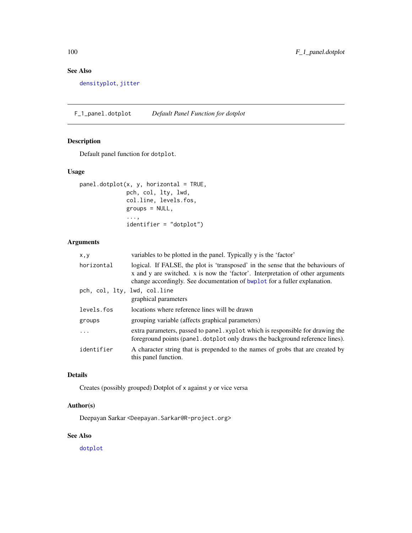# See Also

[densityplot](#page-28-0), [jitter](#page-0-0)

F\_1\_panel.dotplot *Default Panel Function for dotplot*

# Description

Default panel function for dotplot.

## Usage

```
panel.dotplot(x, y, horizontal = TRUE,
              pch, col, lty, lwd,
              col.line, levels.fos,
              groups = NULL,
              ...,
              identifier = "dotplot")
```
# Arguments

| x, y                         | variables to be plotted in the panel. Typically y is the 'factor'                                                                                                                                                                              |
|------------------------------|------------------------------------------------------------------------------------------------------------------------------------------------------------------------------------------------------------------------------------------------|
| horizontal                   | logical. If FALSE, the plot is 'transposed' in the sense that the behaviours of<br>x and y are switched. x is now the 'factor'. Interpretation of other arguments<br>change accordingly. See documentation of bwplot for a fuller explanation. |
| pch, col, lty, lwd, col.line | graphical parameters                                                                                                                                                                                                                           |
| levels.fos                   | locations where reference lines will be drawn                                                                                                                                                                                                  |
| groups                       | grouping variable (affects graphical parameters)                                                                                                                                                                                               |
| $\ddots$                     | extra parameters, passed to panel. xyplot which is responsible for drawing the<br>foreground points (panel.dotplot only draws the background reference lines).                                                                                 |
| identifier                   | A character string that is prepended to the names of grobs that are created by<br>this panel function.                                                                                                                                         |

# Details

Creates (possibly grouped) Dotplot of x against y or vice versa

# Author(s)

Deepayan Sarkar <Deepayan.Sarkar@R-project.org>

## See Also

[dotplot](#page-5-0)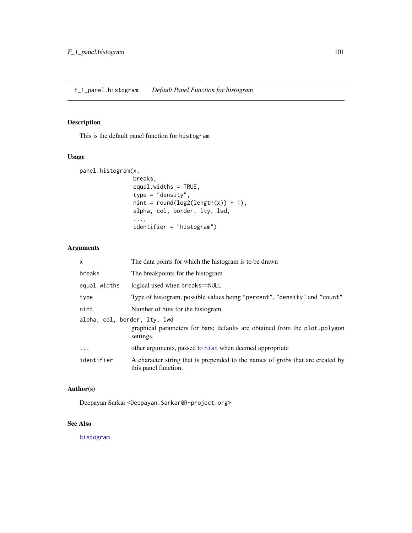# Description

This is the default panel function for histogram.

## Usage

```
panel.histogram(x,
                breaks,
                equal.widths = TRUE,
                type = "density",
                nint = round(log2(length(x)) + 1),alpha, col, border, lty, lwd,
                ...,
                identifier = "histogram")
```
# Arguments

| X                            | The data points for which the histogram is to be drawn                                                 |
|------------------------------|--------------------------------------------------------------------------------------------------------|
| breaks                       | The breakpoints for the histogram                                                                      |
| equal.widths                 | logical used when breaks==NULL                                                                         |
| type                         | Type of histogram, possible values being "percent", "density" and "count"                              |
| nint                         | Number of bins for the histogram                                                                       |
| alpha, col, border, lty, lwd | graphical parameters for bars; defaults are obtained from the plot polygon<br>settings.                |
| .                            | other arguments, passed to hist when deemed appropriate                                                |
| identifier                   | A character string that is prepended to the names of grobs that are created by<br>this panel function. |

# Author(s)

Deepayan Sarkar <Deepayan.Sarkar@R-project.org>

# See Also

[histogram](#page-28-0)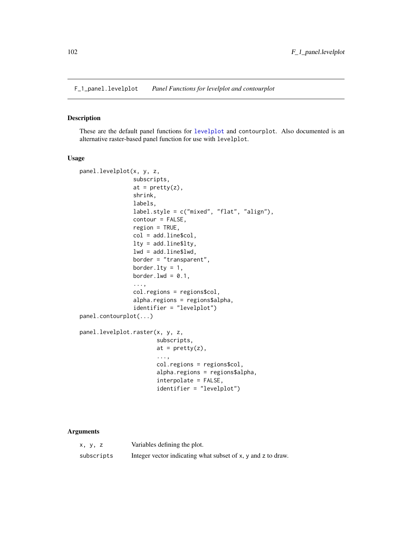F\_1\_panel.levelplot *Panel Functions for levelplot and contourplot*

# **Description**

These are the default panel functions for [levelplot](#page-38-0) and contourplot. Also documented is an alternative raster-based panel function for use with levelplot.

#### Usage

```
panel.levelplot(x, y, z,
                subscripts,
                at = pretty(z),shrink,
                labels,
                label.style = c("mixed", "flat", "align"),
                contour = FALSE,
                region = TRUE,
                col = add.line$col,
                lty = add.line$lty,
                lwd = add.line$lwd,
                border = "transparent",
                border.lty = 1,
                border.lwd = 0.1,
                ...,
                col.regions = regions$col,
                alpha.regions = regions$alpha,
                identifier = "levelplot")
panel.contourplot(...)
panel.levelplot.raster(x, y, z,
                       subscripts,
                       at = prety(z),
                       ...,
                       col.regions = regions$col,
                       alpha.regions = regions$alpha,
                       interpolate = FALSE,
                       identifier = "levelplot")
```
## Arguments

| x, y, z    | Variables defining the plot.                                 |
|------------|--------------------------------------------------------------|
| subscripts | Integer vector indicating what subset of x, y and z to draw. |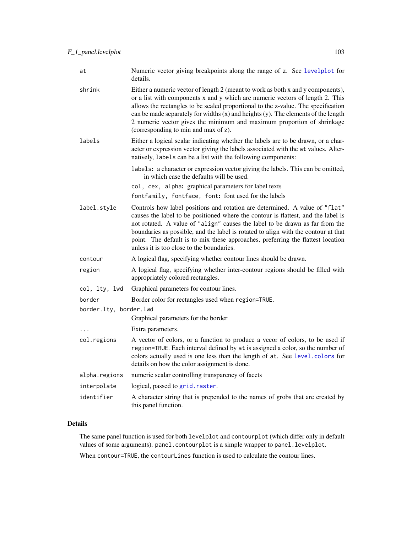| at                     | Numeric vector giving breakpoints along the range of z. See levelplot for<br>details.                                                                                                                                                                                                                                                                                                                                                                                  |
|------------------------|------------------------------------------------------------------------------------------------------------------------------------------------------------------------------------------------------------------------------------------------------------------------------------------------------------------------------------------------------------------------------------------------------------------------------------------------------------------------|
| shrink                 | Either a numeric vector of length 2 (meant to work as both x and y components),<br>or a list with components x and y which are numeric vectors of length 2. This<br>allows the rectangles to be scaled proportional to the z-value. The specification<br>can be made separately for widths $(x)$ and heights $(y)$ . The elements of the length<br>2 numeric vector gives the minimum and maximum proportion of shrinkage<br>(corresponding to min and max of z).      |
| labels                 | Either a logical scalar indicating whether the labels are to be drawn, or a char-<br>acter or expression vector giving the labels associated with the at values. Alter-<br>natively, labels can be a list with the following components:                                                                                                                                                                                                                               |
|                        | labels: a character or expression vector giving the labels. This can be omitted,<br>in which case the defaults will be used.                                                                                                                                                                                                                                                                                                                                           |
|                        | col, cex, alpha: graphical parameters for label texts                                                                                                                                                                                                                                                                                                                                                                                                                  |
|                        | fontfamily, fontface, font: font used for the labels                                                                                                                                                                                                                                                                                                                                                                                                                   |
| label.style            | Controls how label positions and rotation are determined. A value of "flat"<br>causes the label to be positioned where the contour is flattest, and the label is<br>not rotated. A value of "align" causes the label to be drawn as far from the<br>boundaries as possible, and the label is rotated to align with the contour at that<br>point. The default is to mix these approaches, preferring the flattest location<br>unless it is too close to the boundaries. |
| contour                | A logical flag, specifying whether contour lines should be drawn.                                                                                                                                                                                                                                                                                                                                                                                                      |
| region                 | A logical flag, specifying whether inter-contour regions should be filled with<br>appropriately colored rectangles.                                                                                                                                                                                                                                                                                                                                                    |
| col, lty, lwd          | Graphical parameters for contour lines.                                                                                                                                                                                                                                                                                                                                                                                                                                |
| border                 | Border color for rectangles used when region=TRUE.                                                                                                                                                                                                                                                                                                                                                                                                                     |
| border.lty, border.lwd |                                                                                                                                                                                                                                                                                                                                                                                                                                                                        |
|                        | Graphical parameters for the border                                                                                                                                                                                                                                                                                                                                                                                                                                    |
| $\ddots$               | Extra parameters.                                                                                                                                                                                                                                                                                                                                                                                                                                                      |
| col.regions            | A vector of colors, or a function to produce a vecor of colors, to be used if<br>region=TRUE. Each interval defined by at is assigned a color, so the number of<br>colors actually used is one less than the length of at. See level.colors for<br>details on how the color assignment is done.                                                                                                                                                                        |
| alpha.regions          | numeric scalar controlling transparency of facets                                                                                                                                                                                                                                                                                                                                                                                                                      |
| interpolate            | logical, passed to grid.raster.                                                                                                                                                                                                                                                                                                                                                                                                                                        |
| identifier             | A character string that is prepended to the names of grobs that are created by<br>this panel function.                                                                                                                                                                                                                                                                                                                                                                 |

# Details

The same panel function is used for both levelplot and contourplot (which differ only in default values of some arguments). panel.contourplot is a simple wrapper to panel.levelplot.

When contour=TRUE, the contourLines function is used to calculate the contour lines.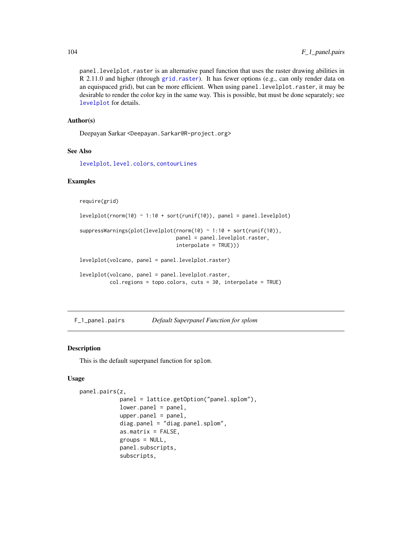panel.levelplot.raster is an alternative panel function that uses the raster drawing abilities in R 2.11.0 and higher (through [grid.raster](#page-0-0)). It has fewer options (e.g., can only render data on an equispaced grid), but can be more efficient. When using panel.levelplot.raster, it may be desirable to render the color key in the same way. This is possible, but must be done separately; see [levelplot](#page-38-0) for details.

### Author(s)

Deepayan Sarkar <Deepayan.Sarkar@R-project.org>

## See Also

[levelplot](#page-38-0), [level.colors](#page-75-1), [contourLines](#page-0-0)

## Examples

require(grid)

 $levelplot(rnorm(10) ~ 1:10 ~ + sort(runif(10)), panel = panel. levelplot)$ 

```
suppressWarnings(plot(levelplot(rnorm(10) ~ 1:10 + sort(runif(10)),
                                panel = panel.levelplot.raster,
                                interpolate = TRUE)))
```
levelplot(volcano, panel = panel.levelplot.raster)

```
levelplot(volcano, panel = panel.levelplot.raster,
          col.regions = topo.colors, cuts = 30, interpolate = TRUE)
```
F\_1\_panel.pairs *Default Superpanel Function for splom*

## Description

This is the default superpanel function for splom.

#### Usage

```
panel.pairs(z,
            panel = lattice.getOption("panel.splom"),
            lower.panel = panel,
            upper.path = panel,diag.panel = "diag.panel.splom",
            as.matrix = FALSE,
            groups = NULL,
            panel.subscripts,
            subscripts,
```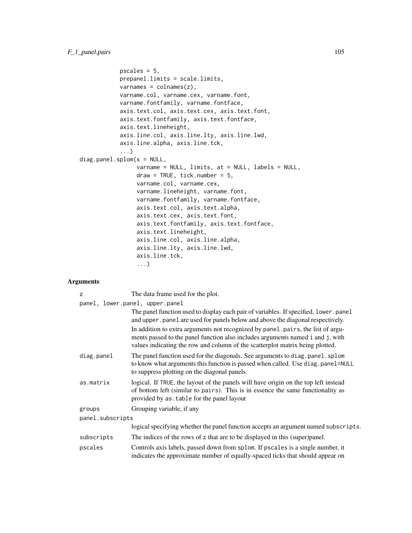```
pscales = 5,
            prepanel.limits = scale.limits,
            varnames = colnames(z),varname.col, varname.cex, varname.font,
            varname.fontfamily, varname.fontface,
            axis.text.col, axis.text.cex, axis.text.font,
            axis.text.fontfamily, axis.text.fontface,
            axis.text.lineheight,
            axis.line.col, axis.line.lty, axis.line.lwd,
            axis.line.alpha, axis.line.tck,
            ...)
diag.panel.splom(x = NULL,varname = NULL, limits, at = NULL, labels = NULL,
                 draw = TRUE, tick_number = 5,varname.col, varname.cex,
                 varname.lineheight, varname.font,
                 varname.fontfamily, varname.fontface,
                 axis.text.col, axis.text.alpha,
                 axis.text.cex, axis.text.font,
                 axis.text.fontfamily, axis.text.fontface,
                 axis.text.lineheight,
                 axis.line.col, axis.line.alpha,
                 axis.line.lty, axis.line.lwd,
                 axis.line.tck,
                 ...)
```
# Arguments

| z                | The data frame used for the plot.                                                                                                                                                                                                                  |  |
|------------------|----------------------------------------------------------------------------------------------------------------------------------------------------------------------------------------------------------------------------------------------------|--|
|                  | panel, lower.panel, upper.panel                                                                                                                                                                                                                    |  |
|                  | The panel function used to display each pair of variables. If specified, lower .panel<br>and upper . panel are used for panels below and above the diagonal respectively.                                                                          |  |
|                  | In addition to extra arguments not recognized by panel pairs, the list of argu-<br>ments passed to the panel function also includes arguments named i and j, with<br>values indicating the row and column of the scatterplot matrix being plotted. |  |
| diag.panel       | The panel function used for the diagonals. See arguments to diag.panel.splom<br>to know what arguments this function is passed when called. Use diag.panel=NULL<br>to suppress plotting on the diagonal panels.                                    |  |
| as.matrix        | logical. If TRUE, the layout of the panels will have origin on the top left instead<br>of bottom left (similar to pairs). This is in essence the same functionality as<br>provided by as table for the panel layout                                |  |
| groups           | Grouping variable, if any                                                                                                                                                                                                                          |  |
| panel.subscripts |                                                                                                                                                                                                                                                    |  |
|                  | logical specifying whether the panel function accepts an argument named subscripts.                                                                                                                                                                |  |
| subscripts       | The indices of the rows of z that are to be displayed in this (super)panel.                                                                                                                                                                        |  |
| pscales          | Controls axis labels, passed down from splom. If pscales is a single number, it<br>indicates the approximate number of equally-spaced ticks that should appear on                                                                                  |  |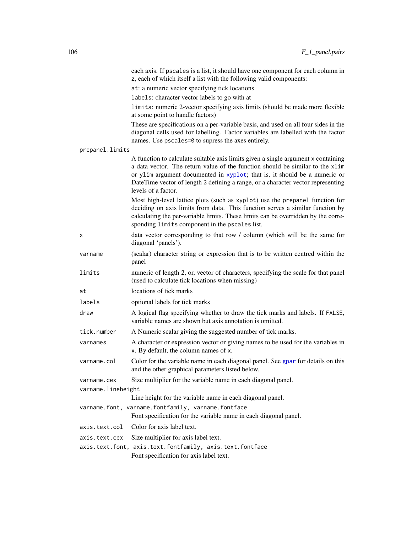|                    | each axis. If pscales is a list, it should have one component for each column in<br>z, each of which itself a list with the following valid components:                                                                                                                                                                                                    |
|--------------------|------------------------------------------------------------------------------------------------------------------------------------------------------------------------------------------------------------------------------------------------------------------------------------------------------------------------------------------------------------|
|                    | at: a numeric vector specifying tick locations                                                                                                                                                                                                                                                                                                             |
|                    | labels: character vector labels to go with at                                                                                                                                                                                                                                                                                                              |
|                    | limits: numeric 2-vector specifying axis limits (should be made more flexible                                                                                                                                                                                                                                                                              |
|                    | at some point to handle factors)                                                                                                                                                                                                                                                                                                                           |
|                    | These are specifications on a per-variable basis, and used on all four sides in the<br>diagonal cells used for labelling. Factor variables are labelled with the factor<br>names. Use pscales=0 to supress the axes entirely.                                                                                                                              |
| prepanel.limits    |                                                                                                                                                                                                                                                                                                                                                            |
|                    | A function to calculate suitable axis limits given a single argument x containing<br>a data vector. The return value of the function should be similar to the xlim<br>or ylim argument documented in xyplot; that is, it should be a numeric or<br>DateTime vector of length 2 defining a range, or a character vector representing<br>levels of a factor. |
|                    | Most high-level lattice plots (such as xyplot) use the prepanel function for<br>deciding on axis limits from data. This function serves a similar function by<br>calculating the per-variable limits. These limits can be overridden by the corre-<br>sponding limits component in the pscales list.                                                       |
| x                  | data vector corresponding to that row / column (which will be the same for<br>diagonal 'panels').                                                                                                                                                                                                                                                          |
| varname            | (scalar) character string or expression that is to be written centred within the<br>panel                                                                                                                                                                                                                                                                  |
| limits             | numeric of length 2, or, vector of characters, specifying the scale for that panel<br>(used to calculate tick locations when missing)                                                                                                                                                                                                                      |
| at                 | locations of tick marks                                                                                                                                                                                                                                                                                                                                    |
| labels             | optional labels for tick marks                                                                                                                                                                                                                                                                                                                             |
| draw               | A logical flag specifying whether to draw the tick marks and labels. If FALSE,<br>variable names are shown but axis annotation is omitted.                                                                                                                                                                                                                 |
| tick.number        | A Numeric scalar giving the suggested number of tick marks.                                                                                                                                                                                                                                                                                                |
| varnames           | A character or expression vector or giving names to be used for the variables in<br>x. By default, the column names of x.                                                                                                                                                                                                                                  |
| varname.col        | Color for the variable name in each diagonal panel. See gpar for details on this<br>and the other graphical parameters listed below.                                                                                                                                                                                                                       |
| varname.cex        | Size multiplier for the variable name in each diagonal panel.                                                                                                                                                                                                                                                                                              |
| varname.lineheight |                                                                                                                                                                                                                                                                                                                                                            |
|                    | Line height for the variable name in each diagonal panel.                                                                                                                                                                                                                                                                                                  |
|                    | varname.font, varname.fontfamily, varname.fontface<br>Font specification for the variable name in each diagonal panel.                                                                                                                                                                                                                                     |
| axis.text.col      | Color for axis label text.                                                                                                                                                                                                                                                                                                                                 |
| axis.text.cex      | Size multiplier for axis label text.                                                                                                                                                                                                                                                                                                                       |
|                    | axis.text.font, axis.text.fontfamily, axis.text.fontface                                                                                                                                                                                                                                                                                                   |
|                    | Font specification for axis label text.                                                                                                                                                                                                                                                                                                                    |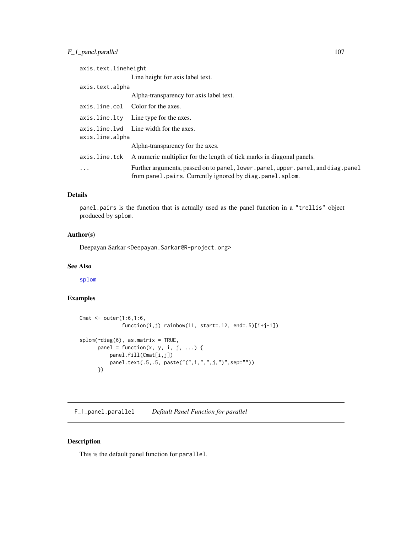# F<sub>1</sub>\_1\_panel.parallel 107

| axis.text.lineheight |                                                                                                                                             |  |
|----------------------|---------------------------------------------------------------------------------------------------------------------------------------------|--|
|                      | Line height for axis label text.                                                                                                            |  |
| axis.text.alpha      |                                                                                                                                             |  |
|                      | Alpha-transparency for axis label text.                                                                                                     |  |
|                      | axis.line.col Color for the axes.                                                                                                           |  |
|                      | axis.line.lty Line type for the axes.                                                                                                       |  |
| axis.line.alpha      | axis.line.lwd Line width for the axes.                                                                                                      |  |
|                      | Alpha-transparency for the axes.                                                                                                            |  |
|                      | axis. line. tck A numeric multiplier for the length of tick marks in diagonal panels.                                                       |  |
| .                    | Further arguments, passed on to panel, lower.panel, upper.panel, and diag.panel<br>from panel.pairs. Currently ignored by diag.panel.splom. |  |

# Details

panel.pairs is the function that is actually used as the panel function in a "trellis" object produced by splom.

## Author(s)

Deepayan Sarkar <Deepayan.Sarkar@R-project.org>

## See Also

[splom](#page-49-0)

# Examples

```
Cmat <- outer(1:6,1:6,
             function(i,j) rainbow(11, start=.12, end=.5)[i+j-1])
splom(~diag(6), as.matrix = TRUE,
      panel = function(x, y, i, j, ...)panel.fill(Cmat[i,j])
         panel.text(.5,.5, paste("(",i,",",j,")",sep=""))
      })
```
F\_1\_panel.parallel *Default Panel Function for parallel*

# Description

This is the default panel function for parallel.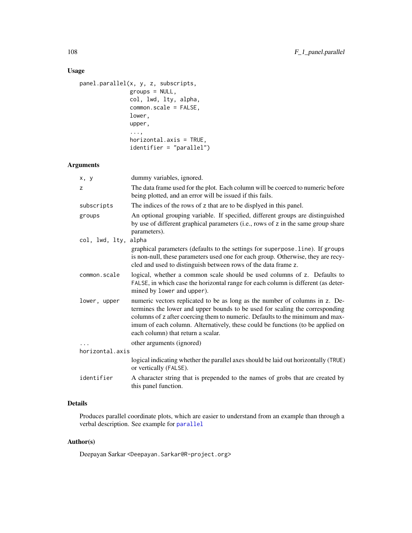# Usage

```
panel.parallel(x, y, z, subscripts,
               groups = NULL,
               col, lwd, lty, alpha,
               common.scale = FALSE,
               lower,
               upper,
               ...,
               horizontal.axis = TRUE,
               identifier = "parallel")
```
# Arguments

| x, y                 | dummy variables, ignored.                                                                                                                                                                                                                                                                                                                                            |
|----------------------|----------------------------------------------------------------------------------------------------------------------------------------------------------------------------------------------------------------------------------------------------------------------------------------------------------------------------------------------------------------------|
| Z                    | The data frame used for the plot. Each column will be coerced to numeric before<br>being plotted, and an error will be issued if this fails.                                                                                                                                                                                                                         |
| subscripts           | The indices of the rows of z that are to be displyed in this panel.                                                                                                                                                                                                                                                                                                  |
| groups               | An optional grouping variable. If specified, different groups are distinguished<br>by use of different graphical parameters (i.e., rows of z in the same group share<br>parameters).                                                                                                                                                                                 |
| col, lwd, lty, alpha |                                                                                                                                                                                                                                                                                                                                                                      |
|                      | graphical parameters (defaults to the settings for superpose.line). If groups<br>is non-null, these parameters used one for each group. Otherwise, they are recy-<br>cled and used to distinguish between rows of the data frame z.                                                                                                                                  |
| common.scale         | logical, whether a common scale should be used columns of z. Defaults to<br>FALSE, in which case the horizontal range for each column is different (as deter-<br>mined by lower and upper).                                                                                                                                                                          |
| lower, upper         | numeric vectors replicated to be as long as the number of columns in z. De-<br>termines the lower and upper bounds to be used for scaling the corresponding<br>columns of z after coercing them to numeric. Defaults to the minimum and max-<br>imum of each column. Alternatively, these could be functions (to be applied on<br>each column) that return a scalar. |
|                      | other arguments (ignored)                                                                                                                                                                                                                                                                                                                                            |
| horizontal.axis      |                                                                                                                                                                                                                                                                                                                                                                      |
|                      | logical indicating whether the parallel axes should be laid out horizontally (TRUE)<br>or vertically (FALSE).                                                                                                                                                                                                                                                        |
| identifier           | A character string that is prepended to the names of grobs that are created by<br>this panel function.                                                                                                                                                                                                                                                               |

# Details

Produces parallel coordinate plots, which are easier to understand from an example than through a verbal description. See example for [parallel](#page-49-0)

# Author(s)

Deepayan Sarkar <Deepayan.Sarkar@R-project.org>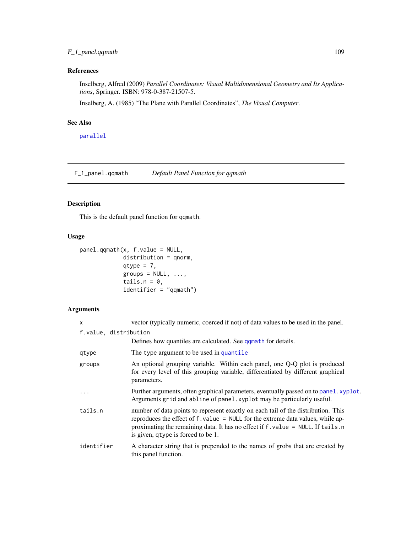### F\_1\_panel.qqmath 109

# References

Inselberg, Alfred (2009) *Parallel Coordinates: Visual Multidimensional Geometry and Its Applications*, Springer. ISBN: 978-0-387-21507-5.

Inselberg, A. (1985) "The Plane with Parallel Coordinates", *The Visual Computer*.

### See Also

[parallel](#page-49-0)

F\_1\_panel.qqmath *Default Panel Function for qqmath*

# Description

This is the default panel function for qqmath.

### Usage

```
panel.qqmath(x, f.value = NULL,
            distribution = qnorm,
            qtype = 7,groups = NULL, ...,tails.n = 0,
             identifier = "qqmath")
```

| X                     | vector (typically numeric, coerced if not) of data values to be used in the panel.                                                                                                                                                                                                             |
|-----------------------|------------------------------------------------------------------------------------------------------------------------------------------------------------------------------------------------------------------------------------------------------------------------------------------------|
| f.value, distribution |                                                                                                                                                                                                                                                                                                |
|                       | Defines how quantiles are calculated. See qqmath for details.                                                                                                                                                                                                                                  |
| qtype                 | The type argument to be used in quantile                                                                                                                                                                                                                                                       |
| groups                | An optional grouping variable. Within each panel, one Q-Q plot is produced<br>for every level of this grouping variable, differentiated by different graphical<br>parameters.                                                                                                                  |
|                       | Further arguments, often graphical parameters, eventually passed on to panel. xyplot.<br>Arguments grid and abline of panel. xyplot may be particularly useful.                                                                                                                                |
| tails.n               | number of data points to represent exactly on each tail of the distribution. This<br>reproduces the effect of f. value = NULL for the extreme data values, while ap-<br>proximating the remaining data. It has no effect if f. value = NULL. If tails.n<br>is given, q type is forced to be 1. |
| identifier            | A character string that is prepended to the names of grobs that are created by<br>this panel function.                                                                                                                                                                                         |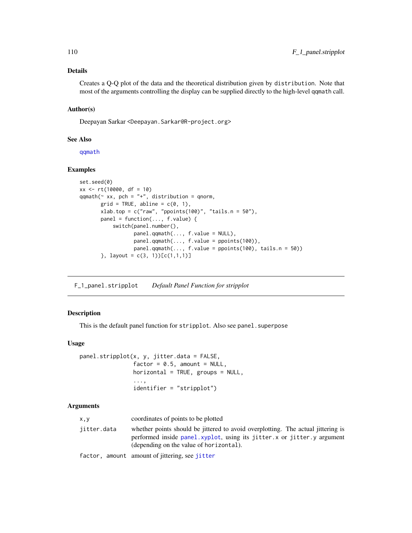### Details

Creates a Q-Q plot of the data and the theoretical distribution given by distribution. Note that most of the arguments controlling the display can be supplied directly to the high-level qqmath call.

#### Author(s)

Deepayan Sarkar <Deepayan.Sarkar@R-project.org>

#### See Also

[qqmath](#page-33-0)

### Examples

```
set.seed(0)
xx <- rt(10000, df = 10)
qqmath(t^* xx, pch = "+", distribution = qnorm,grid = TRUE, abline = c(0, 1),xlab.top = c("raw", "popints(100)", "tails.n = 50"),panel = function(..., f.value) {
           switch(panel.number(),
                 panel.qqmath(..., f.value = NULL),
                 panel.qqmath(..., f.value = ppoints(100)),
                  panel.qqmath(..., f.value = popoints(100), tails.n = 50)\}, layout = c(3, 1))[c(1,1,1)]
```
F\_1\_panel.stripplot *Default Panel Function for stripplot*

### Description

This is the default panel function for stripplot. Also see panel. superpose

### Usage

```
panel.stripplot(x, y, jitter.data = FALSE,
                factor = 0.5, amount = NULL,
                horizontal = TRUE, groups = NULL,
                ...,
                identifier = "stripplot")
```

| x, y        | coordinates of points to be plotted                                                                                                                                                                   |
|-------------|-------------------------------------------------------------------------------------------------------------------------------------------------------------------------------------------------------|
| iitter.data | whether points should be jittered to avoid overplotting. The actual jittering is<br>performed inside panel.xyplot, using its jitter.x or jitter.y argument<br>(depending on the value of horizontal). |
|             | factor, amount amount of jittering, see jitter                                                                                                                                                        |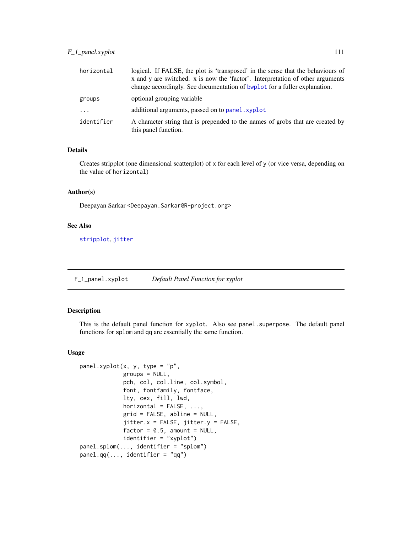## F\_1\_panel.xyplot 111

| horizontal | logical. If FALSE, the plot is 'transposed' in the sense that the behaviours of<br>x and y are switched. x is now the 'factor'. Interpretation of other arguments<br>change accordingly. See documentation of bwplot for a fuller explanation. |
|------------|------------------------------------------------------------------------------------------------------------------------------------------------------------------------------------------------------------------------------------------------|
| groups     | optional grouping variable                                                                                                                                                                                                                     |
| $\cdot$    | additional arguments, passed on to panel, xyplot                                                                                                                                                                                               |
| identifier | A character string that is prepended to the names of grobs that are created by<br>this panel function.                                                                                                                                         |

### Details

Creates stripplot (one dimensional scatterplot) of x for each level of y (or vice versa, depending on the value of horizontal)

### Author(s)

Deepayan Sarkar <Deepayan.Sarkar@R-project.org>

### See Also

[stripplot](#page-5-0), [jitter](#page-0-0)

F\_1\_panel.xyplot *Default Panel Function for xyplot*

### <span id="page-110-0"></span>Description

This is the default panel function for xyplot. Also see panel.superpose. The default panel functions for splom and qq are essentially the same function.

#### Usage

```
panel.xyplot(x, y, type = "p",
             groups = NULL,
             pch, col, col.line, col.symbol,
             font, fontfamily, fontface,
             lty, cex, fill, lwd,
             horizontal = FALSE, ...,grid = FALSE, abline = NULL,
             jitter.x = FALSE, jitter.y = FALSE,
             factor = 0.5, amount = NULL,
             identifier = "xyplot")
panel.splom(..., identifier = "splom")
panel.qq(..., identifier = "qq")
```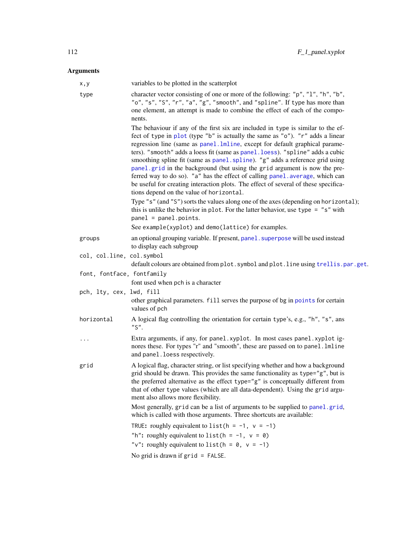| x,y                        | variables to be plotted in the scatterplot                                                                                                                                                                                                                                                                                                                                                                                                                                                                                                                                                                                                                                                                           |
|----------------------------|----------------------------------------------------------------------------------------------------------------------------------------------------------------------------------------------------------------------------------------------------------------------------------------------------------------------------------------------------------------------------------------------------------------------------------------------------------------------------------------------------------------------------------------------------------------------------------------------------------------------------------------------------------------------------------------------------------------------|
| type                       | character vector consisting of one or more of the following: "p", "1", "h", "b",<br>"o", "s", "S", "r", "a", "g", "smooth", and "spline". If type has more than<br>one element, an attempt is made to combine the effect of each of the compo-<br>nents.                                                                                                                                                                                                                                                                                                                                                                                                                                                             |
|                            | The behaviour if any of the first six are included in type is similar to the ef-<br>fect of type in plot (type "b" is actually the same as "o"). "r" adds a linear<br>regression line (same as panel.lmline, except for default graphical parame-<br>ters). "smooth" adds a loess fit (same as panel.loess). "spline" adds a cubic<br>smoothing spline fit (same as panel. spline). "g" adds a reference grid using<br>panel.grid in the background (but using the grid argument is now the pre-<br>ferred way to do so). "a" has the effect of calling panel. average, which can<br>be useful for creating interaction plots. The effect of several of these specifica-<br>tions depend on the value of horizontal. |
|                            | Type "s" (and "S") sorts the values along one of the axes (depending on horizontal);<br>this is unlike the behavior in plot. For the latter behavior, use type = $"s"$ with<br>$panel = panel.points.$                                                                                                                                                                                                                                                                                                                                                                                                                                                                                                               |
|                            | See example(xyplot) and demo(lattice) for examples.                                                                                                                                                                                                                                                                                                                                                                                                                                                                                                                                                                                                                                                                  |
| groups                     | an optional grouping variable. If present, panel . superpose will be used instead<br>to display each subgroup                                                                                                                                                                                                                                                                                                                                                                                                                                                                                                                                                                                                        |
| col, col.line, col.symbol  | default colours are obtained from plot. symbol and plot. line using trellis.par.get.                                                                                                                                                                                                                                                                                                                                                                                                                                                                                                                                                                                                                                 |
| font, fontface, fontfamily |                                                                                                                                                                                                                                                                                                                                                                                                                                                                                                                                                                                                                                                                                                                      |
|                            | font used when pch is a character                                                                                                                                                                                                                                                                                                                                                                                                                                                                                                                                                                                                                                                                                    |
| pch, lty, cex, lwd, fill   | other graphical parameters. fill serves the purpose of bg in points for certain<br>values of pch                                                                                                                                                                                                                                                                                                                                                                                                                                                                                                                                                                                                                     |
| horizontal                 | A logical flag controlling the orientation for certain type's, e.g., "h", "s", ans<br>$"S"$ .                                                                                                                                                                                                                                                                                                                                                                                                                                                                                                                                                                                                                        |
| $\cdots$                   | Extra arguments, if any, for panel.xyplot. In most cases panel.xyplot ig-<br>nores these. For types "r" and "smooth", these are passed on to panel.lmline<br>and panel. loess respectively.                                                                                                                                                                                                                                                                                                                                                                                                                                                                                                                          |
| grid                       | A logical flag, character string, or list specifying whether and how a background<br>grid should be drawn. This provides the same functionality as type="g", but is<br>the preferred alternative as the effect type="g" is conceptually different from<br>that of other type values (which are all data-dependent). Using the grid argu-<br>ment also allows more flexibility.                                                                                                                                                                                                                                                                                                                                       |
|                            | Most generally, grid can be a list of arguments to be supplied to panel.grid,<br>which is called with those arguments. Three shortcuts are available:                                                                                                                                                                                                                                                                                                                                                                                                                                                                                                                                                                |
|                            | TRUE: roughly equivalent to list ( $h = -1$ , $v = -1$ )                                                                                                                                                                                                                                                                                                                                                                                                                                                                                                                                                                                                                                                             |
|                            | "h": roughly equivalent to list( $h = -1$ , $v = 0$ )                                                                                                                                                                                                                                                                                                                                                                                                                                                                                                                                                                                                                                                                |
|                            | "v": roughly equivalent to list ( $h = 0$ , $v = -1$ )                                                                                                                                                                                                                                                                                                                                                                                                                                                                                                                                                                                                                                                               |
|                            | No grid is drawn if $grid = FALSE$ .                                                                                                                                                                                                                                                                                                                                                                                                                                                                                                                                                                                                                                                                                 |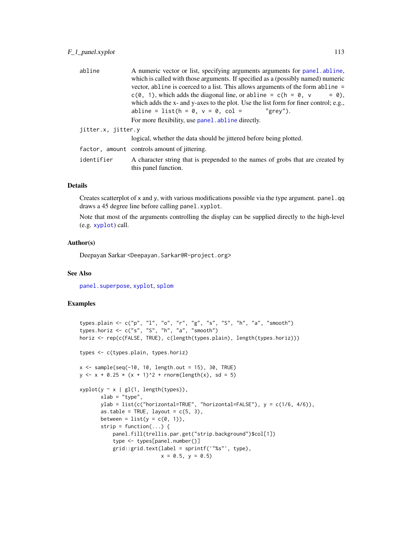## F\_1\_panel.xyplot 113

| abline             | A numeric vector or list, specifying arguments arguments for panel. abline,                            |
|--------------------|--------------------------------------------------------------------------------------------------------|
|                    | which is called with those arguments. If specified as a (possibly named) numeric                       |
|                    | vector, abline is coerced to a list. This allows arguments of the form abline =                        |
|                    | $c(0, 1)$ , which adds the diagonal line, or abline = $c(h = 0, v)$<br>$= 0$ .                         |
|                    | which adds the x- and y-axes to the plot. Use the list form for finer control; e.g.,                   |
|                    | abline = list( $h = 0$ , $v = 0$ , col =<br>"grev").                                                   |
|                    | For more flexibility, use panel abline directly.                                                       |
| jitter.x, jitter.y |                                                                                                        |
|                    | logical, whether the data should be jittered before being plotted.                                     |
|                    | factor, amount controls amount of jittering.                                                           |
| identifier         | A character string that is prepended to the names of grobs that are created by<br>this panel function. |

### Details

Creates scatterplot of  $x$  and  $y$ , with various modifications possible via the type argument. panel.qq draws a 45 degree line before calling panel.xyplot.

Note that most of the arguments controlling the display can be supplied directly to the high-level (e.g. [xyplot](#page-5-0)) call.

### Author(s)

Deepayan Sarkar <Deepayan.Sarkar@R-project.org>

### See Also

[panel.superpose](#page-124-0), [xyplot](#page-5-0), [splom](#page-49-0)

### Examples

```
types.plain <- c("p", "l", "o", "r", "g", "s", "S", "h", "a", "smooth")
types.horiz <- c("s", "S", "h", "a", "smooth")
horiz <- rep(c(FALSE, TRUE), c(length(types.plain), length(types.horiz)))
types <- c(types.plain, types.horiz)
x \le - sample(seq(-10, 10, length.out = 15), 30, TRUE)
y \le -x + 0.25 \times (x + 1)^2 + \text{norm}(\text{length}(x), \text{ sd} = 5)xyplot(y \sim x \mid gl(1, length(types)),xlab = "type",
       ylab = list(c("horizontal=TRUE", "horizontal=FALSE"), y = c(1/6, 4/6)),
       as.table = TRUE, layout = c(5, 3),
       between = list(y = c(0, 1)),strip = function(...) {
           panel.fill(trellis.par.get("strip.background")$col[1])
           type <- types[panel.number()]
           grid::grid.text(label = sprintf('"%s"', type),
                            x = 0.5, y = 0.5
```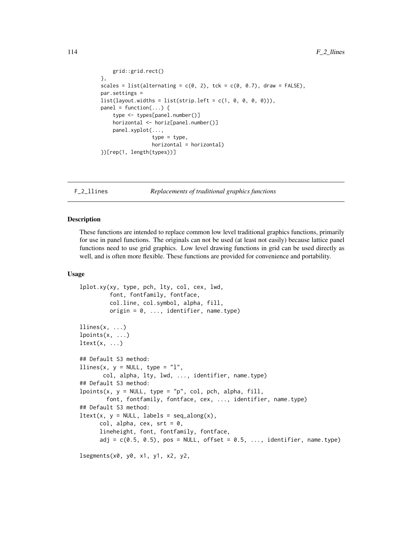```
grid::grid.rect()
},
scales = list(alternating = c(0, 2), tck = c(0, 0.7), draw = FALSE),
par.settings =
list(layout.widths = list(strip.left = c(1, 0, 0, 0, 0))),
panel = function(...) { }type <- types[panel.number()]
    horizontal <- horiz[panel.number()]
    panel.xyplot(...,
                 type = type,
                 horizontal = horizontal)
})[rep(1, length(types))]
```
F\_2\_llines *Replacements of traditional graphics functions*

#### <span id="page-113-0"></span>**Description**

These functions are intended to replace common low level traditional graphics functions, primarily for use in panel functions. The originals can not be used (at least not easily) because lattice panel functions need to use grid graphics. Low level drawing functions in grid can be used directly as well, and is often more flexible. These functions are provided for convenience and portability.

#### Usage

```
lplot.xy(xy, type, pch, lty, col, cex, lwd,
         font, fontfamily, fontface,
         col.line, col.symbol, alpha, fill,
         origin = 0, \ldots, identifier, name.type)
llines(x, \ldots)lpoints(x, \ldots)let(x, \ldots)## Default S3 method:
llines(x, y = NULL, type = "l",
       col, alpha, lty, lwd, ..., identifier, name.type)
## Default S3 method:
lpoints(x, y = NULL, type = "p", col, pch, alpha, fill,font, fontfamily, fontface, cex, ..., identifier, name.type)
## Default S3 method:
ltext(x, y = NULL, labels = seq_along(x),col, alpha, cex, srt = 0,
      lineheight, font, fontfamily, fontface,
      adj = c(0.5, 0.5), pos = NULL, offset = 0.5, ..., identifier, name.type)
lsegments(x0, y0, x1, y1, x2, y2,
```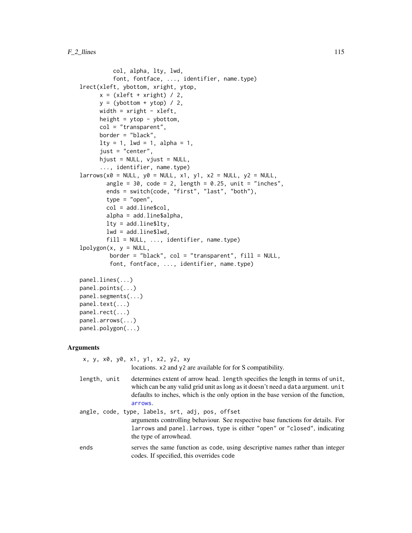```
col, alpha, lty, lwd,
          font, fontface, ..., identifier, name.type)
lrect(xleft, ybottom, xright, ytop,
     x = (xleft + xright) / 2,
     y = (ybottom + ytop) / 2,
     width = xright - xleft,
     height = ytop - ybottom,
     col = "transparent",
     border = "black",
     lty = 1, lwd = 1, alpha = 1,
     just = "center",
     hjust = NULL, vjust = NULL,
      ..., identifier, name.type)
larrow(x0 = NULL, y0 = NULL, x1, y1, x2 = NULL, y2 = NULL,angle = 30, code = 2, length = 0.25, unit = "inches",
       ends = switch(code, "first", "last", "both"),
       type = "open",
       col = add.line$col,
       alpha = add.line$alpha,
       lty = add.line$lty,
       lwd = add.line$lwd,
       fill = NULL, ..., identifier, name_type)lpolygon(x, y = NULL,border = "black", col = "transparent", fill = NULL,font, fontface, ..., identifier, name.type)
panel.lines(...)
panel.points(...)
panel.segments(...)
panel.text(...)
panel.rect(...)
panel.arrows(...)
panel.polygon(...)
```
#### **Arguments**

x, y, x0, y0, x1, y1, x2, y2, xy locations. x2 and y2 are available for for S compatibility. length, unit determines extent of arrow head. length specifies the length in terms of unit, which can be any valid grid unit as long as it doesn't need a data argument. unit defaults to inches, which is the only option in the base version of the function, [arrows](#page-0-0). angle, code, type, labels, srt, adj, pos, offset arguments controlling behaviour. See respective base functions for details. For larrows and panel.larrows, type is either "open" or "closed", indicating the type of arrowhead. ends serves the same function as code, using descriptive names rather than integer codes. If specified, this overrides code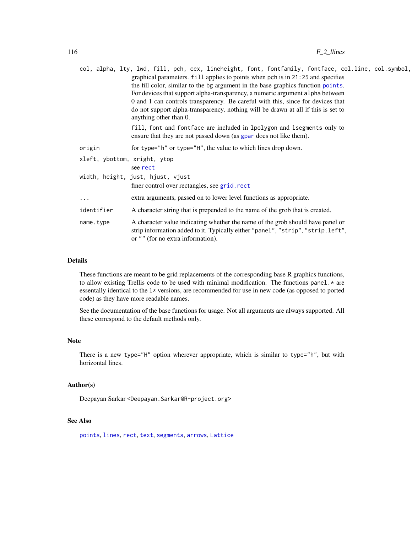|                              | col, alpha, lty, lwd, fill, pch, cex, lineheight, font, fontfamily, fontface, col.line, col.symbol,                                                                                                                                                                                                                                                                                                                                                    |
|------------------------------|--------------------------------------------------------------------------------------------------------------------------------------------------------------------------------------------------------------------------------------------------------------------------------------------------------------------------------------------------------------------------------------------------------------------------------------------------------|
|                              | graphical parameters. fill applies to points when pch is in 21:25 and specifies<br>the fill color, similar to the bg argument in the base graphics function points.<br>For devices that support alpha-transparency, a numeric argument alpha between<br>0 and 1 can controls transparency. Be careful with this, since for devices that<br>do not support alpha-transparency, nothing will be drawn at all if this is set to<br>anything other than 0. |
|                              | fill, font and fontface are included in lpolygon and lsegments only to<br>ensure that they are not passed down (as gpar does not like them).                                                                                                                                                                                                                                                                                                           |
| origin                       | for type="h" or type="H", the value to which lines drop down.                                                                                                                                                                                                                                                                                                                                                                                          |
| xleft, ybottom, xright, ytop | see rect                                                                                                                                                                                                                                                                                                                                                                                                                                               |
|                              | width, height, just, hjust, vjust                                                                                                                                                                                                                                                                                                                                                                                                                      |
|                              | finer control over rectangles, see grid.rect                                                                                                                                                                                                                                                                                                                                                                                                           |
| $\cdots$                     | extra arguments, passed on to lower level functions as appropriate.                                                                                                                                                                                                                                                                                                                                                                                    |
| identifier                   | A character string that is prepended to the name of the grob that is created.                                                                                                                                                                                                                                                                                                                                                                          |
| name.type                    | A character value indicating whether the name of the grob should have panel or<br>strip information added to it. Typically either "panel", "strip", "strip.left",<br>or "" (for no extra information).                                                                                                                                                                                                                                                 |

### Details

These functions are meant to be grid replacements of the corresponding base R graphics functions, to allow existing Trellis code to be used with minimal modification. The functions panel. $*$  are essentally identical to the l\* versions, are recommended for use in new code (as opposed to ported code) as they have more readable names.

See the documentation of the base functions for usage. Not all arguments are always supported. All these correspond to the default methods only.

#### Note

There is a new type="H" option wherever appropriate, which is similar to type="h", but with horizontal lines.

### Author(s)

Deepayan Sarkar <Deepayan.Sarkar@R-project.org>

#### See Also

[points](#page-0-0), [lines](#page-0-0), [rect](#page-0-0), [text](#page-0-0), [segments](#page-0-0), [arrows](#page-0-0), [Lattice](#page-2-0)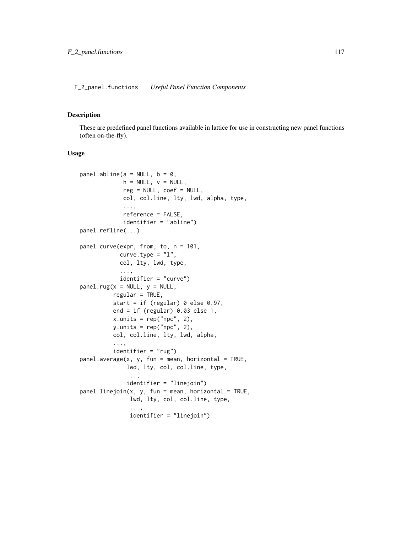F\_2\_panel.functions *Useful Panel Function Components*

#### <span id="page-116-0"></span>Description

These are predefined panel functions available in lattice for use in constructing new panel functions (often on-the-fly).

#### Usage

```
panel.abline(a = NULL, b = 0,
             h = NULL, v = NULL,reg = NULL, coef = NULL,col, col.line, lty, lwd, alpha, type,
             ...,
             reference = FALSE,
             identifier = "abline")
panel.refline(...)
panel.curve(expr, from, to, n = 101,
            curve.type = "1",col, lty, lwd, type,
            ...,
            identifier = "curve")
panel.rug(x = NULL, y = NULL,regular = TRUE,start = if (regular) 0 else 0.97,
          end = if (regular) 0.03 else 1,
          x.units = rep("npc", 2),
          y.units = rep("npc", 2),
          col, col.line, lty, lwd, alpha,
          ...,
          identifier = "rug")
panel. average(x, y, fun = mean, horizontal = TRUE,lwd, lty, col, col.line, type,
              ...,
              identifier = "linejoin")
panelu line join(x, y, fun = mean, horizontal = TRUE,lwd, lty, col, col.line, type,
               ...,
               identifier = "linejoin")
```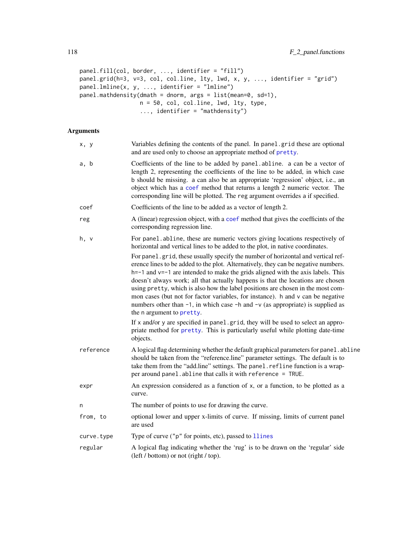```
panel.fill(col, border, ..., identifier = "fill")
panel.grid(h=3, v=3, col, col.line, lty, lwd, x, y, ..., identifier = "grid")
panel.lmline(x, y, ..., identifier = "lmline")
panel.mathdensity(dmath = dnorm, args = list(mean=0, sd=1),
                  n = 50, col, col.line, lwd, lty, type,
                  ..., identifier = "mathdensity")
```

| x, y       | Variables defining the contents of the panel. In panel grid these are optional<br>and are used only to choose an appropriate method of pretty.                                                                                                                                                                                                                                                                                                                                                                                                                                                                                                                                                                                   |
|------------|----------------------------------------------------------------------------------------------------------------------------------------------------------------------------------------------------------------------------------------------------------------------------------------------------------------------------------------------------------------------------------------------------------------------------------------------------------------------------------------------------------------------------------------------------------------------------------------------------------------------------------------------------------------------------------------------------------------------------------|
| a, b       | Coefficients of the line to be added by panel.abline. a can be a vector of<br>length 2, representing the coefficients of the line to be added, in which case<br>b should be missing. a can also be an appropriate 'regression' object, i.e., an<br>object which has a coef method that returns a length 2 numeric vector. The<br>corresponding line will be plotted. The reg argument overrides a if specified.                                                                                                                                                                                                                                                                                                                  |
| coef       | Coefficients of the line to be added as a vector of length 2.                                                                                                                                                                                                                                                                                                                                                                                                                                                                                                                                                                                                                                                                    |
| reg        | A (linear) regression object, with a coef method that gives the coefficints of the<br>corresponding regression line.                                                                                                                                                                                                                                                                                                                                                                                                                                                                                                                                                                                                             |
| h, v       | For panel.abline, these are numeric vectors giving locations respectively of<br>horizontal and vertical lines to be added to the plot, in native coordinates.                                                                                                                                                                                                                                                                                                                                                                                                                                                                                                                                                                    |
|            | For panel.grid, these usually specify the number of horizontal and vertical ref-<br>erence lines to be added to the plot. Alternatively, they can be negative numbers.<br>$h=-1$ and $v=-1$ are intended to make the grids aligned with the axis labels. This<br>doesn't always work; all that actually happens is that the locations are chosen<br>using pretty, which is also how the label positions are chosen in the most com-<br>mon cases (but not for factor variables, for instance). h and v can be negative<br>numbers other than $-1$ , in which case $-h$ and $-v$ (as appropriate) is supplied as<br>the n argument to pretty.<br>If x and/or y are specified in panel.grid, they will be used to select an appro- |
|            | priate method for pretty. This is particularly useful while plotting date-time<br>objects.                                                                                                                                                                                                                                                                                                                                                                                                                                                                                                                                                                                                                                       |
| reference  | A logical flag determining whether the default graphical parameters for panel.abline<br>should be taken from the "reference.line" parameter settings. The default is to<br>take them from the "add.line" settings. The panel.refline function is a wrap-<br>per around panel. abline that calls it with reference = TRUE.                                                                                                                                                                                                                                                                                                                                                                                                        |
| expr       | An expression considered as a function of x, or a function, to be plotted as a<br>curve.                                                                                                                                                                                                                                                                                                                                                                                                                                                                                                                                                                                                                                         |
| n          | The number of points to use for drawing the curve.                                                                                                                                                                                                                                                                                                                                                                                                                                                                                                                                                                                                                                                                               |
| from, to   | optional lower and upper x-limits of curve. If missing, limits of current panel<br>are used                                                                                                                                                                                                                                                                                                                                                                                                                                                                                                                                                                                                                                      |
| curve.type | Type of curve ("p" for points, etc), passed to llines                                                                                                                                                                                                                                                                                                                                                                                                                                                                                                                                                                                                                                                                            |
| regular    | A logical flag indicating whether the 'rug' is to be drawn on the 'regular' side<br>(left / bottom) or not (right / top).                                                                                                                                                                                                                                                                                                                                                                                                                                                                                                                                                                                                        |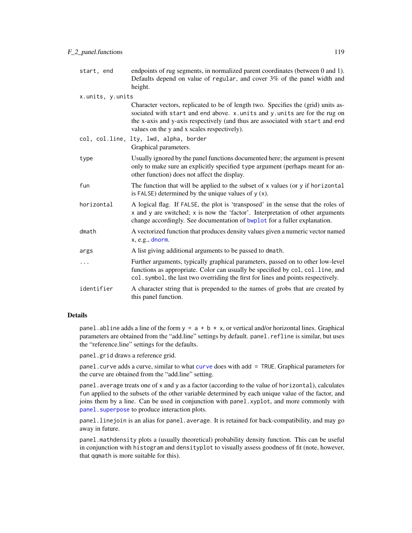| start, end       | endpoints of rug segments, in normalized parent coordinates (between 0 and 1).<br>Defaults depend on value of regular, and cover 3% of the panel width and<br>height.                                                                                                                           |
|------------------|-------------------------------------------------------------------------------------------------------------------------------------------------------------------------------------------------------------------------------------------------------------------------------------------------|
| x.units, y.units |                                                                                                                                                                                                                                                                                                 |
|                  | Character vectors, replicated to be of length two. Specifies the (grid) units as-<br>sociated with start and end above. x.units and y.units are for the rug on<br>the x-axis and y-axis respectively (and thus are associated with start and end<br>values on the y and x scales respectively). |
|                  | col, col.line, lty, lwd, alpha, border<br>Graphical parameters.                                                                                                                                                                                                                                 |
| type             | Usually ignored by the panel functions documented here; the argument is present<br>only to make sure an explicitly specified type argument (perhaps meant for an-<br>other function) does not affect the display.                                                                               |
| fun              | The function that will be applied to the subset of x values (or y if horizontal<br>is FALSE) determined by the unique values of $y(x)$ .                                                                                                                                                        |
| horizontal       | A logical flag. If FALSE, the plot is 'transposed' in the sense that the roles of<br>x and y are switched; x is now the 'factor'. Interpretation of other arguments<br>change accordingly. See documentation of bwplot for a fuller explanation.                                                |
| dmath            | A vectorized function that produces density values given a numeric vector named<br>x, e.g., dnorm.                                                                                                                                                                                              |
| args             | A list giving additional arguments to be passed to dmath.                                                                                                                                                                                                                                       |
| .                | Further arguments, typically graphical parameters, passed on to other low-level<br>functions as appropriate. Color can usually be specified by col, col. line, and<br>col. symbol, the last two overriding the first for lines and points respectively.                                         |
| identifier       | A character string that is prepended to the names of grobs that are created by<br>this panel function.                                                                                                                                                                                          |

## Details

panel.abline adds a line of the form  $y = a + b \times x$ , or vertical and/or horizontal lines. Graphical parameters are obtained from the "add.line" settings by default. panel.refline is similar, but uses the "reference.line" settings for the defaults.

panel.grid draws a reference grid.

panel.curve adds a curve, similar to what [curve](#page-0-0) does with add = TRUE. Graphical parameters for the curve are obtained from the "add.line" setting.

panel.average treats one of x and y as a factor (according to the value of horizontal), calculates fun applied to the subsets of the other variable determined by each unique value of the factor, and joins them by a line. Can be used in conjunction with panel.xyplot, and more commonly with panel. superpose to produce interaction plots.

panel.line join is an alias for panel.average. It is retained for back-compatibility, and may go away in future.

panel.mathdensity plots a (usually theoretical) probability density function. This can be useful in conjunction with histogram and densityplot to visually assess goodness of fit (note, however, that qqmath is more suitable for this).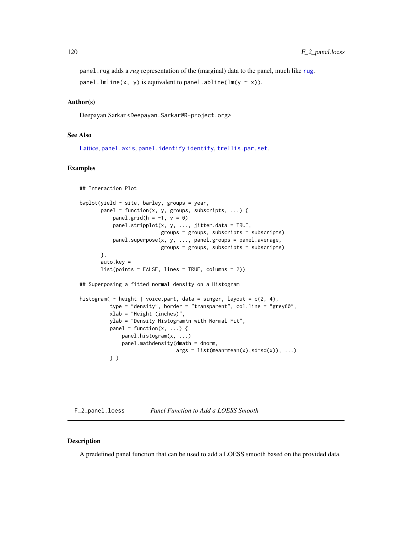panel.[rug](#page-0-0) adds a *rug* representation of the (marginal) data to the panel, much like rug. panel.lmline(x, y) is equivalent to panel.abline(lm(y  $\sim$  x)).

#### Author(s)

Deepayan Sarkar <Deepayan.Sarkar@R-project.org>

#### See Also

[Lattice,](#page-2-0) [panel.axis](#page-139-0), [panel.identify](#page-83-0) [identify](#page-0-0), [trellis.par.set](#page-59-0).

#### Examples

```
## Interaction Plot
bwplot(yield \sim site, barley, groups = year,
       panel = function(x, y, groups, subscripts, ...) { }panel.grid(h = -1, v = 0)
           panel.stripplot(x, y, ..., jitter.data = TRUE,
                           groups = groups, subscripts = subscripts)
           panel.superpose(x, y, ..., panel.groups = panel.average,
                           groups = groups, subscripts = subscripts)
       },
       auto.key =
       list(points = FALSE, lines = TRUE, columns = 2))
## Superposing a fitted normal density on a Histogram
histogram( \sim height | voice.part, data = singer, layout = c(2, 4),
          type = "density", border = "transparent", col.line = "grey60",
          xlab = "Height (inches)",
         ylab = "Density Histogram\n with Normal Fit",
          panel = function(x, \ldots) {
              panel.histogram(x, ...)
              panel.mathdensity(dmath = dnorm,
                                args = list(mean=mean(x), sd=sd(x)), ...)} )
```
F\_2\_panel.loess *Panel Function to Add a LOESS Smooth*

### <span id="page-119-0"></span>Description

A predefined panel function that can be used to add a LOESS smooth based on the provided data.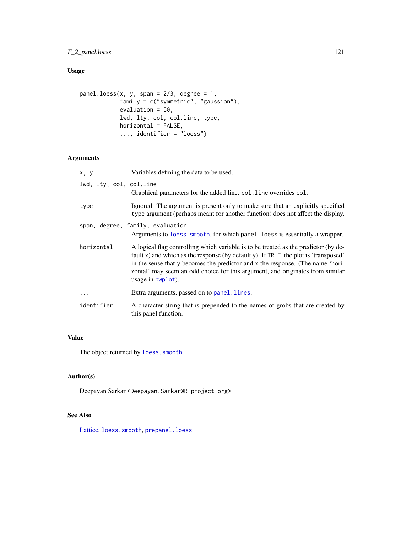### F\_2\_panel.loess 121

# Usage

```
panel.loess(x, y, span = 2/3, degree = 1,
            family = c("symmetric", "gaussian"),
            evaluation = 50,
            lwd, lty, col, col.line, type,
            horizontal = FALSE,
            ..., identifier = "loess")
```
### Arguments

| x, y                    | Variables defining the data to be used.                                                                                                                                                                                                                                                                                                                             |
|-------------------------|---------------------------------------------------------------------------------------------------------------------------------------------------------------------------------------------------------------------------------------------------------------------------------------------------------------------------------------------------------------------|
| lwd, lty, col, col.line | Graphical parameters for the added line. col. line overrides col.                                                                                                                                                                                                                                                                                                   |
| type                    | Ignored. The argument is present only to make sure that an explicitly specified<br>type argument (perhaps meant for another function) does not affect the display.                                                                                                                                                                                                  |
|                         | span, degree, family, evaluation<br>Arguments to loess. smooth, for which panel. loess is essentially a wrapper.                                                                                                                                                                                                                                                    |
| horizontal              | A logical flag controlling which variable is to be treated as the predictor (by de-<br>fault x) and which as the response (by default y). If TRUE, the plot is 'transposed'<br>in the sense that y becomes the predictor and x the response. (The name 'hori-<br>zontal' may seem an odd choice for this argument, and originates from similar<br>usage in bwplot). |
| .                       | Extra arguments, passed on to panel.lines.                                                                                                                                                                                                                                                                                                                          |
| identifier              | A character string that is prepended to the names of grobs that are created by<br>this panel function.                                                                                                                                                                                                                                                              |

# Value

The object returned by loess. smooth.

# Author(s)

Deepayan Sarkar <Deepayan.Sarkar@R-project.org>

# See Also

[Lattice,](#page-2-0) [loess.smooth](#page-0-0), [prepanel.loess](#page-130-0)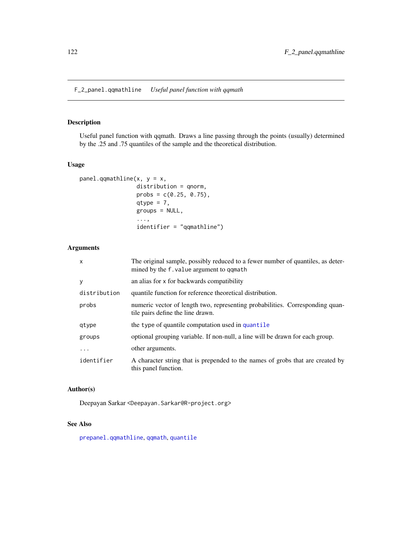# Description

Useful panel function with qqmath. Draws a line passing through the points (usually) determined by the .25 and .75 quantiles of the sample and the theoretical distribution.

### Usage

```
panel.qqmathline(x, y = x,
                 distribution = qnorm,
                 probs = c(0.25, 0.75),
                 qtype = 7,groups = NULL,
                 ...,
                 identifier = "qqmathline")
```
### Arguments

| x            | The original sample, possibly reduced to a fewer number of quantiles, as deter-<br>mined by the f. value argument to qqmath |
|--------------|-----------------------------------------------------------------------------------------------------------------------------|
| y            | an alias for x for backwards compatibility                                                                                  |
| distribution | quantile function for reference theoretical distribution.                                                                   |
| probs        | numeric vector of length two, representing probabilities. Corresponding quan-<br>tile pairs define the line drawn.          |
| qtype        | the type of quantile computation used in quantile                                                                           |
| groups       | optional grouping variable. If non-null, a line will be drawn for each group.                                               |
| $\ddotsc$    | other arguments.                                                                                                            |
| identifier   | A character string that is prepended to the names of grobs that are created by<br>this panel function.                      |

### Author(s)

Deepayan Sarkar <Deepayan.Sarkar@R-project.org>

#### See Also

[prepanel.qqmathline](#page-130-0), [qqmath](#page-33-0), [quantile](#page-0-0)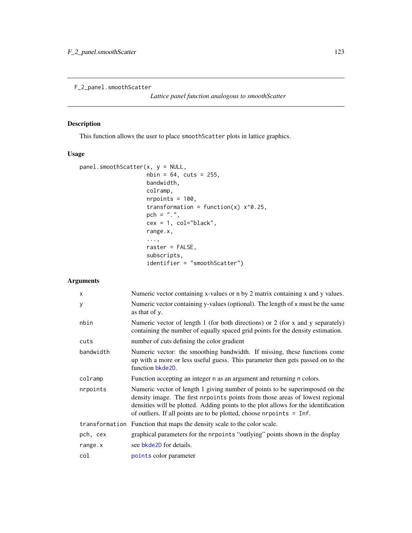F\_2\_panel.smoothScatter

*Lattice panel function analogous to smoothScatter*

# Description

This function allows the user to place smoothScatter plots in lattice graphics.

### Usage

```
panel.smoothScatter(x, y = NULL,
                    nbin = 64, cuts = 255,
                    bandwidth,
                    colramp,
                    nrpoints = 100,
                    transformation = function(x) x^0.25,
                    pch = ".'',cex = 1, col="black",
                    range.x,
                    ...,
                    raster = FALSE,
                    subscripts,
                    identifier = "smoothScatter")
```

| $\times$  | Numeric vector containing x-values or n by 2 matrix containing x and y values.                                                                                                                                                                                                                                               |
|-----------|------------------------------------------------------------------------------------------------------------------------------------------------------------------------------------------------------------------------------------------------------------------------------------------------------------------------------|
| y         | Numeric vector containing y-values (optional). The length of x must be the same<br>as that of y.                                                                                                                                                                                                                             |
| nbin      | Numeric vector of length 1 (for both directions) or 2 (for x and y separately)<br>containing the number of equally spaced grid points for the density estimation.                                                                                                                                                            |
| cuts      | number of cuts defining the color gradient                                                                                                                                                                                                                                                                                   |
| bandwidth | Numeric vector: the smoothing bandwidth. If missing, these functions come<br>up with a more or less useful guess. This parameter then gets passed on to the<br>function bkde2D.                                                                                                                                              |
| colramp   | Function accepting an integer n as an argument and returning n colors.                                                                                                                                                                                                                                                       |
| nrpoints  | Numeric vector of length 1 giving number of points to be superimposed on the<br>density image. The first nrpoints points from those areas of lowest regional<br>densities will be plotted. Adding points to the plot allows for the identification<br>of outliers. If all points are to be plotted, choose nrpoints $=$ Inf. |
|           | transformation Function that maps the density scale to the color scale.                                                                                                                                                                                                                                                      |
| pch, cex  | graphical parameters for the proposition "outlying" points shown in the display                                                                                                                                                                                                                                              |
| range.x   | see bkde2D for details.                                                                                                                                                                                                                                                                                                      |
| col       | points color parameter                                                                                                                                                                                                                                                                                                       |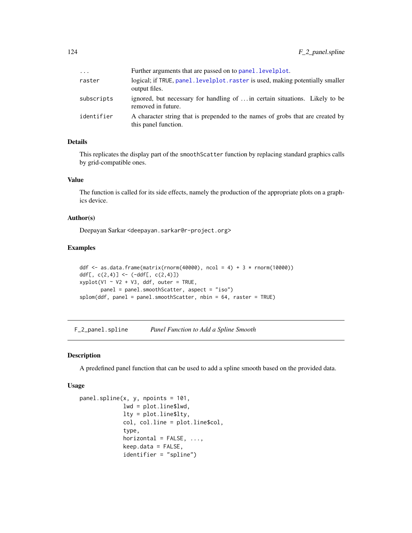| $\cdots$   | Further arguments that are passed on to panel. levelplot.                                              |
|------------|--------------------------------------------------------------------------------------------------------|
| raster     | logical; if TRUE, panel. levelplot. raster is used, making potentially smaller<br>output files.        |
| subscripts | ignored, but necessary for handling of  in certain situations. Likely to be<br>removed in future.      |
| identifier | A character string that is prepended to the names of grobs that are created by<br>this panel function. |

# Details

This replicates the display part of the smoothScatter function by replacing standard graphics calls by grid-compatible ones.

#### Value

The function is called for its side effects, namely the production of the appropriate plots on a graphics device.

# Author(s)

Deepayan Sarkar <deepayan.sarkar@r-project.org>

#### Examples

```
ddf <- as.data.frame(matrix(rnorm(40000), ncol = 4) + 3 * rnorm(10000))
ddf[, c(2,4)] <- (-ddf[, c(2,4)]xyplot(V1 ~ v2 ~ + v3, ddf, outer = TRUE,panel = panel.smoothScatter, aspect = "iso")
splom(ddf, panel = panel.smoothScatter, nbin = 64, raster = TRUE)
```
F\_2\_panel.spline *Panel Function to Add a Spline Smooth*

### <span id="page-123-0"></span>Description

A predefined panel function that can be used to add a spline smooth based on the provided data.

#### Usage

```
panel.spline(x, y, npoints = 101,
            lwd = plot.line$lwd,
            lty = plot.line$lty,
            col, col.line = plot.line$col,
             type,
            horizontal = FALSE, ...,keep.data = FALSE,identifier = "spline")
```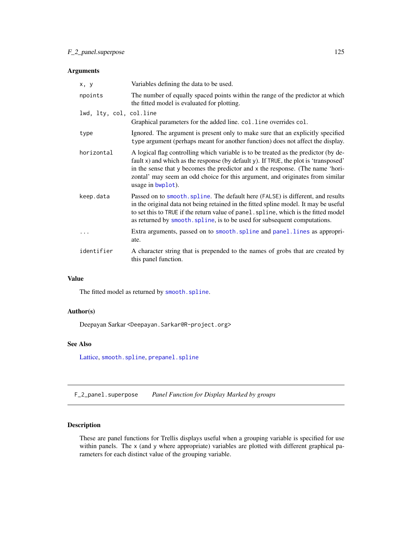### Arguments

| x, y                    | Variables defining the data to be used.                                                                                                                                                                                                                                                                                                                             |
|-------------------------|---------------------------------------------------------------------------------------------------------------------------------------------------------------------------------------------------------------------------------------------------------------------------------------------------------------------------------------------------------------------|
| npoints                 | The number of equally spaced points within the range of the predictor at which<br>the fitted model is evaluated for plotting.                                                                                                                                                                                                                                       |
| lwd, lty, col, col.line |                                                                                                                                                                                                                                                                                                                                                                     |
|                         | Graphical parameters for the added line. col. line overrides col.                                                                                                                                                                                                                                                                                                   |
| type                    | Ignored. The argument is present only to make sure that an explicitly specified<br>type argument (perhaps meant for another function) does not affect the display.                                                                                                                                                                                                  |
| horizontal              | A logical flag controlling which variable is to be treated as the predictor (by de-<br>fault x) and which as the response (by default y). If TRUE, the plot is 'transposed'<br>in the sense that y becomes the predictor and x the response. (The name 'hori-<br>zontal' may seem an odd choice for this argument, and originates from similar<br>usage in bwplot). |
| keep.data               | Passed on to smooth, spline. The default here (FALSE) is different, and results<br>in the original data not being retained in the fitted spline model. It may be useful<br>to set this to TRUE if the return value of panel. spline, which is the fitted model<br>as returned by smooth. spline, is to be used for subsequent computations.                         |
|                         | Extra arguments, passed on to smooth. spline and panel. lines as appropri-<br>ate.                                                                                                                                                                                                                                                                                  |
| identifier              | A character string that is prepended to the names of grobs that are created by<br>this panel function.                                                                                                                                                                                                                                                              |

# Value

The fitted model as returned by [smooth.spline](#page-0-0).

### Author(s)

Deepayan Sarkar <Deepayan.Sarkar@R-project.org>

# See Also

[Lattice,](#page-2-0) [smooth.spline](#page-0-0), [prepanel.spline](#page-130-0)

F\_2\_panel.superpose *Panel Function for Display Marked by groups*

### <span id="page-124-0"></span>Description

These are panel functions for Trellis displays useful when a grouping variable is specified for use within panels. The x (and y where appropriate) variables are plotted with different graphical parameters for each distinct value of the grouping variable.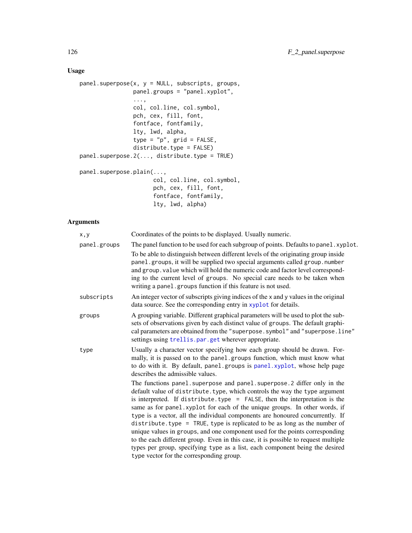# Usage

```
panel.superpose(x, y = NULL, subscripts, groups,
               panel.groups = "panel.xyplot",
                ...,
                col, col.line, col.symbol,
                pch, cex, fill, font,
                fontface, fontfamily,
                lty, lwd, alpha,
                type = "p", grid = FALSE,
                distribute.type = FALSE)
panel.superpose.2(..., distribute.type = TRUE)
panel.superpose.plain(...,
                      col, col.line, col.symbol,
                      pch, cex, fill, font,
```

```
fontface, fontfamily,
lty, lwd, alpha)
```

| x, y         | Coordinates of the points to be displayed. Usually numeric.                                                                                                                                                                                                                                                                                                                                                                                                                                                                                                                                                                                                                                                                                                                               |
|--------------|-------------------------------------------------------------------------------------------------------------------------------------------------------------------------------------------------------------------------------------------------------------------------------------------------------------------------------------------------------------------------------------------------------------------------------------------------------------------------------------------------------------------------------------------------------------------------------------------------------------------------------------------------------------------------------------------------------------------------------------------------------------------------------------------|
| panel.groups | The panel function to be used for each subgroup of points. Defaults to panel . xyplot.<br>To be able to distinguish between different levels of the originating group inside<br>panel.groups, it will be supplied two special arguments called group.number<br>and group. value which will hold the numeric code and factor level correspond-<br>ing to the current level of groups. No special care needs to be taken when<br>writing a panel.groups function if this feature is not used.                                                                                                                                                                                                                                                                                               |
| subscripts   | An integer vector of subscripts giving indices of the x and y values in the original<br>data source. See the corresponding entry in xyplot for details.                                                                                                                                                                                                                                                                                                                                                                                                                                                                                                                                                                                                                                   |
| groups       | A grouping variable. Different graphical parameters will be used to plot the sub-<br>sets of observations given by each distinct value of groups. The default graphi-<br>cal parameters are obtained from the "superpose.symbol" and "superpose.line"<br>settings using trellis.par.get wherever appropriate.                                                                                                                                                                                                                                                                                                                                                                                                                                                                             |
| type         | Usually a character vector specifying how each group should be drawn. For-<br>mally, it is passed on to the panel groups function, which must know what<br>to do with it. By default, panel.groups is panel.xyplot, whose help page<br>describes the admissible values.                                                                                                                                                                                                                                                                                                                                                                                                                                                                                                                   |
|              | The functions panel. superpose and panel. superpose. 2 differ only in the<br>default value of distribute. type, which controls the way the type argument<br>is interpreted. If distribute.type = $FALSE$ , then the interpretation is the<br>same as for panel. xyplot for each of the unique groups. In other words, if<br>type is a vector, all the individual components are honoured concurrently. If<br>distribute. type = TRUE, type is replicated to be as long as the number of<br>unique values in groups, and one component used for the points corresponding<br>to the each different group. Even in this case, it is possible to request multiple<br>types per group, specifying type as a list, each component being the desired<br>type vector for the corresponding group. |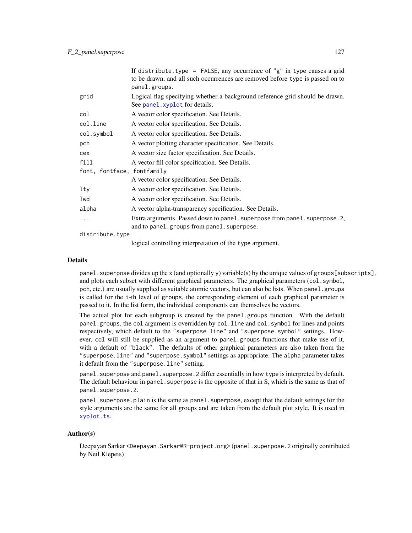|                            | If distribute.type = FALSE, any occurrence of "g" in type causes a grid<br>to be drawn, and all such occurrences are removed before type is passed on to<br>panel.groups.                                                                                                                      |  |
|----------------------------|------------------------------------------------------------------------------------------------------------------------------------------------------------------------------------------------------------------------------------------------------------------------------------------------|--|
| grid                       | Logical flag specifying whether a background reference grid should be drawn.<br>See panel. xyplot for details.                                                                                                                                                                                 |  |
| col                        | A vector color specification. See Details.                                                                                                                                                                                                                                                     |  |
| col.line                   | A vector color specification. See Details.                                                                                                                                                                                                                                                     |  |
| col.symbol                 | A vector color specification. See Details.                                                                                                                                                                                                                                                     |  |
| pch                        | A vector plotting character specification. See Details.                                                                                                                                                                                                                                        |  |
| cex                        | A vector size factor specification. See Details.                                                                                                                                                                                                                                               |  |
| fill                       | A vector fill color specification. See Details.                                                                                                                                                                                                                                                |  |
| font, fontface, fontfamily |                                                                                                                                                                                                                                                                                                |  |
|                            | A vector color specification. See Details.                                                                                                                                                                                                                                                     |  |
| lty                        | A vector color specification. See Details.                                                                                                                                                                                                                                                     |  |
| lwd                        | A vector color specification. See Details.                                                                                                                                                                                                                                                     |  |
| alpha                      | A vector alpha-transparency specification. See Details.                                                                                                                                                                                                                                        |  |
| .                          | Extra arguments. Passed down to panel. superpose from panel. superpose. 2,<br>and to panel.groups from panel.superpose.                                                                                                                                                                        |  |
| distribute.type            |                                                                                                                                                                                                                                                                                                |  |
|                            | $\mathbf{r}$ and $\mathbf{r}$ are the set of $\mathbf{r}$ and $\mathbf{r}$ and $\mathbf{r}$ and $\mathbf{r}$ and $\mathbf{r}$ and $\mathbf{r}$ and $\mathbf{r}$ and $\mathbf{r}$ and $\mathbf{r}$ and $\mathbf{r}$ and $\mathbf{r}$ and $\mathbf{r}$ and $\mathbf{r}$ and $\mathbf{r}$ and $\$ |  |

#### logical controlling interpretation of the type argument.

#### Details

panel.superpose divides up the x (and optionally y) variable(s) by the unique values of groups[subscripts], and plots each subset with different graphical parameters. The graphical parameters (col.symbol, pch, etc.) are usually supplied as suitable atomic vectors, but can also be lists. When panel.groups is called for the i-th level of groups, the corresponding element of each graphical parameter is passed to it. In the list form, the individual components can themselves be vectors.

The actual plot for each subgroup is created by the panel.groups function. With the default panel.groups, the col argument is overridden by col.line and col.symbol for lines and points respectively, which default to the "superpose.line" and "superpose.symbol" settings. However, col will still be supplied as an argument to panel.groups functions that make use of it, with a default of "black". The defaults of other graphical parameters are also taken from the "superpose.line" and "superpose.symbol" settings as appropriate. The alpha parameter takes it default from the "superpose.line" setting.

panel. superpose and panel. superpose. 2 differ essentially in how type is interpreted by default. The default behaviour in panel. superpose is the opposite of that in S, which is the same as that of panel.superpose.2.

panel. superpose. plain is the same as panel. superpose, except that the default settings for the style arguments are the same for all groups and are taken from the default plot style. It is used in [xyplot.ts](#page-24-0).

#### Author(s)

Deepayan Sarkar <Deepayan.Sarkar@R-project.org> (panel.superpose.2 originally contributed by Neil Klepeis)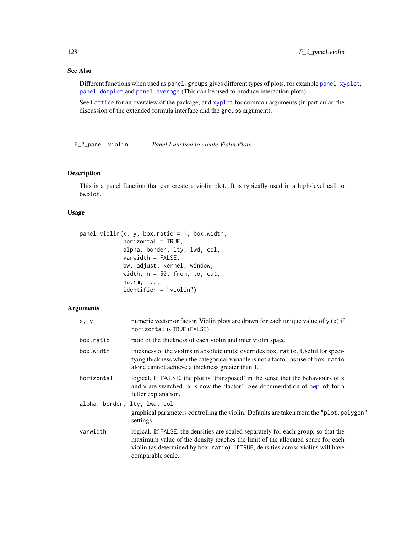### See Also

Different functions when used as panel.groups gives different types of plots, for example [panel.xyplot](#page-110-0), [panel.dotplot](#page-99-0) and [panel.average](#page-116-0) (This can be used to produce interaction plots).

See [Lattice](#page-2-0) for an overview of the package, and [xyplot](#page-5-0) for common arguments (in particular, the discussion of the extended formula interface and the groups argument).

F\_2\_panel.violin *Panel Function to create Violin Plots*

### Description

This is a panel function that can create a violin plot. It is typically used in a high-level call to bwplot.

#### Usage

```
panel.violin(x, y, box.ratio = 1, box.width,
            horizontal = TRUE,alpha, border, lty, lwd, col,
            varwidth = FALSE,bw, adjust, kernel, window,
            width, n = 50, from, to, cut,
            na.rm, ...,
             identifier = "violin")
```

| x, y                         | numeric vector or factor. Violin plots are drawn for each unique value of $y(x)$ if<br>horizontal is TRUE (FALSE)                                                                                                                                                              |
|------------------------------|--------------------------------------------------------------------------------------------------------------------------------------------------------------------------------------------------------------------------------------------------------------------------------|
| box.ratio                    | ratio of the thickness of each violin and inter violin space                                                                                                                                                                                                                   |
| box.width                    | thickness of the violins in absolute units; overrides box. ratio. Useful for speci-<br>fying thickness when the categorical variable is not a factor, as use of box. ratio<br>alone cannot achieve a thickness greater than 1.                                                 |
| horizontal                   | logical. If FALSE, the plot is 'transposed' in the sense that the behaviours of x<br>and y are switched. x is now the 'factor'. See documentation of bwplot for a<br>fuller explanation.                                                                                       |
| alpha, border, lty, lwd, col | graphical parameters controlling the violin. Defaults are taken from the "plot.polygon"<br>settings.                                                                                                                                                                           |
| varwidth                     | logical. If FALSE, the densities are scaled separately for each group, so that the<br>maximum value of the density reaches the limit of the allocated space for each<br>violin (as determined by box. ratio). If TRUE, densities across violins will have<br>comparable scale. |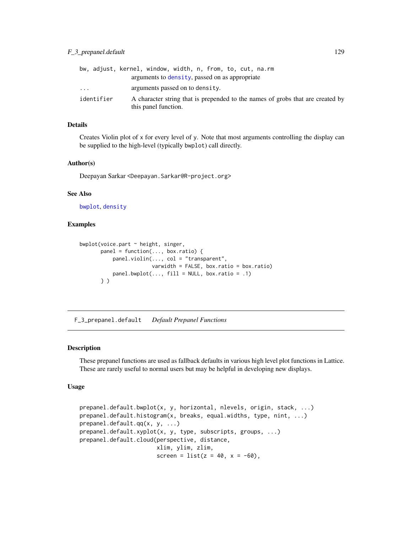|            | bw, adjust, kernel, window, width, n, from, to, cut, na.rm<br>arguments to density, passed on as appropriate |
|------------|--------------------------------------------------------------------------------------------------------------|
| .          | arguments passed on to density.                                                                              |
| identifier | A character string that is prepended to the names of grobs that are created by<br>this panel function.       |

### Details

Creates Violin plot of x for every level of y. Note that most arguments controlling the display can be supplied to the high-level (typically bwplot) call directly.

#### Author(s)

Deepayan Sarkar <Deepayan.Sarkar@R-project.org>

#### See Also

[bwplot](#page-5-0), [density](#page-0-0)

### Examples

```
bwplot(voice.part ~ height, singer,
      panel = function(..., box.ratio) { }panel.violin(..., col = "transparent",
                        varwidth = FALSE, box.ratio = box.ratio)
           panel.bwplot(..., fill = NULL, box.ratio = .1)} )
```
F\_3\_prepanel.default *Default Prepanel Functions*

#### <span id="page-128-0"></span>Description

These prepanel functions are used as fallback defaults in various high level plot functions in Lattice. These are rarely useful to normal users but may be helpful in developing new displays.

#### Usage

```
prepanel.default.bwplot(x, y, horizontal, nlevels, origin, stack, ...)
prepanel.default.histogram(x, breaks, equal.widths, type, nint, ...)
prepanel.default.qq(x, y, ...)
prepanel.default.xyplot(x, y, type, subscripts, groups, ...)
prepanel.default.cloud(perspective, distance,
                       xlim, ylim, zlim,
                       screen = list(z = 40, x = -60),
```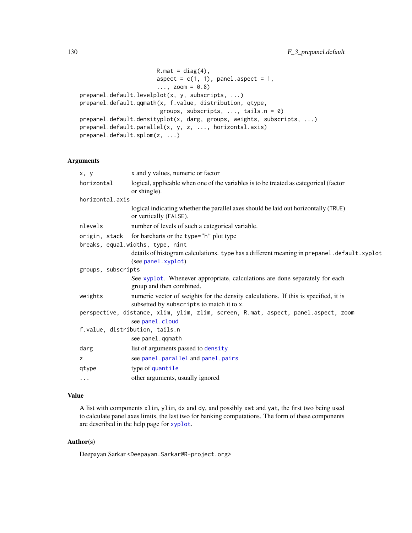```
R.\text{mat} = \text{diag}(4),
                        aspect = c(1, 1), panel.aspect = 1,
                        ..., zoom = 0.8)
prepanel.default.levelplot(x, y, subscripts, ...)
prepanel.default.qqmath(x, f.value, distribution, qtype,
                         groups, subscripts, ..., tails.n = 0)
prepanel.default.densityplot(x, darg, groups, weights, subscripts, ...)
prepanel.default.parallel(x, y, z, ..., horizontal.axis)
prepanel.default.splom(z, ...)
```
### Arguments

| x, y                             | x and y values, numeric or factor                                                                                                |  |
|----------------------------------|----------------------------------------------------------------------------------------------------------------------------------|--|
| horizontal                       | logical, applicable when one of the variables is to be treated as categorical (factor<br>or shingle).                            |  |
| horizontal.axis                  |                                                                                                                                  |  |
|                                  | logical indicating whether the parallel axes should be laid out horizontally (TRUE)<br>or vertically (FALSE).                    |  |
| nlevels                          | number of levels of such a categorical variable.                                                                                 |  |
|                                  | origin, stack for barcharts or the type="h" plot type                                                                            |  |
| breaks, equal.widths, type, nint |                                                                                                                                  |  |
|                                  | details of histogram calculations. type has a different meaning in prepanel.default.xyplot<br>(see panel.xyplot)                 |  |
| groups, subscripts               |                                                                                                                                  |  |
|                                  | See xyplot. Whenever appropriate, calculations are done separately for each<br>group and then combined.                          |  |
| weights                          | numeric vector of weights for the density calculations. If this is specified, it is<br>subsetted by subscripts to match it to x. |  |
|                                  | perspective, distance, xlim, ylim, zlim, screen, R.mat, aspect, panel.aspect, zoom<br>see panel.cloud                            |  |
|                                  | f.value, distribution, tails.n<br>see panel.qqmath                                                                               |  |
| darg                             | list of arguments passed to density                                                                                              |  |
| z                                | see panel.parallel and panel.pairs                                                                                               |  |
| qtype                            | type of quantile                                                                                                                 |  |
| $\cdots$                         | other arguments, usually ignored                                                                                                 |  |

### Value

A list with components xlim, ylim, dx and dy, and possibly xat and yat, the first two being used to calculate panel axes limits, the last two for banking computations. The form of these components are described in the help page for [xyplot](#page-5-0).

# Author(s)

Deepayan Sarkar <Deepayan.Sarkar@R-project.org>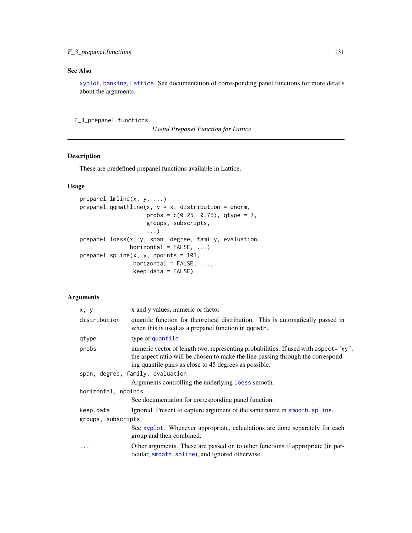### F\_3\_prepanel.functions 131

### See Also

[xyplot](#page-5-0), [banking](#page-135-0), [Lattice](#page-2-0). See documentation of corresponding panel functions for more details about the arguments.

F\_3\_prepanel.functions

*Useful Prepanel Function for Lattice*

# <span id="page-130-0"></span>Description

These are predefined prepanel functions available in Lattice.

### Usage

```
prepanel.lmline(x, y, ...)
prepanel.qqmathline(x, y = x, distribution = qnorm,
                   probs = c(0.25, 0.75), qtype = 7,
                   groups, subscripts,
                   ...)
prepanel.loess(x, y, span, degree, family, evaluation,
               horizontal = FALSE, ...)prepanel.spline(x, y, npoints = 101,
                horizontal = FALSE, ...,keep.data = FALSE)
```

| x, y                | x and y values, numeric or factor                                                                                                                                                                                                 |
|---------------------|-----------------------------------------------------------------------------------------------------------------------------------------------------------------------------------------------------------------------------------|
| distribution        | quantile function for theoretical distribution. This is automatically passed in<br>when this is used as a prepanel function in qqmath.                                                                                            |
| qtype               | type of quantile                                                                                                                                                                                                                  |
| probs               | numeric vector of length two, representing probabilities. If used with aspect="xy",<br>the aspect ratio will be chosen to make the line passing through the correspond-<br>ing quantile pairs as close to 45 degrees as possible. |
|                     | span, degree, family, evaluation                                                                                                                                                                                                  |
|                     | Arguments controlling the underlying loss smooth.                                                                                                                                                                                 |
| horizontal, npoints |                                                                                                                                                                                                                                   |
|                     | See documentation for corresponding panel function.                                                                                                                                                                               |
| keep.data           | Ignored. Present to capture argument of the same name in smooth. spline.                                                                                                                                                          |
| groups, subscripts  |                                                                                                                                                                                                                                   |
|                     | See xyplot. Whenever appropriate, calculations are done separately for each<br>group and then combined.                                                                                                                           |
| .                   | Other arguments. These are passed on to other functions if appropriate (in par-<br>ticular, smooth. spline), and ignored otherwise.                                                                                               |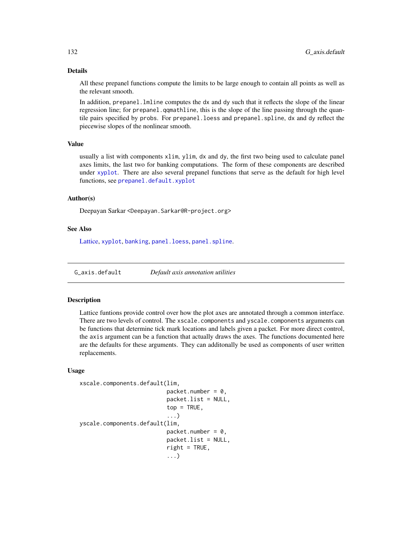### Details

All these prepanel functions compute the limits to be large enough to contain all points as well as the relevant smooth.

In addition, prepanel.lmline computes the dx and dy such that it reflects the slope of the linear regression line; for prepanel.gqmathline, this is the slope of the line passing through the quantile pairs specified by probs. For prepanel.loess and prepanel.spline, dx and dy reflect the piecewise slopes of the nonlinear smooth.

#### Value

usually a list with components xlim, ylim, dx and dy, the first two being used to calculate panel axes limits, the last two for banking computations. The form of these components are described under [xyplot](#page-5-0). There are also several prepanel functions that serve as the default for high level functions, see [prepanel.default.xyplot](#page-128-0)

#### Author(s)

Deepayan Sarkar <Deepayan.Sarkar@R-project.org>

#### See Also

[Lattice,](#page-2-0) [xyplot](#page-5-0), [banking](#page-135-0), [panel.loess](#page-119-0), [panel.spline](#page-123-0).

G\_axis.default *Default axis annotation utilities*

#### Description

Lattice funtions provide control over how the plot axes are annotated through a common interface. There are two levels of control. The xscale.components and yscale.components arguments can be functions that determine tick mark locations and labels given a packet. For more direct control, the axis argument can be a function that actually draws the axes. The functions documented here are the defaults for these arguments. They can additonally be used as components of user written replacements.

#### Usage

```
xscale.components.default(lim,
```

```
packet.number = 0,
                          packet.list = NULL,
                          top = TRUE,...)
yscale.components.default(lim,
                          packet.number = 0,
                          packet.list = NULL,
                          right = TRUE,...)
```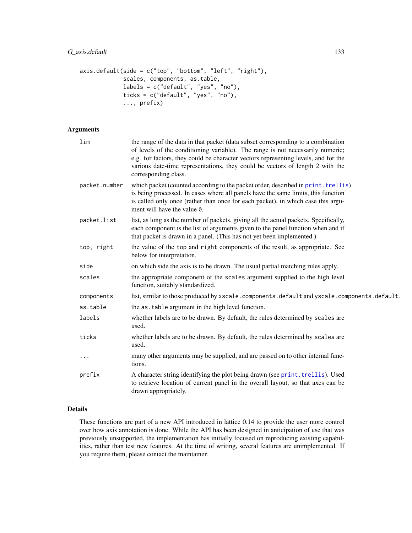```
axis. default(side = c("top", "bottom", "left", "right", "right")scales, components, as.table,
             labels = c("default", "yes", "no"),
             ticks = c("default", "yes", "no"),
             ..., prefix)
```
### Arguments

| lim           | the range of the data in that packet (data subset corresponding to a combination<br>of levels of the conditioning variable). The range is not necessarily numeric;<br>e.g. for factors, they could be character vectors representing levels, and for the<br>various date-time representations, they could be vectors of length 2 with the<br>corresponding class. |
|---------------|-------------------------------------------------------------------------------------------------------------------------------------------------------------------------------------------------------------------------------------------------------------------------------------------------------------------------------------------------------------------|
| packet.number | which packet (counted according to the packet order, described in print. trellis)<br>is being processed. In cases where all panels have the same limits, this function<br>is called only once (rather than once for each packet), in which case this argu-<br>ment will have the value 0.                                                                         |
| packet.list   | list, as long as the number of packets, giving all the actual packets. Specifically,<br>each component is the list of arguments given to the panel function when and if<br>that packet is drawn in a panel. (This has not yet been implemented.)                                                                                                                  |
| top, right    | the value of the top and right components of the result, as appropriate. See<br>below for interpretation.                                                                                                                                                                                                                                                         |
| side          | on which side the axis is to be drawn. The usual partial matching rules apply.                                                                                                                                                                                                                                                                                    |
| scales        | the appropriate component of the scales argument supplied to the high level<br>function, suitably standardized.                                                                                                                                                                                                                                                   |
| components    | list, similar to those produced by xscale.components.default and yscale.components.default.                                                                                                                                                                                                                                                                       |
| as.table      | the as table argument in the high level function.                                                                                                                                                                                                                                                                                                                 |
| labels        | whether labels are to be drawn. By default, the rules determined by scales are<br>used.                                                                                                                                                                                                                                                                           |
| ticks         | whether labels are to be drawn. By default, the rules determined by scales are<br>used.                                                                                                                                                                                                                                                                           |
| $\cdots$      | many other arguments may be supplied, and are passed on to other internal func-<br>tions.                                                                                                                                                                                                                                                                         |
| prefix        | A character string identifying the plot being drawn (see print.trellis). Used<br>to retrieve location of current panel in the overall layout, so that axes can be<br>drawn appropriately.                                                                                                                                                                         |
|               |                                                                                                                                                                                                                                                                                                                                                                   |

# Details

These functions are part of a new API introduced in lattice 0.14 to provide the user more control over how axis annotation is done. While the API has been designed in anticipation of use that was previously unsupported, the implementation has initially focused on reproducing existing capabilities, rather than test new features. At the time of writing, several features are unimplemented. If you require them, please contact the maintainer.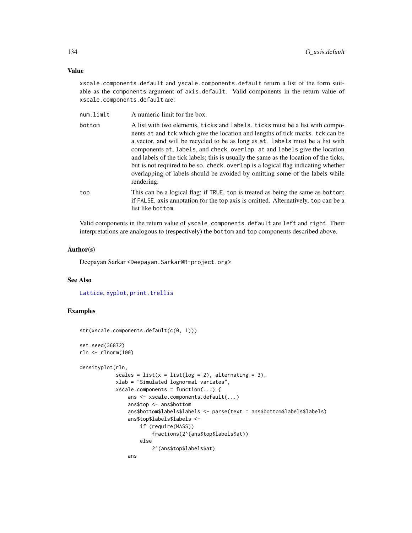#### Value

xscale.components.default and yscale.components.default return a list of the form suitable as the components argument of axis.default. Valid components in the return value of xscale.components.default are:

| num.limit | A numeric limit for the box. |
|-----------|------------------------------|
|           |                              |

- bottom A list with two elements, ticks and labels. ticks must be a list with components at and tck which give the location and lengths of tick marks. tck can be a vector, and will be recycled to be as long as at. labels must be a list with components at, labels, and check.overlap. at and labels give the location and labels of the tick labels; this is usually the same as the location of the ticks, but is not required to be so. check.overlap is a logical flag indicating whether overlapping of labels should be avoided by omitting some of the labels while rendering.
- top This can be a logical flag; if TRUE, top is treated as being the same as bottom; if FALSE, axis annotation for the top axis is omitted. Alternatively, top can be a list like bottom.

Valid components in the return value of yscale.components.default are left and right. Their interpretations are analogous to (respectively) the bottom and top components described above.

#### Author(s)

Deepayan Sarkar <Deepayan.Sarkar@R-project.org>

#### See Also

[Lattice](#page-2-0), [xyplot](#page-5-0), [print.trellis](#page-66-0)

### Examples

```
str(xscale.components.default(c(0, 1)))
set.seed(36872)
rln <- rlnorm(100)
densityplot(rln,
            scales = list(x = list(log = 2), alternating = 3),
            xlab = "Simulated lognormal variates",
            xscale.components = function(...) {
                ans <- xscale.components.default(...)
                ans$top <- ans$bottom
                ans$bottom$labels$labels <- parse(text = ans$bottom$labels$labels)
                ans$top$labels$labels <-
                    if (require(MASS))
                        fractions(2^(ans$top$labels$at))
                    else
                        2^(ans$top$labels$at)
                ans
```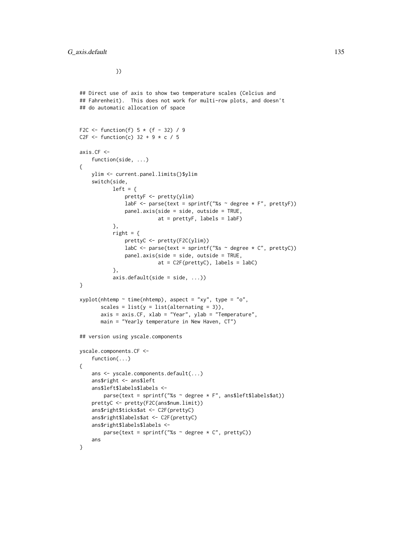})

```
## Direct use of axis to show two temperature scales (Celcius and
## Fahrenheit). This does not work for multi-row plots, and doesn't
## do automatic allocation of space
F2C \le function(f) 5 * (f - 32) / 9C2F \le function(c) 32 + 9 \star c / 5
axis.CF <-
    function(side, ...)
{
   ylim <- current.panel.limits()$ylim
    switch(side,
           left = {prettyF <- pretty(ylim)
               labF \leq parse(text = sprintf("%s \sim degree \star F", prettyF))
               panel.axis(side = side, outside = TRUE,
                          at = prettyF, labels = labF)
           },
           right = \{prettyC <- pretty(F2C(ylim))
               labC <- parse(text = sprintf("%s \sim degree \star C", prettyC))
               panel.axis(side = side, outside = TRUE,
                          at = C2F(prettyC), labels = labC)
           },
           axis.default(side = side, ...))
}
xyplot(nhtemp ~ time(nhtemp), aspect = "xy", type = "o",scales = list(y = list(alternating = 3)),axis = axis.CF, xlab = "Year", ylab = "Temperature",main = "Yearly temperature in New Haven, CT")
## version using yscale.components
yscale.components.CF <-
    function(...)
{
    ans <- yscale.components.default(...)
    ans$right <- ans$left
    ans$left$labels$labels <-
        parse(text = sprintf("%s ~ degree * F", ans$left$labels$at))
    prettyC <- pretty(F2C(ans$num.limit))
    ans$right$ticks$at <- C2F(prettyC)
    ans$right$labels$at <- C2F(prettyC)
    ans$right$labels$labels <-
        parse(text = sprintf("%s \sim degree \star C", prettyC))
    ans
}
```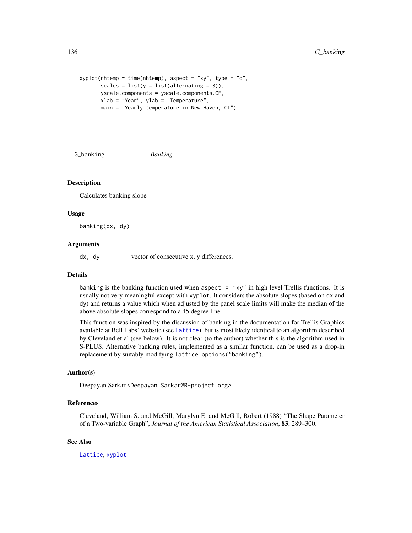```
xyplot(nhtemp \sim time(nhtemp), aspect = "xy", type = "o",
       scales = list(y = list(alternating = 3)),yscale.components = yscale.components.CF,
       xlab = "Year", ylab = "Temperature",
       main = "Yearly temperature in New Haven, CT")
```
G\_banking *Banking*

#### <span id="page-135-0"></span>Description

Calculates banking slope

#### Usage

banking(dx, dy)

#### Arguments

dx, dy vector of consecutive x, y differences.

#### Details

banking is the banking function used when aspect  $=$  "xy" in high level Trellis functions. It is usually not very meaningful except with xyplot. It considers the absolute slopes (based on dx and dy) and returns a value which when adjusted by the panel scale limits will make the median of the above absolute slopes correspond to a 45 degree line.

This function was inspired by the discussion of banking in the documentation for Trellis Graphics available at Bell Labs' website (see [Lattice](#page-2-0)), but is most likely identical to an algorithm described by Cleveland et al (see below). It is not clear (to the author) whether this is the algorithm used in S-PLUS. Alternative banking rules, implemented as a similar function, can be used as a drop-in replacement by suitably modifying lattice.options("banking").

#### Author(s)

Deepayan Sarkar <Deepayan.Sarkar@R-project.org>

#### References

Cleveland, William S. and McGill, Marylyn E. and McGill, Robert (1988) "The Shape Parameter of a Two-variable Graph", *Journal of the American Statistical Association*, 83, 289–300.

#### See Also

[Lattice](#page-2-0), [xyplot](#page-5-0)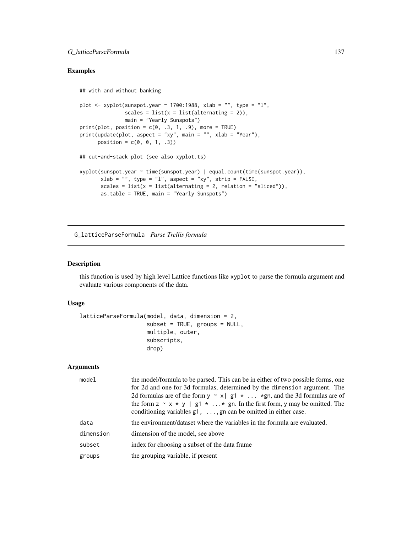### G\_latticeParseFormula 137

### Examples

```
## with and without banking
plot \leq xyplot(sunspot.year \sim 1700:1988, xlab = "", type = "l",
               scales = list(x = list(alternating = 2)),main = "Yearly Sunspots")
print(plot, position = c(0, .3, 1, .9), more = TRUE)
print(update(plot, aspect = "xy", main = "", xlab = "Year"),
      position = c(0, 0, 1, .3)## cut-and-stack plot (see also xyplot.ts)
xyplot(sunspot.year ~ time(sunspot.year) | equal.count(time(sunspot.year)),
       xlab = "", type = "l", aspect = "xy", strip = FALSE,
       scales = list(x = list(alternating = 2, relation = "sliced")),
       as.table = TRUE, main = "Yearly Sunspots")
```
G\_latticeParseFormula *Parse Trellis formula*

#### Description

this function is used by high level Lattice functions like xyplot to parse the formula argument and evaluate various components of the data.

### Usage

```
latticeParseFormula(model, data, dimension = 2,
                    subset = TRUE, groups = NULL,
                    multiple, outer,
                    subscripts,
                    drop)
```

| model     | the model/formula to be parsed. This can be in either of two possible forms, one<br>for 2d and one for 3d formulas, determined by the dimension argument. The<br>2d formulas are of the form $y \sim x \mid g_1 \star \ldots \star g_n$ , and the 3d formulas are of<br>the form $z \sim x * y$   g1 $* \ldots *$ gn. In the first form, y may be omitted. The<br>conditioning variables $g1, \ldots, g n$ can be omitted in either case. |
|-----------|-------------------------------------------------------------------------------------------------------------------------------------------------------------------------------------------------------------------------------------------------------------------------------------------------------------------------------------------------------------------------------------------------------------------------------------------|
| data      | the environment/dataset where the variables in the formula are evaluated.                                                                                                                                                                                                                                                                                                                                                                 |
| dimension | dimension of the model, see above                                                                                                                                                                                                                                                                                                                                                                                                         |
| subset    | index for choosing a subset of the data frame.                                                                                                                                                                                                                                                                                                                                                                                            |
| groups    | the grouping variable, if present                                                                                                                                                                                                                                                                                                                                                                                                         |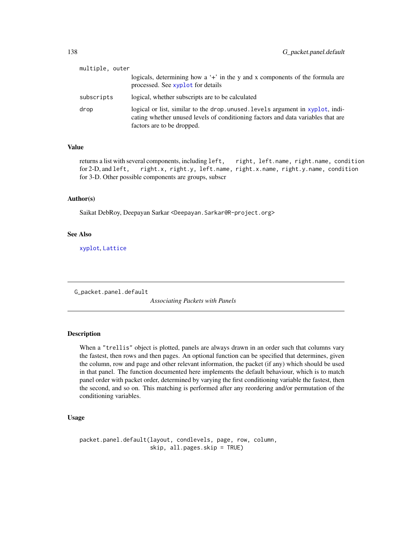| multiple, outer |                                                                                                                                                                                                  |
|-----------------|--------------------------------------------------------------------------------------------------------------------------------------------------------------------------------------------------|
|                 | logicals, determining how a '+' in the y and x components of the formula are<br>processed. See xyplot for details                                                                                |
| subscripts      | logical, whether subscripts are to be calculated                                                                                                                                                 |
| drop            | logical or list, similar to the drop. unused. levels argument in xyplot, indi-<br>cating whether unused levels of conditioning factors and data variables that are<br>factors are to be dropped. |

### Value

returns a list with several components, including left, right, left.name, right.name, condition for 2-D, and left, right.x, right.y, left.name, right.x.name, right.y.name, condition for 3-D. Other possible components are groups, subscr

#### Author(s)

Saikat DebRoy, Deepayan Sarkar <Deepayan.Sarkar@R-project.org>

#### See Also

[xyplot](#page-5-0), [Lattice](#page-2-0)

G\_packet.panel.default

*Associating Packets with Panels*

#### Description

When a "trellis" object is plotted, panels are always drawn in an order such that columns vary the fastest, then rows and then pages. An optional function can be specified that determines, given the column, row and page and other relevant information, the packet (if any) which should be used in that panel. The function documented here implements the default behaviour, which is to match panel order with packet order, determined by varying the first conditioning variable the fastest, then the second, and so on. This matching is performed after any reordering and/or permutation of the conditioning variables.

### Usage

packet.panel.default(layout, condlevels, page, row, column, skip, all.pages.skip = TRUE)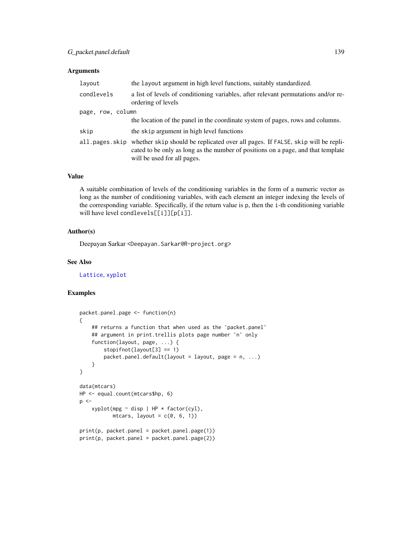### Arguments

| the layout argument in high level functions, suitably standardized.                                                                                                                                                  |  |
|----------------------------------------------------------------------------------------------------------------------------------------------------------------------------------------------------------------------|--|
| a list of levels of conditioning variables, after relevant permutations and/or re-<br>ordering of levels                                                                                                             |  |
| page, row, column                                                                                                                                                                                                    |  |
| the location of the panel in the coordinate system of pages, rows and columns.                                                                                                                                       |  |
| the skip argument in high level functions                                                                                                                                                                            |  |
| whether skip should be replicated over all pages. If FALSE, skip will be repli-<br>all.pages.skip<br>cated to be only as long as the number of positions on a page, and that template<br>will be used for all pages. |  |
|                                                                                                                                                                                                                      |  |

# Value

A suitable combination of levels of the conditioning variables in the form of a numeric vector as long as the number of conditioning variables, with each element an integer indexing the levels of the corresponding variable. Specifically, if the return value is p, then the i-th conditioning variable will have level condlevels[[i]][p[i]].

### Author(s)

Deepayan Sarkar <Deepayan.Sarkar@R-project.org>

### See Also

[Lattice](#page-2-0), [xyplot](#page-5-0)

# Examples

```
packet.panel.page <- function(n)
{
    ## returns a function that when used as the 'packet.panel'
    ## argument in print.trellis plots page number 'n' only
   function(layout, page, ...) {
        stopifnot(layout[3] == 1)
        packet.parent.default(layout = layout, page = n, ...)}
}
data(mtcars)
HP <- equal.count(mtcars$hp, 6)
p \leq -xyplot(mpg ~ disp | HP * factor(cyl),
           mtcars, layout = c(0, 6, 1))
print(p, packet.panel = packet.panel.page(1))
print(p, packet.panel = packet.panel.page(2))
```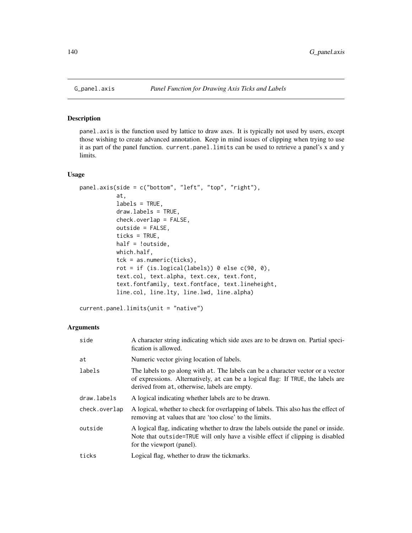### <span id="page-139-0"></span>Description

panel.axis is the function used by lattice to draw axes. It is typically not used by users, except those wishing to create advanced annotation. Keep in mind issues of clipping when trying to use it as part of the panel function. current.panel.limits can be used to retrieve a panel's x and y limits.

### Usage

```
panel.axis(side = c("bottom", "left", "top", "right"),
           at,
           labels = TRUE,draw.labels = TRUE,
           check.overlap = FALSE,
           outside = FALSE,
           ticks = TRUE,
          half = !outside,
           which.half,
           tck = as.numeric(ticks),
           rot = if (is.logical(labels)) 0 else c(90, 0),
           text.col, text.alpha, text.cex, text.font,
           text.fontfamily, text.fontface, text.lineheight,
           line.col, line.lty, line.lwd, line.alpha)
```
current.panel.limits(unit = "native")

| side          | A character string indicating which side axes are to be drawn on. Partial speci-<br>fication is allowed.                                                                                                              |
|---------------|-----------------------------------------------------------------------------------------------------------------------------------------------------------------------------------------------------------------------|
| at            | Numeric vector giving location of labels.                                                                                                                                                                             |
| labels        | The labels to go along with at. The labels can be a character vector or a vector<br>of expressions. Alternatively, at can be a logical flag: If TRUE, the labels are<br>derived from at, otherwise, labels are empty. |
| draw.labels   | A logical indicating whether labels are to be drawn.                                                                                                                                                                  |
| check.overlap | A logical, whether to check for overlapping of labels. This also has the effect of<br>removing at values that are 'too close' to the limits.                                                                          |
| outside       | A logical flag, indicating whether to draw the labels outside the panel or inside.<br>Note that outside=TRUE will only have a visible effect if clipping is disabled<br>for the viewport (panel).                     |
| ticks         | Logical flag, whether to draw the tickmarks.                                                                                                                                                                          |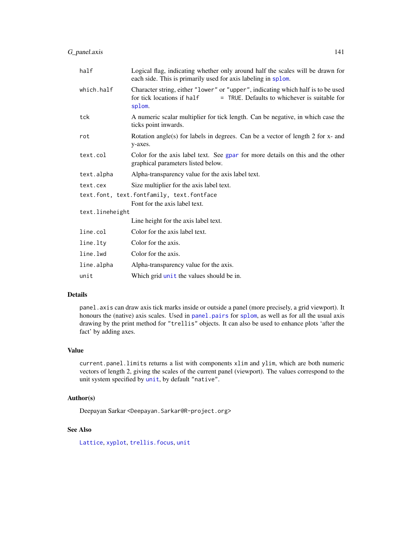| half                                      | Logical flag, indicating whether only around half the scales will be drawn for<br>each side. This is primarily used for axis labeling in splom.                           |
|-------------------------------------------|---------------------------------------------------------------------------------------------------------------------------------------------------------------------------|
| which.half                                | Character string, either "lower" or "upper", indicating which half is to be used<br>= TRUE. Defaults to whichever is suitable for<br>for tick locations if half<br>splom. |
| tck                                       | A numeric scalar multiplier for tick length. Can be negative, in which case the<br>ticks point inwards.                                                                   |
| rot                                       | Rotation angle(s) for labels in degrees. Can be a vector of length 2 for $x$ - and<br>y-axes.                                                                             |
| text.col                                  | Color for the axis label text. See gpar for more details on this and the other<br>graphical parameters listed below.                                                      |
| text.alpha                                | Alpha-transparency value for the axis label text.                                                                                                                         |
| text.cex                                  | Size multiplier for the axis label text.                                                                                                                                  |
| text.font, text.fontfamily, text.fontface |                                                                                                                                                                           |
|                                           | Font for the axis label text.                                                                                                                                             |
| text.lineheight                           |                                                                                                                                                                           |
|                                           | Line height for the axis label text.                                                                                                                                      |
| line.col                                  | Color for the axis label text.                                                                                                                                            |
| line.lty                                  | Color for the axis.                                                                                                                                                       |
| line.lwd                                  | Color for the axis.                                                                                                                                                       |
| line.alpha                                | Alpha-transparency value for the axis.                                                                                                                                    |
| unit                                      | Which grid unit the values should be in.                                                                                                                                  |

#### Details

panel.axis can draw axis tick marks inside or outside a panel (more precisely, a grid viewport). It honours the (native) axis scales. Used in [panel.pairs](#page-103-0) for [splom](#page-49-0), as well as for all the usual axis drawing by the print method for "trellis" objects. It can also be used to enhance plots 'after the fact' by adding axes.

#### Value

current.panel.limits returns a list with components xlim and ylim, which are both numeric vectors of length 2, giving the scales of the current panel (viewport). The values correspond to the unit system specified by [unit](#page-0-0), by default "native".

#### Author(s)

Deepayan Sarkar <Deepayan.Sarkar@R-project.org>

# See Also

[Lattice](#page-2-0), [xyplot](#page-5-0), [trellis.focus](#page-83-0), [unit](#page-0-0)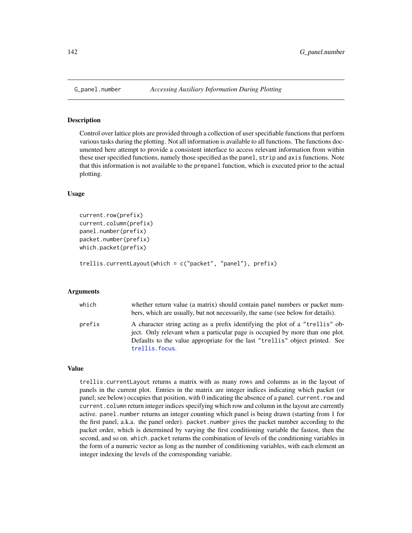#### Description

Control over lattice plots are provided through a collection of user specifiable functions that perform various tasks during the plotting. Not all information is available to all functions. The functions documented here attempt to provide a consistent interface to access relevant information from within these user specified functions, namely those specified as the panel, strip and axis functions. Note that this information is not available to the prepanel function, which is executed prior to the actual plotting.

#### Usage

```
current.row(prefix)
current.column(prefix)
panel.number(prefix)
packet.number(prefix)
which.packet(prefix)
```
trellis.currentLayout(which = c("packet", "panel"), prefix)

#### Arguments

| which  | whether return value (a matrix) should contain panel numbers or packet num-<br>bers, which are usually, but not necessarily, the same (see below for details).                                                                                                   |  |
|--------|------------------------------------------------------------------------------------------------------------------------------------------------------------------------------------------------------------------------------------------------------------------|--|
| prefix | A character string acting as a prefix identifying the plot of a "trellis" ob-<br>ject. Only relevant when a particular page is occupied by more than one plot.<br>Defaults to the value appropriate for the last "trellis" object printed. See<br>trellis.focus. |  |

#### Value

trellis.currentLayout returns a matrix with as many rows and columns as in the layout of panels in the current plot. Entries in the matrix are integer indices indicating which packet (or panel; see below) occupies that position, with 0 indicating the absence of a panel. current.row and current.column return integer indices specifying which row and column in the layout are currently active. panel.number returns an integer counting which panel is being drawn (starting from 1 for the first panel, a.k.a. the panel order). packet.number gives the packet number according to the packet order, which is determined by varying the first conditioning variable the fastest, then the second, and so on. which.packet returns the combination of levels of the conditioning variables in the form of a numeric vector as long as the number of conditioning variables, with each element an integer indexing the levels of the corresponding variable.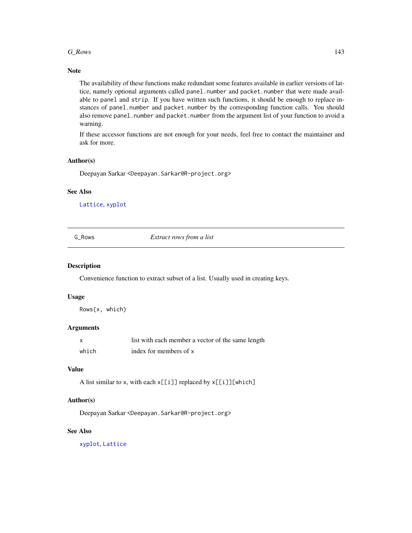#### $G_R$ ows 143

### Note

The availability of these functions make redundant some features available in earlier versions of lattice, namely optional arguments called panel.number and packet.number that were made available to panel and strip. If you have written such functions, it should be enough to replace instances of panel.number and packet.number by the corresponding function calls. You should also remove panel.number and packet.number from the argument list of your function to avoid a warning.

If these accessor functions are not enough for your needs, feel free to contact the maintainer and ask for more.

#### Author(s)

Deepayan Sarkar <Deepayan.Sarkar@R-project.org>

#### See Also

[Lattice](#page-2-0), [xyplot](#page-5-0)

G\_Rows *Extract rows from a list*

### Description

Convenience function to extract subset of a list. Usually used in creating keys.

#### Usage

Rows(x, which)

### Arguments

| x     | list with each member a vector of the same length |
|-------|---------------------------------------------------|
| which | index for members of x                            |

#### Value

A list similar to x, with each  $x[[i]]$  replaced by  $x[[i]][which]$ 

### Author(s)

Deepayan Sarkar <Deepayan.Sarkar@R-project.org>

### See Also

[xyplot](#page-5-0), [Lattice](#page-2-0)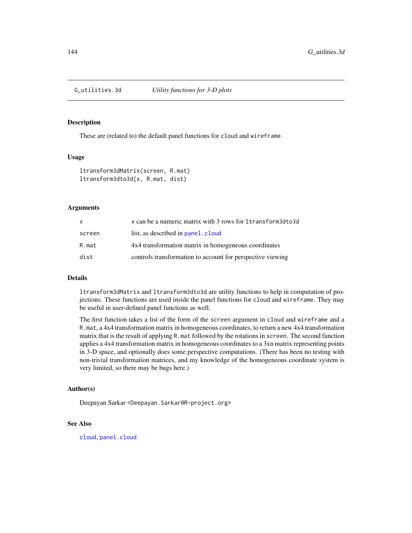#### **Description**

These are (related to) the default panel functions for cloud and wireframe.

#### Usage

```
ltransform3dMatrix(screen, R.mat)
ltransform3dto3d(x, R.mat, dist)
```
#### Arguments

| X      | x can be a numeric matrix with 3 rows for 1 transform3dto3d |
|--------|-------------------------------------------------------------|
| screen | list, as described in panel. cloud                          |
| R.mat  | 4x4 transformation matrix in homogeneous coordinates        |
| dist   | controls transformation to account for perspective viewing  |

#### Details

ltransform3dMatrix and ltransform3dto3d are utility functions to help in computation of projections. These functions are used inside the panel functions for cloud and wireframe. They may be useful in user-defined panel functions as well.

The first function takes a list of the form of the screen argument in cloud and wireframe and a R.mat, a 4x4 transformation matrix in homogeneous coordinates, to return a new 4x4 transformation matrix that is the result of applying R.mat followed by the rotations in screen. The second function applies a 4x4 transformation matrix in homogeneous coordinates to a 3xn matrix representing points in 3-D space, and optionally does some perspective computations. (There has been no testing with non-trivial transformation matrices, and my knowledge of the homogeneous coordinate system is very limited, so there may be bugs here.)

### Author(s)

Deepayan Sarkar <Deepayan.Sarkar@R-project.org>

#### See Also

[cloud](#page-43-0), [panel.cloud](#page-93-0)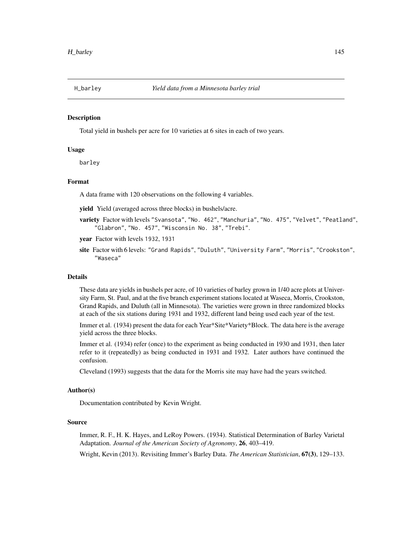<span id="page-144-0"></span>

# Description

Total yield in bushels per acre for 10 varieties at 6 sites in each of two years.

# Usage

barley

# Format

A data frame with 120 observations on the following 4 variables.

yield Yield (averaged across three blocks) in bushels/acre.

- variety Factor with levels "Svansota", "No. 462", "Manchuria", "No. 475", "Velvet", "Peatland", "Glabron", "No. 457", "Wisconsin No. 38", "Trebi".
- year Factor with levels 1932, 1931
- site Factor with 6 levels: "Grand Rapids", "Duluth", "University Farm", "Morris", "Crookston", "Waseca"

#### Details

These data are yields in bushels per acre, of 10 varieties of barley grown in 1/40 acre plots at University Farm, St. Paul, and at the five branch experiment stations located at Waseca, Morris, Crookston, Grand Rapids, and Duluth (all in Minnesota). The varieties were grown in three randomized blocks at each of the six stations during 1931 and 1932, different land being used each year of the test.

Immer et al. (1934) present the data for each Year\*Site\*Variety\*Block. The data here is the average yield across the three blocks.

Immer et al. (1934) refer (once) to the experiment as being conducted in 1930 and 1931, then later refer to it (repeatedly) as being conducted in 1931 and 1932. Later authors have continued the confusion.

Cleveland (1993) suggests that the data for the Morris site may have had the years switched.

#### Author(s)

Documentation contributed by Kevin Wright.

#### Source

Immer, R. F., H. K. Hayes, and LeRoy Powers. (1934). Statistical Determination of Barley Varietal Adaptation. *Journal of the American Society of Agronomy*, 26, 403–419.

Wright, Kevin (2013). Revisiting Immer's Barley Data. *The American Statistician*, 67(3), 129–133.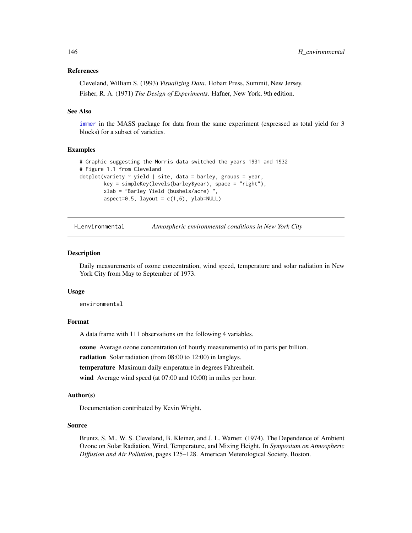# <span id="page-145-0"></span>References

Cleveland, William S. (1993) *Visualizing Data*. Hobart Press, Summit, New Jersey. Fisher, R. A. (1971) *The Design of Experiments*. Hafner, New York, 9th edition.

#### See Also

[immer](#page-0-0) in the MASS package for data from the same experiment (expressed as total yield for 3 blocks) for a subset of varieties.

#### Examples

```
# Graphic suggesting the Morris data switched the years 1931 and 1932
# Figure 1.1 from Cleveland
dotplot(variety \sim yield | site, data = barley, groups = year,
        key = simpleKey(levels(barley$year), space = "right"),
        xlab = "Barley Yield (bushels/acre) ",
        aspect=0.5, layout = c(1,6), ylab=NULL)
```
H\_environmental *Atmospheric environmental conditions in New York City*

#### **Description**

Daily measurements of ozone concentration, wind speed, temperature and solar radiation in New York City from May to September of 1973.

#### Usage

environmental

# Format

A data frame with 111 observations on the following 4 variables.

ozone Average ozone concentration (of hourly measurements) of in parts per billion.

radiation Solar radiation (from 08:00 to 12:00) in langleys.

temperature Maximum daily emperature in degrees Fahrenheit.

wind Average wind speed (at 07:00 and 10:00) in miles per hour.

# Author(s)

Documentation contributed by Kevin Wright.

# Source

Bruntz, S. M., W. S. Cleveland, B. Kleiner, and J. L. Warner. (1974). The Dependence of Ambient Ozone on Solar Radiation, Wind, Temperature, and Mixing Height. In *Symposium on Atmospheric Diffusion and Air Pollution*, pages 125–128. American Meterological Society, Boston.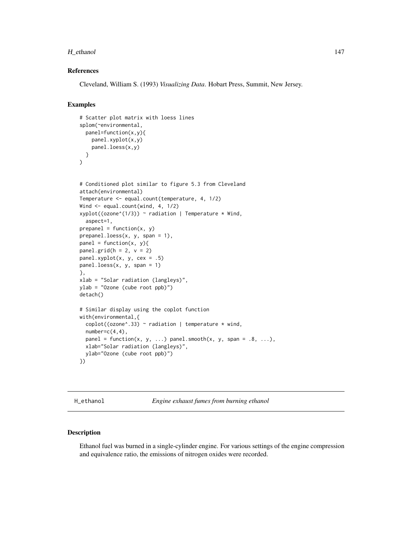## <span id="page-146-0"></span>H\_ethanol 147

# References

Cleveland, William S. (1993) *Visualizing Data*. Hobart Press, Summit, New Jersey.

# Examples

```
# Scatter plot matrix with loess lines
splom(~environmental,
  panel=function(x,y){
    panel.xyplot(x,y)
    panel.loess(x,y)
  }
)
# Conditioned plot similar to figure 5.3 from Cleveland
attach(environmental)
Temperature <- equal.count(temperature, 4, 1/2)
Wind <- equal.count(wind, 4, 1/2)
xyplot((ozone^(1/3)) ~ ~ radius radiation | Temperature * Wind,
  aspect=1,
prepanel = function(x, y)prepanel.loess(x, y, span = 1),
panel = function(x, y)panel.grid(h = 2, v = 2)
panel.xyplot(x, y, cex = .5)
panel.loess(x, y, span = 1)
},
xlab = "Solar radiation (langleys)",
ylab = "Ozone (cube root ppb)")
detach()
# Similar display using the coplot function
with(environmental,{
  \text{coplot}((\text{ozone}^{\wedge}.33) \sim \text{radiation} | \text{temperature } * \text{wind},number=c(4,4),panel = function(x, y, ...) panel.smooth(x, y, span = .8, ...),
  xlab="Solar radiation (langleys)",
  ylab="Ozone (cube root ppb)")
})
```
H\_ethanol *Engine exhaust fumes from burning ethanol*

# Description

Ethanol fuel was burned in a single-cylinder engine. For various settings of the engine compression and equivalence ratio, the emissions of nitrogen oxides were recorded.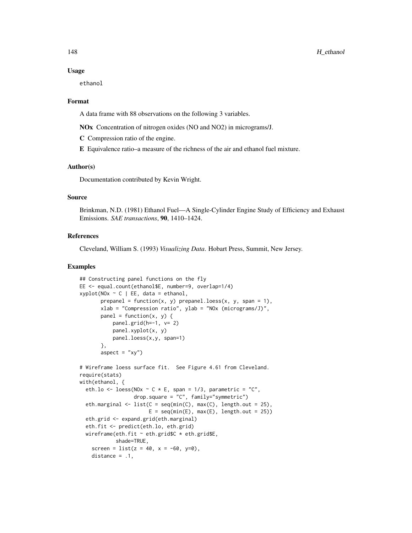#### Usage

ethanol

#### Format

A data frame with 88 observations on the following 3 variables.

NOx Concentration of nitrogen oxides (NO and NO2) in micrograms/J.

C Compression ratio of the engine.

E Equivalence ratio–a measure of the richness of the air and ethanol fuel mixture.

#### Author(s)

Documentation contributed by Kevin Wright.

# Source

Brinkman, N.D. (1981) Ethanol Fuel—A Single-Cylinder Engine Study of Efficiency and Exhaust Emissions. *SAE transactions*, 90, 1410–1424.

# References

Cleveland, William S. (1993) *Visualizing Data*. Hobart Press, Summit, New Jersey.

## Examples

```
## Constructing panel functions on the fly
EE <- equal.count(ethanol$E, number=9, overlap=1/4)
xyplot(N0x ~ c | EE, data = ethanol,prepanel = function(x, y) prepanel.loess(x, y, span = 1),
       xlab = "Compression ratio", ylab = "NOx (micrograms/J)",
       panel = function(x, y) {
           panel.grid(h=-1, v= 2)
           panel.xyplot(x, y)
           panel.loess(x,y, span=1)
       },
       aspect = "xy")
# Wireframe loess surface fit. See Figure 4.61 from Cleveland.
require(stats)
with(ethanol, {
  eth.lo <- loess(NOx \sim C \star E, span = 1/3, parametric = "C",
                   drop.square = "C", family="symmetric")
  eth.marginal \leq list(C = \text{seq}(\text{min}(C), \text{max}(C), \text{length.out} = 25),
                        E = \text{seq}(\text{min}(E), \text{max}(E), \text{length.out} = 25)eth.grid <- expand.grid(eth.marginal)
  eth.fit <- predict(eth.lo, eth.grid)
  wireframe(eth.fit ~ eth.grid$C * eth.grid$E,
            shade=TRUE,
    screen = list(z = 40, x = -60, y=0),
    distance = .1,
```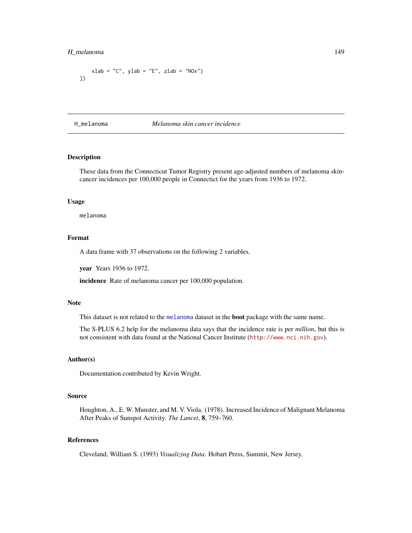# <span id="page-148-1"></span>H\_melanoma 149

```
xlab = "C", ylab = "E", zlab = "NOx")})
```
H\_melanoma *Melanoma skin cancer incidence*

# <span id="page-148-0"></span>Description

These data from the Connecticut Tumor Registry present age-adjusted numbers of melanoma skincancer incidences per 100,000 people in Connectict for the years from 1936 to 1972.

#### Usage

melanoma

# Format

A data frame with 37 observations on the following 2 variables.

year Years 1936 to 1972.

incidence Rate of melanoma cancer per 100,000 population.

#### **Note**

This dataset is not related to the [melanoma](#page-148-0) dataset in the boot package with the same name.

The S-PLUS 6.2 help for the melanoma data says that the incidence rate is per *million*, but this is not consistent with data found at the National Cancer Institute (<http://www.nci.nih.gov>).

# Author(s)

Documentation contributed by Kevin Wright.

#### Source

Houghton, A., E. W. Munster, and M. V. Viola. (1978). Increased Incidence of Malignant Melanoma After Peaks of Sunspot Activity. *The Lancet*, 8, 759–760.

# References

Cleveland, William S. (1993) *Visualizing Data*. Hobart Press, Summit, New Jersey.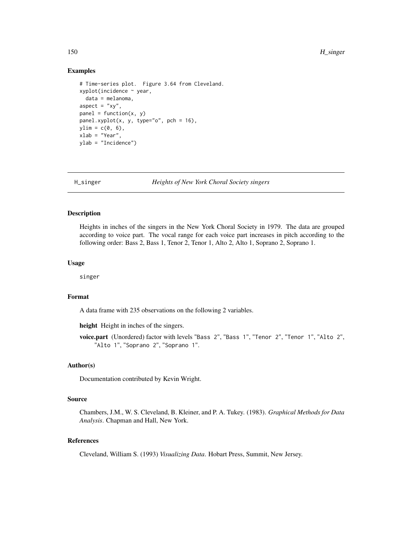# <span id="page-149-0"></span>Examples

```
# Time-series plot. Figure 3.64 from Cleveland.
xyplot(incidence ~ year,
  data = melanoma,
aspect = "xy",
panel = function(x, y)panel.xyplot(x, y, type="o", pch = 16),
ylim = c(0, 6),
xlab = "Year",
ylab = "Incidence")
```
H\_singer *Heights of New York Choral Society singers*

## Description

Heights in inches of the singers in the New York Choral Society in 1979. The data are grouped according to voice part. The vocal range for each voice part increases in pitch according to the following order: Bass 2, Bass 1, Tenor 2, Tenor 1, Alto 2, Alto 1, Soprano 2, Soprano 1.

# Usage

singer

# Format

A data frame with 235 observations on the following 2 variables.

height Height in inches of the singers.

voice.part (Unordered) factor with levels "Bass 2", "Bass 1", "Tenor 2", "Tenor 1", "Alto 2", "Alto 1", "Soprano 2", "Soprano 1".

# Author(s)

Documentation contributed by Kevin Wright.

# Source

Chambers, J.M., W. S. Cleveland, B. Kleiner, and P. A. Tukey. (1983). *Graphical Methods for Data Analysis*. Chapman and Hall, New York.

# References

Cleveland, William S. (1993) *Visualizing Data*. Hobart Press, Summit, New Jersey.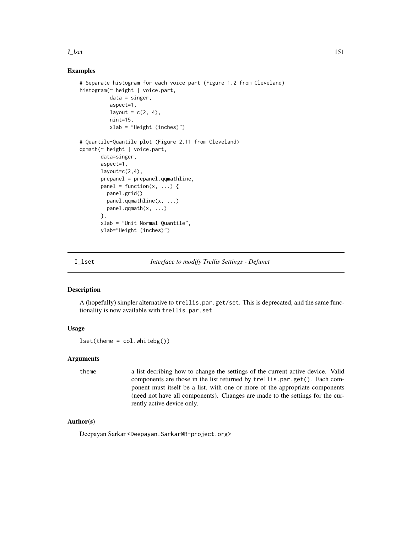#### <span id="page-150-0"></span>I\_lset 151

# Examples

```
# Separate histogram for each voice part (Figure 1.2 from Cleveland)
histogram(~ height | voice.part,
          data = singer,
          aspect=1,
         layout = c(2, 4),
          nint=15,
          xlab = "Height (inches)")
# Quantile-Quantile plot (Figure 2.11 from Cleveland)
qqmath(~ height | voice.part,
      data=singer,
      aspect=1,
      layout=c(2, 4),
      prepanel = prepanel.qqmathline,
      panel = function(x, ...)panel.grid()
        panel.qqmathline(x, ...)
        panel.qqmath(x, ...)
      },
      xlab = "Unit Normal Quantile",
      ylab="Height (inches)")
```
I\_lset *Interface to modify Trellis Settings - Defunct*

# Description

A (hopefully) simpler alternative to trellis.par.get/set. This is deprecated, and the same functionality is now available with trellis.par.set

# Usage

lset(theme = col.whitebg())

# Arguments

theme a list decribing how to change the settings of the current active device. Valid components are those in the list returned by trellis.par.get(). Each component must itself be a list, with one or more of the appropriate components (need not have all components). Changes are made to the settings for the currently active device only.

# Author(s)

Deepayan Sarkar <Deepayan.Sarkar@R-project.org>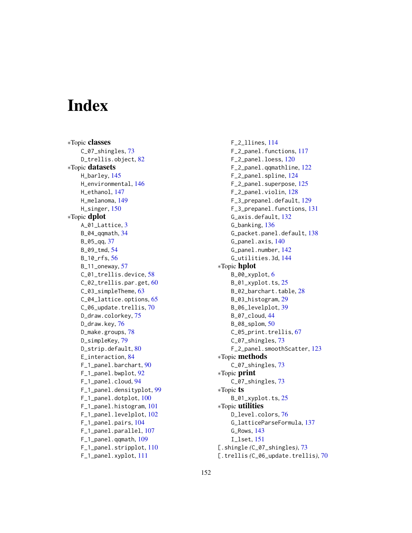# **Index**

∗Topic classes C\_07\_shingles, [73](#page-72-0) D\_trellis.object, [82](#page-81-0) ∗Topic datasets H\_barley, [145](#page-144-0) H\_environmental, [146](#page-145-0) H\_ethanol, [147](#page-146-0) H\_melanoma, [149](#page-148-1) H\_singer, [150](#page-149-0) ∗Topic dplot A\_01\_Lattice, [3](#page-2-0) B\_04\_qqmath, [34](#page-33-0) B 05 ag, [37](#page-36-0) B\_09\_tmd, [54](#page-53-0) B\_10\_rfs, [56](#page-55-0) B\_11\_oneway, [57](#page-56-0) C\_01\_trellis.device, [58](#page-57-0) C\_02\_trellis.par.get, [60](#page-59-0) C\_03\_simpleTheme, [63](#page-62-0) C\_04\_lattice.options, [65](#page-64-0) C\_06\_update.trellis, [70](#page-69-0) D\_draw.colorkey, [75](#page-74-0) D\_draw.key, [76](#page-75-0) D\_make.groups, [78](#page-77-0) D\_simpleKey, [79](#page-78-0) D\_strip.default, [80](#page-79-0) E\_interaction, [84](#page-83-0) F\_1\_panel.barchart, [90](#page-89-0) F\_1\_panel.bwplot, [92](#page-91-0) F\_1\_panel.cloud, [94](#page-93-0) F\_1\_panel.densityplot, [99](#page-98-0) F\_1\_panel.dotplot, [100](#page-99-0) F\_1\_panel.histogram, [101](#page-100-0) F\_1\_panel.levelplot, [102](#page-101-0) F\_1\_panel.pairs, [104](#page-103-0) F\_1\_panel.parallel, [107](#page-106-0) F\_1\_panel.qqmath, [109](#page-108-0) F\_1\_panel.stripplot, [110](#page-109-0) F\_1\_panel.xyplot, [111](#page-110-0)

F\_2\_llines, [114](#page-113-0) F\_2\_panel.functions, [117](#page-116-0) F\_2\_panel.loess, [120](#page-119-0) F\_2\_panel.qqmathline, [122](#page-121-0) F\_2\_panel.spline, [124](#page-123-0) F\_2\_panel.superpose, [125](#page-124-0) F\_2\_panel.violin, [128](#page-127-0) F\_3\_prepanel.default, [129](#page-128-0) F\_3\_prepanel.functions, [131](#page-130-0) G\_axis.default, [132](#page-131-0) G\_banking, [136](#page-135-0) G\_packet.panel.default, [138](#page-137-0) G\_panel.axis, [140](#page-139-0) G\_panel.number, [142](#page-141-0) G\_utilities.3d, [144](#page-143-0) ∗Topic hplot B\_00\_xyplot, [6](#page-5-0) B\_01\_xyplot.ts, [25](#page-24-0) B\_02\_barchart.table, [28](#page-27-0) B\_03\_histogram, [29](#page-28-0) B\_06\_levelplot, [39](#page-38-0) B\_07\_cloud, [44](#page-43-0) B\_08\_splom, [50](#page-49-0) C\_05\_print.trellis, [67](#page-66-0) C\_07\_shingles, [73](#page-72-0) F\_2\_panel.smoothScatter, [123](#page-122-0) ∗Topic methods C\_07\_shingles, [73](#page-72-0) ∗Topic print C\_07\_shingles, [73](#page-72-0) ∗Topic ts B\_01\_xyplot.ts, [25](#page-24-0) ∗Topic utilities D\_level.colors, [76](#page-75-0) G\_latticeParseFormula, [137](#page-136-0) G\_Rows, [143](#page-142-0) I\_lset, [151](#page-150-0) [.shingle *(*C\_07\_shingles*)*, [73](#page-72-0) [.trellis *(*C\_06\_update.trellis*)*, [70](#page-69-0)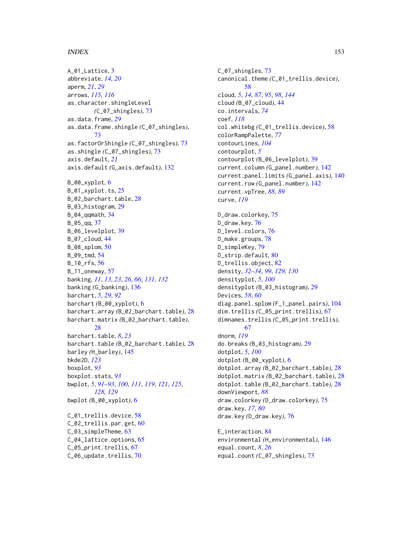# INDEX 153

A\_01\_Lattice, [3](#page-2-0) abbreviate, *[14](#page-13-0)*, *[20](#page-19-0)* aperm, *[21](#page-20-0)*, *[29](#page-28-0)* arrows, *[115,](#page-114-0) [116](#page-115-0)* as.character.shingleLevel *(*C\_07\_shingles*)*, [73](#page-72-0) as.data.frame, *[29](#page-28-0)* as.data.frame.shingle *(*C\_07\_shingles*)*, [73](#page-72-0) as.factorOrShingle *(*C\_07\_shingles*)*, [73](#page-72-0) as.shingle *(*C\_07\_shingles*)*, [73](#page-72-0) axis.default, *[21](#page-20-0)* axis.default *(*G\_axis.default*)*, [132](#page-131-0) B\_00\_xyplot, [6](#page-5-0) B\_01\_xyplot.ts, [25](#page-24-0) B\_02\_barchart.table, [28](#page-27-0) B\_03\_histogram, [29](#page-28-0) B\_04\_qqmath, [34](#page-33-0) B\_05\_qq, [37](#page-36-0) B\_06\_levelplot, [39](#page-38-0) B\_07\_cloud, [44](#page-43-0) B\_08\_splom, [50](#page-49-0) B\_09\_tmd, [54](#page-53-0) B\_10\_rfs, [56](#page-55-0) B\_11\_oneway, [57](#page-56-0) banking, *[11](#page-10-0)*, *[13](#page-12-0)*, *[23](#page-22-0)*, *[26](#page-25-0)*, *[66](#page-65-0)*, *[131,](#page-130-0) [132](#page-131-0)* banking *(*G\_banking*)*, [136](#page-135-0) barchart, *[5](#page-4-0)*, *[29](#page-28-0)*, *[92](#page-91-0)* barchart *(*B\_00\_xyplot*)*, [6](#page-5-0) barchart.array *(*B\_02\_barchart.table*)*, [28](#page-27-0) barchart.matrix *(*B\_02\_barchart.table*)*, [28](#page-27-0) barchart.table, *[8](#page-7-0)*, *[23](#page-22-0)* barchart.table *(*B\_02\_barchart.table*)*, [28](#page-27-0) barley *(*H\_barley*)*, [145](#page-144-0) bkde2D, *[123](#page-122-0)* boxplot, *[93](#page-92-0)* boxplot.stats, *[93](#page-92-0)* bwplot, *[5](#page-4-0)*, *[91](#page-90-0)[–93](#page-92-0)*, *[100](#page-99-0)*, *[111](#page-110-0)*, *[119](#page-118-0)*, *[121](#page-120-0)*, *[125](#page-124-0)*, *[128,](#page-127-0) [129](#page-128-0)* bwplot *(*B\_00\_xyplot*)*, [6](#page-5-0) C\_01\_trellis.device, [58](#page-57-0) C\_02\_trellis.par.get, [60](#page-59-0) C\_03\_simpleTheme, [63](#page-62-0) C\_04\_lattice.options, [65](#page-64-0) C\_05\_print.trellis, [67](#page-66-0) C\_06\_update.trellis, [70](#page-69-0)

C\_07\_shingles, [73](#page-72-0) canonical.theme *(*C\_01\_trellis.device*)*, [58](#page-57-0) cloud, *[5](#page-4-0)*, *[14](#page-13-0)*, *[87](#page-86-0)*, *[95](#page-94-0)*, *[98](#page-97-0)*, *[144](#page-143-0)* cloud *(*B\_07\_cloud*)*, [44](#page-43-0) co.intervals, *[74](#page-73-0)* coef, *[118](#page-117-0)* col.whitebg *(*C\_01\_trellis.device*)*, [58](#page-57-0) colorRampPalette, *[77](#page-76-0)* contourLines, *[104](#page-103-0)* contourplot, *[5](#page-4-0)* contourplot *(*B\_06\_levelplot*)*, [39](#page-38-0) current.column *(*G\_panel.number*)*, [142](#page-141-0) current.panel.limits *(*G\_panel.axis*)*, [140](#page-139-0) current.row *(*G\_panel.number*)*, [142](#page-141-0) current.vpTree, *[88,](#page-87-0) [89](#page-88-0)* curve, *[119](#page-118-0)* D\_draw.colorkey, [75](#page-74-0) D\_draw.key, [76](#page-75-0) D\_level.colors, [76](#page-75-0) D\_make.groups, [78](#page-77-0) D\_simpleKey, [79](#page-78-0) D\_strip.default, [80](#page-79-0) D\_trellis.object, [82](#page-81-0) density, *[32](#page-31-0)[–34](#page-33-0)*, *[99](#page-98-0)*, *[129,](#page-128-0) [130](#page-129-0)* densityplot, *[5](#page-4-0)*, *[100](#page-99-0)* densityplot *(*B\_03\_histogram*)*, [29](#page-28-0) Devices, *[58](#page-57-0)*, *[60](#page-59-0)* diag.panel.splom *(*F\_1\_panel.pairs*)*, [104](#page-103-0) dim.trellis *(*C\_05\_print.trellis*)*, [67](#page-66-0) dimnames.trellis *(*C\_05\_print.trellis*)*, [67](#page-66-0) dnorm, *[119](#page-118-0)* do.breaks *(*B\_03\_histogram*)*, [29](#page-28-0) dotplot, *[5](#page-4-0)*, *[100](#page-99-0)* dotplot *(*B\_00\_xyplot*)*, [6](#page-5-0) dotplot.array *(*B\_02\_barchart.table*)*, [28](#page-27-0) dotplot.matrix *(*B\_02\_barchart.table*)*, [28](#page-27-0) dotplot.table *(*B\_02\_barchart.table*)*, [28](#page-27-0) downViewport, *[88](#page-87-0)* draw.colorkey *(*D\_draw.colorkey*)*, [75](#page-74-0) draw.key, *[17](#page-16-0)*, *[80](#page-79-0)* draw.key *(*D\_draw.key*)*, [76](#page-75-0) E\_interaction, [84](#page-83-0)

environmental *(*H\_environmental*)*, [146](#page-145-0) equal.count, *[8](#page-7-0)*, *[26](#page-25-0)* equal.count *(*C\_07\_shingles*)*, [73](#page-72-0)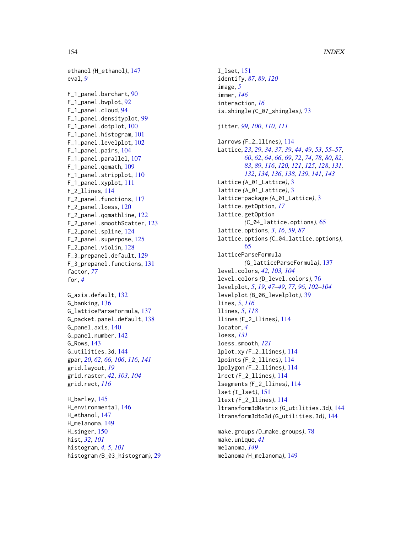ethanol *(*H\_ethanol*)*, [147](#page-146-0) eval, *[9](#page-8-0)* F\_1\_panel.barchart, [90](#page-89-0)

F\_1\_panel.bwplot, [92](#page-91-0) F\_1\_panel.cloud, [94](#page-93-0) F\_1\_panel.densityplot, [99](#page-98-0) F\_1\_panel.dotplot, [100](#page-99-0) F\_1\_panel.histogram, [101](#page-100-0) F\_1\_panel.levelplot, [102](#page-101-0) F\_1\_panel.pairs, [104](#page-103-0) F\_1\_panel.parallel, [107](#page-106-0) F\_1\_panel.qqmath, [109](#page-108-0) F\_1\_panel.stripplot, [110](#page-109-0) F\_1\_panel.xyplot, [111](#page-110-0) F\_2\_llines, [114](#page-113-0) F<sub>-2</sub>-panel.functions, [117](#page-116-0) F\_2\_panel.loess, [120](#page-119-0) F\_2\_panel.qqmathline, [122](#page-121-0) F\_2\_panel.smoothScatter, [123](#page-122-0) F\_2\_panel.spline, [124](#page-123-0) F\_2\_panel.superpose, [125](#page-124-0) F\_2\_panel.violin, [128](#page-127-0) F\_3\_prepanel.default, [129](#page-128-0) F\_3\_prepanel.functions, [131](#page-130-0) factor, *[77](#page-76-0)* for, *[4](#page-3-0)* G\_axis.default, [132](#page-131-0) G\_banking, [136](#page-135-0) G\_latticeParseFormula, [137](#page-136-0) G\_packet.panel.default, [138](#page-137-0) G\_panel.axis, [140](#page-139-0)

G\_panel.number, [142](#page-141-0) G\_Rows, [143](#page-142-0) G\_utilities.3d, [144](#page-143-0) gpar, *[20](#page-19-0)*, *[62](#page-61-0)*, *[66](#page-65-0)*, *[106](#page-105-0)*, *[116](#page-115-0)*, *[141](#page-140-0)* grid.layout, *[19](#page-18-0)* grid.raster, *[42](#page-41-0)*, *[103,](#page-102-0) [104](#page-103-0)* grid.rect, *[116](#page-115-0)*

H\_barley, [145](#page-144-0) H\_environmental, [146](#page-145-0) H\_ethanol, [147](#page-146-0) H melanoma, [149](#page-148-1) H\_singer, [150](#page-149-0) hist, *[32](#page-31-0)*, *[101](#page-100-0)* histogram, *[4,](#page-3-0) [5](#page-4-0)*, *[101](#page-100-0)* histogram *(*B\_03\_histogram*)*, [29](#page-28-0) I\_lset, [151](#page-150-0) identify, *[87](#page-86-0)*, *[89](#page-88-0)*, *[120](#page-119-0)* image, *[5](#page-4-0)* immer, *[146](#page-145-0)* interaction, *[16](#page-15-0)* is.shingle *(*C\_07\_shingles*)*, [73](#page-72-0) jitter, *[99,](#page-98-0) [100](#page-99-0)*, *[110,](#page-109-0) [111](#page-110-0)* larrows *(*F\_2\_llines*)*, [114](#page-113-0) Lattice, *[23](#page-22-0)*, *[29](#page-28-0)*, *[34](#page-33-0)*, *[37](#page-36-0)*, *[39](#page-38-0)*, *[44](#page-43-0)*, *[49](#page-48-0)*, *[53](#page-52-0)*, *[55](#page-54-0)[–57](#page-56-0)*, *[60](#page-59-0)*, *[62](#page-61-0)*, *[64](#page-63-0)*, *[66](#page-65-0)*, *[69](#page-68-0)*, *[72](#page-71-0)*, *[74](#page-73-0)*, *[78](#page-77-0)*, *[80](#page-79-0)*, *[82,](#page-81-0) [83](#page-82-0)*, *[89](#page-88-0)*, *[116](#page-115-0)*, *[120,](#page-119-0) [121](#page-120-0)*, *[125](#page-124-0)*, *[128](#page-127-0)*, *[131,](#page-130-0) [132](#page-131-0)*, *[134](#page-133-0)*, *[136](#page-135-0)*, *[138,](#page-137-0) [139](#page-138-0)*, *[141](#page-140-0)*, *[143](#page-142-0)* Lattice *(*A\_01\_Lattice*)*, [3](#page-2-0) lattice *(*A\_01\_Lattice*)*, [3](#page-2-0) lattice-package *(*A\_01\_Lattice*)*, [3](#page-2-0) lattice.getOption, *[17](#page-16-0)* lattice.getOption *(*C\_04\_lattice.options*)*, [65](#page-64-0) lattice.options, *[3](#page-2-0)*, *[16](#page-15-0)*, *[59](#page-58-0)*, *[87](#page-86-0)* lattice.options *(*C\_04\_lattice.options*)*, [65](#page-64-0) latticeParseFormula *(*G\_latticeParseFormula*)*, [137](#page-136-0) level.colors, *[42](#page-41-0)*, *[103,](#page-102-0) [104](#page-103-0)* level.colors *(*D\_level.colors*)*, [76](#page-75-0) levelplot, *[5](#page-4-0)*, *[19](#page-18-0)*, *[47](#page-46-0)[–49](#page-48-0)*, *[77](#page-76-0)*, *[96](#page-95-0)*, *[102](#page-101-0)[–104](#page-103-0)* levelplot *(*B\_06\_levelplot*)*, [39](#page-38-0) lines, *[5](#page-4-0)*, *[116](#page-115-0)* llines, *[5](#page-4-0)*, *[118](#page-117-0)* llines *(*F\_2\_llines*)*, [114](#page-113-0) locator, *[4](#page-3-0)* loess, *[131](#page-130-0)* loess.smooth, *[121](#page-120-0)* lplot.xy *(*F\_2\_llines*)*, [114](#page-113-0) lpoints *(*F\_2\_llines*)*, [114](#page-113-0) lpolygon *(*F\_2\_llines*)*, [114](#page-113-0) lrect *(*F\_2\_llines*)*, [114](#page-113-0) lsegments *(*F\_2\_llines*)*, [114](#page-113-0) lset *(*I\_lset*)*, [151](#page-150-0) ltext *(*F\_2\_llines*)*, [114](#page-113-0) ltransform3dMatrix *(*G\_utilities.3d*)*, [144](#page-143-0) ltransform3dto3d *(*G\_utilities.3d*)*, [144](#page-143-0) make.groups *(*D\_make.groups*)*, [78](#page-77-0) make.unique, *[41](#page-40-0)*

melanoma, *[149](#page-148-1)* melanoma *(*H\_melanoma*)*, [149](#page-148-1)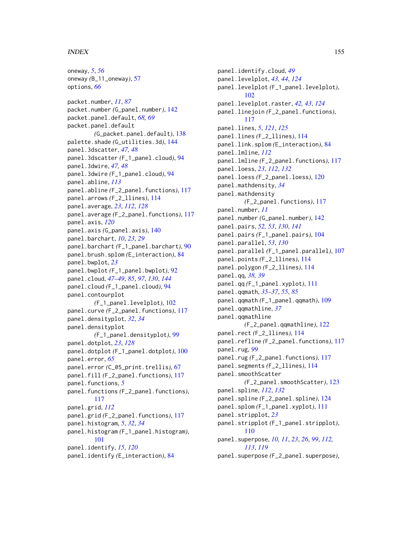#### INDEX 155

oneway, *[5](#page-4-0)*, *[56](#page-55-0)* oneway *(*B\_11\_oneway*)*, [57](#page-56-0) options, *[66](#page-65-0)* packet.number, *[11](#page-10-0)*, *[87](#page-86-0)* packet.number *(*G\_panel.number*)*, [142](#page-141-0) packet.panel.default, *[68,](#page-67-0) [69](#page-68-0)* packet.panel.default *(*G\_packet.panel.default*)*, [138](#page-137-0) palette.shade *(*G\_utilities.3d*)*, [144](#page-143-0) panel.3dscatter, *[47,](#page-46-0) [48](#page-47-0)* panel.3dscatter *(*F\_1\_panel.cloud*)*, [94](#page-93-0) panel.3dwire, *[47,](#page-46-0) [48](#page-47-0)* panel.3dwire *(*F\_1\_panel.cloud*)*, [94](#page-93-0) panel.abline, *[113](#page-112-0)* panel.abline *(*F\_2\_panel.functions*)*, [117](#page-116-0) panel.arrows *(*F\_2\_llines*)*, [114](#page-113-0) panel.average, *[23](#page-22-0)*, *[112](#page-111-0)*, *[128](#page-127-0)* panel.average *(*F\_2\_panel.functions*)*, [117](#page-116-0) panel.axis, *[120](#page-119-0)* panel.axis *(*G\_panel.axis*)*, [140](#page-139-0) panel.barchart, *[10](#page-9-0)*, *[23](#page-22-0)*, *[29](#page-28-0)* panel.barchart *(*F\_1\_panel.barchart*)*, [90](#page-89-0) panel.brush.splom *(*E\_interaction*)*, [84](#page-83-0) panel.bwplot, *[23](#page-22-0)* panel.bwplot *(*F\_1\_panel.bwplot*)*, [92](#page-91-0) panel.cloud, *[47](#page-46-0)[–49](#page-48-0)*, *[85](#page-84-0)*, *[97](#page-96-0)*, *[130](#page-129-0)*, *[144](#page-143-0)* panel.cloud *(*F\_1\_panel.cloud*)*, [94](#page-93-0) panel.contourplot *(*F\_1\_panel.levelplot*)*, [102](#page-101-0) panel.curve *(*F\_2\_panel.functions*)*, [117](#page-116-0) panel.densityplot, *[32](#page-31-0)*, *[34](#page-33-0)* panel.densityplot *(*F\_1\_panel.densityplot*)*, [99](#page-98-0) panel.dotplot, *[23](#page-22-0)*, *[128](#page-127-0)* panel.dotplot *(*F\_1\_panel.dotplot*)*, [100](#page-99-0) panel.error, *[65](#page-64-0)* panel.error *(*C\_05\_print.trellis*)*, [67](#page-66-0) panel.fill *(*F\_2\_panel.functions*)*, [117](#page-116-0) panel.functions, *[5](#page-4-0)* panel.functions *(*F\_2\_panel.functions*)*, [117](#page-116-0) panel.grid, *[112](#page-111-0)* panel.grid *(*F\_2\_panel.functions*)*, [117](#page-116-0) panel.histogram, *[5](#page-4-0)*, *[32](#page-31-0)*, *[34](#page-33-0)* panel.histogram *(*F\_1\_panel.histogram*)*, [101](#page-100-0) panel.identify, *[15](#page-14-0)*, *[120](#page-119-0)* panel.identify *(*E\_interaction*)*, [84](#page-83-0)

panel.identify.cloud, *[49](#page-48-0)* panel.levelplot, *[43,](#page-42-0) [44](#page-43-0)*, *[124](#page-123-0)* panel.levelplot *(*F\_1\_panel.levelplot*)*, [102](#page-101-0) panel.levelplot.raster, *[42,](#page-41-0) [43](#page-42-0)*, *[124](#page-123-0)* panel.linejoin *(*F\_2\_panel.functions*)*, [117](#page-116-0) panel.lines, *[5](#page-4-0)*, *[121](#page-120-0)*, *[125](#page-124-0)* panel.lines *(*F\_2\_llines*)*, [114](#page-113-0) panel.link.splom *(*E\_interaction*)*, [84](#page-83-0) panel.lmline, *[112](#page-111-0)* panel.lmline *(*F\_2\_panel.functions*)*, [117](#page-116-0) panel.loess, *[23](#page-22-0)*, *[112](#page-111-0)*, *[132](#page-131-0)* panel.loess *(*F\_2\_panel.loess*)*, [120](#page-119-0) panel.mathdensity, *[34](#page-33-0)* panel.mathdensity *(*F\_2\_panel.functions*)*, [117](#page-116-0) panel.number, *[11](#page-10-0)* panel.number *(*G\_panel.number*)*, [142](#page-141-0) panel.pairs, *[52,](#page-51-0) [53](#page-52-0)*, *[130](#page-129-0)*, *[141](#page-140-0)* panel.pairs *(*F\_1\_panel.pairs*)*, [104](#page-103-0) panel.parallel, *[53](#page-52-0)*, *[130](#page-129-0)* panel.parallel *(*F\_1\_panel.parallel*)*, [107](#page-106-0) panel.points *(*F\_2\_llines*)*, [114](#page-113-0) panel.polygon *(*F\_2\_llines*)*, [114](#page-113-0) panel.qq, *[38,](#page-37-0) [39](#page-38-0)* panel.qq *(*F\_1\_panel.xyplot*)*, [111](#page-110-0) panel.qqmath, *[35](#page-34-0)[–37](#page-36-0)*, *[55](#page-54-0)*, *[85](#page-84-0)* panel.qqmath *(*F\_1\_panel.qqmath*)*, [109](#page-108-0) panel.qqmathline, *[37](#page-36-0)* panel.qqmathline *(*F\_2\_panel.qqmathline*)*, [122](#page-121-0) panel.rect *(*F\_2\_llines*)*, [114](#page-113-0) panel.refline *(*F\_2\_panel.functions*)*, [117](#page-116-0) panel.rug, *[99](#page-98-0)* panel.rug *(*F\_2\_panel.functions*)*, [117](#page-116-0) panel.segments *(*F\_2\_llines*)*, [114](#page-113-0) panel.smoothScatter *(*F\_2\_panel.smoothScatter*)*, [123](#page-122-0) panel.spline, *[112](#page-111-0)*, *[132](#page-131-0)* panel.spline *(*F\_2\_panel.spline*)*, [124](#page-123-0) panel.splom *(*F\_1\_panel.xyplot*)*, [111](#page-110-0) panel.stripplot, *[23](#page-22-0)* panel.stripplot *(*F\_1\_panel.stripplot*)*, [110](#page-109-0) panel.superpose, *[10,](#page-9-0) [11](#page-10-0)*, *[23](#page-22-0)*, *[26](#page-25-0)*, *[99](#page-98-0)*, *[112,](#page-111-0) [113](#page-112-0)*, *[119](#page-118-0)* panel.superpose *(*F\_2\_panel.superpose*)*,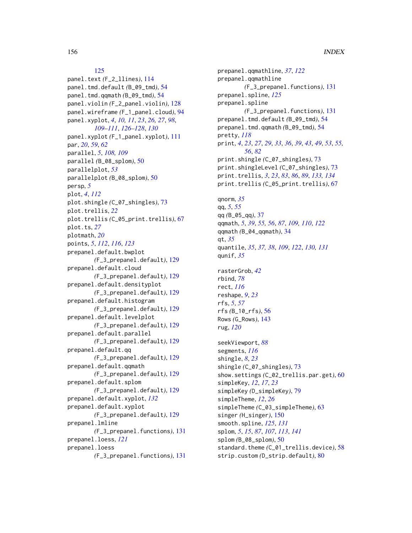# [125](#page-124-0)

panel.text *(*F\_2\_llines*)*, [114](#page-113-0) panel.tmd.default *(*B\_09\_tmd*)*, [54](#page-53-0) panel.tmd.qqmath *(*B\_09\_tmd*)*, [54](#page-53-0) panel.violin *(*F\_2\_panel.violin*)*, [128](#page-127-0) panel.wireframe *(*F\_1\_panel.cloud*)*, [94](#page-93-0) panel.xyplot, *[4](#page-3-0)*, *[10,](#page-9-0) [11](#page-10-0)*, *[23](#page-22-0)*, *[26,](#page-25-0) [27](#page-26-0)*, *[98](#page-97-0)*, *[109](#page-108-0)[–111](#page-110-0)*, *[126–](#page-125-0)[128](#page-127-0)*, *[130](#page-129-0)* panel.xyplot *(*F\_1\_panel.xyplot*)*, [111](#page-110-0) par, *[20](#page-19-0)*, *[59](#page-58-0)*, *[62](#page-61-0)* parallel, *[5](#page-4-0)*, *[108,](#page-107-0) [109](#page-108-0)* parallel *(*B\_08\_splom*)*, [50](#page-49-0) parallelplot, *[53](#page-52-0)* parallelplot *(*B\_08\_splom*)*, [50](#page-49-0) persp, *[5](#page-4-0)* plot, *[4](#page-3-0)*, *[112](#page-111-0)* plot.shingle *(*C\_07\_shingles*)*, [73](#page-72-0) plot.trellis, *[22](#page-21-0)* plot.trellis *(*C\_05\_print.trellis*)*, [67](#page-66-0) plot.ts, *[27](#page-26-0)* plotmath, *[20](#page-19-0)* points, *[5](#page-4-0)*, *[112](#page-111-0)*, *[116](#page-115-0)*, *[123](#page-122-0)* prepanel.default.bwplot *(*F\_3\_prepanel.default*)*, [129](#page-128-0) prepanel.default.cloud *(*F\_3\_prepanel.default*)*, [129](#page-128-0) prepanel.default.densityplot *(*F\_3\_prepanel.default*)*, [129](#page-128-0) prepanel.default.histogram *(*F\_3\_prepanel.default*)*, [129](#page-128-0) prepanel.default.levelplot *(*F\_3\_prepanel.default*)*, [129](#page-128-0) prepanel.default.parallel *(*F\_3\_prepanel.default*)*, [129](#page-128-0) prepanel.default.qq *(*F\_3\_prepanel.default*)*, [129](#page-128-0) prepanel.default.qqmath *(*F\_3\_prepanel.default*)*, [129](#page-128-0) prepanel.default.splom *(*F\_3\_prepanel.default*)*, [129](#page-128-0) prepanel.default.xyplot, *[132](#page-131-0)* prepanel.default.xyplot *(*F\_3\_prepanel.default*)*, [129](#page-128-0) prepanel.lmline *(*F\_3\_prepanel.functions*)*, [131](#page-130-0) prepanel.loess, *[121](#page-120-0)* prepanel.loess *(*F\_3\_prepanel.functions*)*, [131](#page-130-0)

prepanel.qqmathline, *[37](#page-36-0)*, *[122](#page-121-0)* prepanel.qqmathline *(*F\_3\_prepanel.functions*)*, [131](#page-130-0) prepanel.spline, *[125](#page-124-0)* prepanel.spline *(*F\_3\_prepanel.functions*)*, [131](#page-130-0) prepanel.tmd.default *(*B\_09\_tmd*)*, [54](#page-53-0) prepanel.tmd.qqmath *(*B\_09\_tmd*)*, [54](#page-53-0) pretty, *[118](#page-117-0)* print, *[4](#page-3-0)*, *[23](#page-22-0)*, *[27](#page-26-0)*, *[29](#page-28-0)*, *[33](#page-32-0)*, *[36](#page-35-0)*, *[39](#page-38-0)*, *[43](#page-42-0)*, *[49](#page-48-0)*, *[53](#page-52-0)*, *[55,](#page-54-0) [56](#page-55-0)*, *[82](#page-81-0)* print.shingle *(*C\_07\_shingles*)*, [73](#page-72-0) print.shingleLevel *(*C\_07\_shingles*)*, [73](#page-72-0) print.trellis, *[3](#page-2-0)*, *[23](#page-22-0)*, *[83](#page-82-0)*, *[86](#page-85-0)*, *[89](#page-88-0)*, *[133,](#page-132-0) [134](#page-133-0)* print.trellis *(*C\_05\_print.trellis*)*, [67](#page-66-0) qnorm, *[35](#page-34-0)* qq, *[5](#page-4-0)*, *[55](#page-54-0)* qq *(*B\_05\_qq*)*, [37](#page-36-0) qqmath, *[5](#page-4-0)*, *[39](#page-38-0)*, *[55,](#page-54-0) [56](#page-55-0)*, *[87](#page-86-0)*, *[109,](#page-108-0) [110](#page-109-0)*, *[122](#page-121-0)* qqmath *(*B\_04\_qqmath*)*, [34](#page-33-0) qt, *[35](#page-34-0)* quantile, *[35](#page-34-0)*, *[37,](#page-36-0) [38](#page-37-0)*, *[109](#page-108-0)*, *[122](#page-121-0)*, *[130,](#page-129-0) [131](#page-130-0)* qunif, *[35](#page-34-0)* rasterGrob, *[42](#page-41-0)* rbind, *[78](#page-77-0)* rect, *[116](#page-115-0)* reshape, *[9](#page-8-0)*, *[23](#page-22-0)* rfs, *[5](#page-4-0)*, *[57](#page-56-0)* rfs *(*B\_10\_rfs*)*, [56](#page-55-0) Rows *(*G\_Rows*)*, [143](#page-142-0) rug, *[120](#page-119-0)* seekViewport, *[88](#page-87-0)* segments, *[116](#page-115-0)* shingle, *[8](#page-7-0)*, *[23](#page-22-0)* shingle *(*C\_07\_shingles*)*, [73](#page-72-0) show.settings *(*C\_02\_trellis.par.get*)*, [60](#page-59-0) simpleKey, *[12](#page-11-0)*, *[17](#page-16-0)*, *[23](#page-22-0)* simpleKey *(*D\_simpleKey*)*, [79](#page-78-0) simpleTheme, *[12](#page-11-0)*, *[26](#page-25-0)* simpleTheme *(*C\_03\_simpleTheme*)*, [63](#page-62-0) singer *(*H\_singer*)*, [150](#page-149-0) smooth.spline, *[125](#page-124-0)*, *[131](#page-130-0)* splom, *[5](#page-4-0)*, *[15](#page-14-0)*, *[87](#page-86-0)*, *[107](#page-106-0)*, *[113](#page-112-0)*, *[141](#page-140-0)* splom *(*B\_08\_splom*)*, [50](#page-49-0) standard.theme *(C\_01\_trellis.device)*, [58](#page-57-0) strip.custom *(*D\_strip.default*)*, [80](#page-79-0)